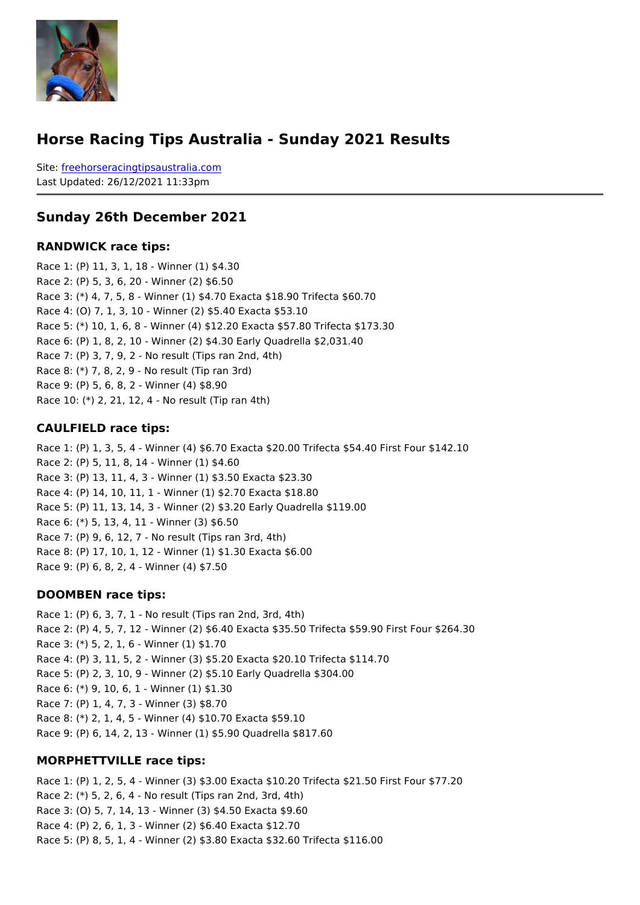#### Horse Racing Tips Australia - Sunday 2021 Results

Sitefreehorseracingtipsaustralia.com Last Updated: 26/12/2021 11:33pm

#### Sunday 26th December 2021

#### RANDWICK race tips:

Race 1: (P) 11, 3, 1, 18 - Winner (1) \$4.30 Race 2: (P) 5, 3, 6, 20 - Winner (2) \$6.50 Race 3: (\*) 4, 7, 5, 8 - Winner (1) \$4.70 Exacta \$18.90 Trifecta \$60.70 Race 4: (O) 7, 1, 3, 10 - Winner (2) \$5.40 Exacta \$53.10 Race 5: (\*) 10, 1, 6, 8 - Winner (4) \$12.20 Exacta \$57.80 Trifecta \$173.30 Race 6: (P) 1, 8, 2, 10 - Winner (2) \$4.30 Early Quadrella \$2,031.40 Race 7: (P) 3, 7, 9, 2 - No result (Tips ran 2nd, 4th) Race 8: (\*) 7, 8, 2, 9 - No result (Tip ran 3rd) Race 9: (P) 5, 6, 8, 2 - Winner (4) \$8.90 Race 10: (\*) 2, 21, 12, 4 - No result (Tip ran 4th)

#### CAULFIELD race tips:

Race 1: (P) 1, 3, 5, 4 - Winner (4) \$6.70 Exacta \$20.00 Trifecta \$54.40 First Four \$142.10 Race 2: (P) 5, 11, 8, 14 - Winner (1) \$4.60 Race 3: (P) 13, 11, 4, 3 - Winner (1) \$3.50 Exacta \$23.30 Race 4: (P) 14, 10, 11, 1 - Winner (1) \$2.70 Exacta \$18.80 Race 5: (P) 11, 13, 14, 3 - Winner (2) \$3.20 Early Quadrella \$119.00 Race 6: (\*) 5, 13, 4, 11 - Winner (3) \$6.50 Race 7: (P) 9, 6, 12, 7 - No result (Tips ran 3rd, 4th) Race 8: (P) 17, 10, 1, 12 - Winner (1) \$1.30 Exacta \$6.00 Race 9: (P) 6, 8, 2, 4 - Winner (4) \$7.50

#### DOOMBEN race tips:

Race 1: (P) 6, 3, 7, 1 - No result (Tips ran 2nd, 3rd, 4th) Race 2: (P) 4, 5, 7, 12 - Winner (2) \$6.40 Exacta \$35.50 Trifecta \$59.90 First Four \$26 Race 3: (\*) 5, 2, 1, 6 - Winner (1) \$1.70 Race 4: (P) 3, 11, 5, 2 - Winner (3) \$5.20 Exacta \$20.10 Trifecta \$114.70 Race 5: (P) 2, 3, 10, 9 - Winner (2) \$5.10 Early Quadrella \$304.00 Race 6: (\*) 9, 10, 6, 1 - Winner (1) \$1.30 Race 7: (P) 1, 4, 7, 3 - Winner (3) \$8.70 Race 8: (\*) 2, 1, 4, 5 - Winner (4) \$10.70 Exacta \$59.10 Race 9: (P) 6, 14, 2, 13 - Winner (1) \$5.90 Quadrella \$817.60

MORPHETTVILLE race tips:

Race 1: (P) 1, 2, 5, 4 - Winner (3) \$3.00 Exacta \$10.20 Trifecta \$21.50 First Four \$77.20 Race 2: (\*) 5, 2, 6, 4 - No result (Tips ran 2nd, 3rd, 4th) Race 3: (O) 5, 7, 14, 13 - Winner (3) \$4.50 Exacta \$9.60 Race 4: (P) 2, 6, 1, 3 - Winner (2) \$6.40 Exacta \$12.70 Race 5: (P) 8, 5, 1, 4 - Winner (2) \$3.80 Exacta \$32.60 Trifecta \$116.00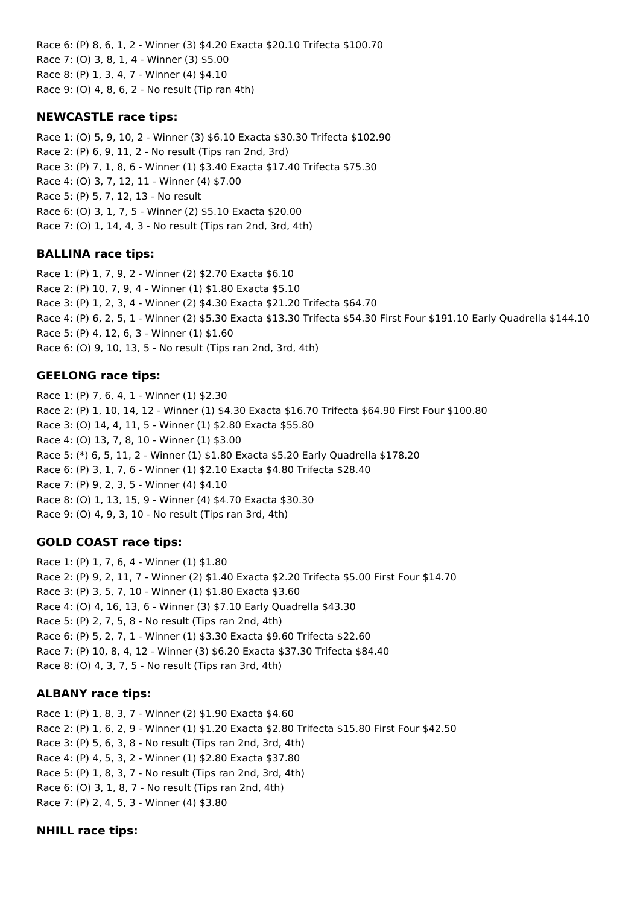Race 6: (P) 8, 6, 1, 2 - Winner (3) \$4.20 Exacta \$20.10 Trifecta \$100.70 Race 7: (O) 3, 8, 1, 4 - Winner (3) \$5.00 Race 8: (P) 1, 3, 4, 7 - Winner (4) \$4.10 Race 9: (O) 4, 8, 6, 2 - No result (Tip ran 4th)

## **NEWCASTLE race tips:**

Race 1: (O) 5, 9, 10, 2 - Winner (3) \$6.10 Exacta \$30.30 Trifecta \$102.90 Race 2: (P) 6, 9, 11, 2 - No result (Tips ran 2nd, 3rd) Race 3: (P) 7, 1, 8, 6 - Winner (1) \$3.40 Exacta \$17.40 Trifecta \$75.30 Race 4: (O) 3, 7, 12, 11 - Winner (4) \$7.00 Race 5: (P) 5, 7, 12, 13 - No result Race 6: (O) 3, 1, 7, 5 - Winner (2) \$5.10 Exacta \$20.00 Race 7: (O) 1, 14, 4, 3 - No result (Tips ran 2nd, 3rd, 4th)

## **BALLINA race tips:**

Race 1: (P) 1, 7, 9, 2 - Winner (2) \$2.70 Exacta \$6.10 Race 2: (P) 10, 7, 9, 4 - Winner (1) \$1.80 Exacta \$5.10 Race 3: (P) 1, 2, 3, 4 - Winner (2) \$4.30 Exacta \$21.20 Trifecta \$64.70 Race 4: (P) 6, 2, 5, 1 - Winner (2) \$5.30 Exacta \$13.30 Trifecta \$54.30 First Four \$191.10 Early Quadrella \$144.10 Race 5: (P) 4, 12, 6, 3 - Winner (1) \$1.60 Race 6: (O) 9, 10, 13, 5 - No result (Tips ran 2nd, 3rd, 4th)

# **GEELONG race tips:**

Race 1: (P) 7, 6, 4, 1 - Winner (1) \$2.30 Race 2: (P) 1, 10, 14, 12 - Winner (1) \$4.30 Exacta \$16.70 Trifecta \$64.90 First Four \$100.80 Race 3: (O) 14, 4, 11, 5 - Winner (1) \$2.80 Exacta \$55.80 Race 4: (O) 13, 7, 8, 10 - Winner (1) \$3.00 Race 5: (\*) 6, 5, 11, 2 - Winner (1) \$1.80 Exacta \$5.20 Early Quadrella \$178.20 Race 6: (P) 3, 1, 7, 6 - Winner (1) \$2.10 Exacta \$4.80 Trifecta \$28.40 Race 7: (P) 9, 2, 3, 5 - Winner (4) \$4.10 Race 8: (O) 1, 13, 15, 9 - Winner (4) \$4.70 Exacta \$30.30 Race 9: (O) 4, 9, 3, 10 - No result (Tips ran 3rd, 4th)

# **GOLD COAST race tips:**

Race 1: (P) 1, 7, 6, 4 - Winner (1) \$1.80 Race 2: (P) 9, 2, 11, 7 - Winner (2) \$1.40 Exacta \$2.20 Trifecta \$5.00 First Four \$14.70 Race 3: (P) 3, 5, 7, 10 - Winner (1) \$1.80 Exacta \$3.60 Race 4: (O) 4, 16, 13, 6 - Winner (3) \$7.10 Early Quadrella \$43.30 Race 5: (P) 2, 7, 5, 8 - No result (Tips ran 2nd, 4th) Race 6: (P) 5, 2, 7, 1 - Winner (1) \$3.30 Exacta \$9.60 Trifecta \$22.60 Race 7: (P) 10, 8, 4, 12 - Winner (3) \$6.20 Exacta \$37.30 Trifecta \$84.40 Race 8: (O) 4, 3, 7, 5 - No result (Tips ran 3rd, 4th)

## **ALBANY race tips:**

Race 1: (P) 1, 8, 3, 7 - Winner (2) \$1.90 Exacta \$4.60 Race 2: (P) 1, 6, 2, 9 - Winner (1) \$1.20 Exacta \$2.80 Trifecta \$15.80 First Four \$42.50 Race 3: (P) 5, 6, 3, 8 - No result (Tips ran 2nd, 3rd, 4th) Race 4: (P) 4, 5, 3, 2 - Winner (1) \$2.80 Exacta \$37.80 Race 5: (P) 1, 8, 3, 7 - No result (Tips ran 2nd, 3rd, 4th) Race 6: (O) 3, 1, 8, 7 - No result (Tips ran 2nd, 4th) Race 7: (P) 2, 4, 5, 3 - Winner (4) \$3.80

## **NHILL race tips:**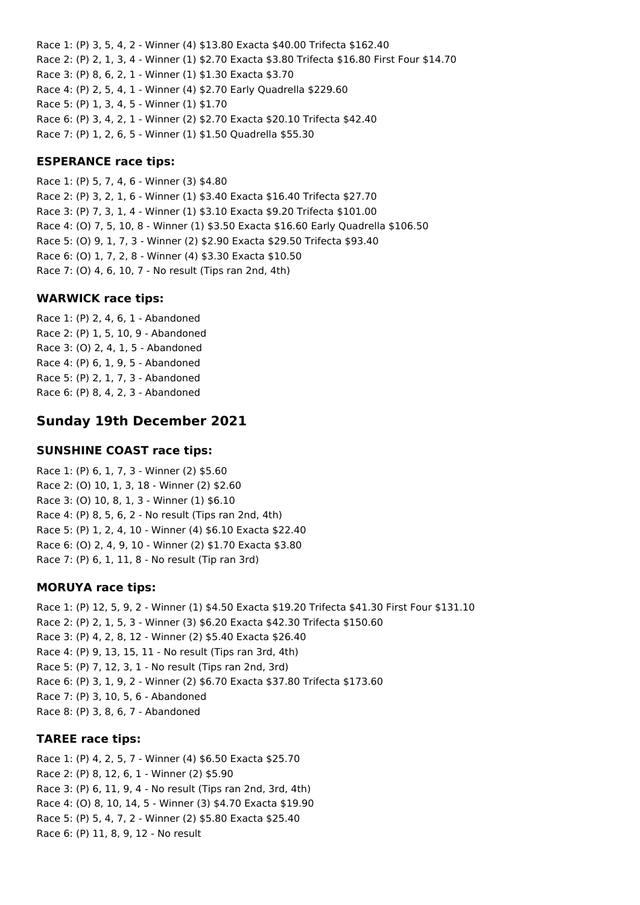Race 1: (P) 3, 5, 4, 2 - Winner (4) \$13.80 Exacta \$40.00 Trifecta \$162.40 Race 2: (P) 2, 1, 3, 4 - Winner (1) \$2.70 Exacta \$3.80 Trifecta \$16.80 First Four \$14.70 Race 3: (P) 8, 6, 2, 1 - Winner (1) \$1.30 Exacta \$3.70 Race 4: (P) 2, 5, 4, 1 - Winner (4) \$2.70 Early Quadrella \$229.60 Race 5: (P) 1, 3, 4, 5 - Winner (1) \$1.70 Race 6: (P) 3, 4, 2, 1 - Winner (2) \$2.70 Exacta \$20.10 Trifecta \$42.40 Race 7: (P) 1, 2, 6, 5 - Winner (1) \$1.50 Quadrella \$55.30

### **ESPERANCE race tips:**

Race 1: (P) 5, 7, 4, 6 - Winner (3) \$4.80 Race 2: (P) 3, 2, 1, 6 - Winner (1) \$3.40 Exacta \$16.40 Trifecta \$27.70 Race 3: (P) 7, 3, 1, 4 - Winner (1) \$3.10 Exacta \$9.20 Trifecta \$101.00 Race 4: (O) 7, 5, 10, 8 - Winner (1) \$3.50 Exacta \$16.60 Early Quadrella \$106.50 Race 5: (O) 9, 1, 7, 3 - Winner (2) \$2.90 Exacta \$29.50 Trifecta \$93.40 Race 6: (O) 1, 7, 2, 8 - Winner (4) \$3.30 Exacta \$10.50 Race 7: (O) 4, 6, 10, 7 - No result (Tips ran 2nd, 4th)

## **WARWICK race tips:**

Race 1: (P) 2, 4, 6, 1 - Abandoned Race 2: (P) 1, 5, 10, 9 - Abandoned Race 3: (O) 2, 4, 1, 5 - Abandoned Race 4: (P) 6, 1, 9, 5 - Abandoned Race 5: (P) 2, 1, 7, 3 - Abandoned Race 6: (P) 8, 4, 2, 3 - Abandoned

# **Sunday 19th December 2021**

#### **SUNSHINE COAST race tips:**

Race 1: (P) 6, 1, 7, 3 - Winner (2) \$5.60 Race 2: (O) 10, 1, 3, 18 - Winner (2) \$2.60 Race 3: (O) 10, 8, 1, 3 - Winner (1) \$6.10 Race 4: (P) 8, 5, 6, 2 - No result (Tips ran 2nd, 4th) Race 5: (P) 1, 2, 4, 10 - Winner (4) \$6.10 Exacta \$22.40 Race 6: (O) 2, 4, 9, 10 - Winner (2) \$1.70 Exacta \$3.80 Race 7: (P) 6, 1, 11, 8 - No result (Tip ran 3rd)

#### **MORUYA race tips:**

Race 1: (P) 12, 5, 9, 2 - Winner (1) \$4.50 Exacta \$19.20 Trifecta \$41.30 First Four \$131.10 Race 2: (P) 2, 1, 5, 3 - Winner (3) \$6.20 Exacta \$42.30 Trifecta \$150.60 Race 3: (P) 4, 2, 8, 12 - Winner (2) \$5.40 Exacta \$26.40 Race 4: (P) 9, 13, 15, 11 - No result (Tips ran 3rd, 4th) Race 5: (P) 7, 12, 3, 1 - No result (Tips ran 2nd, 3rd) Race 6: (P) 3, 1, 9, 2 - Winner (2) \$6.70 Exacta \$37.80 Trifecta \$173.60 Race 7: (P) 3, 10, 5, 6 - Abandoned Race 8: (P) 3, 8, 6, 7 - Abandoned

#### **TAREE race tips:**

Race 1: (P) 4, 2, 5, 7 - Winner (4) \$6.50 Exacta \$25.70 Race 2: (P) 8, 12, 6, 1 - Winner (2) \$5.90 Race 3: (P) 6, 11, 9, 4 - No result (Tips ran 2nd, 3rd, 4th) Race 4: (O) 8, 10, 14, 5 - Winner (3) \$4.70 Exacta \$19.90 Race 5: (P) 5, 4, 7, 2 - Winner (2) \$5.80 Exacta \$25.40 Race 6: (P) 11, 8, 9, 12 - No result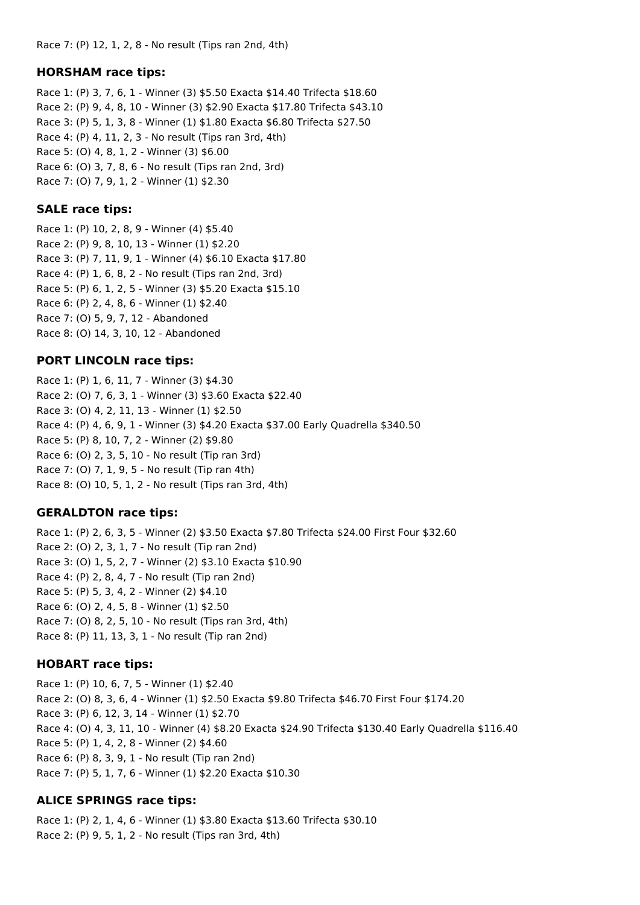#### **HORSHAM race tips:**

Race 1: (P) 3, 7, 6, 1 - Winner (3) \$5.50 Exacta \$14.40 Trifecta \$18.60 Race 2: (P) 9, 4, 8, 10 - Winner (3) \$2.90 Exacta \$17.80 Trifecta \$43.10 Race 3: (P) 5, 1, 3, 8 - Winner (1) \$1.80 Exacta \$6.80 Trifecta \$27.50 Race 4: (P) 4, 11, 2, 3 - No result (Tips ran 3rd, 4th) Race 5: (O) 4, 8, 1, 2 - Winner (3) \$6.00 Race 6: (O) 3, 7, 8, 6 - No result (Tips ran 2nd, 3rd) Race 7: (O) 7, 9, 1, 2 - Winner (1) \$2.30

#### **SALE race tips:**

Race 1: (P) 10, 2, 8, 9 - Winner (4) \$5.40 Race 2: (P) 9, 8, 10, 13 - Winner (1) \$2.20 Race 3: (P) 7, 11, 9, 1 - Winner (4) \$6.10 Exacta \$17.80 Race 4: (P) 1, 6, 8, 2 - No result (Tips ran 2nd, 3rd) Race 5: (P) 6, 1, 2, 5 - Winner (3) \$5.20 Exacta \$15.10 Race 6: (P) 2, 4, 8, 6 - Winner (1) \$2.40 Race 7: (O) 5, 9, 7, 12 - Abandoned Race 8: (O) 14, 3, 10, 12 - Abandoned

#### **PORT LINCOLN race tips:**

Race 1: (P) 1, 6, 11, 7 - Winner (3) \$4.30 Race 2: (O) 7, 6, 3, 1 - Winner (3) \$3.60 Exacta \$22.40 Race 3: (O) 4, 2, 11, 13 - Winner (1) \$2.50 Race 4: (P) 4, 6, 9, 1 - Winner (3) \$4.20 Exacta \$37.00 Early Quadrella \$340.50 Race 5: (P) 8, 10, 7, 2 - Winner (2) \$9.80 Race 6: (O) 2, 3, 5, 10 - No result (Tip ran 3rd) Race 7: (O) 7, 1, 9, 5 - No result (Tip ran 4th) Race 8: (O) 10, 5, 1, 2 - No result (Tips ran 3rd, 4th)

#### **GERALDTON race tips:**

Race 1: (P) 2, 6, 3, 5 - Winner (2) \$3.50 Exacta \$7.80 Trifecta \$24.00 First Four \$32.60 Race 2: (O) 2, 3, 1, 7 - No result (Tip ran 2nd) Race 3: (O) 1, 5, 2, 7 - Winner (2) \$3.10 Exacta \$10.90 Race 4: (P) 2, 8, 4, 7 - No result (Tip ran 2nd) Race 5: (P) 5, 3, 4, 2 - Winner (2) \$4.10 Race 6: (O) 2, 4, 5, 8 - Winner (1) \$2.50 Race 7: (O) 8, 2, 5, 10 - No result (Tips ran 3rd, 4th) Race 8: (P) 11, 13, 3, 1 - No result (Tip ran 2nd)

#### **HOBART race tips:**

Race 1: (P) 10, 6, 7, 5 - Winner (1) \$2.40 Race 2: (O) 8, 3, 6, 4 - Winner (1) \$2.50 Exacta \$9.80 Trifecta \$46.70 First Four \$174.20 Race 3: (P) 6, 12, 3, 14 - Winner (1) \$2.70 Race 4: (O) 4, 3, 11, 10 - Winner (4) \$8.20 Exacta \$24.90 Trifecta \$130.40 Early Quadrella \$116.40 Race 5: (P) 1, 4, 2, 8 - Winner (2) \$4.60 Race 6: (P) 8, 3, 9, 1 - No result (Tip ran 2nd) Race 7: (P) 5, 1, 7, 6 - Winner (1) \$2.20 Exacta \$10.30

#### **ALICE SPRINGS race tips:**

Race 1: (P) 2, 1, 4, 6 - Winner (1) \$3.80 Exacta \$13.60 Trifecta \$30.10 Race 2: (P) 9, 5, 1, 2 - No result (Tips ran 3rd, 4th)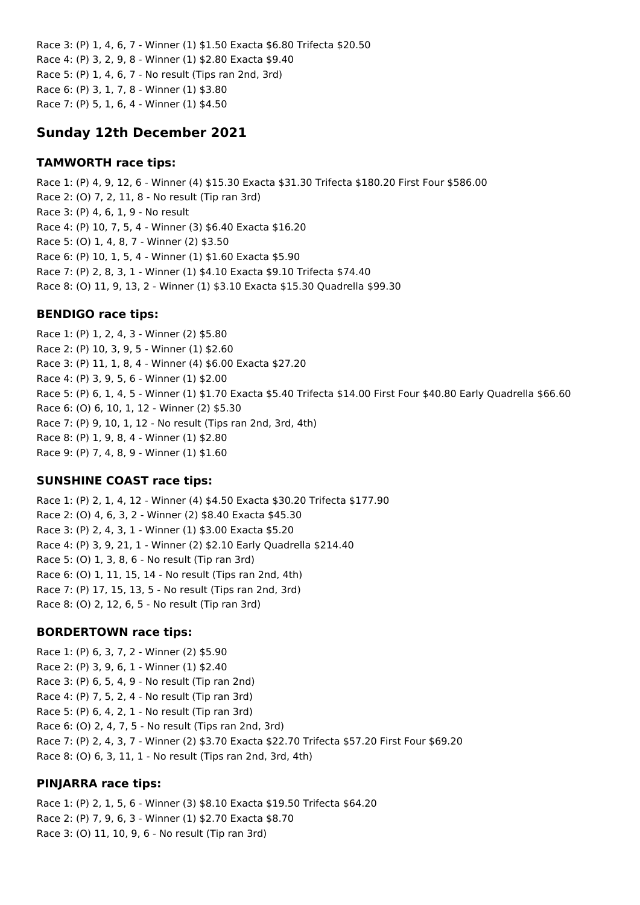Race 3: (P) 1, 4, 6, 7 - Winner (1) \$1.50 Exacta \$6.80 Trifecta \$20.50 Race 4: (P) 3, 2, 9, 8 - Winner (1) \$2.80 Exacta \$9.40 Race 5: (P) 1, 4, 6, 7 - No result (Tips ran 2nd, 3rd) Race 6: (P) 3, 1, 7, 8 - Winner (1) \$3.80 Race 7: (P) 5, 1, 6, 4 - Winner (1) \$4.50

# **Sunday 12th December 2021**

#### **TAMWORTH race tips:**

Race 1: (P) 4, 9, 12, 6 - Winner (4) \$15.30 Exacta \$31.30 Trifecta \$180.20 First Four \$586.00 Race 2: (O) 7, 2, 11, 8 - No result (Tip ran 3rd) Race 3: (P) 4, 6, 1, 9 - No result Race 4: (P) 10, 7, 5, 4 - Winner (3) \$6.40 Exacta \$16.20 Race 5: (O) 1, 4, 8, 7 - Winner (2) \$3.50 Race 6: (P) 10, 1, 5, 4 - Winner (1) \$1.60 Exacta \$5.90 Race 7: (P) 2, 8, 3, 1 - Winner (1) \$4.10 Exacta \$9.10 Trifecta \$74.40 Race 8: (O) 11, 9, 13, 2 - Winner (1) \$3.10 Exacta \$15.30 Quadrella \$99.30

### **BENDIGO race tips:**

Race 1: (P) 1, 2, 4, 3 - Winner (2) \$5.80 Race 2: (P) 10, 3, 9, 5 - Winner (1) \$2.60 Race 3: (P) 11, 1, 8, 4 - Winner (4) \$6.00 Exacta \$27.20 Race 4: (P) 3, 9, 5, 6 - Winner (1) \$2.00 Race 5: (P) 6, 1, 4, 5 - Winner (1) \$1.70 Exacta \$5.40 Trifecta \$14.00 First Four \$40.80 Early Quadrella \$66.60 Race 6: (O) 6, 10, 1, 12 - Winner (2) \$5.30 Race 7: (P) 9, 10, 1, 12 - No result (Tips ran 2nd, 3rd, 4th) Race 8: (P) 1, 9, 8, 4 - Winner (1) \$2.80 Race 9: (P) 7, 4, 8, 9 - Winner (1) \$1.60

## **SUNSHINE COAST race tips:**

Race 1: (P) 2, 1, 4, 12 - Winner (4) \$4.50 Exacta \$30.20 Trifecta \$177.90 Race 2: (O) 4, 6, 3, 2 - Winner (2) \$8.40 Exacta \$45.30 Race 3: (P) 2, 4, 3, 1 - Winner (1) \$3.00 Exacta \$5.20 Race 4: (P) 3, 9, 21, 1 - Winner (2) \$2.10 Early Quadrella \$214.40 Race 5: (O) 1, 3, 8, 6 - No result (Tip ran 3rd) Race 6: (O) 1, 11, 15, 14 - No result (Tips ran 2nd, 4th) Race 7: (P) 17, 15, 13, 5 - No result (Tips ran 2nd, 3rd) Race 8: (O) 2, 12, 6, 5 - No result (Tip ran 3rd)

## **BORDERTOWN race tips:**

Race 1: (P) 6, 3, 7, 2 - Winner (2) \$5.90 Race 2: (P) 3, 9, 6, 1 - Winner (1) \$2.40 Race 3: (P) 6, 5, 4, 9 - No result (Tip ran 2nd) Race 4: (P) 7, 5, 2, 4 - No result (Tip ran 3rd) Race 5: (P) 6, 4, 2, 1 - No result (Tip ran 3rd) Race 6: (O) 2, 4, 7, 5 - No result (Tips ran 2nd, 3rd) Race 7: (P) 2, 4, 3, 7 - Winner (2) \$3.70 Exacta \$22.70 Trifecta \$57.20 First Four \$69.20 Race 8: (O) 6, 3, 11, 1 - No result (Tips ran 2nd, 3rd, 4th)

## **PINJARRA race tips:**

Race 1: (P) 2, 1, 5, 6 - Winner (3) \$8.10 Exacta \$19.50 Trifecta \$64.20 Race 2: (P) 7, 9, 6, 3 - Winner (1) \$2.70 Exacta \$8.70 Race 3: (O) 11, 10, 9, 6 - No result (Tip ran 3rd)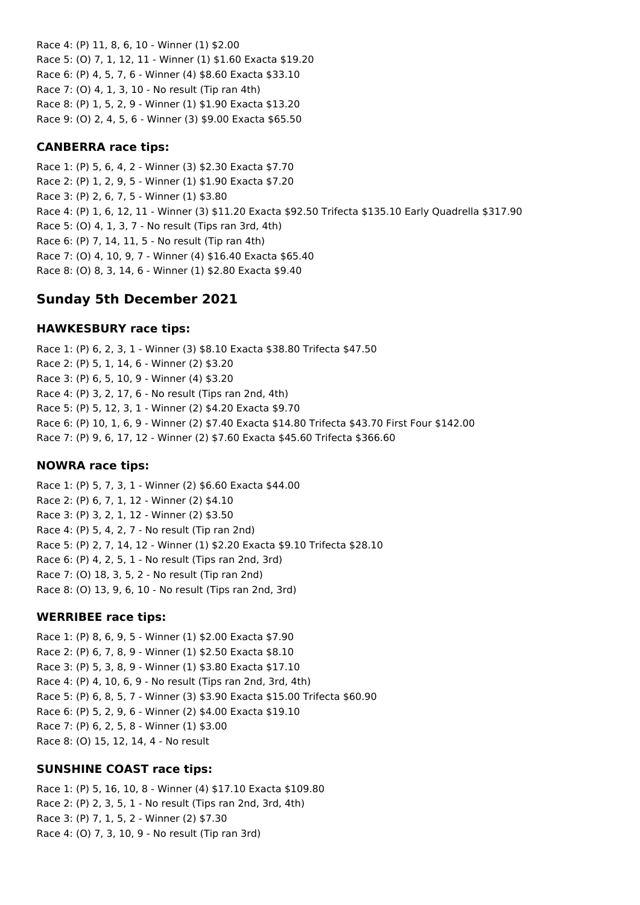Race 4: (P) 11, 8, 6, 10 - Winner (1) \$2.00 Race 5: (O) 7, 1, 12, 11 - Winner (1) \$1.60 Exacta \$19.20 Race 6: (P) 4, 5, 7, 6 - Winner (4) \$8.60 Exacta \$33.10 Race 7: (O) 4, 1, 3, 10 - No result (Tip ran 4th) Race 8: (P) 1, 5, 2, 9 - Winner (1) \$1.90 Exacta \$13.20 Race 9: (O) 2, 4, 5, 6 - Winner (3) \$9.00 Exacta \$65.50

## **CANBERRA race tips:**

Race 1: (P) 5, 6, 4, 2 - Winner (3) \$2.30 Exacta \$7.70 Race 2: (P) 1, 2, 9, 5 - Winner (1) \$1.90 Exacta \$7.20 Race 3: (P) 2, 6, 7, 5 - Winner (1) \$3.80 Race 4: (P) 1, 6, 12, 11 - Winner (3) \$11.20 Exacta \$92.50 Trifecta \$135.10 Early Quadrella \$317.90 Race 5: (O) 4, 1, 3, 7 - No result (Tips ran 3rd, 4th) Race 6: (P) 7, 14, 11, 5 - No result (Tip ran 4th) Race 7: (O) 4, 10, 9, 7 - Winner (4) \$16.40 Exacta \$65.40 Race 8: (O) 8, 3, 14, 6 - Winner (1) \$2.80 Exacta \$9.40

# **Sunday 5th December 2021**

### **HAWKESBURY race tips:**

Race 1: (P) 6, 2, 3, 1 - Winner (3) \$8.10 Exacta \$38.80 Trifecta \$47.50 Race 2: (P) 5, 1, 14, 6 - Winner (2) \$3.20 Race 3: (P) 6, 5, 10, 9 - Winner (4) \$3.20 Race 4: (P) 3, 2, 17, 6 - No result (Tips ran 2nd, 4th) Race 5: (P) 5, 12, 3, 1 - Winner (2) \$4.20 Exacta \$9.70 Race 6: (P) 10, 1, 6, 9 - Winner (2) \$7.40 Exacta \$14.80 Trifecta \$43.70 First Four \$142.00 Race 7: (P) 9, 6, 17, 12 - Winner (2) \$7.60 Exacta \$45.60 Trifecta \$366.60

## **NOWRA race tips:**

Race 1: (P) 5, 7, 3, 1 - Winner (2) \$6.60 Exacta \$44.00 Race 2: (P) 6, 7, 1, 12 - Winner (2) \$4.10 Race 3: (P) 3, 2, 1, 12 - Winner (2) \$3.50 Race 4: (P) 5, 4, 2, 7 - No result (Tip ran 2nd) Race 5: (P) 2, 7, 14, 12 - Winner (1) \$2.20 Exacta \$9.10 Trifecta \$28.10 Race 6: (P) 4, 2, 5, 1 - No result (Tips ran 2nd, 3rd) Race 7: (O) 18, 3, 5, 2 - No result (Tip ran 2nd) Race 8: (O) 13, 9, 6, 10 - No result (Tips ran 2nd, 3rd)

#### **WERRIBEE race tips:**

Race 1: (P) 8, 6, 9, 5 - Winner (1) \$2.00 Exacta \$7.90 Race 2: (P) 6, 7, 8, 9 - Winner (1) \$2.50 Exacta \$8.10 Race 3: (P) 5, 3, 8, 9 - Winner (1) \$3.80 Exacta \$17.10 Race 4: (P) 4, 10, 6, 9 - No result (Tips ran 2nd, 3rd, 4th) Race 5: (P) 6, 8, 5, 7 - Winner (3) \$3.90 Exacta \$15.00 Trifecta \$60.90 Race 6: (P) 5, 2, 9, 6 - Winner (2) \$4.00 Exacta \$19.10 Race 7: (P) 6, 2, 5, 8 - Winner (1) \$3.00 Race 8: (O) 15, 12, 14, 4 - No result

#### **SUNSHINE COAST race tips:**

Race 1: (P) 5, 16, 10, 8 - Winner (4) \$17.10 Exacta \$109.80 Race 2: (P) 2, 3, 5, 1 - No result (Tips ran 2nd, 3rd, 4th) Race 3: (P) 7, 1, 5, 2 - Winner (2) \$7.30 Race 4: (O) 7, 3, 10, 9 - No result (Tip ran 3rd)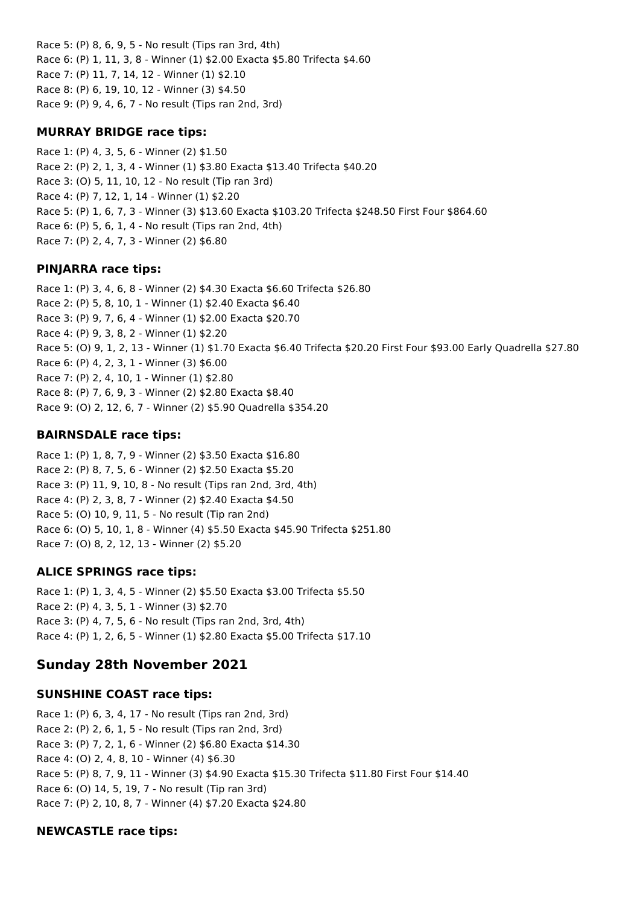Race 5: (P) 8, 6, 9, 5 - No result (Tips ran 3rd, 4th) Race 6: (P) 1, 11, 3, 8 - Winner (1) \$2.00 Exacta \$5.80 Trifecta \$4.60 Race 7: (P) 11, 7, 14, 12 - Winner (1) \$2.10 Race 8: (P) 6, 19, 10, 12 - Winner (3) \$4.50 Race 9: (P) 9, 4, 6, 7 - No result (Tips ran 2nd, 3rd)

### **MURRAY BRIDGE race tips:**

Race 1: (P) 4, 3, 5, 6 - Winner (2) \$1.50 Race 2: (P) 2, 1, 3, 4 - Winner (1) \$3.80 Exacta \$13.40 Trifecta \$40.20 Race 3: (O) 5, 11, 10, 12 - No result (Tip ran 3rd) Race 4: (P) 7, 12, 1, 14 - Winner (1) \$2.20 Race 5: (P) 1, 6, 7, 3 - Winner (3) \$13.60 Exacta \$103.20 Trifecta \$248.50 First Four \$864.60 Race 6: (P) 5, 6, 1, 4 - No result (Tips ran 2nd, 4th) Race 7: (P) 2, 4, 7, 3 - Winner (2) \$6.80

## **PINJARRA race tips:**

Race 1: (P) 3, 4, 6, 8 - Winner (2) \$4.30 Exacta \$6.60 Trifecta \$26.80 Race 2: (P) 5, 8, 10, 1 - Winner (1) \$2.40 Exacta \$6.40 Race 3: (P) 9, 7, 6, 4 - Winner (1) \$2.00 Exacta \$20.70 Race 4: (P) 9, 3, 8, 2 - Winner (1) \$2.20 Race 5: (O) 9, 1, 2, 13 - Winner (1) \$1.70 Exacta \$6.40 Trifecta \$20.20 First Four \$93.00 Early Quadrella \$27.80 Race 6: (P) 4, 2, 3, 1 - Winner (3) \$6.00 Race 7: (P) 2, 4, 10, 1 - Winner (1) \$2.80 Race 8: (P) 7, 6, 9, 3 - Winner (2) \$2.80 Exacta \$8.40 Race 9: (O) 2, 12, 6, 7 - Winner (2) \$5.90 Quadrella \$354.20

## **BAIRNSDALE race tips:**

Race 1: (P) 1, 8, 7, 9 - Winner (2) \$3.50 Exacta \$16.80 Race 2: (P) 8, 7, 5, 6 - Winner (2) \$2.50 Exacta \$5.20 Race 3: (P) 11, 9, 10, 8 - No result (Tips ran 2nd, 3rd, 4th) Race 4: (P) 2, 3, 8, 7 - Winner (2) \$2.40 Exacta \$4.50 Race 5: (O) 10, 9, 11, 5 - No result (Tip ran 2nd) Race 6: (O) 5, 10, 1, 8 - Winner (4) \$5.50 Exacta \$45.90 Trifecta \$251.80 Race 7: (O) 8, 2, 12, 13 - Winner (2) \$5.20

## **ALICE SPRINGS race tips:**

Race 1: (P) 1, 3, 4, 5 - Winner (2) \$5.50 Exacta \$3.00 Trifecta \$5.50 Race 2: (P) 4, 3, 5, 1 - Winner (3) \$2.70 Race 3: (P) 4, 7, 5, 6 - No result (Tips ran 2nd, 3rd, 4th) Race 4: (P) 1, 2, 6, 5 - Winner (1) \$2.80 Exacta \$5.00 Trifecta \$17.10

# **Sunday 28th November 2021**

## **SUNSHINE COAST race tips:**

Race 1: (P) 6, 3, 4, 17 - No result (Tips ran 2nd, 3rd) Race 2: (P) 2, 6, 1, 5 - No result (Tips ran 2nd, 3rd) Race 3: (P) 7, 2, 1, 6 - Winner (2) \$6.80 Exacta \$14.30 Race 4: (O) 2, 4, 8, 10 - Winner (4) \$6.30 Race 5: (P) 8, 7, 9, 11 - Winner (3) \$4.90 Exacta \$15.30 Trifecta \$11.80 First Four \$14.40 Race 6: (O) 14, 5, 19, 7 - No result (Tip ran 3rd) Race 7: (P) 2, 10, 8, 7 - Winner (4) \$7.20 Exacta \$24.80

## **NEWCASTLE race tips:**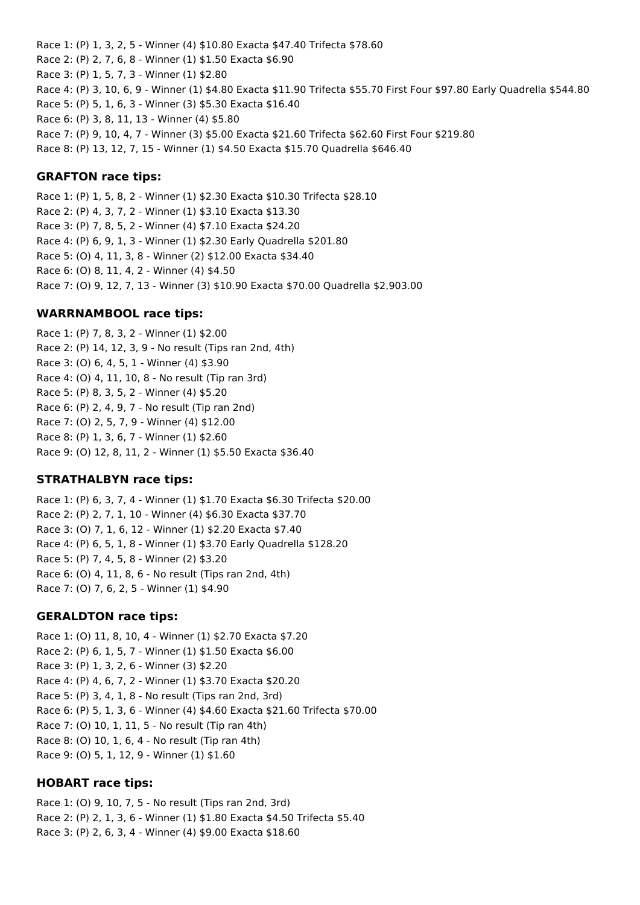Race 1: (P) 1, 3, 2, 5 - Winner (4) \$10.80 Exacta \$47.40 Trifecta \$78.60 Race 2: (P) 2, 7, 6, 8 - Winner (1) \$1.50 Exacta \$6.90 Race 3: (P) 1, 5, 7, 3 - Winner (1) \$2.80 Race 4: (P) 3, 10, 6, 9 - Winner (1) \$4.80 Exacta \$11.90 Trifecta \$55.70 First Four \$97.80 Early Quadrella \$544.80 Race 5: (P) 5, 1, 6, 3 - Winner (3) \$5.30 Exacta \$16.40 Race 6: (P) 3, 8, 11, 13 - Winner (4) \$5.80 Race 7: (P) 9, 10, 4, 7 - Winner (3) \$5.00 Exacta \$21.60 Trifecta \$62.60 First Four \$219.80 Race 8: (P) 13, 12, 7, 15 - Winner (1) \$4.50 Exacta \$15.70 Quadrella \$646.40

#### **GRAFTON race tips:**

Race 1: (P) 1, 5, 8, 2 - Winner (1) \$2.30 Exacta \$10.30 Trifecta \$28.10 Race 2: (P) 4, 3, 7, 2 - Winner (1) \$3.10 Exacta \$13.30 Race 3: (P) 7, 8, 5, 2 - Winner (4) \$7.10 Exacta \$24.20 Race 4: (P) 6, 9, 1, 3 - Winner (1) \$2.30 Early Quadrella \$201.80 Race 5: (O) 4, 11, 3, 8 - Winner (2) \$12.00 Exacta \$34.40 Race 6: (O) 8, 11, 4, 2 - Winner (4) \$4.50 Race 7: (O) 9, 12, 7, 13 - Winner (3) \$10.90 Exacta \$70.00 Quadrella \$2,903.00

### **WARRNAMBOOL race tips:**

Race 1: (P) 7, 8, 3, 2 - Winner (1) \$2.00 Race 2: (P) 14, 12, 3, 9 - No result (Tips ran 2nd, 4th) Race 3: (O) 6, 4, 5, 1 - Winner (4) \$3.90 Race 4: (O) 4, 11, 10, 8 - No result (Tip ran 3rd) Race 5: (P) 8, 3, 5, 2 - Winner (4) \$5.20 Race 6: (P) 2, 4, 9, 7 - No result (Tip ran 2nd) Race 7: (O) 2, 5, 7, 9 - Winner (4) \$12.00 Race 8: (P) 1, 3, 6, 7 - Winner (1) \$2.60 Race 9: (O) 12, 8, 11, 2 - Winner (1) \$5.50 Exacta \$36.40

## **STRATHALBYN race tips:**

Race 1: (P) 6, 3, 7, 4 - Winner (1) \$1.70 Exacta \$6.30 Trifecta \$20.00 Race 2: (P) 2, 7, 1, 10 - Winner (4) \$6.30 Exacta \$37.70 Race 3: (O) 7, 1, 6, 12 - Winner (1) \$2.20 Exacta \$7.40 Race 4: (P) 6, 5, 1, 8 - Winner (1) \$3.70 Early Quadrella \$128.20 Race 5: (P) 7, 4, 5, 8 - Winner (2) \$3.20 Race 6: (O) 4, 11, 8, 6 - No result (Tips ran 2nd, 4th) Race 7: (O) 7, 6, 2, 5 - Winner (1) \$4.90

#### **GERALDTON race tips:**

Race 1: (O) 11, 8, 10, 4 - Winner (1) \$2.70 Exacta \$7.20 Race 2: (P) 6, 1, 5, 7 - Winner (1) \$1.50 Exacta \$6.00 Race 3: (P) 1, 3, 2, 6 - Winner (3) \$2.20 Race 4: (P) 4, 6, 7, 2 - Winner (1) \$3.70 Exacta \$20.20 Race 5: (P) 3, 4, 1, 8 - No result (Tips ran 2nd, 3rd) Race 6: (P) 5, 1, 3, 6 - Winner (4) \$4.60 Exacta \$21.60 Trifecta \$70.00 Race 7: (O) 10, 1, 11, 5 - No result (Tip ran 4th) Race 8: (O) 10, 1, 6, 4 - No result (Tip ran 4th) Race 9: (O) 5, 1, 12, 9 - Winner (1) \$1.60

## **HOBART race tips:**

Race 1: (O) 9, 10, 7, 5 - No result (Tips ran 2nd, 3rd) Race 2: (P) 2, 1, 3, 6 - Winner (1) \$1.80 Exacta \$4.50 Trifecta \$5.40 Race 3: (P) 2, 6, 3, 4 - Winner (4) \$9.00 Exacta \$18.60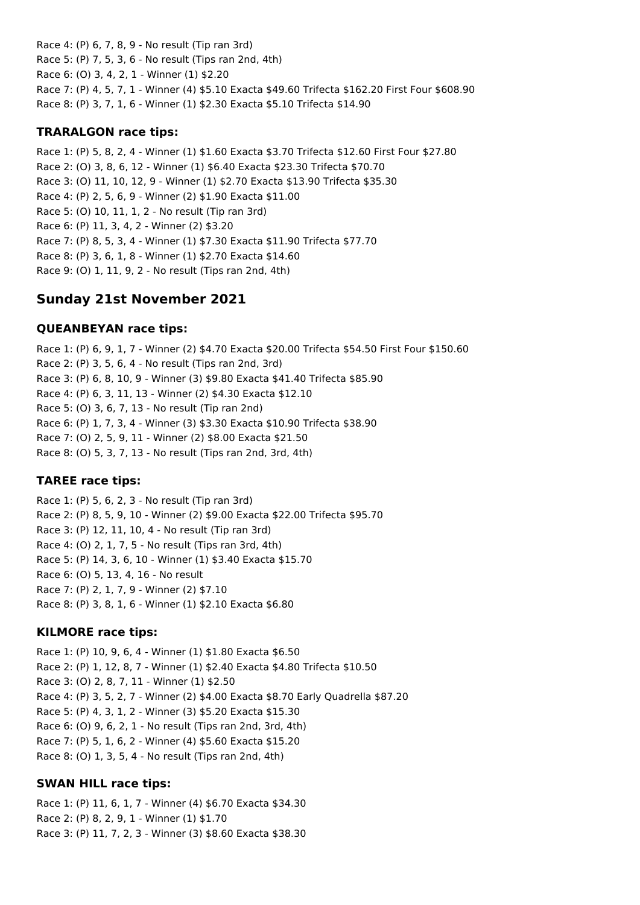Race 4: (P) 6, 7, 8, 9 - No result (Tip ran 3rd) Race 5: (P) 7, 5, 3, 6 - No result (Tips ran 2nd, 4th) Race 6: (O) 3, 4, 2, 1 - Winner (1) \$2.20 Race 7: (P) 4, 5, 7, 1 - Winner (4) \$5.10 Exacta \$49.60 Trifecta \$162.20 First Four \$608.90 Race 8: (P) 3, 7, 1, 6 - Winner (1) \$2.30 Exacta \$5.10 Trifecta \$14.90

### **TRARALGON race tips:**

Race 1: (P) 5, 8, 2, 4 - Winner (1) \$1.60 Exacta \$3.70 Trifecta \$12.60 First Four \$27.80 Race 2: (O) 3, 8, 6, 12 - Winner (1) \$6.40 Exacta \$23.30 Trifecta \$70.70 Race 3: (O) 11, 10, 12, 9 - Winner (1) \$2.70 Exacta \$13.90 Trifecta \$35.30 Race 4: (P) 2, 5, 6, 9 - Winner (2) \$1.90 Exacta \$11.00 Race 5: (O) 10, 11, 1, 2 - No result (Tip ran 3rd) Race 6: (P) 11, 3, 4, 2 - Winner (2) \$3.20 Race 7: (P) 8, 5, 3, 4 - Winner (1) \$7.30 Exacta \$11.90 Trifecta \$77.70 Race 8: (P) 3, 6, 1, 8 - Winner (1) \$2.70 Exacta \$14.60 Race 9: (O) 1, 11, 9, 2 - No result (Tips ran 2nd, 4th)

# **Sunday 21st November 2021**

### **QUEANBEYAN race tips:**

Race 1: (P) 6, 9, 1, 7 - Winner (2) \$4.70 Exacta \$20.00 Trifecta \$54.50 First Four \$150.60 Race 2: (P) 3, 5, 6, 4 - No result (Tips ran 2nd, 3rd) Race 3: (P) 6, 8, 10, 9 - Winner (3) \$9.80 Exacta \$41.40 Trifecta \$85.90 Race 4: (P) 6, 3, 11, 13 - Winner (2) \$4.30 Exacta \$12.10 Race 5: (O) 3, 6, 7, 13 - No result (Tip ran 2nd) Race 6: (P) 1, 7, 3, 4 - Winner (3) \$3.30 Exacta \$10.90 Trifecta \$38.90 Race 7: (O) 2, 5, 9, 11 - Winner (2) \$8.00 Exacta \$21.50 Race 8: (O) 5, 3, 7, 13 - No result (Tips ran 2nd, 3rd, 4th)

## **TAREE race tips:**

Race 1: (P) 5, 6, 2, 3 - No result (Tip ran 3rd) Race 2: (P) 8, 5, 9, 10 - Winner (2) \$9.00 Exacta \$22.00 Trifecta \$95.70 Race 3: (P) 12, 11, 10, 4 - No result (Tip ran 3rd) Race 4: (O) 2, 1, 7, 5 - No result (Tips ran 3rd, 4th) Race 5: (P) 14, 3, 6, 10 - Winner (1) \$3.40 Exacta \$15.70 Race 6: (O) 5, 13, 4, 16 - No result Race 7: (P) 2, 1, 7, 9 - Winner (2) \$7.10 Race 8: (P) 3, 8, 1, 6 - Winner (1) \$2.10 Exacta \$6.80

## **KILMORE race tips:**

Race 1: (P) 10, 9, 6, 4 - Winner (1) \$1.80 Exacta \$6.50 Race 2: (P) 1, 12, 8, 7 - Winner (1) \$2.40 Exacta \$4.80 Trifecta \$10.50 Race 3: (O) 2, 8, 7, 11 - Winner (1) \$2.50 Race 4: (P) 3, 5, 2, 7 - Winner (2) \$4.00 Exacta \$8.70 Early Quadrella \$87.20 Race 5: (P) 4, 3, 1, 2 - Winner (3) \$5.20 Exacta \$15.30 Race 6: (O) 9, 6, 2, 1 - No result (Tips ran 2nd, 3rd, 4th) Race 7: (P) 5, 1, 6, 2 - Winner (4) \$5.60 Exacta \$15.20 Race 8: (O) 1, 3, 5, 4 - No result (Tips ran 2nd, 4th)

## **SWAN HILL race tips:**

Race 1: (P) 11, 6, 1, 7 - Winner (4) \$6.70 Exacta \$34.30 Race 2: (P) 8, 2, 9, 1 - Winner (1) \$1.70 Race 3: (P) 11, 7, 2, 3 - Winner (3) \$8.60 Exacta \$38.30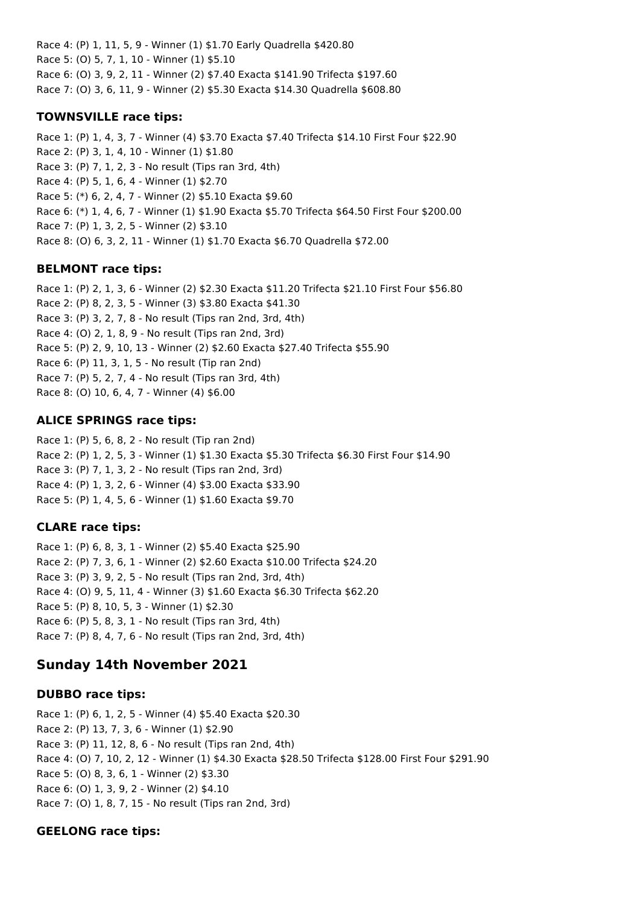Race 4: (P) 1, 11, 5, 9 - Winner (1) \$1.70 Early Quadrella \$420.80 Race 5: (O) 5, 7, 1, 10 - Winner (1) \$5.10 Race 6: (O) 3, 9, 2, 11 - Winner (2) \$7.40 Exacta \$141.90 Trifecta \$197.60 Race 7: (O) 3, 6, 11, 9 - Winner (2) \$5.30 Exacta \$14.30 Quadrella \$608.80

## **TOWNSVILLE race tips:**

Race 1: (P) 1, 4, 3, 7 - Winner (4) \$3.70 Exacta \$7.40 Trifecta \$14.10 First Four \$22.90 Race 2: (P) 3, 1, 4, 10 - Winner (1) \$1.80 Race 3: (P) 7, 1, 2, 3 - No result (Tips ran 3rd, 4th) Race 4: (P) 5, 1, 6, 4 - Winner (1) \$2.70 Race 5: (\*) 6, 2, 4, 7 - Winner (2) \$5.10 Exacta \$9.60 Race 6: (\*) 1, 4, 6, 7 - Winner (1) \$1.90 Exacta \$5.70 Trifecta \$64.50 First Four \$200.00 Race 7: (P) 1, 3, 2, 5 - Winner (2) \$3.10 Race 8: (O) 6, 3, 2, 11 - Winner (1) \$1.70 Exacta \$6.70 Quadrella \$72.00

## **BELMONT race tips:**

Race 1: (P) 2, 1, 3, 6 - Winner (2) \$2.30 Exacta \$11.20 Trifecta \$21.10 First Four \$56.80 Race 2: (P) 8, 2, 3, 5 - Winner (3) \$3.80 Exacta \$41.30 Race 3: (P) 3, 2, 7, 8 - No result (Tips ran 2nd, 3rd, 4th) Race 4: (O) 2, 1, 8, 9 - No result (Tips ran 2nd, 3rd) Race 5: (P) 2, 9, 10, 13 - Winner (2) \$2.60 Exacta \$27.40 Trifecta \$55.90 Race 6: (P) 11, 3, 1, 5 - No result (Tip ran 2nd) Race 7: (P) 5, 2, 7, 4 - No result (Tips ran 3rd, 4th) Race 8: (O) 10, 6, 4, 7 - Winner (4) \$6.00

# **ALICE SPRINGS race tips:**

Race 1: (P) 5, 6, 8, 2 - No result (Tip ran 2nd) Race 2: (P) 1, 2, 5, 3 - Winner (1) \$1.30 Exacta \$5.30 Trifecta \$6.30 First Four \$14.90 Race 3: (P) 7, 1, 3, 2 - No result (Tips ran 2nd, 3rd) Race 4: (P) 1, 3, 2, 6 - Winner (4) \$3.00 Exacta \$33.90 Race 5: (P) 1, 4, 5, 6 - Winner (1) \$1.60 Exacta \$9.70

# **CLARE race tips:**

Race 1: (P) 6, 8, 3, 1 - Winner (2) \$5.40 Exacta \$25.90 Race 2: (P) 7, 3, 6, 1 - Winner (2) \$2.60 Exacta \$10.00 Trifecta \$24.20 Race 3: (P) 3, 9, 2, 5 - No result (Tips ran 2nd, 3rd, 4th) Race 4: (O) 9, 5, 11, 4 - Winner (3) \$1.60 Exacta \$6.30 Trifecta \$62.20 Race 5: (P) 8, 10, 5, 3 - Winner (1) \$2.30 Race 6: (P) 5, 8, 3, 1 - No result (Tips ran 3rd, 4th) Race 7: (P) 8, 4, 7, 6 - No result (Tips ran 2nd, 3rd, 4th)

# **Sunday 14th November 2021**

# **DUBBO race tips:**

Race 1: (P) 6, 1, 2, 5 - Winner (4) \$5.40 Exacta \$20.30 Race 2: (P) 13, 7, 3, 6 - Winner (1) \$2.90 Race 3: (P) 11, 12, 8, 6 - No result (Tips ran 2nd, 4th) Race 4: (O) 7, 10, 2, 12 - Winner (1) \$4.30 Exacta \$28.50 Trifecta \$128.00 First Four \$291.90 Race 5: (O) 8, 3, 6, 1 - Winner (2) \$3.30 Race 6: (O) 1, 3, 9, 2 - Winner (2) \$4.10 Race 7: (O) 1, 8, 7, 15 - No result (Tips ran 2nd, 3rd)

# **GEELONG race tips:**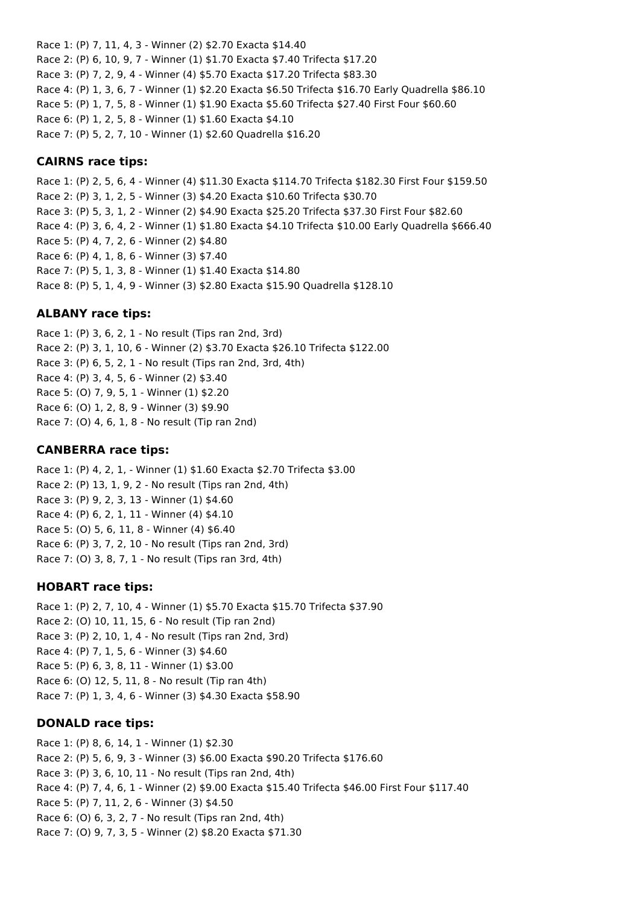Race 1: (P) 7, 11, 4, 3 - Winner (2) \$2.70 Exacta \$14.40 Race 2: (P) 6, 10, 9, 7 - Winner (1) \$1.70 Exacta \$7.40 Trifecta \$17.20 Race 3: (P) 7, 2, 9, 4 - Winner (4) \$5.70 Exacta \$17.20 Trifecta \$83.30 Race 4: (P) 1, 3, 6, 7 - Winner (1) \$2.20 Exacta \$6.50 Trifecta \$16.70 Early Quadrella \$86.10 Race 5: (P) 1, 7, 5, 8 - Winner (1) \$1.90 Exacta \$5.60 Trifecta \$27.40 First Four \$60.60 Race 6: (P) 1, 2, 5, 8 - Winner (1) \$1.60 Exacta \$4.10 Race 7: (P) 5, 2, 7, 10 - Winner (1) \$2.60 Quadrella \$16.20

### **CAIRNS race tips:**

Race 1: (P) 2, 5, 6, 4 - Winner (4) \$11.30 Exacta \$114.70 Trifecta \$182.30 First Four \$159.50 Race 2: (P) 3, 1, 2, 5 - Winner (3) \$4.20 Exacta \$10.60 Trifecta \$30.70 Race 3: (P) 5, 3, 1, 2 - Winner (2) \$4.90 Exacta \$25.20 Trifecta \$37.30 First Four \$82.60 Race 4: (P) 3, 6, 4, 2 - Winner (1) \$1.80 Exacta \$4.10 Trifecta \$10.00 Early Quadrella \$666.40 Race 5: (P) 4, 7, 2, 6 - Winner (2) \$4.80 Race 6: (P) 4, 1, 8, 6 - Winner (3) \$7.40 Race 7: (P) 5, 1, 3, 8 - Winner (1) \$1.40 Exacta \$14.80 Race 8: (P) 5, 1, 4, 9 - Winner (3) \$2.80 Exacta \$15.90 Quadrella \$128.10

### **ALBANY race tips:**

Race 1: (P) 3, 6, 2, 1 - No result (Tips ran 2nd, 3rd) Race 2: (P) 3, 1, 10, 6 - Winner (2) \$3.70 Exacta \$26.10 Trifecta \$122.00 Race 3: (P) 6, 5, 2, 1 - No result (Tips ran 2nd, 3rd, 4th) Race 4: (P) 3, 4, 5, 6 - Winner (2) \$3.40 Race 5: (O) 7, 9, 5, 1 - Winner (1) \$2.20 Race 6: (O) 1, 2, 8, 9 - Winner (3) \$9.90 Race 7: (O) 4, 6, 1, 8 - No result (Tip ran 2nd)

#### **CANBERRA race tips:**

Race 1: (P) 4, 2, 1, - Winner (1) \$1.60 Exacta \$2.70 Trifecta \$3.00 Race 2: (P) 13, 1, 9, 2 - No result (Tips ran 2nd, 4th) Race 3: (P) 9, 2, 3, 13 - Winner (1) \$4.60 Race 4: (P) 6, 2, 1, 11 - Winner (4) \$4.10 Race 5: (O) 5, 6, 11, 8 - Winner (4) \$6.40 Race 6: (P) 3, 7, 2, 10 - No result (Tips ran 2nd, 3rd) Race 7: (O) 3, 8, 7, 1 - No result (Tips ran 3rd, 4th)

#### **HOBART race tips:**

Race 1: (P) 2, 7, 10, 4 - Winner (1) \$5.70 Exacta \$15.70 Trifecta \$37.90 Race 2: (O) 10, 11, 15, 6 - No result (Tip ran 2nd) Race 3: (P) 2, 10, 1, 4 - No result (Tips ran 2nd, 3rd) Race 4: (P) 7, 1, 5, 6 - Winner (3) \$4.60 Race 5: (P) 6, 3, 8, 11 - Winner (1) \$3.00 Race 6: (O) 12, 5, 11, 8 - No result (Tip ran 4th) Race 7: (P) 1, 3, 4, 6 - Winner (3) \$4.30 Exacta \$58.90

## **DONALD race tips:**

Race 1: (P) 8, 6, 14, 1 - Winner (1) \$2.30 Race 2: (P) 5, 6, 9, 3 - Winner (3) \$6.00 Exacta \$90.20 Trifecta \$176.60 Race 3: (P) 3, 6, 10, 11 - No result (Tips ran 2nd, 4th) Race 4: (P) 7, 4, 6, 1 - Winner (2) \$9.00 Exacta \$15.40 Trifecta \$46.00 First Four \$117.40 Race 5: (P) 7, 11, 2, 6 - Winner (3) \$4.50 Race 6: (O) 6, 3, 2, 7 - No result (Tips ran 2nd, 4th) Race 7: (O) 9, 7, 3, 5 - Winner (2) \$8.20 Exacta \$71.30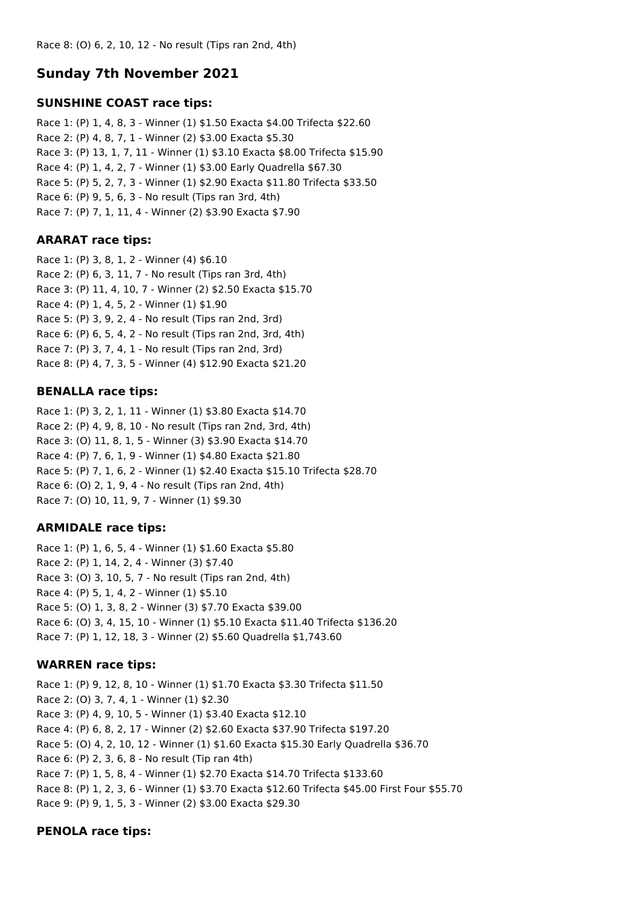# **Sunday 7th November 2021**

#### **SUNSHINE COAST race tips:**

Race 1: (P) 1, 4, 8, 3 - Winner (1) \$1.50 Exacta \$4.00 Trifecta \$22.60 Race 2: (P) 4, 8, 7, 1 - Winner (2) \$3.00 Exacta \$5.30 Race 3: (P) 13, 1, 7, 11 - Winner (1) \$3.10 Exacta \$8.00 Trifecta \$15.90 Race 4: (P) 1, 4, 2, 7 - Winner (1) \$3.00 Early Quadrella \$67.30 Race 5: (P) 5, 2, 7, 3 - Winner (1) \$2.90 Exacta \$11.80 Trifecta \$33.50 Race 6: (P) 9, 5, 6, 3 - No result (Tips ran 3rd, 4th) Race 7: (P) 7, 1, 11, 4 - Winner (2) \$3.90 Exacta \$7.90

## **ARARAT race tips:**

Race 1: (P) 3, 8, 1, 2 - Winner (4) \$6.10 Race 2: (P) 6, 3, 11, 7 - No result (Tips ran 3rd, 4th) Race 3: (P) 11, 4, 10, 7 - Winner (2) \$2.50 Exacta \$15.70 Race 4: (P) 1, 4, 5, 2 - Winner (1) \$1.90 Race 5: (P) 3, 9, 2, 4 - No result (Tips ran 2nd, 3rd) Race 6: (P) 6, 5, 4, 2 - No result (Tips ran 2nd, 3rd, 4th) Race 7: (P) 3, 7, 4, 1 - No result (Tips ran 2nd, 3rd) Race 8: (P) 4, 7, 3, 5 - Winner (4) \$12.90 Exacta \$21.20

## **BENALLA race tips:**

Race 1: (P) 3, 2, 1, 11 - Winner (1) \$3.80 Exacta \$14.70 Race 2: (P) 4, 9, 8, 10 - No result (Tips ran 2nd, 3rd, 4th) Race 3: (O) 11, 8, 1, 5 - Winner (3) \$3.90 Exacta \$14.70 Race 4: (P) 7, 6, 1, 9 - Winner (1) \$4.80 Exacta \$21.80 Race 5: (P) 7, 1, 6, 2 - Winner (1) \$2.40 Exacta \$15.10 Trifecta \$28.70 Race 6: (O) 2, 1, 9, 4 - No result (Tips ran 2nd, 4th) Race 7: (O) 10, 11, 9, 7 - Winner (1) \$9.30

## **ARMIDALE race tips:**

Race 1: (P) 1, 6, 5, 4 - Winner (1) \$1.60 Exacta \$5.80 Race 2: (P) 1, 14, 2, 4 - Winner (3) \$7.40 Race 3: (O) 3, 10, 5, 7 - No result (Tips ran 2nd, 4th) Race 4: (P) 5, 1, 4, 2 - Winner (1) \$5.10 Race 5: (O) 1, 3, 8, 2 - Winner (3) \$7.70 Exacta \$39.00 Race 6: (O) 3, 4, 15, 10 - Winner (1) \$5.10 Exacta \$11.40 Trifecta \$136.20 Race 7: (P) 1, 12, 18, 3 - Winner (2) \$5.60 Quadrella \$1,743.60

## **WARREN race tips:**

Race 1: (P) 9, 12, 8, 10 - Winner (1) \$1.70 Exacta \$3.30 Trifecta \$11.50 Race 2: (O) 3, 7, 4, 1 - Winner (1) \$2.30 Race 3: (P) 4, 9, 10, 5 - Winner (1) \$3.40 Exacta \$12.10 Race 4: (P) 6, 8, 2, 17 - Winner (2) \$2.60 Exacta \$37.90 Trifecta \$197.20 Race 5: (O) 4, 2, 10, 12 - Winner (1) \$1.60 Exacta \$15.30 Early Quadrella \$36.70 Race 6: (P) 2, 3, 6, 8 - No result (Tip ran 4th) Race 7: (P) 1, 5, 8, 4 - Winner (1) \$2.70 Exacta \$14.70 Trifecta \$133.60 Race 8: (P) 1, 2, 3, 6 - Winner (1) \$3.70 Exacta \$12.60 Trifecta \$45.00 First Four \$55.70 Race 9: (P) 9, 1, 5, 3 - Winner (2) \$3.00 Exacta \$29.30

#### **PENOLA race tips:**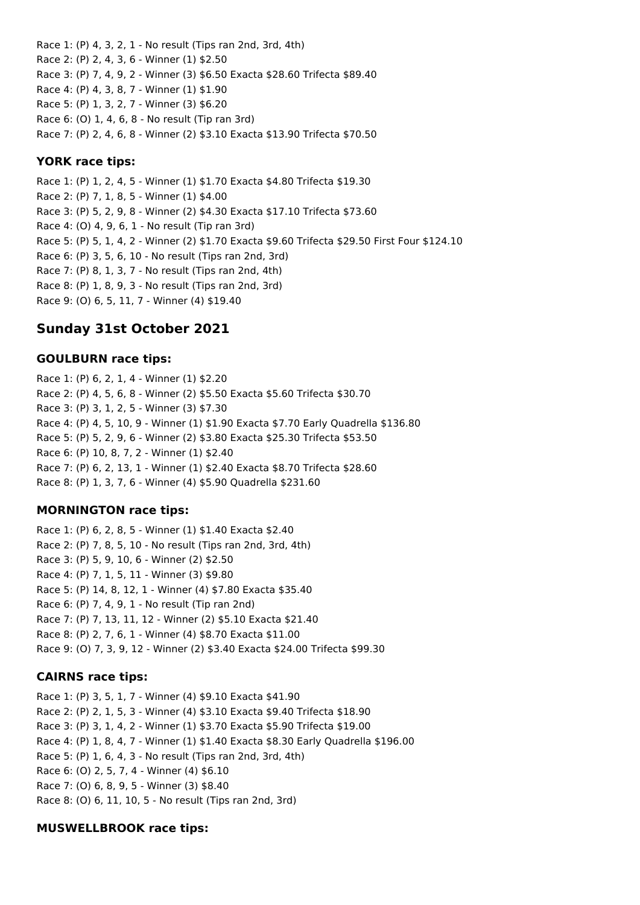Race 1: (P) 4, 3, 2, 1 - No result (Tips ran 2nd, 3rd, 4th) Race 2: (P) 2, 4, 3, 6 - Winner (1) \$2.50 Race 3: (P) 7, 4, 9, 2 - Winner (3) \$6.50 Exacta \$28.60 Trifecta \$89.40 Race 4: (P) 4, 3, 8, 7 - Winner (1) \$1.90 Race 5: (P) 1, 3, 2, 7 - Winner (3) \$6.20 Race 6: (O) 1, 4, 6, 8 - No result (Tip ran 3rd) Race 7: (P) 2, 4, 6, 8 - Winner (2) \$3.10 Exacta \$13.90 Trifecta \$70.50

#### **YORK race tips:**

Race 1: (P) 1, 2, 4, 5 - Winner (1) \$1.70 Exacta \$4.80 Trifecta \$19.30 Race 2: (P) 7, 1, 8, 5 - Winner (1) \$4.00 Race 3: (P) 5, 2, 9, 8 - Winner (2) \$4.30 Exacta \$17.10 Trifecta \$73.60 Race 4: (O) 4, 9, 6, 1 - No result (Tip ran 3rd) Race 5: (P) 5, 1, 4, 2 - Winner (2) \$1.70 Exacta \$9.60 Trifecta \$29.50 First Four \$124.10 Race 6: (P) 3, 5, 6, 10 - No result (Tips ran 2nd, 3rd) Race 7: (P) 8, 1, 3, 7 - No result (Tips ran 2nd, 4th) Race 8: (P) 1, 8, 9, 3 - No result (Tips ran 2nd, 3rd) Race 9: (O) 6, 5, 11, 7 - Winner (4) \$19.40

# **Sunday 31st October 2021**

### **GOULBURN race tips:**

Race 1: (P) 6, 2, 1, 4 - Winner (1) \$2.20 Race 2: (P) 4, 5, 6, 8 - Winner (2) \$5.50 Exacta \$5.60 Trifecta \$30.70 Race 3: (P) 3, 1, 2, 5 - Winner (3) \$7.30 Race 4: (P) 4, 5, 10, 9 - Winner (1) \$1.90 Exacta \$7.70 Early Quadrella \$136.80 Race 5: (P) 5, 2, 9, 6 - Winner (2) \$3.80 Exacta \$25.30 Trifecta \$53.50 Race 6: (P) 10, 8, 7, 2 - Winner (1) \$2.40 Race 7: (P) 6, 2, 13, 1 - Winner (1) \$2.40 Exacta \$8.70 Trifecta \$28.60 Race 8: (P) 1, 3, 7, 6 - Winner (4) \$5.90 Quadrella \$231.60

## **MORNINGTON race tips:**

Race 1: (P) 6, 2, 8, 5 - Winner (1) \$1.40 Exacta \$2.40 Race 2: (P) 7, 8, 5, 10 - No result (Tips ran 2nd, 3rd, 4th) Race 3: (P) 5, 9, 10, 6 - Winner (2) \$2.50 Race 4: (P) 7, 1, 5, 11 - Winner (3) \$9.80 Race 5: (P) 14, 8, 12, 1 - Winner (4) \$7.80 Exacta \$35.40 Race 6: (P) 7, 4, 9, 1 - No result (Tip ran 2nd) Race 7: (P) 7, 13, 11, 12 - Winner (2) \$5.10 Exacta \$21.40 Race 8: (P) 2, 7, 6, 1 - Winner (4) \$8.70 Exacta \$11.00 Race 9: (O) 7, 3, 9, 12 - Winner (2) \$3.40 Exacta \$24.00 Trifecta \$99.30

## **CAIRNS race tips:**

Race 1: (P) 3, 5, 1, 7 - Winner (4) \$9.10 Exacta \$41.90 Race 2: (P) 2, 1, 5, 3 - Winner (4) \$3.10 Exacta \$9.40 Trifecta \$18.90 Race 3: (P) 3, 1, 4, 2 - Winner (1) \$3.70 Exacta \$5.90 Trifecta \$19.00 Race 4: (P) 1, 8, 4, 7 - Winner (1) \$1.40 Exacta \$8.30 Early Quadrella \$196.00 Race 5: (P) 1, 6, 4, 3 - No result (Tips ran 2nd, 3rd, 4th) Race 6: (O) 2, 5, 7, 4 - Winner (4) \$6.10 Race 7: (O) 6, 8, 9, 5 - Winner (3) \$8.40 Race 8: (O) 6, 11, 10, 5 - No result (Tips ran 2nd, 3rd)

#### **MUSWELLBROOK race tips:**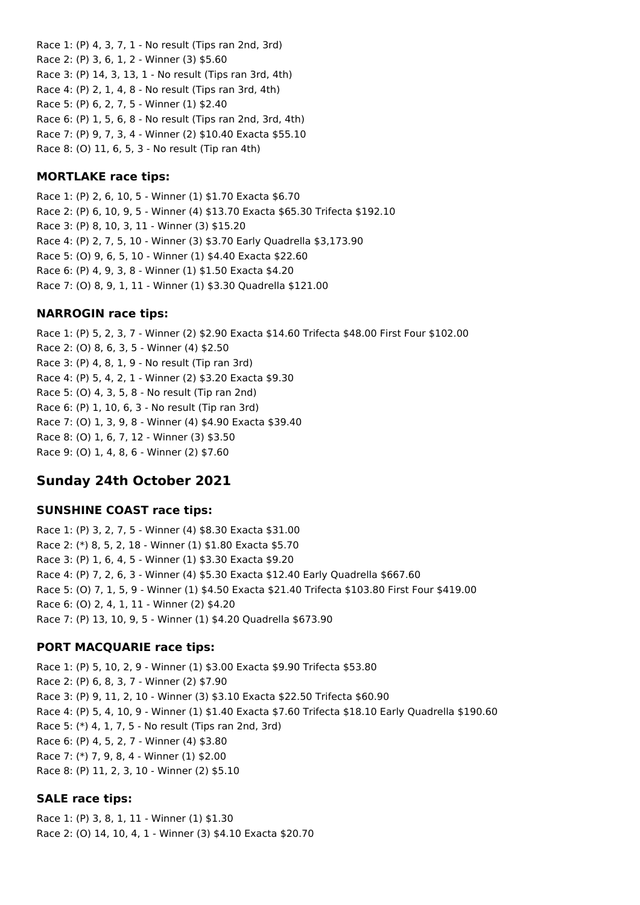Race 1: (P) 4, 3, 7, 1 - No result (Tips ran 2nd, 3rd) Race 2: (P) 3, 6, 1, 2 - Winner (3) \$5.60 Race 3: (P) 14, 3, 13, 1 - No result (Tips ran 3rd, 4th) Race 4: (P) 2, 1, 4, 8 - No result (Tips ran 3rd, 4th) Race 5: (P) 6, 2, 7, 5 - Winner (1) \$2.40 Race 6: (P) 1, 5, 6, 8 - No result (Tips ran 2nd, 3rd, 4th) Race 7: (P) 9, 7, 3, 4 - Winner (2) \$10.40 Exacta \$55.10 Race 8: (O) 11, 6, 5, 3 - No result (Tip ran 4th)

### **MORTLAKE race tips:**

Race 1: (P) 2, 6, 10, 5 - Winner (1) \$1.70 Exacta \$6.70 Race 2: (P) 6, 10, 9, 5 - Winner (4) \$13.70 Exacta \$65.30 Trifecta \$192.10 Race 3: (P) 8, 10, 3, 11 - Winner (3) \$15.20 Race 4: (P) 2, 7, 5, 10 - Winner (3) \$3.70 Early Quadrella \$3,173.90 Race 5: (O) 9, 6, 5, 10 - Winner (1) \$4.40 Exacta \$22.60 Race 6: (P) 4, 9, 3, 8 - Winner (1) \$1.50 Exacta \$4.20 Race 7: (O) 8, 9, 1, 11 - Winner (1) \$3.30 Quadrella \$121.00

### **NARROGIN race tips:**

Race 1: (P) 5, 2, 3, 7 - Winner (2) \$2.90 Exacta \$14.60 Trifecta \$48.00 First Four \$102.00 Race 2: (O) 8, 6, 3, 5 - Winner (4) \$2.50 Race 3: (P) 4, 8, 1, 9 - No result (Tip ran 3rd) Race 4: (P) 5, 4, 2, 1 - Winner (2) \$3.20 Exacta \$9.30 Race 5: (O) 4, 3, 5, 8 - No result (Tip ran 2nd) Race 6: (P) 1, 10, 6, 3 - No result (Tip ran 3rd) Race 7: (O) 1, 3, 9, 8 - Winner (4) \$4.90 Exacta \$39.40 Race 8: (O) 1, 6, 7, 12 - Winner (3) \$3.50 Race 9: (O) 1, 4, 8, 6 - Winner (2) \$7.60

# **Sunday 24th October 2021**

#### **SUNSHINE COAST race tips:**

Race 1: (P) 3, 2, 7, 5 - Winner (4) \$8.30 Exacta \$31.00 Race 2: (\*) 8, 5, 2, 18 - Winner (1) \$1.80 Exacta \$5.70 Race 3: (P) 1, 6, 4, 5 - Winner (1) \$3.30 Exacta \$9.20 Race 4: (P) 7, 2, 6, 3 - Winner (4) \$5.30 Exacta \$12.40 Early Quadrella \$667.60 Race 5: (O) 7, 1, 5, 9 - Winner (1) \$4.50 Exacta \$21.40 Trifecta \$103.80 First Four \$419.00 Race 6: (O) 2, 4, 1, 11 - Winner (2) \$4.20 Race 7: (P) 13, 10, 9, 5 - Winner (1) \$4.20 Quadrella \$673.90

## **PORT MACQUARIE race tips:**

Race 1: (P) 5, 10, 2, 9 - Winner (1) \$3.00 Exacta \$9.90 Trifecta \$53.80 Race 2: (P) 6, 8, 3, 7 - Winner (2) \$7.90 Race 3: (P) 9, 11, 2, 10 - Winner (3) \$3.10 Exacta \$22.50 Trifecta \$60.90 Race 4: (P) 5, 4, 10, 9 - Winner (1) \$1.40 Exacta \$7.60 Trifecta \$18.10 Early Quadrella \$190.60 Race 5: (\*) 4, 1, 7, 5 - No result (Tips ran 2nd, 3rd) Race 6: (P) 4, 5, 2, 7 - Winner (4) \$3.80 Race 7: (\*) 7, 9, 8, 4 - Winner (1) \$2.00 Race 8: (P) 11, 2, 3, 10 - Winner (2) \$5.10

## **SALE race tips:**

Race 1: (P) 3, 8, 1, 11 - Winner (1) \$1.30 Race 2: (O) 14, 10, 4, 1 - Winner (3) \$4.10 Exacta \$20.70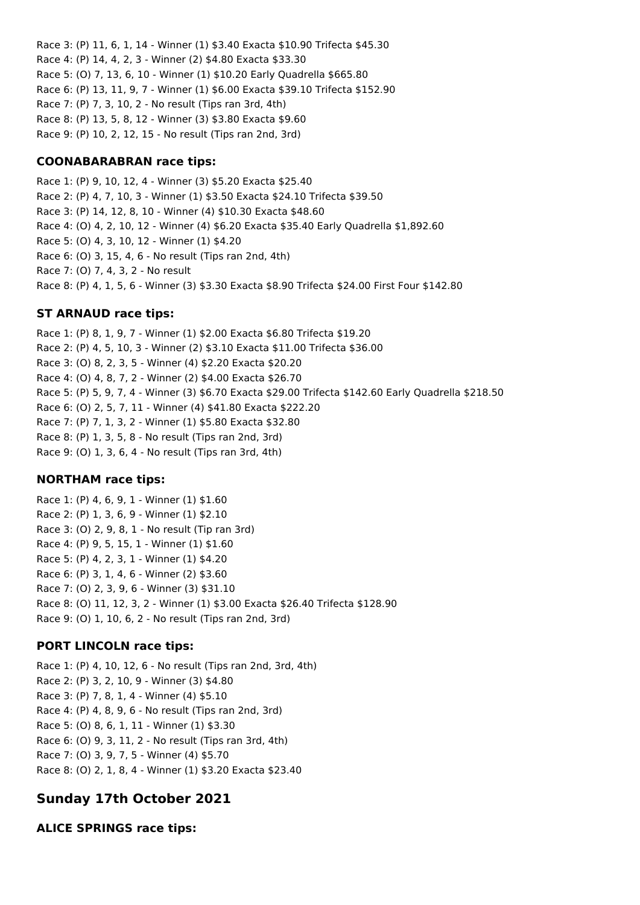Race 3: (P) 11, 6, 1, 14 - Winner (1) \$3.40 Exacta \$10.90 Trifecta \$45.30 Race 4: (P) 14, 4, 2, 3 - Winner (2) \$4.80 Exacta \$33.30 Race 5: (O) 7, 13, 6, 10 - Winner (1) \$10.20 Early Quadrella \$665.80 Race 6: (P) 13, 11, 9, 7 - Winner (1) \$6.00 Exacta \$39.10 Trifecta \$152.90 Race 7: (P) 7, 3, 10, 2 - No result (Tips ran 3rd, 4th) Race 8: (P) 13, 5, 8, 12 - Winner (3) \$3.80 Exacta \$9.60 Race 9: (P) 10, 2, 12, 15 - No result (Tips ran 2nd, 3rd)

## **COONABARABRAN race tips:**

Race 1: (P) 9, 10, 12, 4 - Winner (3) \$5.20 Exacta \$25.40 Race 2: (P) 4, 7, 10, 3 - Winner (1) \$3.50 Exacta \$24.10 Trifecta \$39.50 Race 3: (P) 14, 12, 8, 10 - Winner (4) \$10.30 Exacta \$48.60 Race 4: (O) 4, 2, 10, 12 - Winner (4) \$6.20 Exacta \$35.40 Early Quadrella \$1,892.60 Race 5: (O) 4, 3, 10, 12 - Winner (1) \$4.20 Race 6: (O) 3, 15, 4, 6 - No result (Tips ran 2nd, 4th) Race 7: (O) 7, 4, 3, 2 - No result Race 8: (P) 4, 1, 5, 6 - Winner (3) \$3.30 Exacta \$8.90 Trifecta \$24.00 First Four \$142.80

## **ST ARNAUD race tips:**

Race 1: (P) 8, 1, 9, 7 - Winner (1) \$2.00 Exacta \$6.80 Trifecta \$19.20 Race 2: (P) 4, 5, 10, 3 - Winner (2) \$3.10 Exacta \$11.00 Trifecta \$36.00 Race 3: (O) 8, 2, 3, 5 - Winner (4) \$2.20 Exacta \$20.20 Race 4: (O) 4, 8, 7, 2 - Winner (2) \$4.00 Exacta \$26.70 Race 5: (P) 5, 9, 7, 4 - Winner (3) \$6.70 Exacta \$29.00 Trifecta \$142.60 Early Quadrella \$218.50 Race 6: (O) 2, 5, 7, 11 - Winner (4) \$41.80 Exacta \$222.20 Race 7: (P) 7, 1, 3, 2 - Winner (1) \$5.80 Exacta \$32.80 Race 8: (P) 1, 3, 5, 8 - No result (Tips ran 2nd, 3rd) Race 9: (O) 1, 3, 6, 4 - No result (Tips ran 3rd, 4th)

#### **NORTHAM race tips:**

Race 1: (P) 4, 6, 9, 1 - Winner (1) \$1.60 Race 2: (P) 1, 3, 6, 9 - Winner (1) \$2.10 Race 3: (O) 2, 9, 8, 1 - No result (Tip ran 3rd) Race 4: (P) 9, 5, 15, 1 - Winner (1) \$1.60 Race 5: (P) 4, 2, 3, 1 - Winner (1) \$4.20 Race 6: (P) 3, 1, 4, 6 - Winner (2) \$3.60 Race 7: (O) 2, 3, 9, 6 - Winner (3) \$31.10 Race 8: (O) 11, 12, 3, 2 - Winner (1) \$3.00 Exacta \$26.40 Trifecta \$128.90 Race 9: (O) 1, 10, 6, 2 - No result (Tips ran 2nd, 3rd)

## **PORT LINCOLN race tips:**

Race 1: (P) 4, 10, 12, 6 - No result (Tips ran 2nd, 3rd, 4th) Race 2: (P) 3, 2, 10, 9 - Winner (3) \$4.80 Race 3: (P) 7, 8, 1, 4 - Winner (4) \$5.10 Race 4: (P) 4, 8, 9, 6 - No result (Tips ran 2nd, 3rd) Race 5: (O) 8, 6, 1, 11 - Winner (1) \$3.30 Race 6: (O) 9, 3, 11, 2 - No result (Tips ran 3rd, 4th) Race 7: (O) 3, 9, 7, 5 - Winner (4) \$5.70 Race 8: (O) 2, 1, 8, 4 - Winner (1) \$3.20 Exacta \$23.40

# **Sunday 17th October 2021**

**ALICE SPRINGS race tips:**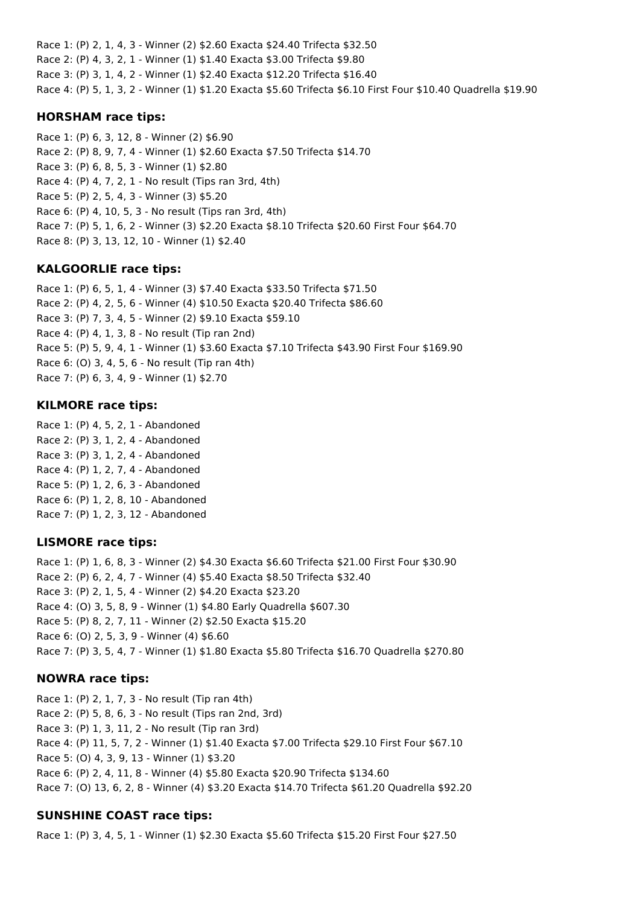Race 1: (P) 2, 1, 4, 3 - Winner (2) \$2.60 Exacta \$24.40 Trifecta \$32.50 Race 2: (P) 4, 3, 2, 1 - Winner (1) \$1.40 Exacta \$3.00 Trifecta \$9.80 Race 3: (P) 3, 1, 4, 2 - Winner (1) \$2.40 Exacta \$12.20 Trifecta \$16.40 Race 4: (P) 5, 1, 3, 2 - Winner (1) \$1.20 Exacta \$5.60 Trifecta \$6.10 First Four \$10.40 Quadrella \$19.90

### **HORSHAM race tips:**

Race 1: (P) 6, 3, 12, 8 - Winner (2) \$6.90 Race 2: (P) 8, 9, 7, 4 - Winner (1) \$2.60 Exacta \$7.50 Trifecta \$14.70 Race 3: (P) 6, 8, 5, 3 - Winner (1) \$2.80 Race 4: (P) 4, 7, 2, 1 - No result (Tips ran 3rd, 4th) Race 5: (P) 2, 5, 4, 3 - Winner (3) \$5.20 Race 6: (P) 4, 10, 5, 3 - No result (Tips ran 3rd, 4th) Race 7: (P) 5, 1, 6, 2 - Winner (3) \$2.20 Exacta \$8.10 Trifecta \$20.60 First Four \$64.70 Race 8: (P) 3, 13, 12, 10 - Winner (1) \$2.40

## **KALGOORLIE race tips:**

Race 1: (P) 6, 5, 1, 4 - Winner (3) \$7.40 Exacta \$33.50 Trifecta \$71.50 Race 2: (P) 4, 2, 5, 6 - Winner (4) \$10.50 Exacta \$20.40 Trifecta \$86.60 Race 3: (P) 7, 3, 4, 5 - Winner (2) \$9.10 Exacta \$59.10 Race 4: (P) 4, 1, 3, 8 - No result (Tip ran 2nd) Race 5: (P) 5, 9, 4, 1 - Winner (1) \$3.60 Exacta \$7.10 Trifecta \$43.90 First Four \$169.90 Race 6: (O) 3, 4, 5, 6 - No result (Tip ran 4th) Race 7: (P) 6, 3, 4, 9 - Winner (1) \$2.70

### **KILMORE race tips:**

Race 1: (P) 4, 5, 2, 1 - Abandoned Race 2: (P) 3, 1, 2, 4 - Abandoned Race 3: (P) 3, 1, 2, 4 - Abandoned Race 4: (P) 1, 2, 7, 4 - Abandoned Race 5: (P) 1, 2, 6, 3 - Abandoned Race 6: (P) 1, 2, 8, 10 - Abandoned Race 7: (P) 1, 2, 3, 12 - Abandoned

#### **LISMORE race tips:**

Race 1: (P) 1, 6, 8, 3 - Winner (2) \$4.30 Exacta \$6.60 Trifecta \$21.00 First Four \$30.90 Race 2: (P) 6, 2, 4, 7 - Winner (4) \$5.40 Exacta \$8.50 Trifecta \$32.40 Race 3: (P) 2, 1, 5, 4 - Winner (2) \$4.20 Exacta \$23.20 Race 4: (O) 3, 5, 8, 9 - Winner (1) \$4.80 Early Quadrella \$607.30 Race 5: (P) 8, 2, 7, 11 - Winner (2) \$2.50 Exacta \$15.20 Race 6: (O) 2, 5, 3, 9 - Winner (4) \$6.60 Race 7: (P) 3, 5, 4, 7 - Winner (1) \$1.80 Exacta \$5.80 Trifecta \$16.70 Quadrella \$270.80

#### **NOWRA race tips:**

Race 1: (P) 2, 1, 7, 3 - No result (Tip ran 4th) Race 2: (P) 5, 8, 6, 3 - No result (Tips ran 2nd, 3rd) Race 3: (P) 1, 3, 11, 2 - No result (Tip ran 3rd) Race 4: (P) 11, 5, 7, 2 - Winner (1) \$1.40 Exacta \$7.00 Trifecta \$29.10 First Four \$67.10 Race 5: (O) 4, 3, 9, 13 - Winner (1) \$3.20 Race 6: (P) 2, 4, 11, 8 - Winner (4) \$5.80 Exacta \$20.90 Trifecta \$134.60 Race 7: (O) 13, 6, 2, 8 - Winner (4) \$3.20 Exacta \$14.70 Trifecta \$61.20 Quadrella \$92.20

## **SUNSHINE COAST race tips:**

Race 1: (P) 3, 4, 5, 1 - Winner (1) \$2.30 Exacta \$5.60 Trifecta \$15.20 First Four \$27.50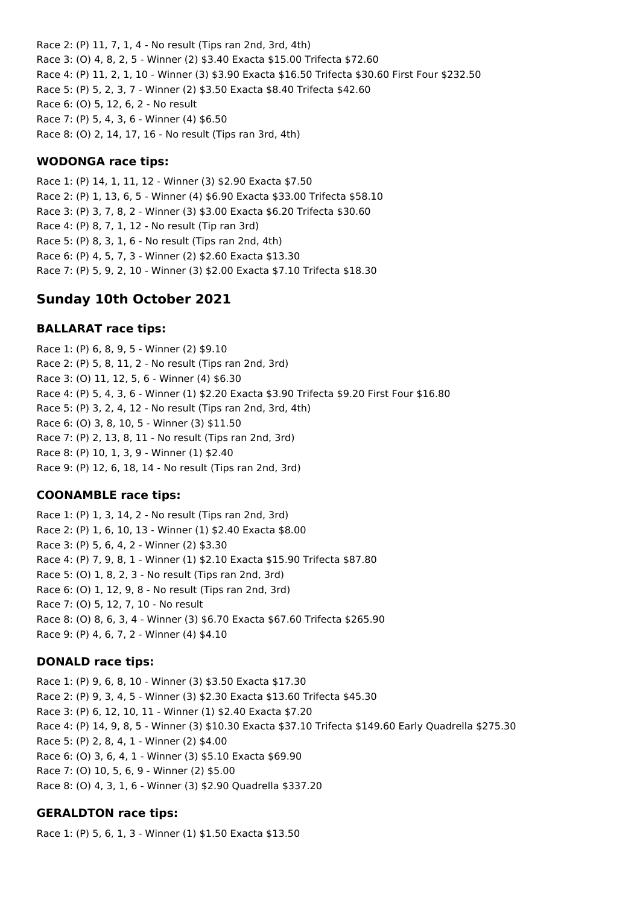Race 2: (P) 11, 7, 1, 4 - No result (Tips ran 2nd, 3rd, 4th) Race 3: (O) 4, 8, 2, 5 - Winner (2) \$3.40 Exacta \$15.00 Trifecta \$72.60 Race 4: (P) 11, 2, 1, 10 - Winner (3) \$3.90 Exacta \$16.50 Trifecta \$30.60 First Four \$232.50 Race 5: (P) 5, 2, 3, 7 - Winner (2) \$3.50 Exacta \$8.40 Trifecta \$42.60 Race 6: (O) 5, 12, 6, 2 - No result Race 7: (P) 5, 4, 3, 6 - Winner (4) \$6.50 Race 8: (O) 2, 14, 17, 16 - No result (Tips ran 3rd, 4th)

#### **WODONGA race tips:**

Race 1: (P) 14, 1, 11, 12 - Winner (3) \$2.90 Exacta \$7.50 Race 2: (P) 1, 13, 6, 5 - Winner (4) \$6.90 Exacta \$33.00 Trifecta \$58.10 Race 3: (P) 3, 7, 8, 2 - Winner (3) \$3.00 Exacta \$6.20 Trifecta \$30.60 Race 4: (P) 8, 7, 1, 12 - No result (Tip ran 3rd) Race 5: (P) 8, 3, 1, 6 - No result (Tips ran 2nd, 4th) Race 6: (P) 4, 5, 7, 3 - Winner (2) \$2.60 Exacta \$13.30 Race 7: (P) 5, 9, 2, 10 - Winner (3) \$2.00 Exacta \$7.10 Trifecta \$18.30

## **Sunday 10th October 2021**

#### **BALLARAT race tips:**

Race 1: (P) 6, 8, 9, 5 - Winner (2) \$9.10 Race 2: (P) 5, 8, 11, 2 - No result (Tips ran 2nd, 3rd) Race 3: (O) 11, 12, 5, 6 - Winner (4) \$6.30 Race 4: (P) 5, 4, 3, 6 - Winner (1) \$2.20 Exacta \$3.90 Trifecta \$9.20 First Four \$16.80 Race 5: (P) 3, 2, 4, 12 - No result (Tips ran 2nd, 3rd, 4th) Race 6: (O) 3, 8, 10, 5 - Winner (3) \$11.50 Race 7: (P) 2, 13, 8, 11 - No result (Tips ran 2nd, 3rd) Race 8: (P) 10, 1, 3, 9 - Winner (1) \$2.40 Race 9: (P) 12, 6, 18, 14 - No result (Tips ran 2nd, 3rd)

#### **COONAMBLE race tips:**

Race 1: (P) 1, 3, 14, 2 - No result (Tips ran 2nd, 3rd) Race 2: (P) 1, 6, 10, 13 - Winner (1) \$2.40 Exacta \$8.00 Race 3: (P) 5, 6, 4, 2 - Winner (2) \$3.30 Race 4: (P) 7, 9, 8, 1 - Winner (1) \$2.10 Exacta \$15.90 Trifecta \$87.80 Race 5: (O) 1, 8, 2, 3 - No result (Tips ran 2nd, 3rd) Race 6: (O) 1, 12, 9, 8 - No result (Tips ran 2nd, 3rd) Race 7: (O) 5, 12, 7, 10 - No result Race 8: (O) 8, 6, 3, 4 - Winner (3) \$6.70 Exacta \$67.60 Trifecta \$265.90 Race 9: (P) 4, 6, 7, 2 - Winner (4) \$4.10

#### **DONALD race tips:**

Race 1: (P) 9, 6, 8, 10 - Winner (3) \$3.50 Exacta \$17.30 Race 2: (P) 9, 3, 4, 5 - Winner (3) \$2.30 Exacta \$13.60 Trifecta \$45.30 Race 3: (P) 6, 12, 10, 11 - Winner (1) \$2.40 Exacta \$7.20 Race 4: (P) 14, 9, 8, 5 - Winner (3) \$10.30 Exacta \$37.10 Trifecta \$149.60 Early Quadrella \$275.30 Race 5: (P) 2, 8, 4, 1 - Winner (2) \$4.00 Race 6: (O) 3, 6, 4, 1 - Winner (3) \$5.10 Exacta \$69.90 Race 7: (O) 10, 5, 6, 9 - Winner (2) \$5.00 Race 8: (O) 4, 3, 1, 6 - Winner (3) \$2.90 Quadrella \$337.20

#### **GERALDTON race tips:**

Race 1: (P) 5, 6, 1, 3 - Winner (1) \$1.50 Exacta \$13.50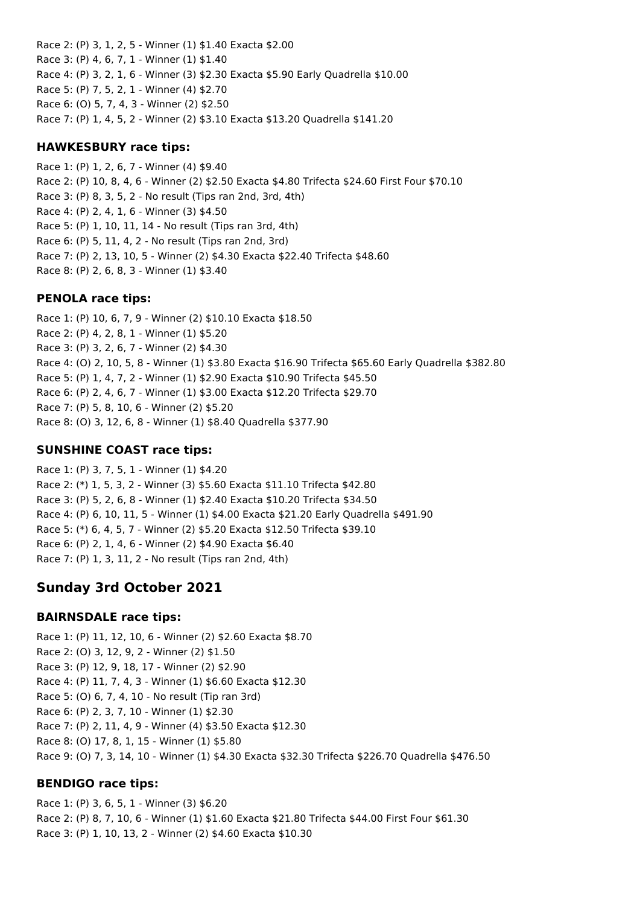Race 2: (P) 3, 1, 2, 5 - Winner (1) \$1.40 Exacta \$2.00 Race 3: (P) 4, 6, 7, 1 - Winner (1) \$1.40 Race 4: (P) 3, 2, 1, 6 - Winner (3) \$2.30 Exacta \$5.90 Early Quadrella \$10.00 Race 5: (P) 7, 5, 2, 1 - Winner (4) \$2.70 Race 6: (O) 5, 7, 4, 3 - Winner (2) \$2.50 Race 7: (P) 1, 4, 5, 2 - Winner (2) \$3.10 Exacta \$13.20 Quadrella \$141.20

### **HAWKESBURY race tips:**

Race 1: (P) 1, 2, 6, 7 - Winner (4) \$9.40 Race 2: (P) 10, 8, 4, 6 - Winner (2) \$2.50 Exacta \$4.80 Trifecta \$24.60 First Four \$70.10 Race 3: (P) 8, 3, 5, 2 - No result (Tips ran 2nd, 3rd, 4th) Race 4: (P) 2, 4, 1, 6 - Winner (3) \$4.50 Race 5: (P) 1, 10, 11, 14 - No result (Tips ran 3rd, 4th) Race 6: (P) 5, 11, 4, 2 - No result (Tips ran 2nd, 3rd) Race 7: (P) 2, 13, 10, 5 - Winner (2) \$4.30 Exacta \$22.40 Trifecta \$48.60 Race 8: (P) 2, 6, 8, 3 - Winner (1) \$3.40

#### **PENOLA race tips:**

Race 1: (P) 10, 6, 7, 9 - Winner (2) \$10.10 Exacta \$18.50 Race 2: (P) 4, 2, 8, 1 - Winner (1) \$5.20 Race 3: (P) 3, 2, 6, 7 - Winner (2) \$4.30 Race 4: (O) 2, 10, 5, 8 - Winner (1) \$3.80 Exacta \$16.90 Trifecta \$65.60 Early Quadrella \$382.80 Race 5: (P) 1, 4, 7, 2 - Winner (1) \$2.90 Exacta \$10.90 Trifecta \$45.50 Race 6: (P) 2, 4, 6, 7 - Winner (1) \$3.00 Exacta \$12.20 Trifecta \$29.70 Race 7: (P) 5, 8, 10, 6 - Winner (2) \$5.20 Race 8: (O) 3, 12, 6, 8 - Winner (1) \$8.40 Quadrella \$377.90

### **SUNSHINE COAST race tips:**

Race 1: (P) 3, 7, 5, 1 - Winner (1) \$4.20 Race 2: (\*) 1, 5, 3, 2 - Winner (3) \$5.60 Exacta \$11.10 Trifecta \$42.80 Race 3: (P) 5, 2, 6, 8 - Winner (1) \$2.40 Exacta \$10.20 Trifecta \$34.50 Race 4: (P) 6, 10, 11, 5 - Winner (1) \$4.00 Exacta \$21.20 Early Quadrella \$491.90 Race 5: (\*) 6, 4, 5, 7 - Winner (2) \$5.20 Exacta \$12.50 Trifecta \$39.10 Race 6: (P) 2, 1, 4, 6 - Winner (2) \$4.90 Exacta \$6.40 Race 7: (P) 1, 3, 11, 2 - No result (Tips ran 2nd, 4th)

# **Sunday 3rd October 2021**

#### **BAIRNSDALE race tips:**

Race 1: (P) 11, 12, 10, 6 - Winner (2) \$2.60 Exacta \$8.70 Race 2: (O) 3, 12, 9, 2 - Winner (2) \$1.50 Race 3: (P) 12, 9, 18, 17 - Winner (2) \$2.90 Race 4: (P) 11, 7, 4, 3 - Winner (1) \$6.60 Exacta \$12.30 Race 5: (O) 6, 7, 4, 10 - No result (Tip ran 3rd) Race 6: (P) 2, 3, 7, 10 - Winner (1) \$2.30 Race 7: (P) 2, 11, 4, 9 - Winner (4) \$3.50 Exacta \$12.30 Race 8: (O) 17, 8, 1, 15 - Winner (1) \$5.80 Race 9: (O) 7, 3, 14, 10 - Winner (1) \$4.30 Exacta \$32.30 Trifecta \$226.70 Quadrella \$476.50

## **BENDIGO race tips:**

Race 1: (P) 3, 6, 5, 1 - Winner (3) \$6.20 Race 2: (P) 8, 7, 10, 6 - Winner (1) \$1.60 Exacta \$21.80 Trifecta \$44.00 First Four \$61.30 Race 3: (P) 1, 10, 13, 2 - Winner (2) \$4.60 Exacta \$10.30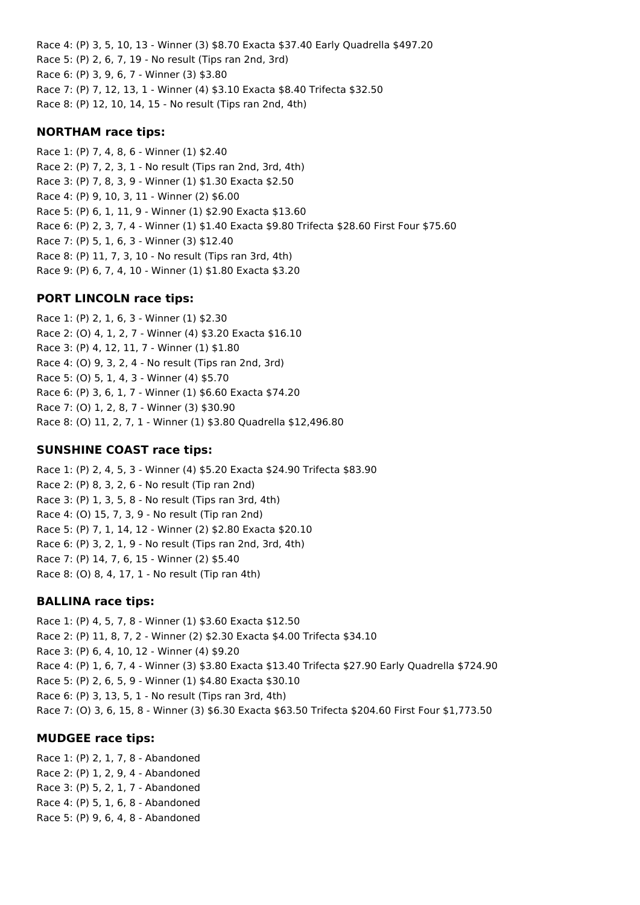Race 4: (P) 3, 5, 10, 13 - Winner (3) \$8.70 Exacta \$37.40 Early Quadrella \$497.20 Race 5: (P) 2, 6, 7, 19 - No result (Tips ran 2nd, 3rd) Race 6: (P) 3, 9, 6, 7 - Winner (3) \$3.80 Race 7: (P) 7, 12, 13, 1 - Winner (4) \$3.10 Exacta \$8.40 Trifecta \$32.50 Race 8: (P) 12, 10, 14, 15 - No result (Tips ran 2nd, 4th)

### **NORTHAM race tips:**

Race 1: (P) 7, 4, 8, 6 - Winner (1) \$2.40 Race 2: (P) 7, 2, 3, 1 - No result (Tips ran 2nd, 3rd, 4th) Race 3: (P) 7, 8, 3, 9 - Winner (1) \$1.30 Exacta \$2.50 Race 4: (P) 9, 10, 3, 11 - Winner (2) \$6.00 Race 5: (P) 6, 1, 11, 9 - Winner (1) \$2.90 Exacta \$13.60 Race 6: (P) 2, 3, 7, 4 - Winner (1) \$1.40 Exacta \$9.80 Trifecta \$28.60 First Four \$75.60 Race 7: (P) 5, 1, 6, 3 - Winner (3) \$12.40 Race 8: (P) 11, 7, 3, 10 - No result (Tips ran 3rd, 4th) Race 9: (P) 6, 7, 4, 10 - Winner (1) \$1.80 Exacta \$3.20

## **PORT LINCOLN race tips:**

Race 1: (P) 2, 1, 6, 3 - Winner (1) \$2.30 Race 2: (O) 4, 1, 2, 7 - Winner (4) \$3.20 Exacta \$16.10 Race 3: (P) 4, 12, 11, 7 - Winner (1) \$1.80 Race 4: (O) 9, 3, 2, 4 - No result (Tips ran 2nd, 3rd) Race 5: (O) 5, 1, 4, 3 - Winner (4) \$5.70 Race 6: (P) 3, 6, 1, 7 - Winner (1) \$6.60 Exacta \$74.20 Race 7: (O) 1, 2, 8, 7 - Winner (3) \$30.90 Race 8: (O) 11, 2, 7, 1 - Winner (1) \$3.80 Quadrella \$12,496.80

## **SUNSHINE COAST race tips:**

Race 1: (P) 2, 4, 5, 3 - Winner (4) \$5.20 Exacta \$24.90 Trifecta \$83.90 Race 2: (P) 8, 3, 2, 6 - No result (Tip ran 2nd) Race 3: (P) 1, 3, 5, 8 - No result (Tips ran 3rd, 4th) Race 4: (O) 15, 7, 3, 9 - No result (Tip ran 2nd) Race 5: (P) 7, 1, 14, 12 - Winner (2) \$2.80 Exacta \$20.10 Race 6: (P) 3, 2, 1, 9 - No result (Tips ran 2nd, 3rd, 4th) Race 7: (P) 14, 7, 6, 15 - Winner (2) \$5.40 Race 8: (O) 8, 4, 17, 1 - No result (Tip ran 4th)

## **BALLINA race tips:**

Race 1: (P) 4, 5, 7, 8 - Winner (1) \$3.60 Exacta \$12.50 Race 2: (P) 11, 8, 7, 2 - Winner (2) \$2.30 Exacta \$4.00 Trifecta \$34.10 Race 3: (P) 6, 4, 10, 12 - Winner (4) \$9.20 Race 4: (P) 1, 6, 7, 4 - Winner (3) \$3.80 Exacta \$13.40 Trifecta \$27.90 Early Quadrella \$724.90 Race 5: (P) 2, 6, 5, 9 - Winner (1) \$4.80 Exacta \$30.10 Race 6: (P) 3, 13, 5, 1 - No result (Tips ran 3rd, 4th) Race 7: (O) 3, 6, 15, 8 - Winner (3) \$6.30 Exacta \$63.50 Trifecta \$204.60 First Four \$1,773.50

## **MUDGEE race tips:**

Race 1: (P) 2, 1, 7, 8 - Abandoned Race 2: (P) 1, 2, 9, 4 - Abandoned Race 3: (P) 5, 2, 1, 7 - Abandoned Race 4: (P) 5, 1, 6, 8 - Abandoned Race 5: (P) 9, 6, 4, 8 - Abandoned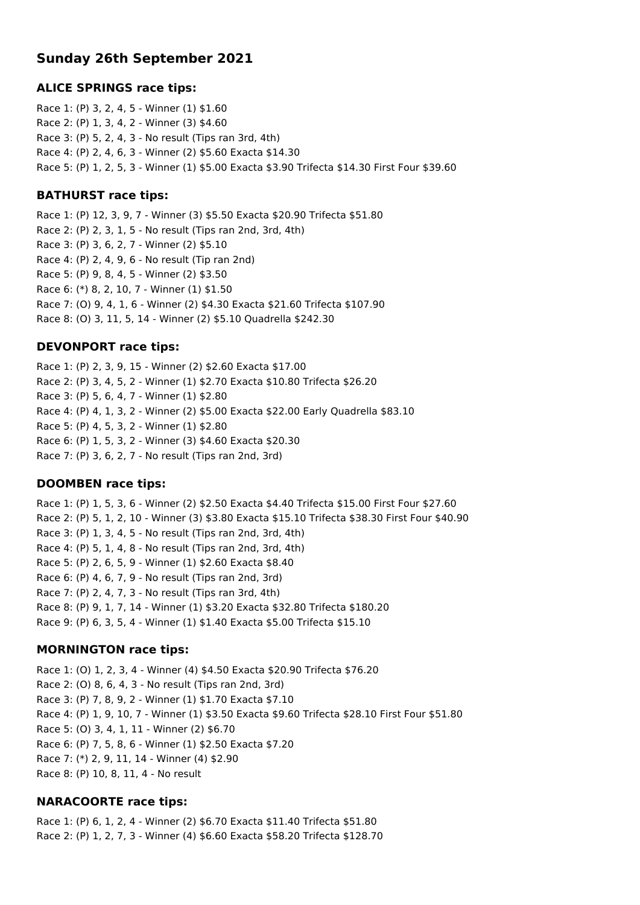# **Sunday 26th September 2021**

#### **ALICE SPRINGS race tips:**

Race 1: (P) 3, 2, 4, 5 - Winner (1) \$1.60 Race 2: (P) 1, 3, 4, 2 - Winner (3) \$4.60 Race 3: (P) 5, 2, 4, 3 - No result (Tips ran 3rd, 4th) Race 4: (P) 2, 4, 6, 3 - Winner (2) \$5.60 Exacta \$14.30 Race 5: (P) 1, 2, 5, 3 - Winner (1) \$5.00 Exacta \$3.90 Trifecta \$14.30 First Four \$39.60

#### **BATHURST race tips:**

Race 1: (P) 12, 3, 9, 7 - Winner (3) \$5.50 Exacta \$20.90 Trifecta \$51.80 Race 2: (P) 2, 3, 1, 5 - No result (Tips ran 2nd, 3rd, 4th) Race 3: (P) 3, 6, 2, 7 - Winner (2) \$5.10 Race 4: (P) 2, 4, 9, 6 - No result (Tip ran 2nd) Race 5: (P) 9, 8, 4, 5 - Winner (2) \$3.50 Race 6: (\*) 8, 2, 10, 7 - Winner (1) \$1.50 Race 7: (O) 9, 4, 1, 6 - Winner (2) \$4.30 Exacta \$21.60 Trifecta \$107.90 Race 8: (O) 3, 11, 5, 14 - Winner (2) \$5.10 Quadrella \$242.30

#### **DEVONPORT race tips:**

Race 1: (P) 2, 3, 9, 15 - Winner (2) \$2.60 Exacta \$17.00 Race 2: (P) 3, 4, 5, 2 - Winner (1) \$2.70 Exacta \$10.80 Trifecta \$26.20 Race 3: (P) 5, 6, 4, 7 - Winner (1) \$2.80 Race 4: (P) 4, 1, 3, 2 - Winner (2) \$5.00 Exacta \$22.00 Early Quadrella \$83.10 Race 5: (P) 4, 5, 3, 2 - Winner (1) \$2.80 Race 6: (P) 1, 5, 3, 2 - Winner (3) \$4.60 Exacta \$20.30 Race 7: (P) 3, 6, 2, 7 - No result (Tips ran 2nd, 3rd)

#### **DOOMBEN race tips:**

Race 1: (P) 1, 5, 3, 6 - Winner (2) \$2.50 Exacta \$4.40 Trifecta \$15.00 First Four \$27.60 Race 2: (P) 5, 1, 2, 10 - Winner (3) \$3.80 Exacta \$15.10 Trifecta \$38.30 First Four \$40.90 Race 3: (P) 1, 3, 4, 5 - No result (Tips ran 2nd, 3rd, 4th) Race 4: (P) 5, 1, 4, 8 - No result (Tips ran 2nd, 3rd, 4th) Race 5: (P) 2, 6, 5, 9 - Winner (1) \$2.60 Exacta \$8.40 Race 6: (P) 4, 6, 7, 9 - No result (Tips ran 2nd, 3rd) Race 7: (P) 2, 4, 7, 3 - No result (Tips ran 3rd, 4th) Race 8: (P) 9, 1, 7, 14 - Winner (1) \$3.20 Exacta \$32.80 Trifecta \$180.20 Race 9: (P) 6, 3, 5, 4 - Winner (1) \$1.40 Exacta \$5.00 Trifecta \$15.10

#### **MORNINGTON race tips:**

Race 1: (O) 1, 2, 3, 4 - Winner (4) \$4.50 Exacta \$20.90 Trifecta \$76.20 Race 2: (O) 8, 6, 4, 3 - No result (Tips ran 2nd, 3rd) Race 3: (P) 7, 8, 9, 2 - Winner (1) \$1.70 Exacta \$7.10 Race 4: (P) 1, 9, 10, 7 - Winner (1) \$3.50 Exacta \$9.60 Trifecta \$28.10 First Four \$51.80 Race 5: (O) 3, 4, 1, 11 - Winner (2) \$6.70 Race 6: (P) 7, 5, 8, 6 - Winner (1) \$2.50 Exacta \$7.20 Race 7: (\*) 2, 9, 11, 14 - Winner (4) \$2.90 Race 8: (P) 10, 8, 11, 4 - No result

#### **NARACOORTE race tips:**

Race 1: (P) 6, 1, 2, 4 - Winner (2) \$6.70 Exacta \$11.40 Trifecta \$51.80 Race 2: (P) 1, 2, 7, 3 - Winner (4) \$6.60 Exacta \$58.20 Trifecta \$128.70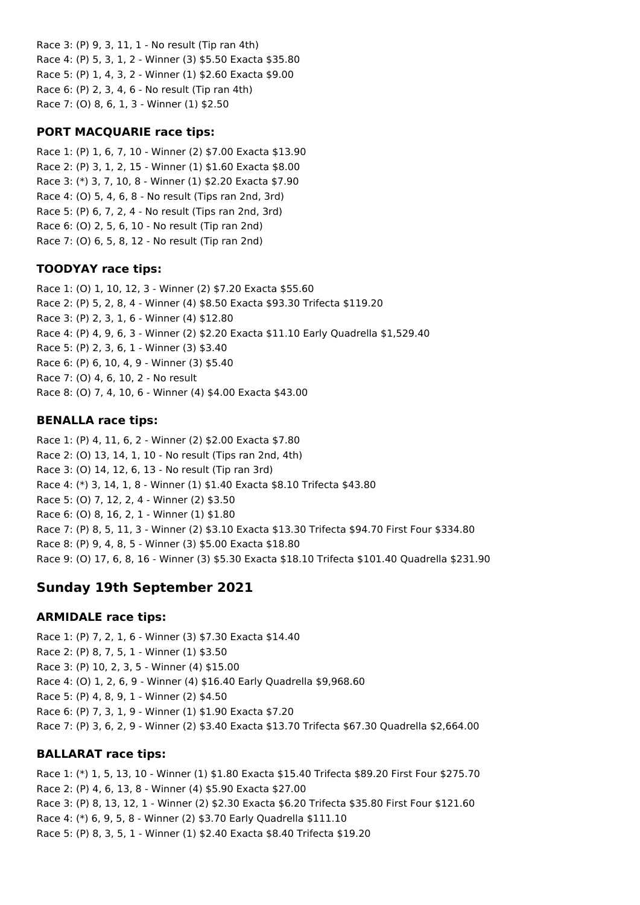Race 3: (P) 9, 3, 11, 1 - No result (Tip ran 4th) Race 4: (P) 5, 3, 1, 2 - Winner (3) \$5.50 Exacta \$35.80 Race 5: (P) 1, 4, 3, 2 - Winner (1) \$2.60 Exacta \$9.00 Race 6: (P) 2, 3, 4, 6 - No result (Tip ran 4th) Race 7: (O) 8, 6, 1, 3 - Winner (1) \$2.50

### **PORT MACQUARIE race tips:**

Race 1: (P) 1, 6, 7, 10 - Winner (2) \$7.00 Exacta \$13.90 Race 2: (P) 3, 1, 2, 15 - Winner (1) \$1.60 Exacta \$8.00 Race 3: (\*) 3, 7, 10, 8 - Winner (1) \$2.20 Exacta \$7.90 Race 4: (O) 5, 4, 6, 8 - No result (Tips ran 2nd, 3rd) Race 5: (P) 6, 7, 2, 4 - No result (Tips ran 2nd, 3rd) Race 6: (O) 2, 5, 6, 10 - No result (Tip ran 2nd) Race 7: (O) 6, 5, 8, 12 - No result (Tip ran 2nd)

## **TOODYAY race tips:**

Race 1: (O) 1, 10, 12, 3 - Winner (2) \$7.20 Exacta \$55.60 Race 2: (P) 5, 2, 8, 4 - Winner (4) \$8.50 Exacta \$93.30 Trifecta \$119.20 Race 3: (P) 2, 3, 1, 6 - Winner (4) \$12.80 Race 4: (P) 4, 9, 6, 3 - Winner (2) \$2.20 Exacta \$11.10 Early Quadrella \$1,529.40 Race 5: (P) 2, 3, 6, 1 - Winner (3) \$3.40 Race 6: (P) 6, 10, 4, 9 - Winner (3) \$5.40 Race 7: (O) 4, 6, 10, 2 - No result Race 8: (O) 7, 4, 10, 6 - Winner (4) \$4.00 Exacta \$43.00

## **BENALLA race tips:**

Race 1: (P) 4, 11, 6, 2 - Winner (2) \$2.00 Exacta \$7.80 Race 2: (O) 13, 14, 1, 10 - No result (Tips ran 2nd, 4th) Race 3: (O) 14, 12, 6, 13 - No result (Tip ran 3rd) Race 4: (\*) 3, 14, 1, 8 - Winner (1) \$1.40 Exacta \$8.10 Trifecta \$43.80 Race 5: (O) 7, 12, 2, 4 - Winner (2) \$3.50 Race 6: (O) 8, 16, 2, 1 - Winner (1) \$1.80 Race 7: (P) 8, 5, 11, 3 - Winner (2) \$3.10 Exacta \$13.30 Trifecta \$94.70 First Four \$334.80 Race 8: (P) 9, 4, 8, 5 - Winner (3) \$5.00 Exacta \$18.80 Race 9: (O) 17, 6, 8, 16 - Winner (3) \$5.30 Exacta \$18.10 Trifecta \$101.40 Quadrella \$231.90

# **Sunday 19th September 2021**

## **ARMIDALE race tips:**

Race 1: (P) 7, 2, 1, 6 - Winner (3) \$7.30 Exacta \$14.40 Race 2: (P) 8, 7, 5, 1 - Winner (1) \$3.50 Race 3: (P) 10, 2, 3, 5 - Winner (4) \$15.00 Race 4: (O) 1, 2, 6, 9 - Winner (4) \$16.40 Early Quadrella \$9,968.60 Race 5: (P) 4, 8, 9, 1 - Winner (2) \$4.50 Race 6: (P) 7, 3, 1, 9 - Winner (1) \$1.90 Exacta \$7.20 Race 7: (P) 3, 6, 2, 9 - Winner (2) \$3.40 Exacta \$13.70 Trifecta \$67.30 Quadrella \$2,664.00

## **BALLARAT race tips:**

Race 1: (\*) 1, 5, 13, 10 - Winner (1) \$1.80 Exacta \$15.40 Trifecta \$89.20 First Four \$275.70 Race 2: (P) 4, 6, 13, 8 - Winner (4) \$5.90 Exacta \$27.00 Race 3: (P) 8, 13, 12, 1 - Winner (2) \$2.30 Exacta \$6.20 Trifecta \$35.80 First Four \$121.60 Race 4: (\*) 6, 9, 5, 8 - Winner (2) \$3.70 Early Quadrella \$111.10 Race 5: (P) 8, 3, 5, 1 - Winner (1) \$2.40 Exacta \$8.40 Trifecta \$19.20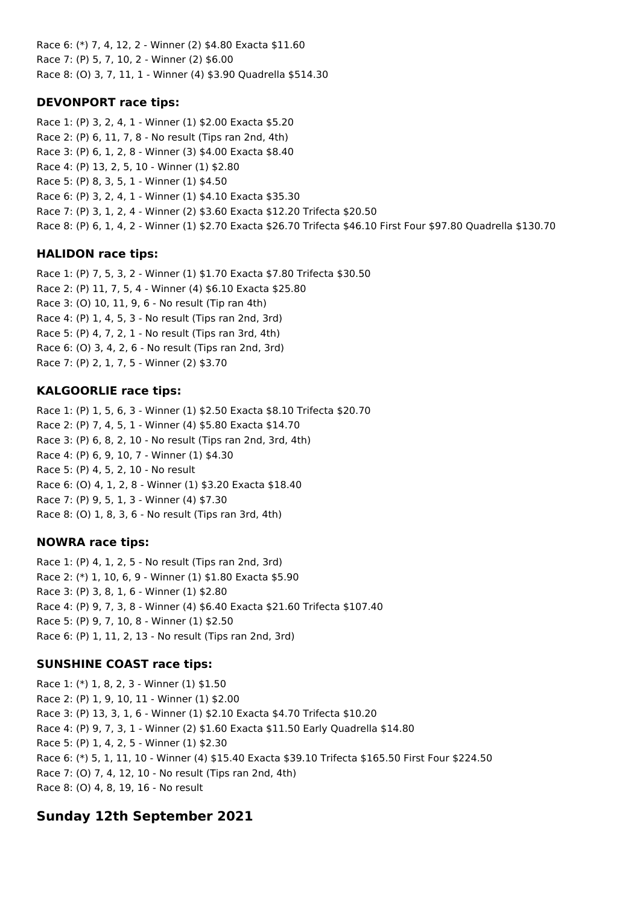Race 6: (\*) 7, 4, 12, 2 - Winner (2) \$4.80 Exacta \$11.60 Race 7: (P) 5, 7, 10, 2 - Winner (2) \$6.00 Race 8: (O) 3, 7, 11, 1 - Winner (4) \$3.90 Quadrella \$514.30

## **DEVONPORT race tips:**

Race 1: (P) 3, 2, 4, 1 - Winner (1) \$2.00 Exacta \$5.20 Race 2: (P) 6, 11, 7, 8 - No result (Tips ran 2nd, 4th) Race 3: (P) 6, 1, 2, 8 - Winner (3) \$4.00 Exacta \$8.40 Race 4: (P) 13, 2, 5, 10 - Winner (1) \$2.80 Race 5: (P) 8, 3, 5, 1 - Winner (1) \$4.50 Race 6: (P) 3, 2, 4, 1 - Winner (1) \$4.10 Exacta \$35.30 Race 7: (P) 3, 1, 2, 4 - Winner (2) \$3.60 Exacta \$12.20 Trifecta \$20.50 Race 8: (P) 6, 1, 4, 2 - Winner (1) \$2.70 Exacta \$26.70 Trifecta \$46.10 First Four \$97.80 Quadrella \$130.70

# **HALIDON race tips:**

Race 1: (P) 7, 5, 3, 2 - Winner (1) \$1.70 Exacta \$7.80 Trifecta \$30.50 Race 2: (P) 11, 7, 5, 4 - Winner (4) \$6.10 Exacta \$25.80 Race 3: (O) 10, 11, 9, 6 - No result (Tip ran 4th) Race 4: (P) 1, 4, 5, 3 - No result (Tips ran 2nd, 3rd) Race 5: (P) 4, 7, 2, 1 - No result (Tips ran 3rd, 4th) Race 6: (O) 3, 4, 2, 6 - No result (Tips ran 2nd, 3rd) Race 7: (P) 2, 1, 7, 5 - Winner (2) \$3.70

# **KALGOORLIE race tips:**

Race 1: (P) 1, 5, 6, 3 - Winner (1) \$2.50 Exacta \$8.10 Trifecta \$20.70 Race 2: (P) 7, 4, 5, 1 - Winner (4) \$5.80 Exacta \$14.70 Race 3: (P) 6, 8, 2, 10 - No result (Tips ran 2nd, 3rd, 4th) Race 4: (P) 6, 9, 10, 7 - Winner (1) \$4.30 Race 5: (P) 4, 5, 2, 10 - No result Race 6: (O) 4, 1, 2, 8 - Winner (1) \$3.20 Exacta \$18.40 Race 7: (P) 9, 5, 1, 3 - Winner (4) \$7.30 Race 8: (O) 1, 8, 3, 6 - No result (Tips ran 3rd, 4th)

# **NOWRA race tips:**

Race 1: (P) 4, 1, 2, 5 - No result (Tips ran 2nd, 3rd) Race 2: (\*) 1, 10, 6, 9 - Winner (1) \$1.80 Exacta \$5.90 Race 3: (P) 3, 8, 1, 6 - Winner (1) \$2.80 Race 4: (P) 9, 7, 3, 8 - Winner (4) \$6.40 Exacta \$21.60 Trifecta \$107.40 Race 5: (P) 9, 7, 10, 8 - Winner (1) \$2.50 Race 6: (P) 1, 11, 2, 13 - No result (Tips ran 2nd, 3rd)

# **SUNSHINE COAST race tips:**

Race 1: (\*) 1, 8, 2, 3 - Winner (1) \$1.50 Race 2: (P) 1, 9, 10, 11 - Winner (1) \$2.00 Race 3: (P) 13, 3, 1, 6 - Winner (1) \$2.10 Exacta \$4.70 Trifecta \$10.20 Race 4: (P) 9, 7, 3, 1 - Winner (2) \$1.60 Exacta \$11.50 Early Quadrella \$14.80 Race 5: (P) 1, 4, 2, 5 - Winner (1) \$2.30 Race 6: (\*) 5, 1, 11, 10 - Winner (4) \$15.40 Exacta \$39.10 Trifecta \$165.50 First Four \$224.50 Race 7: (O) 7, 4, 12, 10 - No result (Tips ran 2nd, 4th) Race 8: (O) 4, 8, 19, 16 - No result

# **Sunday 12th September 2021**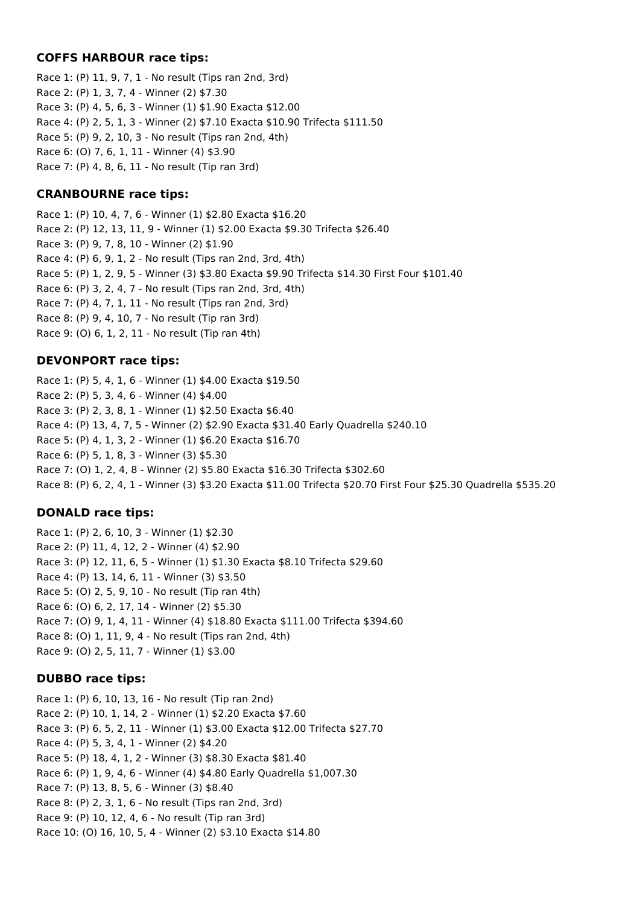#### **COFFS HARBOUR race tips:**

Race 1: (P) 11, 9, 7, 1 - No result (Tips ran 2nd, 3rd) Race 2: (P) 1, 3, 7, 4 - Winner (2) \$7.30 Race 3: (P) 4, 5, 6, 3 - Winner (1) \$1.90 Exacta \$12.00 Race 4: (P) 2, 5, 1, 3 - Winner (2) \$7.10 Exacta \$10.90 Trifecta \$111.50 Race 5: (P) 9, 2, 10, 3 - No result (Tips ran 2nd, 4th) Race 6: (O) 7, 6, 1, 11 - Winner (4) \$3.90 Race 7: (P) 4, 8, 6, 11 - No result (Tip ran 3rd)

## **CRANBOURNE race tips:**

Race 1: (P) 10, 4, 7, 6 - Winner (1) \$2.80 Exacta \$16.20 Race 2: (P) 12, 13, 11, 9 - Winner (1) \$2.00 Exacta \$9.30 Trifecta \$26.40 Race 3: (P) 9, 7, 8, 10 - Winner (2) \$1.90 Race 4: (P) 6, 9, 1, 2 - No result (Tips ran 2nd, 3rd, 4th) Race 5: (P) 1, 2, 9, 5 - Winner (3) \$3.80 Exacta \$9.90 Trifecta \$14.30 First Four \$101.40 Race 6: (P) 3, 2, 4, 7 - No result (Tips ran 2nd, 3rd, 4th) Race 7: (P) 4, 7, 1, 11 - No result (Tips ran 2nd, 3rd) Race 8: (P) 9, 4, 10, 7 - No result (Tip ran 3rd) Race 9: (O) 6, 1, 2, 11 - No result (Tip ran 4th)

## **DEVONPORT race tips:**

Race 1: (P) 5, 4, 1, 6 - Winner (1) \$4.00 Exacta \$19.50 Race 2: (P) 5, 3, 4, 6 - Winner (4) \$4.00 Race 3: (P) 2, 3, 8, 1 - Winner (1) \$2.50 Exacta \$6.40 Race 4: (P) 13, 4, 7, 5 - Winner (2) \$2.90 Exacta \$31.40 Early Quadrella \$240.10 Race 5: (P) 4, 1, 3, 2 - Winner (1) \$6.20 Exacta \$16.70 Race 6: (P) 5, 1, 8, 3 - Winner (3) \$5.30 Race 7: (O) 1, 2, 4, 8 - Winner (2) \$5.80 Exacta \$16.30 Trifecta \$302.60 Race 8: (P) 6, 2, 4, 1 - Winner (3) \$3.20 Exacta \$11.00 Trifecta \$20.70 First Four \$25.30 Quadrella \$535.20

# **DONALD race tips:**

Race 1: (P) 2, 6, 10, 3 - Winner (1) \$2.30 Race 2: (P) 11, 4, 12, 2 - Winner (4) \$2.90 Race 3: (P) 12, 11, 6, 5 - Winner (1) \$1.30 Exacta \$8.10 Trifecta \$29.60 Race 4: (P) 13, 14, 6, 11 - Winner (3) \$3.50 Race 5: (O) 2, 5, 9, 10 - No result (Tip ran 4th) Race 6: (O) 6, 2, 17, 14 - Winner (2) \$5.30 Race 7: (O) 9, 1, 4, 11 - Winner (4) \$18.80 Exacta \$111.00 Trifecta \$394.60 Race 8: (O) 1, 11, 9, 4 - No result (Tips ran 2nd, 4th) Race 9: (O) 2, 5, 11, 7 - Winner (1) \$3.00

## **DUBBO race tips:**

Race 1: (P) 6, 10, 13, 16 - No result (Tip ran 2nd) Race 2: (P) 10, 1, 14, 2 - Winner (1) \$2.20 Exacta \$7.60 Race 3: (P) 6, 5, 2, 11 - Winner (1) \$3.00 Exacta \$12.00 Trifecta \$27.70 Race 4: (P) 5, 3, 4, 1 - Winner (2) \$4.20 Race 5: (P) 18, 4, 1, 2 - Winner (3) \$8.30 Exacta \$81.40 Race 6: (P) 1, 9, 4, 6 - Winner (4) \$4.80 Early Quadrella \$1,007.30 Race 7: (P) 13, 8, 5, 6 - Winner (3) \$8.40 Race 8: (P) 2, 3, 1, 6 - No result (Tips ran 2nd, 3rd) Race 9: (P) 10, 12, 4, 6 - No result (Tip ran 3rd) Race 10: (O) 16, 10, 5, 4 - Winner (2) \$3.10 Exacta \$14.80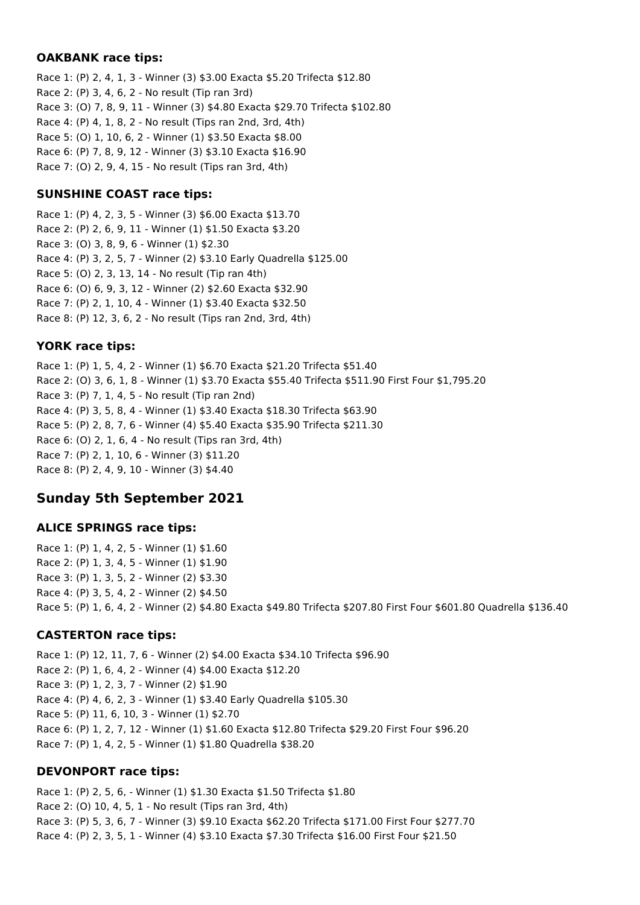#### **OAKBANK race tips:**

Race 1: (P) 2, 4, 1, 3 - Winner (3) \$3.00 Exacta \$5.20 Trifecta \$12.80 Race 2: (P) 3, 4, 6, 2 - No result (Tip ran 3rd) Race 3: (O) 7, 8, 9, 11 - Winner (3) \$4.80 Exacta \$29.70 Trifecta \$102.80 Race 4: (P) 4, 1, 8, 2 - No result (Tips ran 2nd, 3rd, 4th) Race 5: (O) 1, 10, 6, 2 - Winner (1) \$3.50 Exacta \$8.00 Race 6: (P) 7, 8, 9, 12 - Winner (3) \$3.10 Exacta \$16.90 Race 7: (O) 2, 9, 4, 15 - No result (Tips ran 3rd, 4th)

## **SUNSHINE COAST race tips:**

Race 1: (P) 4, 2, 3, 5 - Winner (3) \$6.00 Exacta \$13.70 Race 2: (P) 2, 6, 9, 11 - Winner (1) \$1.50 Exacta \$3.20 Race 3: (O) 3, 8, 9, 6 - Winner (1) \$2.30 Race 4: (P) 3, 2, 5, 7 - Winner (2) \$3.10 Early Quadrella \$125.00 Race 5: (O) 2, 3, 13, 14 - No result (Tip ran 4th) Race 6: (O) 6, 9, 3, 12 - Winner (2) \$2.60 Exacta \$32.90 Race 7: (P) 2, 1, 10, 4 - Winner (1) \$3.40 Exacta \$32.50 Race 8: (P) 12, 3, 6, 2 - No result (Tips ran 2nd, 3rd, 4th)

## **YORK race tips:**

Race 1: (P) 1, 5, 4, 2 - Winner (1) \$6.70 Exacta \$21.20 Trifecta \$51.40 Race 2: (O) 3, 6, 1, 8 - Winner (1) \$3.70 Exacta \$55.40 Trifecta \$511.90 First Four \$1,795.20 Race 3: (P) 7, 1, 4, 5 - No result (Tip ran 2nd) Race 4: (P) 3, 5, 8, 4 - Winner (1) \$3.40 Exacta \$18.30 Trifecta \$63.90 Race 5: (P) 2, 8, 7, 6 - Winner (4) \$5.40 Exacta \$35.90 Trifecta \$211.30 Race 6: (O) 2, 1, 6, 4 - No result (Tips ran 3rd, 4th) Race 7: (P) 2, 1, 10, 6 - Winner (3) \$11.20 Race 8: (P) 2, 4, 9, 10 - Winner (3) \$4.40

# **Sunday 5th September 2021**

## **ALICE SPRINGS race tips:**

Race 1: (P) 1, 4, 2, 5 - Winner (1) \$1.60 Race 2: (P) 1, 3, 4, 5 - Winner (1) \$1.90 Race 3: (P) 1, 3, 5, 2 - Winner (2) \$3.30 Race 4: (P) 3, 5, 4, 2 - Winner (2) \$4.50 Race 5: (P) 1, 6, 4, 2 - Winner (2) \$4.80 Exacta \$49.80 Trifecta \$207.80 First Four \$601.80 Quadrella \$136.40

# **CASTERTON race tips:**

Race 1: (P) 12, 11, 7, 6 - Winner (2) \$4.00 Exacta \$34.10 Trifecta \$96.90 Race 2: (P) 1, 6, 4, 2 - Winner (4) \$4.00 Exacta \$12.20 Race 3: (P) 1, 2, 3, 7 - Winner (2) \$1.90 Race 4: (P) 4, 6, 2, 3 - Winner (1) \$3.40 Early Quadrella \$105.30 Race 5: (P) 11, 6, 10, 3 - Winner (1) \$2.70 Race 6: (P) 1, 2, 7, 12 - Winner (1) \$1.60 Exacta \$12.80 Trifecta \$29.20 First Four \$96.20 Race 7: (P) 1, 4, 2, 5 - Winner (1) \$1.80 Quadrella \$38.20

## **DEVONPORT race tips:**

Race 1: (P) 2, 5, 6, - Winner (1) \$1.30 Exacta \$1.50 Trifecta \$1.80 Race 2: (O) 10, 4, 5, 1 - No result (Tips ran 3rd, 4th) Race 3: (P) 5, 3, 6, 7 - Winner (3) \$9.10 Exacta \$62.20 Trifecta \$171.00 First Four \$277.70 Race 4: (P) 2, 3, 5, 1 - Winner (4) \$3.10 Exacta \$7.30 Trifecta \$16.00 First Four \$21.50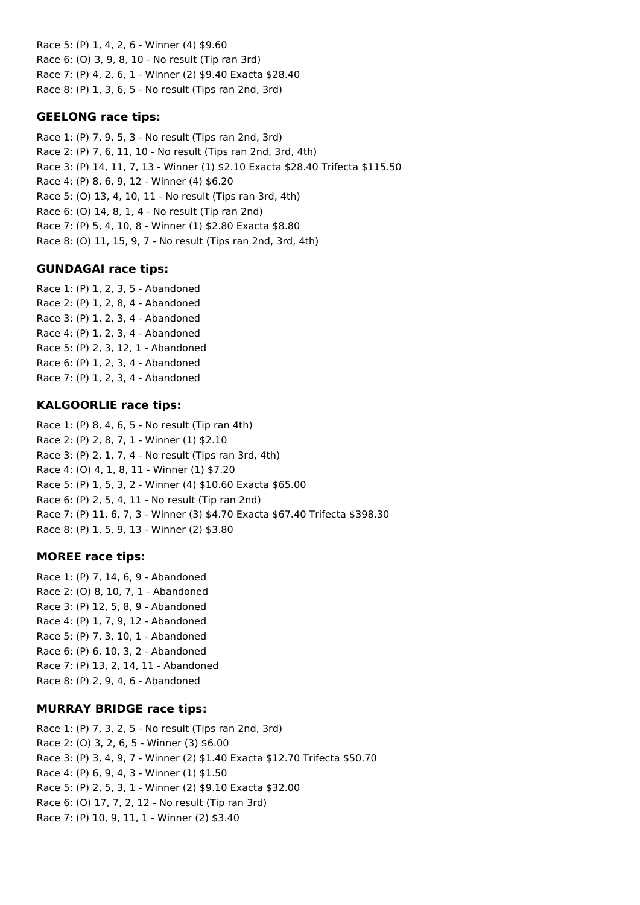Race 5: (P) 1, 4, 2, 6 - Winner (4) \$9.60 Race 6: (O) 3, 9, 8, 10 - No result (Tip ran 3rd) Race 7: (P) 4, 2, 6, 1 - Winner (2) \$9.40 Exacta \$28.40 Race 8: (P) 1, 3, 6, 5 - No result (Tips ran 2nd, 3rd)

## **GEELONG race tips:**

Race 1: (P) 7, 9, 5, 3 - No result (Tips ran 2nd, 3rd) Race 2: (P) 7, 6, 11, 10 - No result (Tips ran 2nd, 3rd, 4th) Race 3: (P) 14, 11, 7, 13 - Winner (1) \$2.10 Exacta \$28.40 Trifecta \$115.50 Race 4: (P) 8, 6, 9, 12 - Winner (4) \$6.20 Race 5: (O) 13, 4, 10, 11 - No result (Tips ran 3rd, 4th) Race 6: (O) 14, 8, 1, 4 - No result (Tip ran 2nd) Race 7: (P) 5, 4, 10, 8 - Winner (1) \$2.80 Exacta \$8.80 Race 8: (O) 11, 15, 9, 7 - No result (Tips ran 2nd, 3rd, 4th)

### **GUNDAGAI race tips:**

Race 1: (P) 1, 2, 3, 5 - Abandoned Race 2: (P) 1, 2, 8, 4 - Abandoned Race 3: (P) 1, 2, 3, 4 - Abandoned Race 4: (P) 1, 2, 3, 4 - Abandoned Race 5: (P) 2, 3, 12, 1 - Abandoned Race 6: (P) 1, 2, 3, 4 - Abandoned Race 7: (P) 1, 2, 3, 4 - Abandoned

### **KALGOORLIE race tips:**

Race 1: (P) 8, 4, 6, 5 - No result (Tip ran 4th) Race 2: (P) 2, 8, 7, 1 - Winner (1) \$2.10 Race 3: (P) 2, 1, 7, 4 - No result (Tips ran 3rd, 4th) Race 4: (O) 4, 1, 8, 11 - Winner (1) \$7.20 Race 5: (P) 1, 5, 3, 2 - Winner (4) \$10.60 Exacta \$65.00 Race 6: (P) 2, 5, 4, 11 - No result (Tip ran 2nd) Race 7: (P) 11, 6, 7, 3 - Winner (3) \$4.70 Exacta \$67.40 Trifecta \$398.30 Race 8: (P) 1, 5, 9, 13 - Winner (2) \$3.80

#### **MOREE race tips:**

Race 1: (P) 7, 14, 6, 9 - Abandoned Race 2: (O) 8, 10, 7, 1 - Abandoned Race 3: (P) 12, 5, 8, 9 - Abandoned Race 4: (P) 1, 7, 9, 12 - Abandoned Race 5: (P) 7, 3, 10, 1 - Abandoned Race 6: (P) 6, 10, 3, 2 - Abandoned Race 7: (P) 13, 2, 14, 11 - Abandoned Race 8: (P) 2, 9, 4, 6 - Abandoned

#### **MURRAY BRIDGE race tips:**

Race 1: (P) 7, 3, 2, 5 - No result (Tips ran 2nd, 3rd) Race 2: (O) 3, 2, 6, 5 - Winner (3) \$6.00 Race 3: (P) 3, 4, 9, 7 - Winner (2) \$1.40 Exacta \$12.70 Trifecta \$50.70 Race 4: (P) 6, 9, 4, 3 - Winner (1) \$1.50 Race 5: (P) 2, 5, 3, 1 - Winner (2) \$9.10 Exacta \$32.00 Race 6: (O) 17, 7, 2, 12 - No result (Tip ran 3rd) Race 7: (P) 10, 9, 11, 1 - Winner (2) \$3.40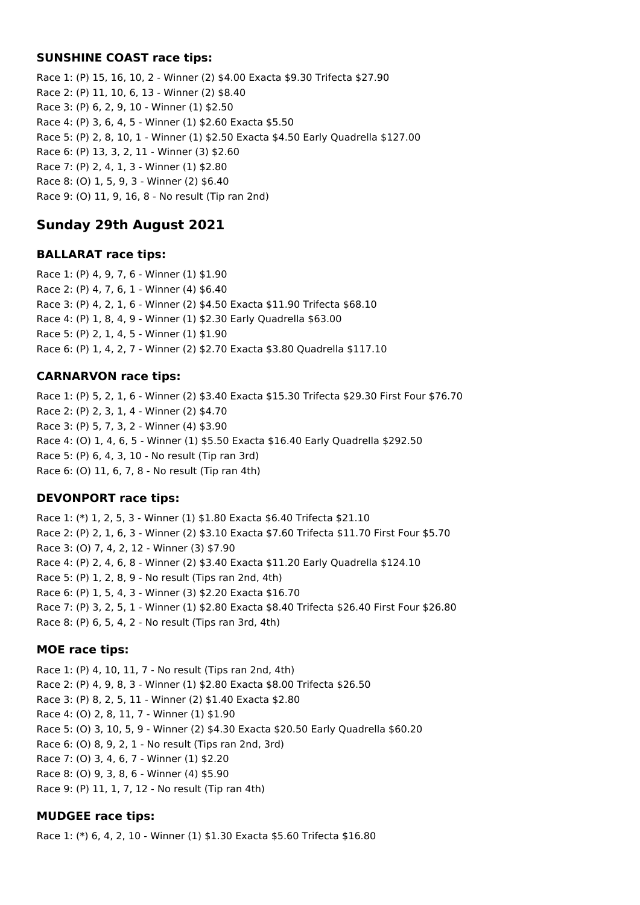#### **SUNSHINE COAST race tips:**

Race 1: (P) 15, 16, 10, 2 - Winner (2) \$4.00 Exacta \$9.30 Trifecta \$27.90 Race 2: (P) 11, 10, 6, 13 - Winner (2) \$8.40 Race 3: (P) 6, 2, 9, 10 - Winner (1) \$2.50 Race 4: (P) 3, 6, 4, 5 - Winner (1) \$2.60 Exacta \$5.50 Race 5: (P) 2, 8, 10, 1 - Winner (1) \$2.50 Exacta \$4.50 Early Quadrella \$127.00 Race 6: (P) 13, 3, 2, 11 - Winner (3) \$2.60 Race 7: (P) 2, 4, 1, 3 - Winner (1) \$2.80 Race 8: (O) 1, 5, 9, 3 - Winner (2) \$6.40 Race 9: (O) 11, 9, 16, 8 - No result (Tip ran 2nd)

## **Sunday 29th August 2021**

#### **BALLARAT race tips:**

Race 1: (P) 4, 9, 7, 6 - Winner (1) \$1.90 Race 2: (P) 4, 7, 6, 1 - Winner (4) \$6.40 Race 3: (P) 4, 2, 1, 6 - Winner (2) \$4.50 Exacta \$11.90 Trifecta \$68.10 Race 4: (P) 1, 8, 4, 9 - Winner (1) \$2.30 Early Quadrella \$63.00 Race 5: (P) 2, 1, 4, 5 - Winner (1) \$1.90 Race 6: (P) 1, 4, 2, 7 - Winner (2) \$2.70 Exacta \$3.80 Quadrella \$117.10

#### **CARNARVON race tips:**

Race 1: (P) 5, 2, 1, 6 - Winner (2) \$3.40 Exacta \$15.30 Trifecta \$29.30 First Four \$76.70 Race 2: (P) 2, 3, 1, 4 - Winner (2) \$4.70 Race 3: (P) 5, 7, 3, 2 - Winner (4) \$3.90 Race 4: (O) 1, 4, 6, 5 - Winner (1) \$5.50 Exacta \$16.40 Early Quadrella \$292.50 Race 5: (P) 6, 4, 3, 10 - No result (Tip ran 3rd) Race 6: (O) 11, 6, 7, 8 - No result (Tip ran 4th)

#### **DEVONPORT race tips:**

Race 1: (\*) 1, 2, 5, 3 - Winner (1) \$1.80 Exacta \$6.40 Trifecta \$21.10 Race 2: (P) 2, 1, 6, 3 - Winner (2) \$3.10 Exacta \$7.60 Trifecta \$11.70 First Four \$5.70 Race 3: (O) 7, 4, 2, 12 - Winner (3) \$7.90 Race 4: (P) 2, 4, 6, 8 - Winner (2) \$3.40 Exacta \$11.20 Early Quadrella \$124.10 Race 5: (P) 1, 2, 8, 9 - No result (Tips ran 2nd, 4th) Race 6: (P) 1, 5, 4, 3 - Winner (3) \$2.20 Exacta \$16.70 Race 7: (P) 3, 2, 5, 1 - Winner (1) \$2.80 Exacta \$8.40 Trifecta \$26.40 First Four \$26.80 Race 8: (P) 6, 5, 4, 2 - No result (Tips ran 3rd, 4th)

#### **MOE race tips:**

Race 1: (P) 4, 10, 11, 7 - No result (Tips ran 2nd, 4th) Race 2: (P) 4, 9, 8, 3 - Winner (1) \$2.80 Exacta \$8.00 Trifecta \$26.50 Race 3: (P) 8, 2, 5, 11 - Winner (2) \$1.40 Exacta \$2.80 Race 4: (O) 2, 8, 11, 7 - Winner (1) \$1.90 Race 5: (O) 3, 10, 5, 9 - Winner (2) \$4.30 Exacta \$20.50 Early Quadrella \$60.20 Race 6: (O) 8, 9, 2, 1 - No result (Tips ran 2nd, 3rd) Race 7: (O) 3, 4, 6, 7 - Winner (1) \$2.20 Race 8: (O) 9, 3, 8, 6 - Winner (4) \$5.90 Race 9: (P) 11, 1, 7, 12 - No result (Tip ran 4th)

#### **MUDGEE race tips:**

Race 1: (\*) 6, 4, 2, 10 - Winner (1) \$1.30 Exacta \$5.60 Trifecta \$16.80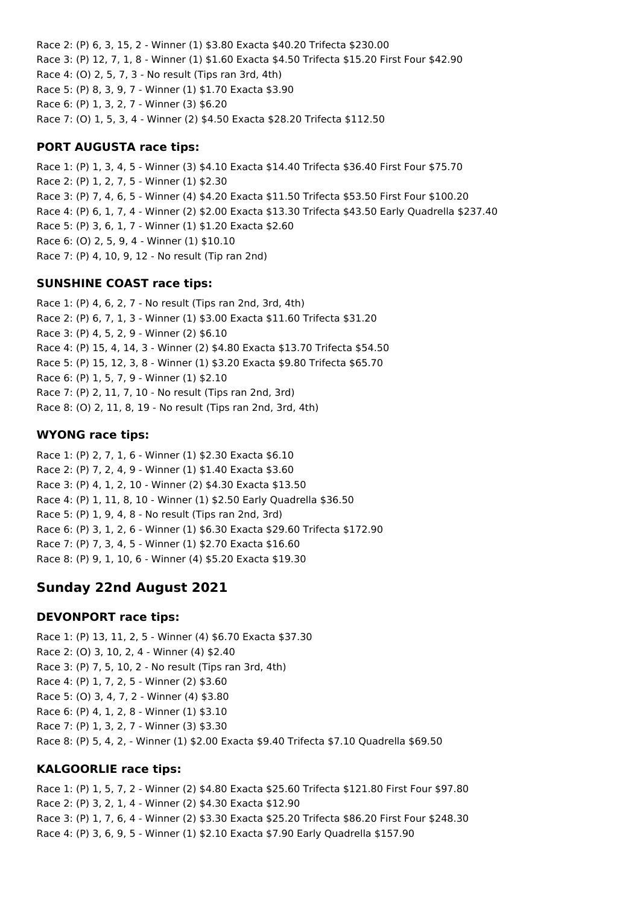Race 2: (P) 6, 3, 15, 2 - Winner (1) \$3.80 Exacta \$40.20 Trifecta \$230.00 Race 3: (P) 12, 7, 1, 8 - Winner (1) \$1.60 Exacta \$4.50 Trifecta \$15.20 First Four \$42.90 Race 4: (O) 2, 5, 7, 3 - No result (Tips ran 3rd, 4th) Race 5: (P) 8, 3, 9, 7 - Winner (1) \$1.70 Exacta \$3.90 Race 6: (P) 1, 3, 2, 7 - Winner (3) \$6.20 Race 7: (O) 1, 5, 3, 4 - Winner (2) \$4.50 Exacta \$28.20 Trifecta \$112.50

### **PORT AUGUSTA race tips:**

Race 1: (P) 1, 3, 4, 5 - Winner (3) \$4.10 Exacta \$14.40 Trifecta \$36.40 First Four \$75.70 Race 2: (P) 1, 2, 7, 5 - Winner (1) \$2.30 Race 3: (P) 7, 4, 6, 5 - Winner (4) \$4.20 Exacta \$11.50 Trifecta \$53.50 First Four \$100.20 Race 4: (P) 6, 1, 7, 4 - Winner (2) \$2.00 Exacta \$13.30 Trifecta \$43.50 Early Quadrella \$237.40 Race 5: (P) 3, 6, 1, 7 - Winner (1) \$1.20 Exacta \$2.60 Race 6: (O) 2, 5, 9, 4 - Winner (1) \$10.10 Race 7: (P) 4, 10, 9, 12 - No result (Tip ran 2nd)

### **SUNSHINE COAST race tips:**

Race 1: (P) 4, 6, 2, 7 - No result (Tips ran 2nd, 3rd, 4th) Race 2: (P) 6, 7, 1, 3 - Winner (1) \$3.00 Exacta \$11.60 Trifecta \$31.20 Race 3: (P) 4, 5, 2, 9 - Winner (2) \$6.10 Race 4: (P) 15, 4, 14, 3 - Winner (2) \$4.80 Exacta \$13.70 Trifecta \$54.50 Race 5: (P) 15, 12, 3, 8 - Winner (1) \$3.20 Exacta \$9.80 Trifecta \$65.70 Race 6: (P) 1, 5, 7, 9 - Winner (1) \$2.10 Race 7: (P) 2, 11, 7, 10 - No result (Tips ran 2nd, 3rd) Race 8: (O) 2, 11, 8, 19 - No result (Tips ran 2nd, 3rd, 4th)

### **WYONG race tips:**

Race 1: (P) 2, 7, 1, 6 - Winner (1) \$2.30 Exacta \$6.10 Race 2: (P) 7, 2, 4, 9 - Winner (1) \$1.40 Exacta \$3.60 Race 3: (P) 4, 1, 2, 10 - Winner (2) \$4.30 Exacta \$13.50 Race 4: (P) 1, 11, 8, 10 - Winner (1) \$2.50 Early Quadrella \$36.50 Race 5: (P) 1, 9, 4, 8 - No result (Tips ran 2nd, 3rd) Race 6: (P) 3, 1, 2, 6 - Winner (1) \$6.30 Exacta \$29.60 Trifecta \$172.90 Race 7: (P) 7, 3, 4, 5 - Winner (1) \$2.70 Exacta \$16.60 Race 8: (P) 9, 1, 10, 6 - Winner (4) \$5.20 Exacta \$19.30

# **Sunday 22nd August 2021**

#### **DEVONPORT race tips:**

Race 1: (P) 13, 11, 2, 5 - Winner (4) \$6.70 Exacta \$37.30 Race 2: (O) 3, 10, 2, 4 - Winner (4) \$2.40 Race 3: (P) 7, 5, 10, 2 - No result (Tips ran 3rd, 4th) Race 4: (P) 1, 7, 2, 5 - Winner (2) \$3.60 Race 5: (O) 3, 4, 7, 2 - Winner (4) \$3.80 Race 6: (P) 4, 1, 2, 8 - Winner (1) \$3.10 Race 7: (P) 1, 3, 2, 7 - Winner (3) \$3.30 Race 8: (P) 5, 4, 2, - Winner (1) \$2.00 Exacta \$9.40 Trifecta \$7.10 Quadrella \$69.50

## **KALGOORLIE race tips:**

Race 1: (P) 1, 5, 7, 2 - Winner (2) \$4.80 Exacta \$25.60 Trifecta \$121.80 First Four \$97.80 Race 2: (P) 3, 2, 1, 4 - Winner (2) \$4.30 Exacta \$12.90 Race 3: (P) 1, 7, 6, 4 - Winner (2) \$3.30 Exacta \$25.20 Trifecta \$86.20 First Four \$248.30 Race 4: (P) 3, 6, 9, 5 - Winner (1) \$2.10 Exacta \$7.90 Early Quadrella \$157.90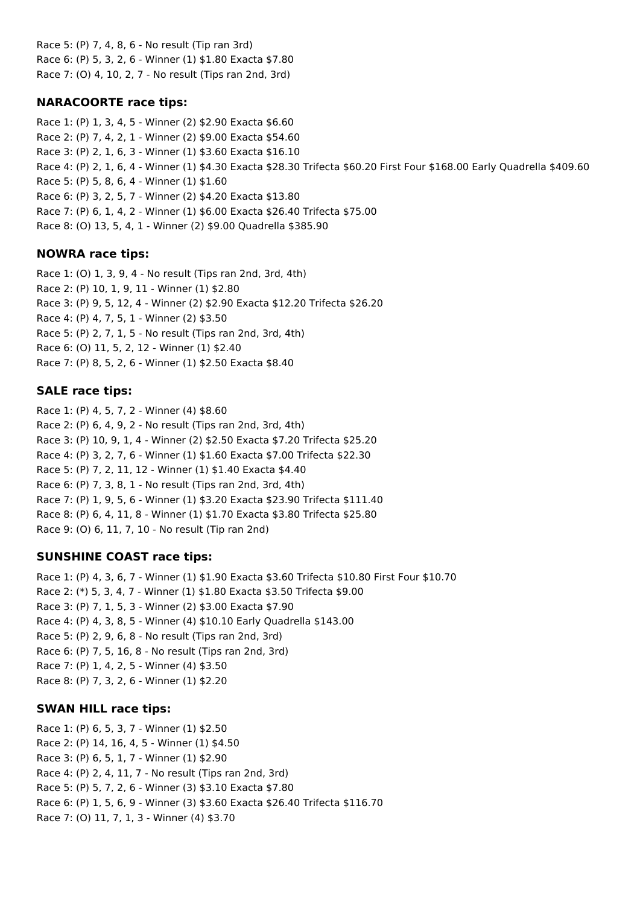Race 5: (P) 7, 4, 8, 6 - No result (Tip ran 3rd) Race 6: (P) 5, 3, 2, 6 - Winner (1) \$1.80 Exacta \$7.80 Race 7: (O) 4, 10, 2, 7 - No result (Tips ran 2nd, 3rd)

## **NARACOORTE race tips:**

Race 1: (P) 1, 3, 4, 5 - Winner (2) \$2.90 Exacta \$6.60 Race 2: (P) 7, 4, 2, 1 - Winner (2) \$9.00 Exacta \$54.60 Race 3: (P) 2, 1, 6, 3 - Winner (1) \$3.60 Exacta \$16.10 Race 4: (P) 2, 1, 6, 4 - Winner (1) \$4.30 Exacta \$28.30 Trifecta \$60.20 First Four \$168.00 Early Quadrella \$409.60 Race 5: (P) 5, 8, 6, 4 - Winner (1) \$1.60 Race 6: (P) 3, 2, 5, 7 - Winner (2) \$4.20 Exacta \$13.80 Race 7: (P) 6, 1, 4, 2 - Winner (1) \$6.00 Exacta \$26.40 Trifecta \$75.00 Race 8: (O) 13, 5, 4, 1 - Winner (2) \$9.00 Quadrella \$385.90

## **NOWRA race tips:**

Race 1: (O) 1, 3, 9, 4 - No result (Tips ran 2nd, 3rd, 4th) Race 2: (P) 10, 1, 9, 11 - Winner (1) \$2.80 Race 3: (P) 9, 5, 12, 4 - Winner (2) \$2.90 Exacta \$12.20 Trifecta \$26.20 Race 4: (P) 4, 7, 5, 1 - Winner (2) \$3.50 Race 5: (P) 2, 7, 1, 5 - No result (Tips ran 2nd, 3rd, 4th) Race 6: (O) 11, 5, 2, 12 - Winner (1) \$2.40 Race 7: (P) 8, 5, 2, 6 - Winner (1) \$2.50 Exacta \$8.40

## **SALE race tips:**

Race 1: (P) 4, 5, 7, 2 - Winner (4) \$8.60 Race 2: (P) 6, 4, 9, 2 - No result (Tips ran 2nd, 3rd, 4th) Race 3: (P) 10, 9, 1, 4 - Winner (2) \$2.50 Exacta \$7.20 Trifecta \$25.20 Race 4: (P) 3, 2, 7, 6 - Winner (1) \$1.60 Exacta \$7.00 Trifecta \$22.30 Race 5: (P) 7, 2, 11, 12 - Winner (1) \$1.40 Exacta \$4.40 Race 6: (P) 7, 3, 8, 1 - No result (Tips ran 2nd, 3rd, 4th) Race 7: (P) 1, 9, 5, 6 - Winner (1) \$3.20 Exacta \$23.90 Trifecta \$111.40 Race 8: (P) 6, 4, 11, 8 - Winner (1) \$1.70 Exacta \$3.80 Trifecta \$25.80 Race 9: (O) 6, 11, 7, 10 - No result (Tip ran 2nd)

## **SUNSHINE COAST race tips:**

Race 1: (P) 4, 3, 6, 7 - Winner (1) \$1.90 Exacta \$3.60 Trifecta \$10.80 First Four \$10.70 Race 2: (\*) 5, 3, 4, 7 - Winner (1) \$1.80 Exacta \$3.50 Trifecta \$9.00 Race 3: (P) 7, 1, 5, 3 - Winner (2) \$3.00 Exacta \$7.90 Race 4: (P) 4, 3, 8, 5 - Winner (4) \$10.10 Early Quadrella \$143.00 Race 5: (P) 2, 9, 6, 8 - No result (Tips ran 2nd, 3rd) Race 6: (P) 7, 5, 16, 8 - No result (Tips ran 2nd, 3rd) Race 7: (P) 1, 4, 2, 5 - Winner (4) \$3.50 Race 8: (P) 7, 3, 2, 6 - Winner (1) \$2.20

## **SWAN HILL race tips:**

Race 1: (P) 6, 5, 3, 7 - Winner (1) \$2.50 Race 2: (P) 14, 16, 4, 5 - Winner (1) \$4.50 Race 3: (P) 6, 5, 1, 7 - Winner (1) \$2.90 Race 4: (P) 2, 4, 11, 7 - No result (Tips ran 2nd, 3rd) Race 5: (P) 5, 7, 2, 6 - Winner (3) \$3.10 Exacta \$7.80 Race 6: (P) 1, 5, 6, 9 - Winner (3) \$3.60 Exacta \$26.40 Trifecta \$116.70 Race 7: (O) 11, 7, 1, 3 - Winner (4) \$3.70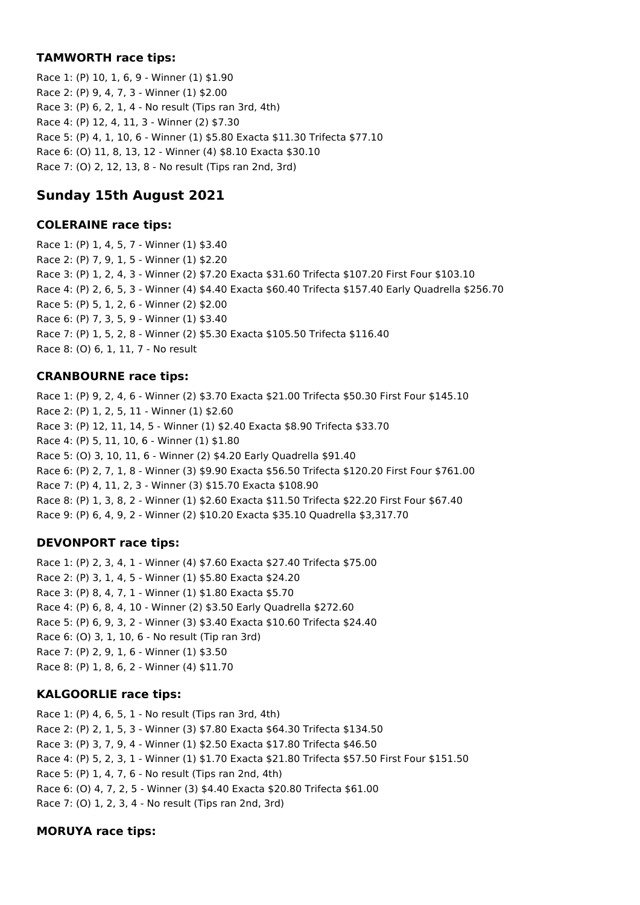### **TAMWORTH race tips:**

Race 1: (P) 10, 1, 6, 9 - Winner (1) \$1.90 Race 2: (P) 9, 4, 7, 3 - Winner (1) \$2.00 Race 3: (P) 6, 2, 1, 4 - No result (Tips ran 3rd, 4th) Race 4: (P) 12, 4, 11, 3 - Winner (2) \$7.30 Race 5: (P) 4, 1, 10, 6 - Winner (1) \$5.80 Exacta \$11.30 Trifecta \$77.10 Race 6: (O) 11, 8, 13, 12 - Winner (4) \$8.10 Exacta \$30.10 Race 7: (O) 2, 12, 13, 8 - No result (Tips ran 2nd, 3rd)

# **Sunday 15th August 2021**

#### **COLERAINE race tips:**

Race 1: (P) 1, 4, 5, 7 - Winner (1) \$3.40 Race 2: (P) 7, 9, 1, 5 - Winner (1) \$2.20 Race 3: (P) 1, 2, 4, 3 - Winner (2) \$7.20 Exacta \$31.60 Trifecta \$107.20 First Four \$103.10 Race 4: (P) 2, 6, 5, 3 - Winner (4) \$4.40 Exacta \$60.40 Trifecta \$157.40 Early Quadrella \$256.70 Race 5: (P) 5, 1, 2, 6 - Winner (2) \$2.00 Race 6: (P) 7, 3, 5, 9 - Winner (1) \$3.40 Race 7: (P) 1, 5, 2, 8 - Winner (2) \$5.30 Exacta \$105.50 Trifecta \$116.40 Race 8: (O) 6, 1, 11, 7 - No result

### **CRANBOURNE race tips:**

Race 1: (P) 9, 2, 4, 6 - Winner (2) \$3.70 Exacta \$21.00 Trifecta \$50.30 First Four \$145.10 Race 2: (P) 1, 2, 5, 11 - Winner (1) \$2.60 Race 3: (P) 12, 11, 14, 5 - Winner (1) \$2.40 Exacta \$8.90 Trifecta \$33.70 Race 4: (P) 5, 11, 10, 6 - Winner (1) \$1.80 Race 5: (O) 3, 10, 11, 6 - Winner (2) \$4.20 Early Quadrella \$91.40 Race 6: (P) 2, 7, 1, 8 - Winner (3) \$9.90 Exacta \$56.50 Trifecta \$120.20 First Four \$761.00 Race 7: (P) 4, 11, 2, 3 - Winner (3) \$15.70 Exacta \$108.90 Race 8: (P) 1, 3, 8, 2 - Winner (1) \$2.60 Exacta \$11.50 Trifecta \$22.20 First Four \$67.40 Race 9: (P) 6, 4, 9, 2 - Winner (2) \$10.20 Exacta \$35.10 Quadrella \$3,317.70

## **DEVONPORT race tips:**

Race 1: (P) 2, 3, 4, 1 - Winner (4) \$7.60 Exacta \$27.40 Trifecta \$75.00 Race 2: (P) 3, 1, 4, 5 - Winner (1) \$5.80 Exacta \$24.20 Race 3: (P) 8, 4, 7, 1 - Winner (1) \$1.80 Exacta \$5.70 Race 4: (P) 6, 8, 4, 10 - Winner (2) \$3.50 Early Quadrella \$272.60 Race 5: (P) 6, 9, 3, 2 - Winner (3) \$3.40 Exacta \$10.60 Trifecta \$24.40 Race 6: (O) 3, 1, 10, 6 - No result (Tip ran 3rd) Race 7: (P) 2, 9, 1, 6 - Winner (1) \$3.50 Race 8: (P) 1, 8, 6, 2 - Winner (4) \$11.70

## **KALGOORLIE race tips:**

Race 1: (P) 4, 6, 5, 1 - No result (Tips ran 3rd, 4th) Race 2: (P) 2, 1, 5, 3 - Winner (3) \$7.80 Exacta \$64.30 Trifecta \$134.50 Race 3: (P) 3, 7, 9, 4 - Winner (1) \$2.50 Exacta \$17.80 Trifecta \$46.50 Race 4: (P) 5, 2, 3, 1 - Winner (1) \$1.70 Exacta \$21.80 Trifecta \$57.50 First Four \$151.50 Race 5: (P) 1, 4, 7, 6 - No result (Tips ran 2nd, 4th) Race 6: (O) 4, 7, 2, 5 - Winner (3) \$4.40 Exacta \$20.80 Trifecta \$61.00 Race 7: (O) 1, 2, 3, 4 - No result (Tips ran 2nd, 3rd)

## **MORUYA race tips:**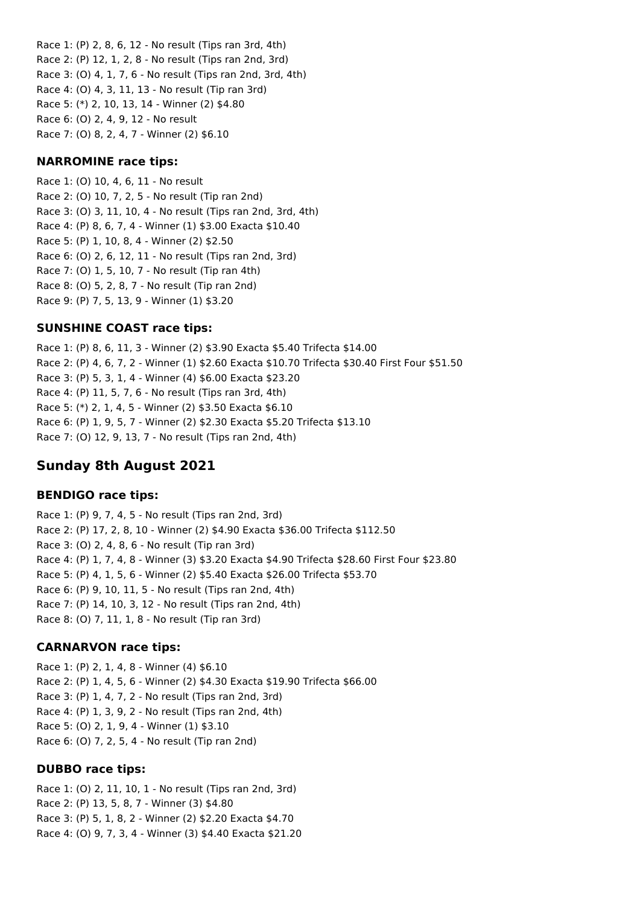Race 1: (P) 2, 8, 6, 12 - No result (Tips ran 3rd, 4th) Race 2: (P) 12, 1, 2, 8 - No result (Tips ran 2nd, 3rd) Race 3: (O) 4, 1, 7, 6 - No result (Tips ran 2nd, 3rd, 4th) Race 4: (O) 4, 3, 11, 13 - No result (Tip ran 3rd) Race 5: (\*) 2, 10, 13, 14 - Winner (2) \$4.80 Race 6: (O) 2, 4, 9, 12 - No result Race 7: (O) 8, 2, 4, 7 - Winner (2) \$6.10

#### **NARROMINE race tips:**

Race 1: (O) 10, 4, 6, 11 - No result Race 2: (O) 10, 7, 2, 5 - No result (Tip ran 2nd) Race 3: (O) 3, 11, 10, 4 - No result (Tips ran 2nd, 3rd, 4th) Race 4: (P) 8, 6, 7, 4 - Winner (1) \$3.00 Exacta \$10.40 Race 5: (P) 1, 10, 8, 4 - Winner (2) \$2.50 Race 6: (O) 2, 6, 12, 11 - No result (Tips ran 2nd, 3rd) Race 7: (O) 1, 5, 10, 7 - No result (Tip ran 4th) Race 8: (O) 5, 2, 8, 7 - No result (Tip ran 2nd) Race 9: (P) 7, 5, 13, 9 - Winner (1) \$3.20

## **SUNSHINE COAST race tips:**

Race 1: (P) 8, 6, 11, 3 - Winner (2) \$3.90 Exacta \$5.40 Trifecta \$14.00 Race 2: (P) 4, 6, 7, 2 - Winner (1) \$2.60 Exacta \$10.70 Trifecta \$30.40 First Four \$51.50 Race 3: (P) 5, 3, 1, 4 - Winner (4) \$6.00 Exacta \$23.20 Race 4: (P) 11, 5, 7, 6 - No result (Tips ran 3rd, 4th) Race 5: (\*) 2, 1, 4, 5 - Winner (2) \$3.50 Exacta \$6.10 Race 6: (P) 1, 9, 5, 7 - Winner (2) \$2.30 Exacta \$5.20 Trifecta \$13.10 Race 7: (O) 12, 9, 13, 7 - No result (Tips ran 2nd, 4th)

# **Sunday 8th August 2021**

## **BENDIGO race tips:**

Race 1: (P) 9, 7, 4, 5 - No result (Tips ran 2nd, 3rd) Race 2: (P) 17, 2, 8, 10 - Winner (2) \$4.90 Exacta \$36.00 Trifecta \$112.50 Race 3: (O) 2, 4, 8, 6 - No result (Tip ran 3rd) Race 4: (P) 1, 7, 4, 8 - Winner (3) \$3.20 Exacta \$4.90 Trifecta \$28.60 First Four \$23.80 Race 5: (P) 4, 1, 5, 6 - Winner (2) \$5.40 Exacta \$26.00 Trifecta \$53.70 Race 6: (P) 9, 10, 11, 5 - No result (Tips ran 2nd, 4th) Race 7: (P) 14, 10, 3, 12 - No result (Tips ran 2nd, 4th) Race 8: (O) 7, 11, 1, 8 - No result (Tip ran 3rd)

## **CARNARVON race tips:**

Race 1: (P) 2, 1, 4, 8 - Winner (4) \$6.10 Race 2: (P) 1, 4, 5, 6 - Winner (2) \$4.30 Exacta \$19.90 Trifecta \$66.00 Race 3: (P) 1, 4, 7, 2 - No result (Tips ran 2nd, 3rd) Race 4: (P) 1, 3, 9, 2 - No result (Tips ran 2nd, 4th) Race 5: (O) 2, 1, 9, 4 - Winner (1) \$3.10 Race 6: (O) 7, 2, 5, 4 - No result (Tip ran 2nd)

#### **DUBBO race tips:**

Race 1: (O) 2, 11, 10, 1 - No result (Tips ran 2nd, 3rd) Race 2: (P) 13, 5, 8, 7 - Winner (3) \$4.80 Race 3: (P) 5, 1, 8, 2 - Winner (2) \$2.20 Exacta \$4.70 Race 4: (O) 9, 7, 3, 4 - Winner (3) \$4.40 Exacta \$21.20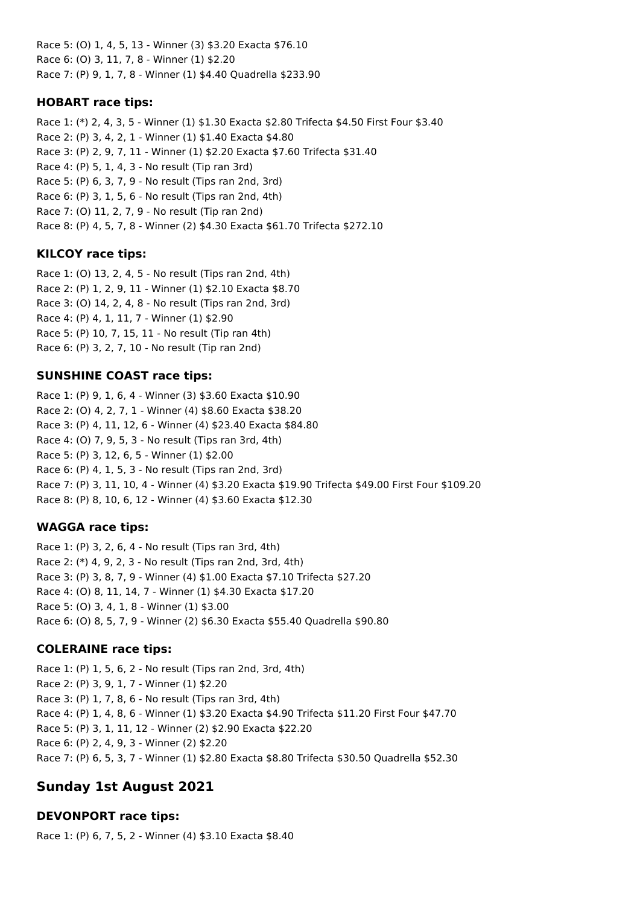Race 5: (O) 1, 4, 5, 13 - Winner (3) \$3.20 Exacta \$76.10 Race 6: (O) 3, 11, 7, 8 - Winner (1) \$2.20 Race 7: (P) 9, 1, 7, 8 - Winner (1) \$4.40 Quadrella \$233.90

## **HOBART race tips:**

Race 1: (\*) 2, 4, 3, 5 - Winner (1) \$1.30 Exacta \$2.80 Trifecta \$4.50 First Four \$3.40 Race 2: (P) 3, 4, 2, 1 - Winner (1) \$1.40 Exacta \$4.80 Race 3: (P) 2, 9, 7, 11 - Winner (1) \$2.20 Exacta \$7.60 Trifecta \$31.40 Race 4: (P) 5, 1, 4, 3 - No result (Tip ran 3rd) Race 5: (P) 6, 3, 7, 9 - No result (Tips ran 2nd, 3rd) Race 6: (P) 3, 1, 5, 6 - No result (Tips ran 2nd, 4th) Race 7: (O) 11, 2, 7, 9 - No result (Tip ran 2nd) Race 8: (P) 4, 5, 7, 8 - Winner (2) \$4.30 Exacta \$61.70 Trifecta \$272.10

# **KILCOY race tips:**

Race 1: (O) 13, 2, 4, 5 - No result (Tips ran 2nd, 4th) Race 2: (P) 1, 2, 9, 11 - Winner (1) \$2.10 Exacta \$8.70 Race 3: (O) 14, 2, 4, 8 - No result (Tips ran 2nd, 3rd) Race 4: (P) 4, 1, 11, 7 - Winner (1) \$2.90 Race 5: (P) 10, 7, 15, 11 - No result (Tip ran 4th) Race 6: (P) 3, 2, 7, 10 - No result (Tip ran 2nd)

## **SUNSHINE COAST race tips:**

Race 1: (P) 9, 1, 6, 4 - Winner (3) \$3.60 Exacta \$10.90 Race 2: (O) 4, 2, 7, 1 - Winner (4) \$8.60 Exacta \$38.20 Race 3: (P) 4, 11, 12, 6 - Winner (4) \$23.40 Exacta \$84.80 Race 4: (O) 7, 9, 5, 3 - No result (Tips ran 3rd, 4th) Race 5: (P) 3, 12, 6, 5 - Winner (1) \$2.00 Race 6: (P) 4, 1, 5, 3 - No result (Tips ran 2nd, 3rd) Race 7: (P) 3, 11, 10, 4 - Winner (4) \$3.20 Exacta \$19.90 Trifecta \$49.00 First Four \$109.20 Race 8: (P) 8, 10, 6, 12 - Winner (4) \$3.60 Exacta \$12.30

# **WAGGA race tips:**

Race 1: (P) 3, 2, 6, 4 - No result (Tips ran 3rd, 4th) Race 2: (\*) 4, 9, 2, 3 - No result (Tips ran 2nd, 3rd, 4th) Race 3: (P) 3, 8, 7, 9 - Winner (4) \$1.00 Exacta \$7.10 Trifecta \$27.20 Race 4: (O) 8, 11, 14, 7 - Winner (1) \$4.30 Exacta \$17.20 Race 5: (O) 3, 4, 1, 8 - Winner (1) \$3.00 Race 6: (O) 8, 5, 7, 9 - Winner (2) \$6.30 Exacta \$55.40 Quadrella \$90.80

# **COLERAINE race tips:**

Race 1: (P) 1, 5, 6, 2 - No result (Tips ran 2nd, 3rd, 4th) Race 2: (P) 3, 9, 1, 7 - Winner (1) \$2.20 Race 3: (P) 1, 7, 8, 6 - No result (Tips ran 3rd, 4th) Race 4: (P) 1, 4, 8, 6 - Winner (1) \$3.20 Exacta \$4.90 Trifecta \$11.20 First Four \$47.70 Race 5: (P) 3, 1, 11, 12 - Winner (2) \$2.90 Exacta \$22.20 Race 6: (P) 2, 4, 9, 3 - Winner (2) \$2.20 Race 7: (P) 6, 5, 3, 7 - Winner (1) \$2.80 Exacta \$8.80 Trifecta \$30.50 Quadrella \$52.30

# **Sunday 1st August 2021**

# **DEVONPORT race tips:**

Race 1: (P) 6, 7, 5, 2 - Winner (4) \$3.10 Exacta \$8.40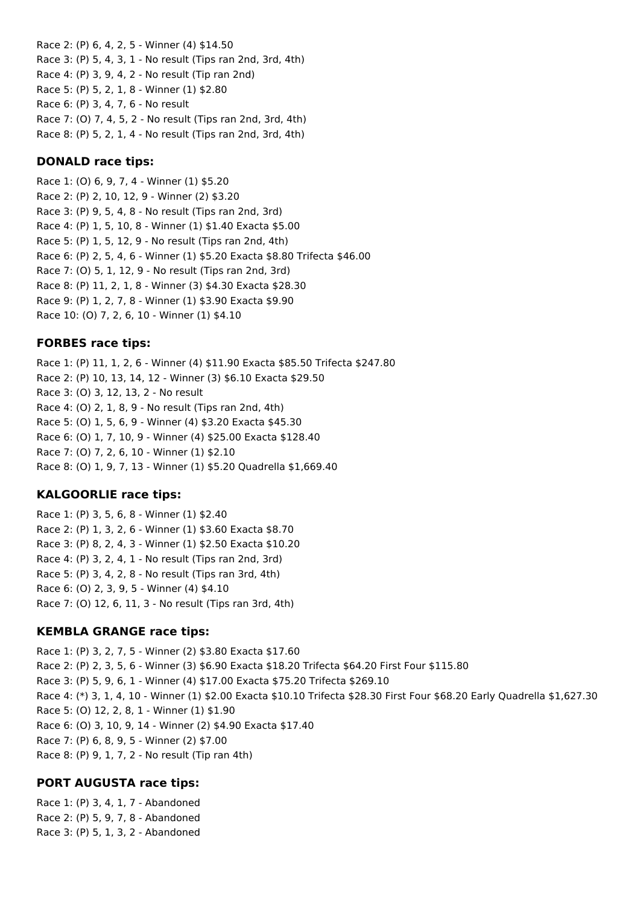Race 2: (P) 6, 4, 2, 5 - Winner (4) \$14.50 Race 3: (P) 5, 4, 3, 1 - No result (Tips ran 2nd, 3rd, 4th) Race 4: (P) 3, 9, 4, 2 - No result (Tip ran 2nd) Race 5: (P) 5, 2, 1, 8 - Winner (1) \$2.80 Race 6: (P) 3, 4, 7, 6 - No result Race 7: (O) 7, 4, 5, 2 - No result (Tips ran 2nd, 3rd, 4th) Race 8: (P) 5, 2, 1, 4 - No result (Tips ran 2nd, 3rd, 4th)

#### **DONALD race tips:**

Race 1: (O) 6, 9, 7, 4 - Winner (1) \$5.20 Race 2: (P) 2, 10, 12, 9 - Winner (2) \$3.20 Race 3: (P) 9, 5, 4, 8 - No result (Tips ran 2nd, 3rd) Race 4: (P) 1, 5, 10, 8 - Winner (1) \$1.40 Exacta \$5.00 Race 5: (P) 1, 5, 12, 9 - No result (Tips ran 2nd, 4th) Race 6: (P) 2, 5, 4, 6 - Winner (1) \$5.20 Exacta \$8.80 Trifecta \$46.00 Race 7: (O) 5, 1, 12, 9 - No result (Tips ran 2nd, 3rd) Race 8: (P) 11, 2, 1, 8 - Winner (3) \$4.30 Exacta \$28.30 Race 9: (P) 1, 2, 7, 8 - Winner (1) \$3.90 Exacta \$9.90 Race 10: (O) 7, 2, 6, 10 - Winner (1) \$4.10

## **FORBES race tips:**

Race 1: (P) 11, 1, 2, 6 - Winner (4) \$11.90 Exacta \$85.50 Trifecta \$247.80 Race 2: (P) 10, 13, 14, 12 - Winner (3) \$6.10 Exacta \$29.50 Race 3: (O) 3, 12, 13, 2 - No result Race 4: (O) 2, 1, 8, 9 - No result (Tips ran 2nd, 4th) Race 5: (O) 1, 5, 6, 9 - Winner (4) \$3.20 Exacta \$45.30 Race 6: (O) 1, 7, 10, 9 - Winner (4) \$25.00 Exacta \$128.40 Race 7: (O) 7, 2, 6, 10 - Winner (1) \$2.10 Race 8: (O) 1, 9, 7, 13 - Winner (1) \$5.20 Quadrella \$1,669.40

## **KALGOORLIE race tips:**

Race 1: (P) 3, 5, 6, 8 - Winner (1) \$2.40 Race 2: (P) 1, 3, 2, 6 - Winner (1) \$3.60 Exacta \$8.70 Race 3: (P) 8, 2, 4, 3 - Winner (1) \$2.50 Exacta \$10.20 Race 4: (P) 3, 2, 4, 1 - No result (Tips ran 2nd, 3rd) Race 5: (P) 3, 4, 2, 8 - No result (Tips ran 3rd, 4th) Race 6: (O) 2, 3, 9, 5 - Winner (4) \$4.10 Race 7: (O) 12, 6, 11, 3 - No result (Tips ran 3rd, 4th)

## **KEMBLA GRANGE race tips:**

Race 1: (P) 3, 2, 7, 5 - Winner (2) \$3.80 Exacta \$17.60 Race 2: (P) 2, 3, 5, 6 - Winner (3) \$6.90 Exacta \$18.20 Trifecta \$64.20 First Four \$115.80 Race 3: (P) 5, 9, 6, 1 - Winner (4) \$17.00 Exacta \$75.20 Trifecta \$269.10 Race 4: (\*) 3, 1, 4, 10 - Winner (1) \$2.00 Exacta \$10.10 Trifecta \$28.30 First Four \$68.20 Early Quadrella \$1,627.30 Race 5: (O) 12, 2, 8, 1 - Winner (1) \$1.90 Race 6: (O) 3, 10, 9, 14 - Winner (2) \$4.90 Exacta \$17.40 Race 7: (P) 6, 8, 9, 5 - Winner (2) \$7.00 Race 8: (P) 9, 1, 7, 2 - No result (Tip ran 4th)

## **PORT AUGUSTA race tips:**

Race 1: (P) 3, 4, 1, 7 - Abandoned Race 2: (P) 5, 9, 7, 8 - Abandoned Race 3: (P) 5, 1, 3, 2 - Abandoned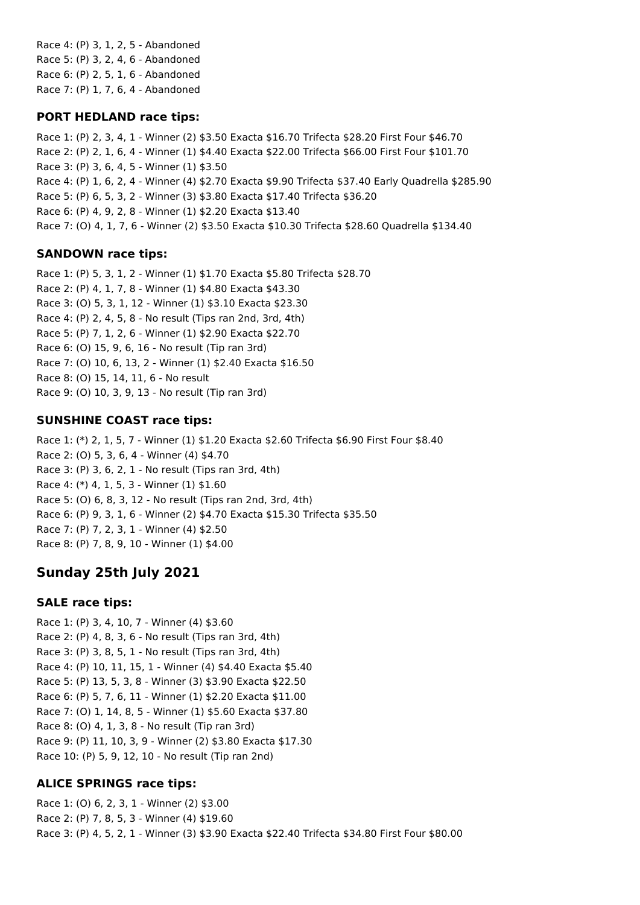Race 4: (P) 3, 1, 2, 5 - Abandoned Race 5: (P) 3, 2, 4, 6 - Abandoned Race 6: (P) 2, 5, 1, 6 - Abandoned Race 7: (P) 1, 7, 6, 4 - Abandoned

### **PORT HEDLAND race tips:**

Race 1: (P) 2, 3, 4, 1 - Winner (2) \$3.50 Exacta \$16.70 Trifecta \$28.20 First Four \$46.70 Race 2: (P) 2, 1, 6, 4 - Winner (1) \$4.40 Exacta \$22.00 Trifecta \$66.00 First Four \$101.70 Race 3: (P) 3, 6, 4, 5 - Winner (1) \$3.50 Race 4: (P) 1, 6, 2, 4 - Winner (4) \$2.70 Exacta \$9.90 Trifecta \$37.40 Early Quadrella \$285.90 Race 5: (P) 6, 5, 3, 2 - Winner (3) \$3.80 Exacta \$17.40 Trifecta \$36.20 Race 6: (P) 4, 9, 2, 8 - Winner (1) \$2.20 Exacta \$13.40 Race 7: (O) 4, 1, 7, 6 - Winner (2) \$3.50 Exacta \$10.30 Trifecta \$28.60 Quadrella \$134.40

## **SANDOWN race tips:**

Race 1: (P) 5, 3, 1, 2 - Winner (1) \$1.70 Exacta \$5.80 Trifecta \$28.70 Race 2: (P) 4, 1, 7, 8 - Winner (1) \$4.80 Exacta \$43.30 Race 3: (O) 5, 3, 1, 12 - Winner (1) \$3.10 Exacta \$23.30 Race 4: (P) 2, 4, 5, 8 - No result (Tips ran 2nd, 3rd, 4th) Race 5: (P) 7, 1, 2, 6 - Winner (1) \$2.90 Exacta \$22.70 Race 6: (O) 15, 9, 6, 16 - No result (Tip ran 3rd) Race 7: (O) 10, 6, 13, 2 - Winner (1) \$2.40 Exacta \$16.50 Race 8: (O) 15, 14, 11, 6 - No result Race 9: (O) 10, 3, 9, 13 - No result (Tip ran 3rd)

## **SUNSHINE COAST race tips:**

Race 1: (\*) 2, 1, 5, 7 - Winner (1) \$1.20 Exacta \$2.60 Trifecta \$6.90 First Four \$8.40 Race 2: (O) 5, 3, 6, 4 - Winner (4) \$4.70 Race 3: (P) 3, 6, 2, 1 - No result (Tips ran 3rd, 4th) Race 4: (\*) 4, 1, 5, 3 - Winner (1) \$1.60 Race 5: (O) 6, 8, 3, 12 - No result (Tips ran 2nd, 3rd, 4th) Race 6: (P) 9, 3, 1, 6 - Winner (2) \$4.70 Exacta \$15.30 Trifecta \$35.50 Race 7: (P) 7, 2, 3, 1 - Winner (4) \$2.50 Race 8: (P) 7, 8, 9, 10 - Winner (1) \$4.00

# **Sunday 25th July 2021**

## **SALE race tips:**

Race 1: (P) 3, 4, 10, 7 - Winner (4) \$3.60 Race 2: (P) 4, 8, 3, 6 - No result (Tips ran 3rd, 4th) Race 3: (P) 3, 8, 5, 1 - No result (Tips ran 3rd, 4th) Race 4: (P) 10, 11, 15, 1 - Winner (4) \$4.40 Exacta \$5.40 Race 5: (P) 13, 5, 3, 8 - Winner (3) \$3.90 Exacta \$22.50 Race 6: (P) 5, 7, 6, 11 - Winner (1) \$2.20 Exacta \$11.00 Race 7: (O) 1, 14, 8, 5 - Winner (1) \$5.60 Exacta \$37.80 Race 8: (O) 4, 1, 3, 8 - No result (Tip ran 3rd) Race 9: (P) 11, 10, 3, 9 - Winner (2) \$3.80 Exacta \$17.30 Race 10: (P) 5, 9, 12, 10 - No result (Tip ran 2nd)

# **ALICE SPRINGS race tips:**

Race 1: (O) 6, 2, 3, 1 - Winner (2) \$3.00 Race 2: (P) 7, 8, 5, 3 - Winner (4) \$19.60 Race 3: (P) 4, 5, 2, 1 - Winner (3) \$3.90 Exacta \$22.40 Trifecta \$34.80 First Four \$80.00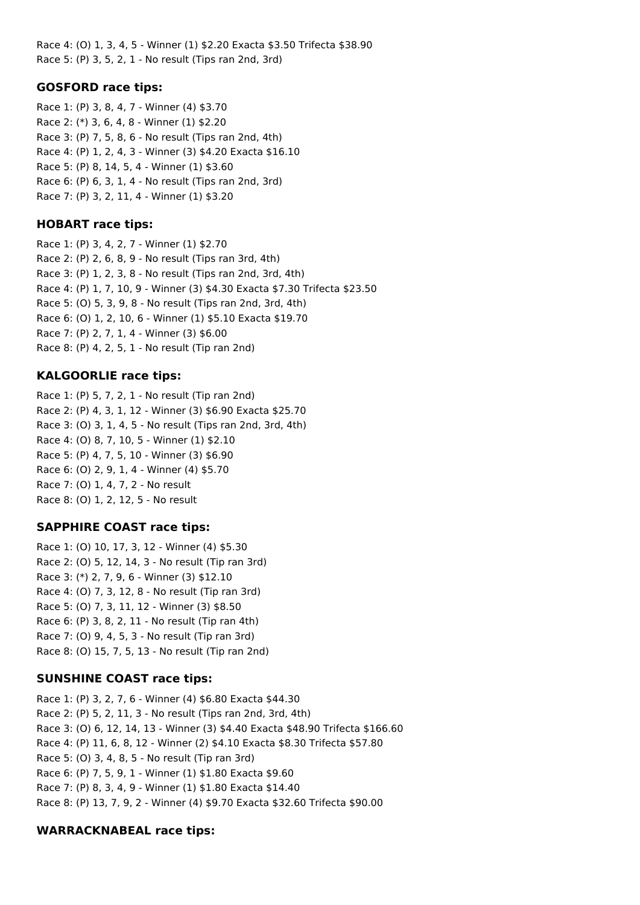Race 4: (O) 1, 3, 4, 5 - Winner (1) \$2.20 Exacta \$3.50 Trifecta \$38.90 Race 5: (P) 3, 5, 2, 1 - No result (Tips ran 2nd, 3rd)

#### **GOSFORD race tips:**

Race 1: (P) 3, 8, 4, 7 - Winner (4) \$3.70 Race 2: (\*) 3, 6, 4, 8 - Winner (1) \$2.20 Race 3: (P) 7, 5, 8, 6 - No result (Tips ran 2nd, 4th) Race 4: (P) 1, 2, 4, 3 - Winner (3) \$4.20 Exacta \$16.10 Race 5: (P) 8, 14, 5, 4 - Winner (1) \$3.60 Race 6: (P) 6, 3, 1, 4 - No result (Tips ran 2nd, 3rd) Race 7: (P) 3, 2, 11, 4 - Winner (1) \$3.20

### **HOBART race tips:**

Race 1: (P) 3, 4, 2, 7 - Winner (1) \$2.70 Race 2: (P) 2, 6, 8, 9 - No result (Tips ran 3rd, 4th) Race 3: (P) 1, 2, 3, 8 - No result (Tips ran 2nd, 3rd, 4th) Race 4: (P) 1, 7, 10, 9 - Winner (3) \$4.30 Exacta \$7.30 Trifecta \$23.50 Race 5: (O) 5, 3, 9, 8 - No result (Tips ran 2nd, 3rd, 4th) Race 6: (O) 1, 2, 10, 6 - Winner (1) \$5.10 Exacta \$19.70 Race 7: (P) 2, 7, 1, 4 - Winner (3) \$6.00 Race 8: (P) 4, 2, 5, 1 - No result (Tip ran 2nd)

### **KALGOORLIE race tips:**

Race 1: (P) 5, 7, 2, 1 - No result (Tip ran 2nd) Race 2: (P) 4, 3, 1, 12 - Winner (3) \$6.90 Exacta \$25.70 Race 3: (O) 3, 1, 4, 5 - No result (Tips ran 2nd, 3rd, 4th) Race 4: (O) 8, 7, 10, 5 - Winner (1) \$2.10 Race 5: (P) 4, 7, 5, 10 - Winner (3) \$6.90 Race 6: (O) 2, 9, 1, 4 - Winner (4) \$5.70 Race 7: (O) 1, 4, 7, 2 - No result Race 8: (O) 1, 2, 12, 5 - No result

## **SAPPHIRE COAST race tips:**

Race 1: (O) 10, 17, 3, 12 - Winner (4) \$5.30 Race 2: (O) 5, 12, 14, 3 - No result (Tip ran 3rd) Race 3: (\*) 2, 7, 9, 6 - Winner (3) \$12.10 Race 4: (O) 7, 3, 12, 8 - No result (Tip ran 3rd) Race 5: (O) 7, 3, 11, 12 - Winner (3) \$8.50 Race 6: (P) 3, 8, 2, 11 - No result (Tip ran 4th) Race 7: (O) 9, 4, 5, 3 - No result (Tip ran 3rd) Race 8: (O) 15, 7, 5, 13 - No result (Tip ran 2nd)

#### **SUNSHINE COAST race tips:**

Race 1: (P) 3, 2, 7, 6 - Winner (4) \$6.80 Exacta \$44.30 Race 2: (P) 5, 2, 11, 3 - No result (Tips ran 2nd, 3rd, 4th) Race 3: (O) 6, 12, 14, 13 - Winner (3) \$4.40 Exacta \$48.90 Trifecta \$166.60 Race 4: (P) 11, 6, 8, 12 - Winner (2) \$4.10 Exacta \$8.30 Trifecta \$57.80 Race 5: (O) 3, 4, 8, 5 - No result (Tip ran 3rd) Race 6: (P) 7, 5, 9, 1 - Winner (1) \$1.80 Exacta \$9.60 Race 7: (P) 8, 3, 4, 9 - Winner (1) \$1.80 Exacta \$14.40 Race 8: (P) 13, 7, 9, 2 - Winner (4) \$9.70 Exacta \$32.60 Trifecta \$90.00

#### **WARRACKNABEAL race tips:**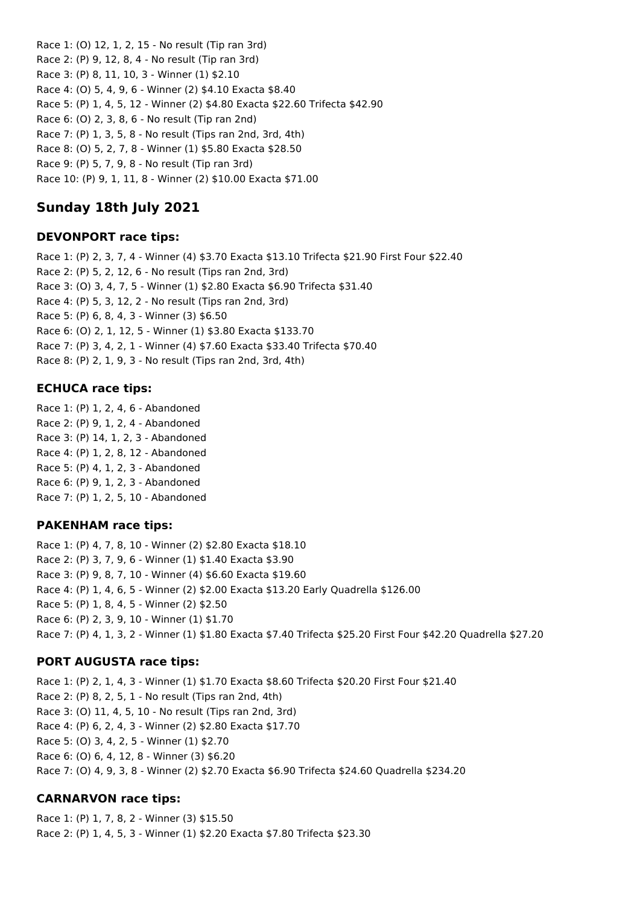Race 1: (O) 12, 1, 2, 15 - No result (Tip ran 3rd) Race 2: (P) 9, 12, 8, 4 - No result (Tip ran 3rd) Race 3: (P) 8, 11, 10, 3 - Winner (1) \$2.10 Race 4: (O) 5, 4, 9, 6 - Winner (2) \$4.10 Exacta \$8.40 Race 5: (P) 1, 4, 5, 12 - Winner (2) \$4.80 Exacta \$22.60 Trifecta \$42.90 Race 6: (O) 2, 3, 8, 6 - No result (Tip ran 2nd) Race 7: (P) 1, 3, 5, 8 - No result (Tips ran 2nd, 3rd, 4th) Race 8: (O) 5, 2, 7, 8 - Winner (1) \$5.80 Exacta \$28.50 Race 9: (P) 5, 7, 9, 8 - No result (Tip ran 3rd) Race 10: (P) 9, 1, 11, 8 - Winner (2) \$10.00 Exacta \$71.00

# **Sunday 18th July 2021**

### **DEVONPORT race tips:**

Race 1: (P) 2, 3, 7, 4 - Winner (4) \$3.70 Exacta \$13.10 Trifecta \$21.90 First Four \$22.40 Race 2: (P) 5, 2, 12, 6 - No result (Tips ran 2nd, 3rd) Race 3: (O) 3, 4, 7, 5 - Winner (1) \$2.80 Exacta \$6.90 Trifecta \$31.40 Race 4: (P) 5, 3, 12, 2 - No result (Tips ran 2nd, 3rd) Race 5: (P) 6, 8, 4, 3 - Winner (3) \$6.50 Race 6: (O) 2, 1, 12, 5 - Winner (1) \$3.80 Exacta \$133.70 Race 7: (P) 3, 4, 2, 1 - Winner (4) \$7.60 Exacta \$33.40 Trifecta \$70.40 Race 8: (P) 2, 1, 9, 3 - No result (Tips ran 2nd, 3rd, 4th)

### **ECHUCA race tips:**

Race 1: (P) 1, 2, 4, 6 - Abandoned Race 2: (P) 9, 1, 2, 4 - Abandoned Race 3: (P) 14, 1, 2, 3 - Abandoned Race 4: (P) 1, 2, 8, 12 - Abandoned Race 5: (P) 4, 1, 2, 3 - Abandoned Race 6: (P) 9, 1, 2, 3 - Abandoned Race 7: (P) 1, 2, 5, 10 - Abandoned

#### **PAKENHAM race tips:**

Race 1: (P) 4, 7, 8, 10 - Winner (2) \$2.80 Exacta \$18.10 Race 2: (P) 3, 7, 9, 6 - Winner (1) \$1.40 Exacta \$3.90 Race 3: (P) 9, 8, 7, 10 - Winner (4) \$6.60 Exacta \$19.60 Race 4: (P) 1, 4, 6, 5 - Winner (2) \$2.00 Exacta \$13.20 Early Quadrella \$126.00 Race 5: (P) 1, 8, 4, 5 - Winner (2) \$2.50 Race 6: (P) 2, 3, 9, 10 - Winner (1) \$1.70 Race 7: (P) 4, 1, 3, 2 - Winner (1) \$1.80 Exacta \$7.40 Trifecta \$25.20 First Four \$42.20 Quadrella \$27.20

## **PORT AUGUSTA race tips:**

Race 1: (P) 2, 1, 4, 3 - Winner (1) \$1.70 Exacta \$8.60 Trifecta \$20.20 First Four \$21.40 Race 2: (P) 8, 2, 5, 1 - No result (Tips ran 2nd, 4th) Race 3: (O) 11, 4, 5, 10 - No result (Tips ran 2nd, 3rd) Race 4: (P) 6, 2, 4, 3 - Winner (2) \$2.80 Exacta \$17.70 Race 5: (O) 3, 4, 2, 5 - Winner (1) \$2.70 Race 6: (O) 6, 4, 12, 8 - Winner (3) \$6.20 Race 7: (O) 4, 9, 3, 8 - Winner (2) \$2.70 Exacta \$6.90 Trifecta \$24.60 Quadrella \$234.20

## **CARNARVON race tips:**

Race 1: (P) 1, 7, 8, 2 - Winner (3) \$15.50 Race 2: (P) 1, 4, 5, 3 - Winner (1) \$2.20 Exacta \$7.80 Trifecta \$23.30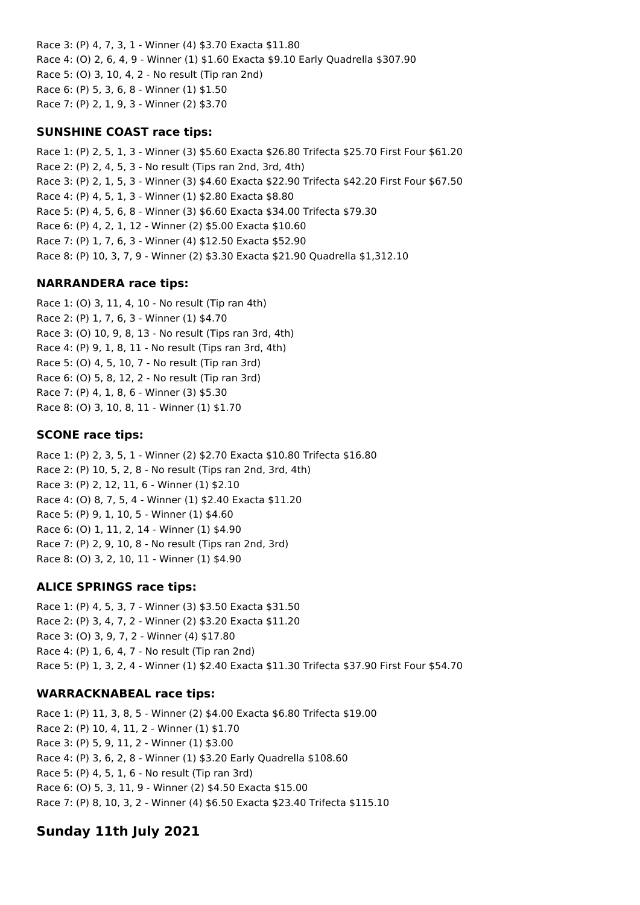Race 3: (P) 4, 7, 3, 1 - Winner (4) \$3.70 Exacta \$11.80 Race 4: (O) 2, 6, 4, 9 - Winner (1) \$1.60 Exacta \$9.10 Early Quadrella \$307.90 Race 5: (O) 3, 10, 4, 2 - No result (Tip ran 2nd) Race 6: (P) 5, 3, 6, 8 - Winner (1) \$1.50 Race 7: (P) 2, 1, 9, 3 - Winner (2) \$3.70

### **SUNSHINE COAST race tips:**

Race 1: (P) 2, 5, 1, 3 - Winner (3) \$5.60 Exacta \$26.80 Trifecta \$25.70 First Four \$61.20 Race 2: (P) 2, 4, 5, 3 - No result (Tips ran 2nd, 3rd, 4th) Race 3: (P) 2, 1, 5, 3 - Winner (3) \$4.60 Exacta \$22.90 Trifecta \$42.20 First Four \$67.50 Race 4: (P) 4, 5, 1, 3 - Winner (1) \$2.80 Exacta \$8.80 Race 5: (P) 4, 5, 6, 8 - Winner (3) \$6.60 Exacta \$34.00 Trifecta \$79.30 Race 6: (P) 4, 2, 1, 12 - Winner (2) \$5.00 Exacta \$10.60 Race 7: (P) 1, 7, 6, 3 - Winner (4) \$12.50 Exacta \$52.90 Race 8: (P) 10, 3, 7, 9 - Winner (2) \$3.30 Exacta \$21.90 Quadrella \$1,312.10

## **NARRANDERA race tips:**

Race 1: (O) 3, 11, 4, 10 - No result (Tip ran 4th) Race 2: (P) 1, 7, 6, 3 - Winner (1) \$4.70 Race 3: (O) 10, 9, 8, 13 - No result (Tips ran 3rd, 4th) Race 4: (P) 9, 1, 8, 11 - No result (Tips ran 3rd, 4th) Race 5: (O) 4, 5, 10, 7 - No result (Tip ran 3rd) Race 6: (O) 5, 8, 12, 2 - No result (Tip ran 3rd) Race 7: (P) 4, 1, 8, 6 - Winner (3) \$5.30 Race 8: (O) 3, 10, 8, 11 - Winner (1) \$1.70

## **SCONE race tips:**

Race 1: (P) 2, 3, 5, 1 - Winner (2) \$2.70 Exacta \$10.80 Trifecta \$16.80 Race 2: (P) 10, 5, 2, 8 - No result (Tips ran 2nd, 3rd, 4th) Race 3: (P) 2, 12, 11, 6 - Winner (1) \$2.10 Race 4: (O) 8, 7, 5, 4 - Winner (1) \$2.40 Exacta \$11.20 Race 5: (P) 9, 1, 10, 5 - Winner (1) \$4.60 Race 6: (O) 1, 11, 2, 14 - Winner (1) \$4.90 Race 7: (P) 2, 9, 10, 8 - No result (Tips ran 2nd, 3rd) Race 8: (O) 3, 2, 10, 11 - Winner (1) \$4.90

## **ALICE SPRINGS race tips:**

Race 1: (P) 4, 5, 3, 7 - Winner (3) \$3.50 Exacta \$31.50 Race 2: (P) 3, 4, 7, 2 - Winner (2) \$3.20 Exacta \$11.20 Race 3: (O) 3, 9, 7, 2 - Winner (4) \$17.80 Race 4: (P) 1, 6, 4, 7 - No result (Tip ran 2nd) Race 5: (P) 1, 3, 2, 4 - Winner (1) \$2.40 Exacta \$11.30 Trifecta \$37.90 First Four \$54.70

## **WARRACKNABEAL race tips:**

Race 1: (P) 11, 3, 8, 5 - Winner (2) \$4.00 Exacta \$6.80 Trifecta \$19.00 Race 2: (P) 10, 4, 11, 2 - Winner (1) \$1.70 Race 3: (P) 5, 9, 11, 2 - Winner (1) \$3.00 Race 4: (P) 3, 6, 2, 8 - Winner (1) \$3.20 Early Quadrella \$108.60 Race 5: (P) 4, 5, 1, 6 - No result (Tip ran 3rd) Race 6: (O) 5, 3, 11, 9 - Winner (2) \$4.50 Exacta \$15.00 Race 7: (P) 8, 10, 3, 2 - Winner (4) \$6.50 Exacta \$23.40 Trifecta \$115.10

# **Sunday 11th July 2021**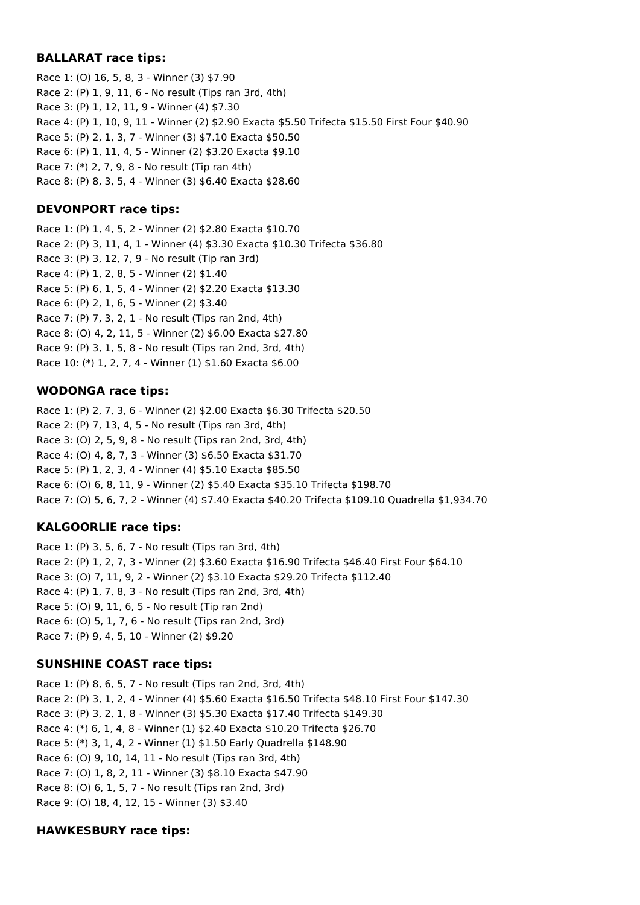## **BALLARAT race tips:**

Race 1: (O) 16, 5, 8, 3 - Winner (3) \$7.90 Race 2: (P) 1, 9, 11, 6 - No result (Tips ran 3rd, 4th) Race 3: (P) 1, 12, 11, 9 - Winner (4) \$7.30 Race 4: (P) 1, 10, 9, 11 - Winner (2) \$2.90 Exacta \$5.50 Trifecta \$15.50 First Four \$40.90 Race 5: (P) 2, 1, 3, 7 - Winner (3) \$7.10 Exacta \$50.50 Race 6: (P) 1, 11, 4, 5 - Winner (2) \$3.20 Exacta \$9.10 Race 7: (\*) 2, 7, 9, 8 - No result (Tip ran 4th) Race 8: (P) 8, 3, 5, 4 - Winner (3) \$6.40 Exacta \$28.60

## **DEVONPORT race tips:**

Race 1: (P) 1, 4, 5, 2 - Winner (2) \$2.80 Exacta \$10.70 Race 2: (P) 3, 11, 4, 1 - Winner (4) \$3.30 Exacta \$10.30 Trifecta \$36.80 Race 3: (P) 3, 12, 7, 9 - No result (Tip ran 3rd) Race 4: (P) 1, 2, 8, 5 - Winner (2) \$1.40 Race 5: (P) 6, 1, 5, 4 - Winner (2) \$2.20 Exacta \$13.30 Race 6: (P) 2, 1, 6, 5 - Winner (2) \$3.40 Race 7: (P) 7, 3, 2, 1 - No result (Tips ran 2nd, 4th) Race 8: (O) 4, 2, 11, 5 - Winner (2) \$6.00 Exacta \$27.80 Race 9: (P) 3, 1, 5, 8 - No result (Tips ran 2nd, 3rd, 4th) Race 10: (\*) 1, 2, 7, 4 - Winner (1) \$1.60 Exacta \$6.00

## **WODONGA race tips:**

Race 1: (P) 2, 7, 3, 6 - Winner (2) \$2.00 Exacta \$6.30 Trifecta \$20.50 Race 2: (P) 7, 13, 4, 5 - No result (Tips ran 3rd, 4th) Race 3: (O) 2, 5, 9, 8 - No result (Tips ran 2nd, 3rd, 4th) Race 4: (O) 4, 8, 7, 3 - Winner (3) \$6.50 Exacta \$31.70 Race 5: (P) 1, 2, 3, 4 - Winner (4) \$5.10 Exacta \$85.50 Race 6: (O) 6, 8, 11, 9 - Winner (2) \$5.40 Exacta \$35.10 Trifecta \$198.70 Race 7: (O) 5, 6, 7, 2 - Winner (4) \$7.40 Exacta \$40.20 Trifecta \$109.10 Quadrella \$1,934.70

## **KALGOORLIE race tips:**

Race 1: (P) 3, 5, 6, 7 - No result (Tips ran 3rd, 4th) Race 2: (P) 1, 2, 7, 3 - Winner (2) \$3.60 Exacta \$16.90 Trifecta \$46.40 First Four \$64.10 Race 3: (O) 7, 11, 9, 2 - Winner (2) \$3.10 Exacta \$29.20 Trifecta \$112.40 Race 4: (P) 1, 7, 8, 3 - No result (Tips ran 2nd, 3rd, 4th) Race 5: (O) 9, 11, 6, 5 - No result (Tip ran 2nd) Race 6: (O) 5, 1, 7, 6 - No result (Tips ran 2nd, 3rd) Race 7: (P) 9, 4, 5, 10 - Winner (2) \$9.20

## **SUNSHINE COAST race tips:**

Race 1: (P) 8, 6, 5, 7 - No result (Tips ran 2nd, 3rd, 4th) Race 2: (P) 3, 1, 2, 4 - Winner (4) \$5.60 Exacta \$16.50 Trifecta \$48.10 First Four \$147.30 Race 3: (P) 3, 2, 1, 8 - Winner (3) \$5.30 Exacta \$17.40 Trifecta \$149.30 Race 4: (\*) 6, 1, 4, 8 - Winner (1) \$2.40 Exacta \$10.20 Trifecta \$26.70 Race 5: (\*) 3, 1, 4, 2 - Winner (1) \$1.50 Early Quadrella \$148.90 Race 6: (O) 9, 10, 14, 11 - No result (Tips ran 3rd, 4th) Race 7: (O) 1, 8, 2, 11 - Winner (3) \$8.10 Exacta \$47.90 Race 8: (O) 6, 1, 5, 7 - No result (Tips ran 2nd, 3rd) Race 9: (O) 18, 4, 12, 15 - Winner (3) \$3.40

## **HAWKESBURY race tips:**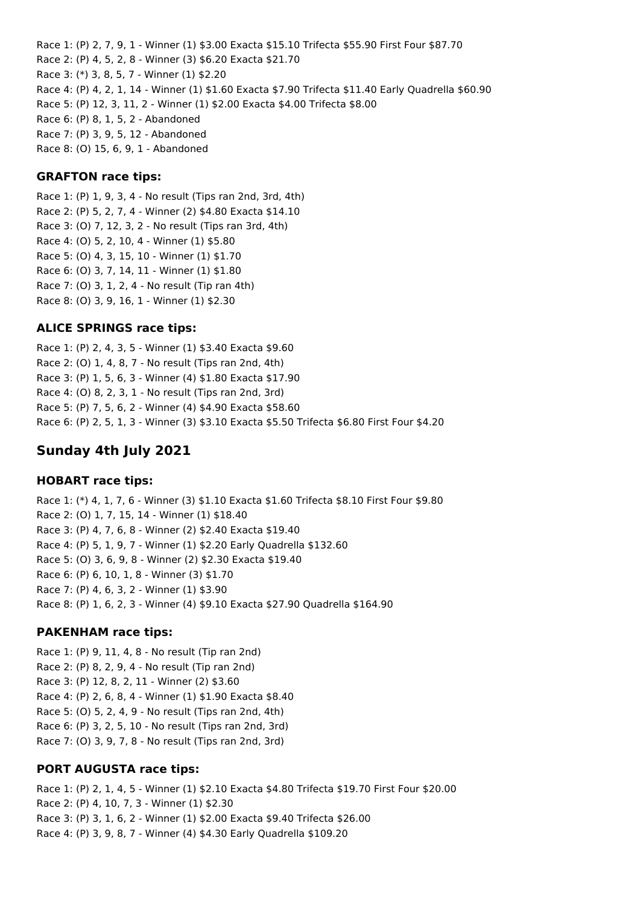Race 1: (P) 2, 7, 9, 1 - Winner (1) \$3.00 Exacta \$15.10 Trifecta \$55.90 First Four \$87.70 Race 2: (P) 4, 5, 2, 8 - Winner (3) \$6.20 Exacta \$21.70 Race 3: (\*) 3, 8, 5, 7 - Winner (1) \$2.20 Race 4: (P) 4, 2, 1, 14 - Winner (1) \$1.60 Exacta \$7.90 Trifecta \$11.40 Early Quadrella \$60.90 Race 5: (P) 12, 3, 11, 2 - Winner (1) \$2.00 Exacta \$4.00 Trifecta \$8.00 Race 6: (P) 8, 1, 5, 2 - Abandoned Race 7: (P) 3, 9, 5, 12 - Abandoned Race 8: (O) 15, 6, 9, 1 - Abandoned

### **GRAFTON race tips:**

Race 1: (P) 1, 9, 3, 4 - No result (Tips ran 2nd, 3rd, 4th) Race 2: (P) 5, 2, 7, 4 - Winner (2) \$4.80 Exacta \$14.10 Race 3: (O) 7, 12, 3, 2 - No result (Tips ran 3rd, 4th) Race 4: (O) 5, 2, 10, 4 - Winner (1) \$5.80 Race 5: (O) 4, 3, 15, 10 - Winner (1) \$1.70 Race 6: (O) 3, 7, 14, 11 - Winner (1) \$1.80 Race 7: (O) 3, 1, 2, 4 - No result (Tip ran 4th) Race 8: (O) 3, 9, 16, 1 - Winner (1) \$2.30

### **ALICE SPRINGS race tips:**

Race 1: (P) 2, 4, 3, 5 - Winner (1) \$3.40 Exacta \$9.60 Race 2: (O) 1, 4, 8, 7 - No result (Tips ran 2nd, 4th) Race 3: (P) 1, 5, 6, 3 - Winner (4) \$1.80 Exacta \$17.90 Race 4: (O) 8, 2, 3, 1 - No result (Tips ran 2nd, 3rd) Race 5: (P) 7, 5, 6, 2 - Winner (4) \$4.90 Exacta \$58.60 Race 6: (P) 2, 5, 1, 3 - Winner (3) \$3.10 Exacta \$5.50 Trifecta \$6.80 First Four \$4.20

## **Sunday 4th July 2021**

#### **HOBART race tips:**

Race 1: (\*) 4, 1, 7, 6 - Winner (3) \$1.10 Exacta \$1.60 Trifecta \$8.10 First Four \$9.80 Race 2: (O) 1, 7, 15, 14 - Winner (1) \$18.40 Race 3: (P) 4, 7, 6, 8 - Winner (2) \$2.40 Exacta \$19.40 Race 4: (P) 5, 1, 9, 7 - Winner (1) \$2.20 Early Quadrella \$132.60 Race 5: (O) 3, 6, 9, 8 - Winner (2) \$2.30 Exacta \$19.40 Race 6: (P) 6, 10, 1, 8 - Winner (3) \$1.70 Race 7: (P) 4, 6, 3, 2 - Winner (1) \$3.90 Race 8: (P) 1, 6, 2, 3 - Winner (4) \$9.10 Exacta \$27.90 Quadrella \$164.90

#### **PAKENHAM race tips:**

Race 1: (P) 9, 11, 4, 8 - No result (Tip ran 2nd) Race 2: (P) 8, 2, 9, 4 - No result (Tip ran 2nd) Race 3: (P) 12, 8, 2, 11 - Winner (2) \$3.60 Race 4: (P) 2, 6, 8, 4 - Winner (1) \$1.90 Exacta \$8.40 Race 5: (O) 5, 2, 4, 9 - No result (Tips ran 2nd, 4th) Race 6: (P) 3, 2, 5, 10 - No result (Tips ran 2nd, 3rd) Race 7: (O) 3, 9, 7, 8 - No result (Tips ran 2nd, 3rd)

### **PORT AUGUSTA race tips:**

Race 1: (P) 2, 1, 4, 5 - Winner (1) \$2.10 Exacta \$4.80 Trifecta \$19.70 First Four \$20.00 Race 2: (P) 4, 10, 7, 3 - Winner (1) \$2.30 Race 3: (P) 3, 1, 6, 2 - Winner (1) \$2.00 Exacta \$9.40 Trifecta \$26.00 Race 4: (P) 3, 9, 8, 7 - Winner (4) \$4.30 Early Quadrella \$109.20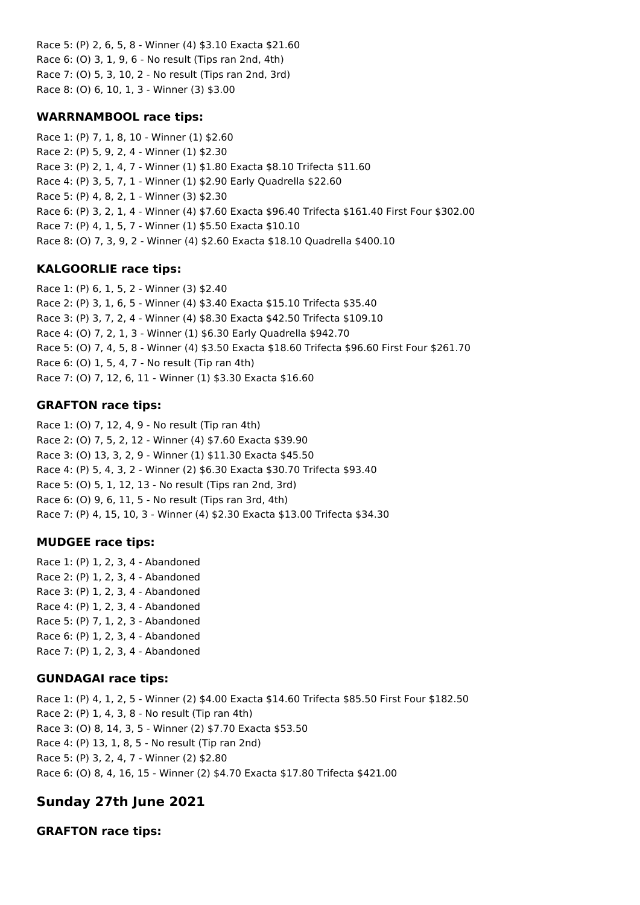Race 5: (P) 2, 6, 5, 8 - Winner (4) \$3.10 Exacta \$21.60 Race 6: (O) 3, 1, 9, 6 - No result (Tips ran 2nd, 4th) Race 7: (O) 5, 3, 10, 2 - No result (Tips ran 2nd, 3rd) Race 8: (O) 6, 10, 1, 3 - Winner (3) \$3.00

### **WARRNAMBOOL race tips:**

Race 1: (P) 7, 1, 8, 10 - Winner (1) \$2.60 Race 2: (P) 5, 9, 2, 4 - Winner (1) \$2.30 Race 3: (P) 2, 1, 4, 7 - Winner (1) \$1.80 Exacta \$8.10 Trifecta \$11.60 Race 4: (P) 3, 5, 7, 1 - Winner (1) \$2.90 Early Quadrella \$22.60 Race 5: (P) 4, 8, 2, 1 - Winner (3) \$2.30 Race 6: (P) 3, 2, 1, 4 - Winner (4) \$7.60 Exacta \$96.40 Trifecta \$161.40 First Four \$302.00 Race 7: (P) 4, 1, 5, 7 - Winner (1) \$5.50 Exacta \$10.10 Race 8: (O) 7, 3, 9, 2 - Winner (4) \$2.60 Exacta \$18.10 Quadrella \$400.10

## **KALGOORLIE race tips:**

Race 1: (P) 6, 1, 5, 2 - Winner (3) \$2.40 Race 2: (P) 3, 1, 6, 5 - Winner (4) \$3.40 Exacta \$15.10 Trifecta \$35.40 Race 3: (P) 3, 7, 2, 4 - Winner (4) \$8.30 Exacta \$42.50 Trifecta \$109.10 Race 4: (O) 7, 2, 1, 3 - Winner (1) \$6.30 Early Quadrella \$942.70 Race 5: (O) 7, 4, 5, 8 - Winner (4) \$3.50 Exacta \$18.60 Trifecta \$96.60 First Four \$261.70 Race 6: (O) 1, 5, 4, 7 - No result (Tip ran 4th) Race 7: (O) 7, 12, 6, 11 - Winner (1) \$3.30 Exacta \$16.60

## **GRAFTON race tips:**

Race 1: (O) 7, 12, 4, 9 - No result (Tip ran 4th) Race 2: (O) 7, 5, 2, 12 - Winner (4) \$7.60 Exacta \$39.90 Race 3: (O) 13, 3, 2, 9 - Winner (1) \$11.30 Exacta \$45.50 Race 4: (P) 5, 4, 3, 2 - Winner (2) \$6.30 Exacta \$30.70 Trifecta \$93.40 Race 5: (O) 5, 1, 12, 13 - No result (Tips ran 2nd, 3rd) Race 6: (O) 9, 6, 11, 5 - No result (Tips ran 3rd, 4th) Race 7: (P) 4, 15, 10, 3 - Winner (4) \$2.30 Exacta \$13.00 Trifecta \$34.30

## **MUDGEE race tips:**

Race 1: (P) 1, 2, 3, 4 - Abandoned Race 2: (P) 1, 2, 3, 4 - Abandoned Race 3: (P) 1, 2, 3, 4 - Abandoned Race 4: (P) 1, 2, 3, 4 - Abandoned Race 5: (P) 7, 1, 2, 3 - Abandoned Race 6: (P) 1, 2, 3, 4 - Abandoned Race 7: (P) 1, 2, 3, 4 - Abandoned

## **GUNDAGAI race tips:**

Race 1: (P) 4, 1, 2, 5 - Winner (2) \$4.00 Exacta \$14.60 Trifecta \$85.50 First Four \$182.50 Race 2: (P) 1, 4, 3, 8 - No result (Tip ran 4th) Race 3: (O) 8, 14, 3, 5 - Winner (2) \$7.70 Exacta \$53.50 Race 4: (P) 13, 1, 8, 5 - No result (Tip ran 2nd) Race 5: (P) 3, 2, 4, 7 - Winner (2) \$2.80 Race 6: (O) 8, 4, 16, 15 - Winner (2) \$4.70 Exacta \$17.80 Trifecta \$421.00

# **Sunday 27th June 2021**

**GRAFTON race tips:**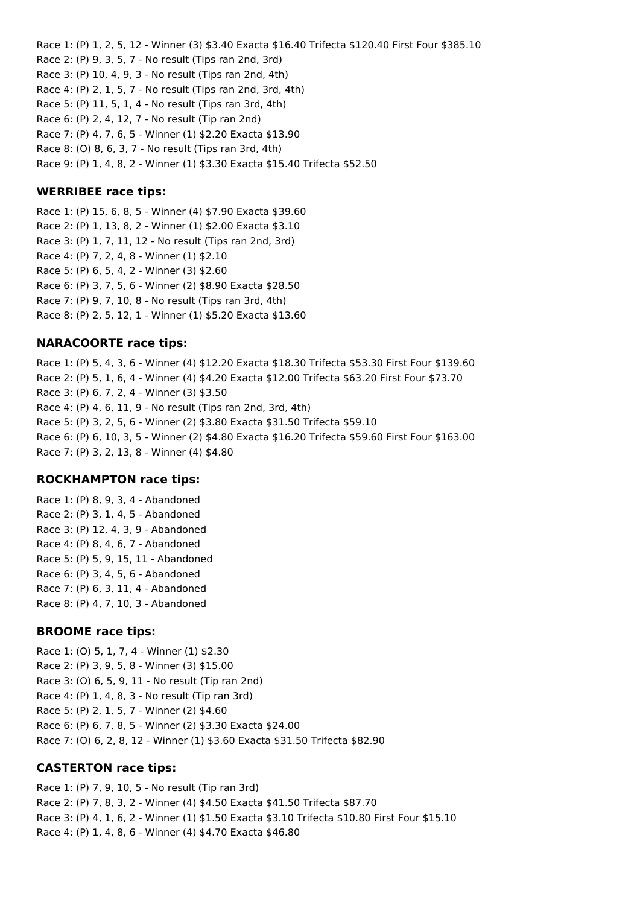Race 1: (P) 1, 2, 5, 12 - Winner (3) \$3.40 Exacta \$16.40 Trifecta \$120.40 First Four \$385.10 Race 2: (P) 9, 3, 5, 7 - No result (Tips ran 2nd, 3rd) Race 3: (P) 10, 4, 9, 3 - No result (Tips ran 2nd, 4th) Race 4: (P) 2, 1, 5, 7 - No result (Tips ran 2nd, 3rd, 4th) Race 5: (P) 11, 5, 1, 4 - No result (Tips ran 3rd, 4th) Race 6: (P) 2, 4, 12, 7 - No result (Tip ran 2nd) Race 7: (P) 4, 7, 6, 5 - Winner (1) \$2.20 Exacta \$13.90 Race 8: (O) 8, 6, 3, 7 - No result (Tips ran 3rd, 4th) Race 9: (P) 1, 4, 8, 2 - Winner (1) \$3.30 Exacta \$15.40 Trifecta \$52.50

### **WERRIBEE race tips:**

Race 1: (P) 15, 6, 8, 5 - Winner (4) \$7.90 Exacta \$39.60 Race 2: (P) 1, 13, 8, 2 - Winner (1) \$2.00 Exacta \$3.10 Race 3: (P) 1, 7, 11, 12 - No result (Tips ran 2nd, 3rd) Race 4: (P) 7, 2, 4, 8 - Winner (1) \$2.10 Race 5: (P) 6, 5, 4, 2 - Winner (3) \$2.60 Race 6: (P) 3, 7, 5, 6 - Winner (2) \$8.90 Exacta \$28.50 Race 7: (P) 9, 7, 10, 8 - No result (Tips ran 3rd, 4th) Race 8: (P) 2, 5, 12, 1 - Winner (1) \$5.20 Exacta \$13.60

### **NARACOORTE race tips:**

Race 1: (P) 5, 4, 3, 6 - Winner (4) \$12.20 Exacta \$18.30 Trifecta \$53.30 First Four \$139.60 Race 2: (P) 5, 1, 6, 4 - Winner (4) \$4.20 Exacta \$12.00 Trifecta \$63.20 First Four \$73.70 Race 3: (P) 6, 7, 2, 4 - Winner (3) \$3.50 Race 4: (P) 4, 6, 11, 9 - No result (Tips ran 2nd, 3rd, 4th) Race 5: (P) 3, 2, 5, 6 - Winner (2) \$3.80 Exacta \$31.50 Trifecta \$59.10 Race 6: (P) 6, 10, 3, 5 - Winner (2) \$4.80 Exacta \$16.20 Trifecta \$59.60 First Four \$163.00 Race 7: (P) 3, 2, 13, 8 - Winner (4) \$4.80

### **ROCKHAMPTON race tips:**

Race 1: (P) 8, 9, 3, 4 - Abandoned Race 2: (P) 3, 1, 4, 5 - Abandoned Race 3: (P) 12, 4, 3, 9 - Abandoned Race 4: (P) 8, 4, 6, 7 - Abandoned Race 5: (P) 5, 9, 15, 11 - Abandoned Race 6: (P) 3, 4, 5, 6 - Abandoned Race 7: (P) 6, 3, 11, 4 - Abandoned Race 8: (P) 4, 7, 10, 3 - Abandoned

### **BROOME race tips:**

Race 1: (O) 5, 1, 7, 4 - Winner (1) \$2.30 Race 2: (P) 3, 9, 5, 8 - Winner (3) \$15.00 Race 3: (O) 6, 5, 9, 11 - No result (Tip ran 2nd) Race 4: (P) 1, 4, 8, 3 - No result (Tip ran 3rd) Race 5: (P) 2, 1, 5, 7 - Winner (2) \$4.60 Race 6: (P) 6, 7, 8, 5 - Winner (2) \$3.30 Exacta \$24.00 Race 7: (O) 6, 2, 8, 12 - Winner (1) \$3.60 Exacta \$31.50 Trifecta \$82.90

### **CASTERTON race tips:**

Race 1: (P) 7, 9, 10, 5 - No result (Tip ran 3rd) Race 2: (P) 7, 8, 3, 2 - Winner (4) \$4.50 Exacta \$41.50 Trifecta \$87.70 Race 3: (P) 4, 1, 6, 2 - Winner (1) \$1.50 Exacta \$3.10 Trifecta \$10.80 First Four \$15.10 Race 4: (P) 1, 4, 8, 6 - Winner (4) \$4.70 Exacta \$46.80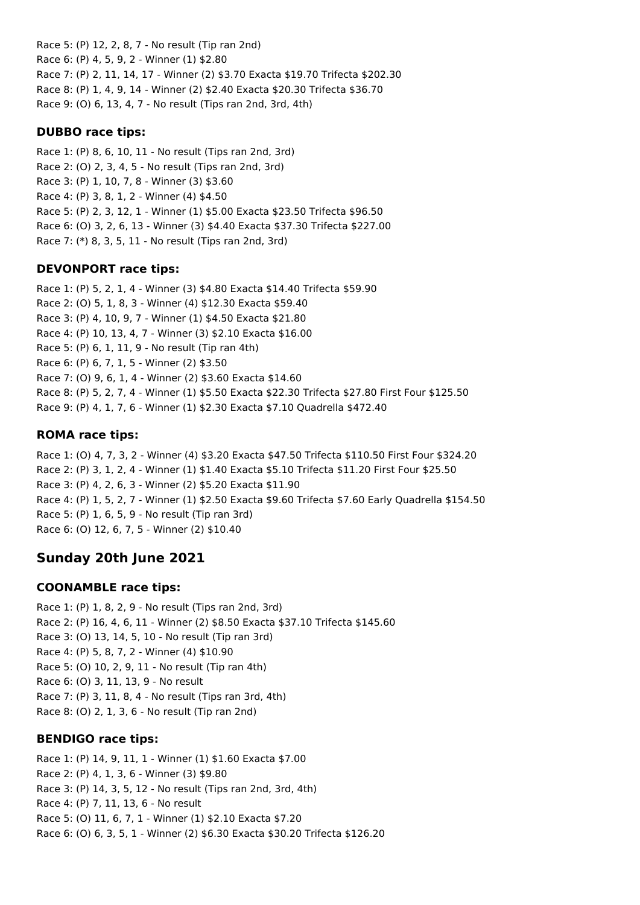Race 5: (P) 12, 2, 8, 7 - No result (Tip ran 2nd) Race 6: (P) 4, 5, 9, 2 - Winner (1) \$2.80 Race 7: (P) 2, 11, 14, 17 - Winner (2) \$3.70 Exacta \$19.70 Trifecta \$202.30 Race 8: (P) 1, 4, 9, 14 - Winner (2) \$2.40 Exacta \$20.30 Trifecta \$36.70 Race 9: (O) 6, 13, 4, 7 - No result (Tips ran 2nd, 3rd, 4th)

### **DUBBO race tips:**

Race 1: (P) 8, 6, 10, 11 - No result (Tips ran 2nd, 3rd) Race 2: (O) 2, 3, 4, 5 - No result (Tips ran 2nd, 3rd) Race 3: (P) 1, 10, 7, 8 - Winner (3) \$3.60 Race 4: (P) 3, 8, 1, 2 - Winner (4) \$4.50 Race 5: (P) 2, 3, 12, 1 - Winner (1) \$5.00 Exacta \$23.50 Trifecta \$96.50 Race 6: (O) 3, 2, 6, 13 - Winner (3) \$4.40 Exacta \$37.30 Trifecta \$227.00 Race 7: (\*) 8, 3, 5, 11 - No result (Tips ran 2nd, 3rd)

## **DEVONPORT race tips:**

Race 1: (P) 5, 2, 1, 4 - Winner (3) \$4.80 Exacta \$14.40 Trifecta \$59.90 Race 2: (O) 5, 1, 8, 3 - Winner (4) \$12.30 Exacta \$59.40 Race 3: (P) 4, 10, 9, 7 - Winner (1) \$4.50 Exacta \$21.80 Race 4: (P) 10, 13, 4, 7 - Winner (3) \$2.10 Exacta \$16.00 Race 5: (P) 6, 1, 11, 9 - No result (Tip ran 4th) Race 6: (P) 6, 7, 1, 5 - Winner (2) \$3.50 Race 7: (O) 9, 6, 1, 4 - Winner (2) \$3.60 Exacta \$14.60 Race 8: (P) 5, 2, 7, 4 - Winner (1) \$5.50 Exacta \$22.30 Trifecta \$27.80 First Four \$125.50 Race 9: (P) 4, 1, 7, 6 - Winner (1) \$2.30 Exacta \$7.10 Quadrella \$472.40

## **ROMA race tips:**

Race 1: (O) 4, 7, 3, 2 - Winner (4) \$3.20 Exacta \$47.50 Trifecta \$110.50 First Four \$324.20 Race 2: (P) 3, 1, 2, 4 - Winner (1) \$1.40 Exacta \$5.10 Trifecta \$11.20 First Four \$25.50 Race 3: (P) 4, 2, 6, 3 - Winner (2) \$5.20 Exacta \$11.90 Race 4: (P) 1, 5, 2, 7 - Winner (1) \$2.50 Exacta \$9.60 Trifecta \$7.60 Early Quadrella \$154.50 Race 5: (P) 1, 6, 5, 9 - No result (Tip ran 3rd) Race 6: (O) 12, 6, 7, 5 - Winner (2) \$10.40

# **Sunday 20th June 2021**

## **COONAMBLE race tips:**

Race 1: (P) 1, 8, 2, 9 - No result (Tips ran 2nd, 3rd) Race 2: (P) 16, 4, 6, 11 - Winner (2) \$8.50 Exacta \$37.10 Trifecta \$145.60 Race 3: (O) 13, 14, 5, 10 - No result (Tip ran 3rd) Race 4: (P) 5, 8, 7, 2 - Winner (4) \$10.90 Race 5: (O) 10, 2, 9, 11 - No result (Tip ran 4th) Race 6: (O) 3, 11, 13, 9 - No result Race 7: (P) 3, 11, 8, 4 - No result (Tips ran 3rd, 4th) Race 8: (O) 2, 1, 3, 6 - No result (Tip ran 2nd)

## **BENDIGO race tips:**

Race 1: (P) 14, 9, 11, 1 - Winner (1) \$1.60 Exacta \$7.00 Race 2: (P) 4, 1, 3, 6 - Winner (3) \$9.80 Race 3: (P) 14, 3, 5, 12 - No result (Tips ran 2nd, 3rd, 4th) Race 4: (P) 7, 11, 13, 6 - No result Race 5: (O) 11, 6, 7, 1 - Winner (1) \$2.10 Exacta \$7.20 Race 6: (O) 6, 3, 5, 1 - Winner (2) \$6.30 Exacta \$30.20 Trifecta \$126.20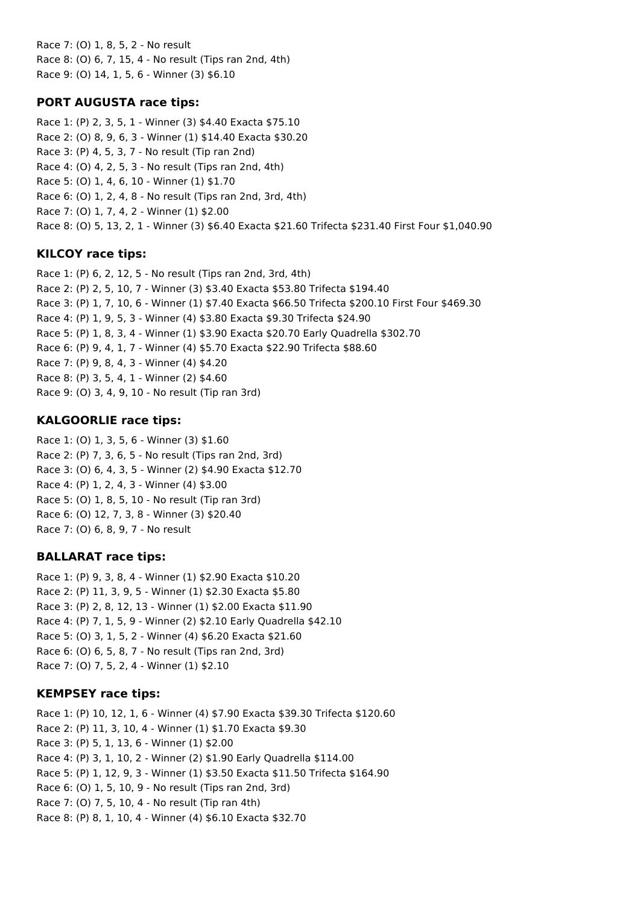Race 7: (O) 1, 8, 5, 2 - No result Race 8: (O) 6, 7, 15, 4 - No result (Tips ran 2nd, 4th) Race 9: (O) 14, 1, 5, 6 - Winner (3) \$6.10

## **PORT AUGUSTA race tips:**

Race 1: (P) 2, 3, 5, 1 - Winner (3) \$4.40 Exacta \$75.10 Race 2: (O) 8, 9, 6, 3 - Winner (1) \$14.40 Exacta \$30.20 Race 3: (P) 4, 5, 3, 7 - No result (Tip ran 2nd) Race 4: (O) 4, 2, 5, 3 - No result (Tips ran 2nd, 4th) Race 5: (O) 1, 4, 6, 10 - Winner (1) \$1.70 Race 6: (O) 1, 2, 4, 8 - No result (Tips ran 2nd, 3rd, 4th) Race 7: (O) 1, 7, 4, 2 - Winner (1) \$2.00 Race 8: (O) 5, 13, 2, 1 - Winner (3) \$6.40 Exacta \$21.60 Trifecta \$231.40 First Four \$1,040.90

## **KILCOY race tips:**

Race 1: (P) 6, 2, 12, 5 - No result (Tips ran 2nd, 3rd, 4th) Race 2: (P) 2, 5, 10, 7 - Winner (3) \$3.40 Exacta \$53.80 Trifecta \$194.40 Race 3: (P) 1, 7, 10, 6 - Winner (1) \$7.40 Exacta \$66.50 Trifecta \$200.10 First Four \$469.30 Race 4: (P) 1, 9, 5, 3 - Winner (4) \$3.80 Exacta \$9.30 Trifecta \$24.90 Race 5: (P) 1, 8, 3, 4 - Winner (1) \$3.90 Exacta \$20.70 Early Quadrella \$302.70 Race 6: (P) 9, 4, 1, 7 - Winner (4) \$5.70 Exacta \$22.90 Trifecta \$88.60 Race 7: (P) 9, 8, 4, 3 - Winner (4) \$4.20 Race 8: (P) 3, 5, 4, 1 - Winner (2) \$4.60 Race 9: (O) 3, 4, 9, 10 - No result (Tip ran 3rd)

## **KALGOORLIE race tips:**

Race 1: (O) 1, 3, 5, 6 - Winner (3) \$1.60 Race 2: (P) 7, 3, 6, 5 - No result (Tips ran 2nd, 3rd) Race 3: (O) 6, 4, 3, 5 - Winner (2) \$4.90 Exacta \$12.70 Race 4: (P) 1, 2, 4, 3 - Winner (4) \$3.00 Race 5: (O) 1, 8, 5, 10 - No result (Tip ran 3rd) Race 6: (O) 12, 7, 3, 8 - Winner (3) \$20.40 Race 7: (O) 6, 8, 9, 7 - No result

## **BALLARAT race tips:**

Race 1: (P) 9, 3, 8, 4 - Winner (1) \$2.90 Exacta \$10.20 Race 2: (P) 11, 3, 9, 5 - Winner (1) \$2.30 Exacta \$5.80 Race 3: (P) 2, 8, 12, 13 - Winner (1) \$2.00 Exacta \$11.90 Race 4: (P) 7, 1, 5, 9 - Winner (2) \$2.10 Early Quadrella \$42.10 Race 5: (O) 3, 1, 5, 2 - Winner (4) \$6.20 Exacta \$21.60 Race 6: (O) 6, 5, 8, 7 - No result (Tips ran 2nd, 3rd) Race 7: (O) 7, 5, 2, 4 - Winner (1) \$2.10

## **KEMPSEY race tips:**

Race 1: (P) 10, 12, 1, 6 - Winner (4) \$7.90 Exacta \$39.30 Trifecta \$120.60 Race 2: (P) 11, 3, 10, 4 - Winner (1) \$1.70 Exacta \$9.30 Race 3: (P) 5, 1, 13, 6 - Winner (1) \$2.00 Race 4: (P) 3, 1, 10, 2 - Winner (2) \$1.90 Early Quadrella \$114.00 Race 5: (P) 1, 12, 9, 3 - Winner (1) \$3.50 Exacta \$11.50 Trifecta \$164.90 Race 6: (O) 1, 5, 10, 9 - No result (Tips ran 2nd, 3rd) Race 7: (O) 7, 5, 10, 4 - No result (Tip ran 4th) Race 8: (P) 8, 1, 10, 4 - Winner (4) \$6.10 Exacta \$32.70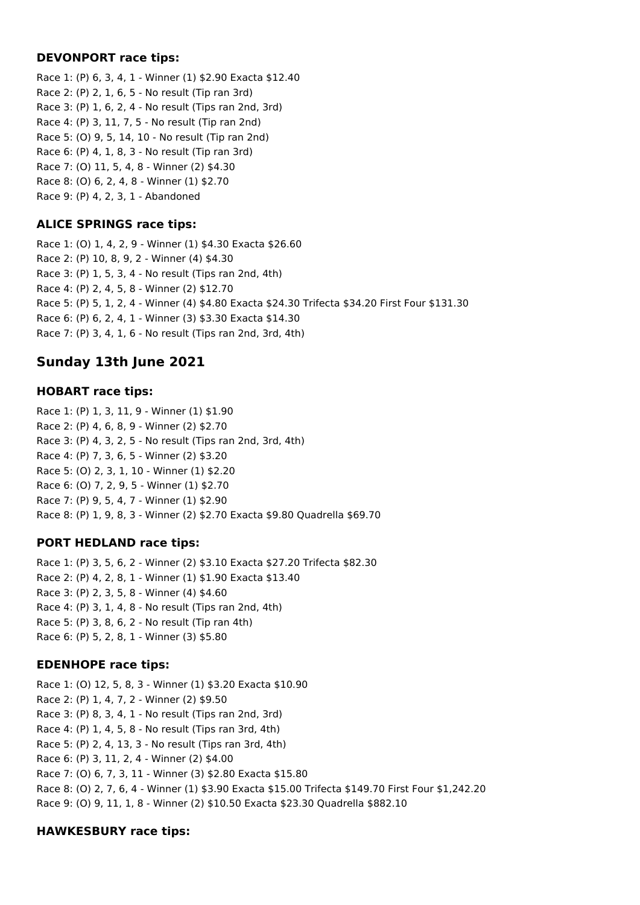### **DEVONPORT race tips:**

Race 1: (P) 6, 3, 4, 1 - Winner (1) \$2.90 Exacta \$12.40 Race 2: (P) 2, 1, 6, 5 - No result (Tip ran 3rd) Race 3: (P) 1, 6, 2, 4 - No result (Tips ran 2nd, 3rd) Race 4: (P) 3, 11, 7, 5 - No result (Tip ran 2nd) Race 5: (O) 9, 5, 14, 10 - No result (Tip ran 2nd) Race 6: (P) 4, 1, 8, 3 - No result (Tip ran 3rd) Race 7: (O) 11, 5, 4, 8 - Winner (2) \$4.30 Race 8: (O) 6, 2, 4, 8 - Winner (1) \$2.70 Race 9: (P) 4, 2, 3, 1 - Abandoned

## **ALICE SPRINGS race tips:**

Race 1: (O) 1, 4, 2, 9 - Winner (1) \$4.30 Exacta \$26.60 Race 2: (P) 10, 8, 9, 2 - Winner (4) \$4.30 Race 3: (P) 1, 5, 3, 4 - No result (Tips ran 2nd, 4th) Race 4: (P) 2, 4, 5, 8 - Winner (2) \$12.70 Race 5: (P) 5, 1, 2, 4 - Winner (4) \$4.80 Exacta \$24.30 Trifecta \$34.20 First Four \$131.30 Race 6: (P) 6, 2, 4, 1 - Winner (3) \$3.30 Exacta \$14.30 Race 7: (P) 3, 4, 1, 6 - No result (Tips ran 2nd, 3rd, 4th)

# **Sunday 13th June 2021**

## **HOBART race tips:**

Race 1: (P) 1, 3, 11, 9 - Winner (1) \$1.90 Race 2: (P) 4, 6, 8, 9 - Winner (2) \$2.70 Race 3: (P) 4, 3, 2, 5 - No result (Tips ran 2nd, 3rd, 4th) Race 4: (P) 7, 3, 6, 5 - Winner (2) \$3.20 Race 5: (O) 2, 3, 1, 10 - Winner (1) \$2.20 Race 6: (O) 7, 2, 9, 5 - Winner (1) \$2.70 Race 7: (P) 9, 5, 4, 7 - Winner (1) \$2.90 Race 8: (P) 1, 9, 8, 3 - Winner (2) \$2.70 Exacta \$9.80 Quadrella \$69.70

## **PORT HEDLAND race tips:**

Race 1: (P) 3, 5, 6, 2 - Winner (2) \$3.10 Exacta \$27.20 Trifecta \$82.30 Race 2: (P) 4, 2, 8, 1 - Winner (1) \$1.90 Exacta \$13.40 Race 3: (P) 2, 3, 5, 8 - Winner (4) \$4.60 Race 4: (P) 3, 1, 4, 8 - No result (Tips ran 2nd, 4th) Race 5: (P) 3, 8, 6, 2 - No result (Tip ran 4th) Race 6: (P) 5, 2, 8, 1 - Winner (3) \$5.80

## **EDENHOPE race tips:**

Race 1: (O) 12, 5, 8, 3 - Winner (1) \$3.20 Exacta \$10.90 Race 2: (P) 1, 4, 7, 2 - Winner (2) \$9.50 Race 3: (P) 8, 3, 4, 1 - No result (Tips ran 2nd, 3rd) Race 4: (P) 1, 4, 5, 8 - No result (Tips ran 3rd, 4th) Race 5: (P) 2, 4, 13, 3 - No result (Tips ran 3rd, 4th) Race 6: (P) 3, 11, 2, 4 - Winner (2) \$4.00 Race 7: (O) 6, 7, 3, 11 - Winner (3) \$2.80 Exacta \$15.80 Race 8: (O) 2, 7, 6, 4 - Winner (1) \$3.90 Exacta \$15.00 Trifecta \$149.70 First Four \$1,242.20 Race 9: (O) 9, 11, 1, 8 - Winner (2) \$10.50 Exacta \$23.30 Quadrella \$882.10

## **HAWKESBURY race tips:**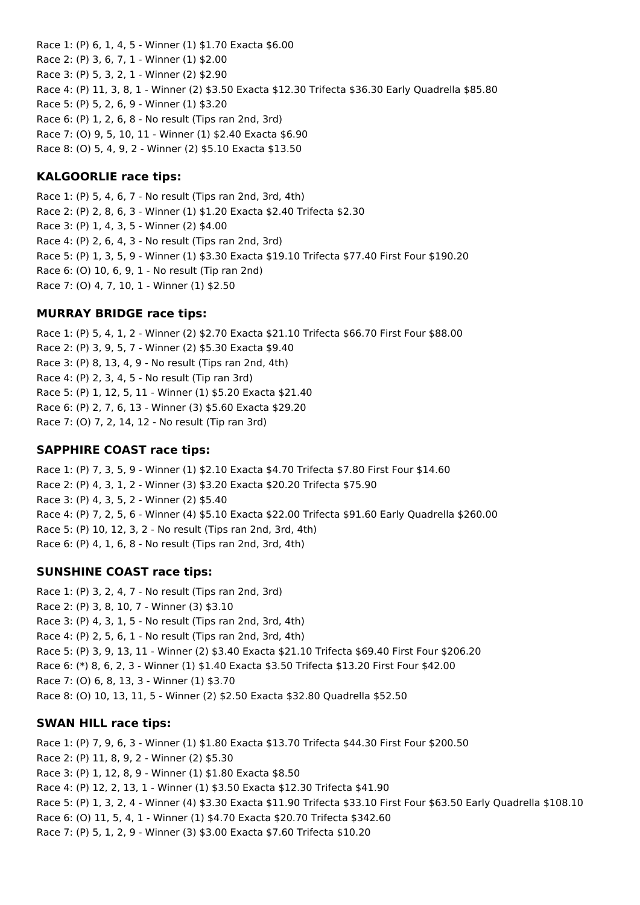Race 1: (P) 6, 1, 4, 5 - Winner (1) \$1.70 Exacta \$6.00 Race 2: (P) 3, 6, 7, 1 - Winner (1) \$2.00 Race 3: (P) 5, 3, 2, 1 - Winner (2) \$2.90 Race 4: (P) 11, 3, 8, 1 - Winner (2) \$3.50 Exacta \$12.30 Trifecta \$36.30 Early Quadrella \$85.80 Race 5: (P) 5, 2, 6, 9 - Winner (1) \$3.20 Race 6: (P) 1, 2, 6, 8 - No result (Tips ran 2nd, 3rd) Race 7: (O) 9, 5, 10, 11 - Winner (1) \$2.40 Exacta \$6.90 Race 8: (O) 5, 4, 9, 2 - Winner (2) \$5.10 Exacta \$13.50

## **KALGOORLIE race tips:**

Race 1: (P) 5, 4, 6, 7 - No result (Tips ran 2nd, 3rd, 4th) Race 2: (P) 2, 8, 6, 3 - Winner (1) \$1.20 Exacta \$2.40 Trifecta \$2.30 Race 3: (P) 1, 4, 3, 5 - Winner (2) \$4.00 Race 4: (P) 2, 6, 4, 3 - No result (Tips ran 2nd, 3rd) Race 5: (P) 1, 3, 5, 9 - Winner (1) \$3.30 Exacta \$19.10 Trifecta \$77.40 First Four \$190.20 Race 6: (O) 10, 6, 9, 1 - No result (Tip ran 2nd) Race 7: (O) 4, 7, 10, 1 - Winner (1) \$2.50

### **MURRAY BRIDGE race tips:**

Race 1: (P) 5, 4, 1, 2 - Winner (2) \$2.70 Exacta \$21.10 Trifecta \$66.70 First Four \$88.00 Race 2: (P) 3, 9, 5, 7 - Winner (2) \$5.30 Exacta \$9.40 Race 3: (P) 8, 13, 4, 9 - No result (Tips ran 2nd, 4th) Race 4: (P) 2, 3, 4, 5 - No result (Tip ran 3rd) Race 5: (P) 1, 12, 5, 11 - Winner (1) \$5.20 Exacta \$21.40 Race 6: (P) 2, 7, 6, 13 - Winner (3) \$5.60 Exacta \$29.20 Race 7: (O) 7, 2, 14, 12 - No result (Tip ran 3rd)

### **SAPPHIRE COAST race tips:**

Race 1: (P) 7, 3, 5, 9 - Winner (1) \$2.10 Exacta \$4.70 Trifecta \$7.80 First Four \$14.60 Race 2: (P) 4, 3, 1, 2 - Winner (3) \$3.20 Exacta \$20.20 Trifecta \$75.90 Race 3: (P) 4, 3, 5, 2 - Winner (2) \$5.40 Race 4: (P) 7, 2, 5, 6 - Winner (4) \$5.10 Exacta \$22.00 Trifecta \$91.60 Early Quadrella \$260.00 Race 5: (P) 10, 12, 3, 2 - No result (Tips ran 2nd, 3rd, 4th) Race 6: (P) 4, 1, 6, 8 - No result (Tips ran 2nd, 3rd, 4th)

## **SUNSHINE COAST race tips:**

Race 1: (P) 3, 2, 4, 7 - No result (Tips ran 2nd, 3rd) Race 2: (P) 3, 8, 10, 7 - Winner (3) \$3.10 Race 3: (P) 4, 3, 1, 5 - No result (Tips ran 2nd, 3rd, 4th) Race 4: (P) 2, 5, 6, 1 - No result (Tips ran 2nd, 3rd, 4th) Race 5: (P) 3, 9, 13, 11 - Winner (2) \$3.40 Exacta \$21.10 Trifecta \$69.40 First Four \$206.20 Race 6: (\*) 8, 6, 2, 3 - Winner (1) \$1.40 Exacta \$3.50 Trifecta \$13.20 First Four \$42.00 Race 7: (O) 6, 8, 13, 3 - Winner (1) \$3.70 Race 8: (O) 10, 13, 11, 5 - Winner (2) \$2.50 Exacta \$32.80 Quadrella \$52.50

## **SWAN HILL race tips:**

Race 1: (P) 7, 9, 6, 3 - Winner (1) \$1.80 Exacta \$13.70 Trifecta \$44.30 First Four \$200.50 Race 2: (P) 11, 8, 9, 2 - Winner (2) \$5.30 Race 3: (P) 1, 12, 8, 9 - Winner (1) \$1.80 Exacta \$8.50 Race 4: (P) 12, 2, 13, 1 - Winner (1) \$3.50 Exacta \$12.30 Trifecta \$41.90 Race 5: (P) 1, 3, 2, 4 - Winner (4) \$3.30 Exacta \$11.90 Trifecta \$33.10 First Four \$63.50 Early Quadrella \$108.10 Race 6: (O) 11, 5, 4, 1 - Winner (1) \$4.70 Exacta \$20.70 Trifecta \$342.60 Race 7: (P) 5, 1, 2, 9 - Winner (3) \$3.00 Exacta \$7.60 Trifecta \$10.20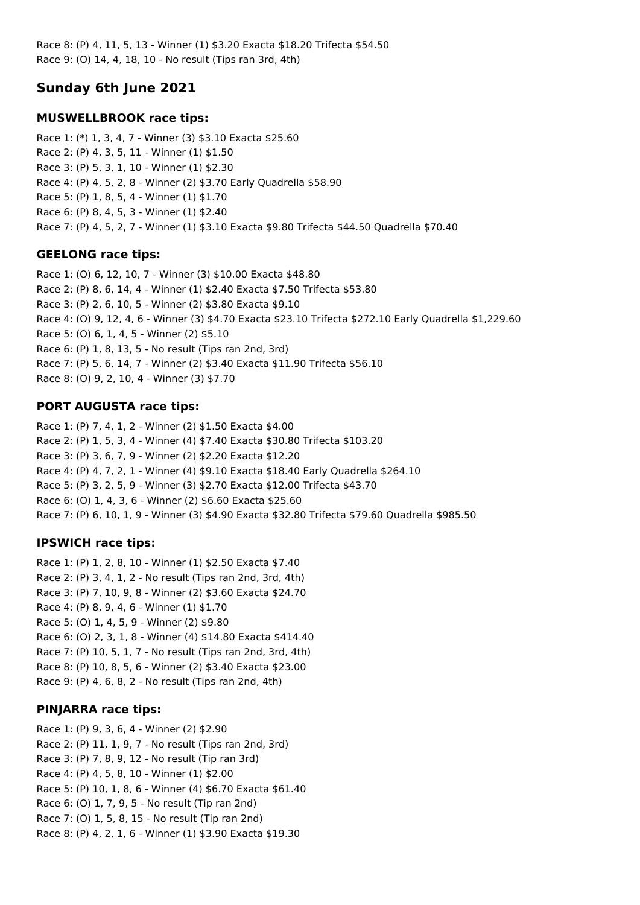Race 8: (P) 4, 11, 5, 13 - Winner (1) \$3.20 Exacta \$18.20 Trifecta \$54.50 Race 9: (O) 14, 4, 18, 10 - No result (Tips ran 3rd, 4th)

# **Sunday 6th June 2021**

## **MUSWELLBROOK race tips:**

Race 1: (\*) 1, 3, 4, 7 - Winner (3) \$3.10 Exacta \$25.60 Race 2: (P) 4, 3, 5, 11 - Winner (1) \$1.50 Race 3: (P) 5, 3, 1, 10 - Winner (1) \$2.30 Race 4: (P) 4, 5, 2, 8 - Winner (2) \$3.70 Early Quadrella \$58.90 Race 5: (P) 1, 8, 5, 4 - Winner (1) \$1.70 Race 6: (P) 8, 4, 5, 3 - Winner (1) \$2.40 Race 7: (P) 4, 5, 2, 7 - Winner (1) \$3.10 Exacta \$9.80 Trifecta \$44.50 Quadrella \$70.40

## **GEELONG race tips:**

Race 1: (O) 6, 12, 10, 7 - Winner (3) \$10.00 Exacta \$48.80 Race 2: (P) 8, 6, 14, 4 - Winner (1) \$2.40 Exacta \$7.50 Trifecta \$53.80 Race 3: (P) 2, 6, 10, 5 - Winner (2) \$3.80 Exacta \$9.10 Race 4: (O) 9, 12, 4, 6 - Winner (3) \$4.70 Exacta \$23.10 Trifecta \$272.10 Early Quadrella \$1,229.60 Race 5: (O) 6, 1, 4, 5 - Winner (2) \$5.10 Race 6: (P) 1, 8, 13, 5 - No result (Tips ran 2nd, 3rd) Race 7: (P) 5, 6, 14, 7 - Winner (2) \$3.40 Exacta \$11.90 Trifecta \$56.10 Race 8: (O) 9, 2, 10, 4 - Winner (3) \$7.70

## **PORT AUGUSTA race tips:**

Race 1: (P) 7, 4, 1, 2 - Winner (2) \$1.50 Exacta \$4.00 Race 2: (P) 1, 5, 3, 4 - Winner (4) \$7.40 Exacta \$30.80 Trifecta \$103.20 Race 3: (P) 3, 6, 7, 9 - Winner (2) \$2.20 Exacta \$12.20 Race 4: (P) 4, 7, 2, 1 - Winner (4) \$9.10 Exacta \$18.40 Early Quadrella \$264.10 Race 5: (P) 3, 2, 5, 9 - Winner (3) \$2.70 Exacta \$12.00 Trifecta \$43.70 Race 6: (O) 1, 4, 3, 6 - Winner (2) \$6.60 Exacta \$25.60 Race 7: (P) 6, 10, 1, 9 - Winner (3) \$4.90 Exacta \$32.80 Trifecta \$79.60 Quadrella \$985.50

## **IPSWICH race tips:**

Race 1: (P) 1, 2, 8, 10 - Winner (1) \$2.50 Exacta \$7.40 Race 2: (P) 3, 4, 1, 2 - No result (Tips ran 2nd, 3rd, 4th) Race 3: (P) 7, 10, 9, 8 - Winner (2) \$3.60 Exacta \$24.70 Race 4: (P) 8, 9, 4, 6 - Winner (1) \$1.70 Race 5: (O) 1, 4, 5, 9 - Winner (2) \$9.80 Race 6: (O) 2, 3, 1, 8 - Winner (4) \$14.80 Exacta \$414.40 Race 7: (P) 10, 5, 1, 7 - No result (Tips ran 2nd, 3rd, 4th) Race 8: (P) 10, 8, 5, 6 - Winner (2) \$3.40 Exacta \$23.00 Race 9: (P) 4, 6, 8, 2 - No result (Tips ran 2nd, 4th)

## **PINJARRA race tips:**

Race 1: (P) 9, 3, 6, 4 - Winner (2) \$2.90 Race 2: (P) 11, 1, 9, 7 - No result (Tips ran 2nd, 3rd) Race 3: (P) 7, 8, 9, 12 - No result (Tip ran 3rd) Race 4: (P) 4, 5, 8, 10 - Winner (1) \$2.00 Race 5: (P) 10, 1, 8, 6 - Winner (4) \$6.70 Exacta \$61.40 Race 6: (O) 1, 7, 9, 5 - No result (Tip ran 2nd) Race 7: (O) 1, 5, 8, 15 - No result (Tip ran 2nd) Race 8: (P) 4, 2, 1, 6 - Winner (1) \$3.90 Exacta \$19.30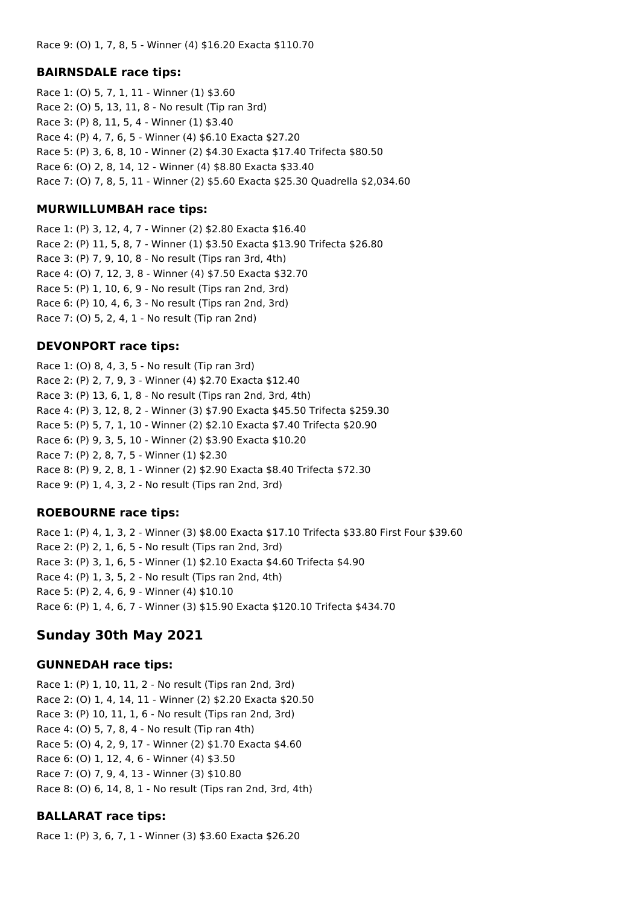### **BAIRNSDALE race tips:**

Race 1: (O) 5, 7, 1, 11 - Winner (1) \$3.60 Race 2: (O) 5, 13, 11, 8 - No result (Tip ran 3rd) Race 3: (P) 8, 11, 5, 4 - Winner (1) \$3.40 Race 4: (P) 4, 7, 6, 5 - Winner (4) \$6.10 Exacta \$27.20 Race 5: (P) 3, 6, 8, 10 - Winner (2) \$4.30 Exacta \$17.40 Trifecta \$80.50 Race 6: (O) 2, 8, 14, 12 - Winner (4) \$8.80 Exacta \$33.40 Race 7: (O) 7, 8, 5, 11 - Winner (2) \$5.60 Exacta \$25.30 Quadrella \$2,034.60

### **MURWILLUMBAH race tips:**

Race 1: (P) 3, 12, 4, 7 - Winner (2) \$2.80 Exacta \$16.40 Race 2: (P) 11, 5, 8, 7 - Winner (1) \$3.50 Exacta \$13.90 Trifecta \$26.80 Race 3: (P) 7, 9, 10, 8 - No result (Tips ran 3rd, 4th) Race 4: (O) 7, 12, 3, 8 - Winner (4) \$7.50 Exacta \$32.70 Race 5: (P) 1, 10, 6, 9 - No result (Tips ran 2nd, 3rd) Race 6: (P) 10, 4, 6, 3 - No result (Tips ran 2nd, 3rd) Race 7: (O) 5, 2, 4, 1 - No result (Tip ran 2nd)

## **DEVONPORT race tips:**

Race 1: (O) 8, 4, 3, 5 - No result (Tip ran 3rd) Race 2: (P) 2, 7, 9, 3 - Winner (4) \$2.70 Exacta \$12.40 Race 3: (P) 13, 6, 1, 8 - No result (Tips ran 2nd, 3rd, 4th) Race 4: (P) 3, 12, 8, 2 - Winner (3) \$7.90 Exacta \$45.50 Trifecta \$259.30 Race 5: (P) 5, 7, 1, 10 - Winner (2) \$2.10 Exacta \$7.40 Trifecta \$20.90 Race 6: (P) 9, 3, 5, 10 - Winner (2) \$3.90 Exacta \$10.20 Race 7: (P) 2, 8, 7, 5 - Winner (1) \$2.30 Race 8: (P) 9, 2, 8, 1 - Winner (2) \$2.90 Exacta \$8.40 Trifecta \$72.30 Race 9: (P) 1, 4, 3, 2 - No result (Tips ran 2nd, 3rd)

## **ROEBOURNE race tips:**

Race 1: (P) 4, 1, 3, 2 - Winner (3) \$8.00 Exacta \$17.10 Trifecta \$33.80 First Four \$39.60 Race 2: (P) 2, 1, 6, 5 - No result (Tips ran 2nd, 3rd) Race 3: (P) 3, 1, 6, 5 - Winner (1) \$2.10 Exacta \$4.60 Trifecta \$4.90 Race 4: (P) 1, 3, 5, 2 - No result (Tips ran 2nd, 4th) Race 5: (P) 2, 4, 6, 9 - Winner (4) \$10.10 Race 6: (P) 1, 4, 6, 7 - Winner (3) \$15.90 Exacta \$120.10 Trifecta \$434.70

# **Sunday 30th May 2021**

## **GUNNEDAH race tips:**

Race 1: (P) 1, 10, 11, 2 - No result (Tips ran 2nd, 3rd) Race 2: (O) 1, 4, 14, 11 - Winner (2) \$2.20 Exacta \$20.50 Race 3: (P) 10, 11, 1, 6 - No result (Tips ran 2nd, 3rd) Race 4: (O) 5, 7, 8, 4 - No result (Tip ran 4th) Race 5: (O) 4, 2, 9, 17 - Winner (2) \$1.70 Exacta \$4.60 Race 6: (O) 1, 12, 4, 6 - Winner (4) \$3.50 Race 7: (O) 7, 9, 4, 13 - Winner (3) \$10.80 Race 8: (O) 6, 14, 8, 1 - No result (Tips ran 2nd, 3rd, 4th)

## **BALLARAT race tips:**

Race 1: (P) 3, 6, 7, 1 - Winner (3) \$3.60 Exacta \$26.20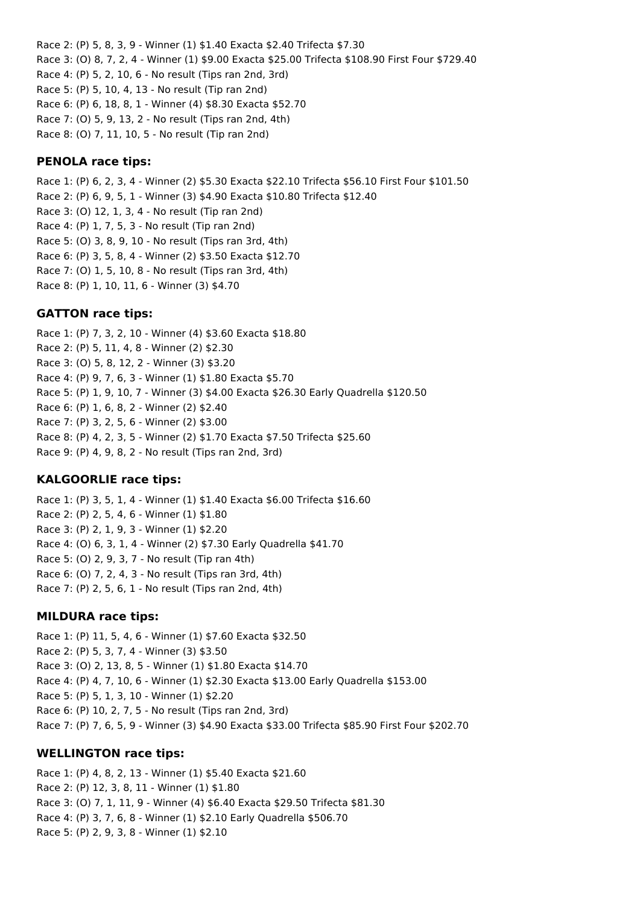Race 2: (P) 5, 8, 3, 9 - Winner (1) \$1.40 Exacta \$2.40 Trifecta \$7.30 Race 3: (O) 8, 7, 2, 4 - Winner (1) \$9.00 Exacta \$25.00 Trifecta \$108.90 First Four \$729.40 Race 4: (P) 5, 2, 10, 6 - No result (Tips ran 2nd, 3rd) Race 5: (P) 5, 10, 4, 13 - No result (Tip ran 2nd) Race 6: (P) 6, 18, 8, 1 - Winner (4) \$8.30 Exacta \$52.70 Race 7: (O) 5, 9, 13, 2 - No result (Tips ran 2nd, 4th) Race 8: (O) 7, 11, 10, 5 - No result (Tip ran 2nd)

### **PENOLA race tips:**

Race 1: (P) 6, 2, 3, 4 - Winner (2) \$5.30 Exacta \$22.10 Trifecta \$56.10 First Four \$101.50 Race 2: (P) 6, 9, 5, 1 - Winner (3) \$4.90 Exacta \$10.80 Trifecta \$12.40 Race 3: (O) 12, 1, 3, 4 - No result (Tip ran 2nd) Race 4: (P) 1, 7, 5, 3 - No result (Tip ran 2nd) Race 5: (O) 3, 8, 9, 10 - No result (Tips ran 3rd, 4th) Race 6: (P) 3, 5, 8, 4 - Winner (2) \$3.50 Exacta \$12.70 Race 7: (O) 1, 5, 10, 8 - No result (Tips ran 3rd, 4th) Race 8: (P) 1, 10, 11, 6 - Winner (3) \$4.70

#### **GATTON race tips:**

Race 1: (P) 7, 3, 2, 10 - Winner (4) \$3.60 Exacta \$18.80 Race 2: (P) 5, 11, 4, 8 - Winner (2) \$2.30 Race 3: (O) 5, 8, 12, 2 - Winner (3) \$3.20 Race 4: (P) 9, 7, 6, 3 - Winner (1) \$1.80 Exacta \$5.70 Race 5: (P) 1, 9, 10, 7 - Winner (3) \$4.00 Exacta \$26.30 Early Quadrella \$120.50 Race 6: (P) 1, 6, 8, 2 - Winner (2) \$2.40 Race 7: (P) 3, 2, 5, 6 - Winner (2) \$3.00 Race 8: (P) 4, 2, 3, 5 - Winner (2) \$1.70 Exacta \$7.50 Trifecta \$25.60 Race 9: (P) 4, 9, 8, 2 - No result (Tips ran 2nd, 3rd)

#### **KALGOORLIE race tips:**

Race 1: (P) 3, 5, 1, 4 - Winner (1) \$1.40 Exacta \$6.00 Trifecta \$16.60 Race 2: (P) 2, 5, 4, 6 - Winner (1) \$1.80 Race 3: (P) 2, 1, 9, 3 - Winner (1) \$2.20 Race 4: (O) 6, 3, 1, 4 - Winner (2) \$7.30 Early Quadrella \$41.70 Race 5: (O) 2, 9, 3, 7 - No result (Tip ran 4th) Race 6: (O) 7, 2, 4, 3 - No result (Tips ran 3rd, 4th) Race 7: (P) 2, 5, 6, 1 - No result (Tips ran 2nd, 4th)

#### **MILDURA race tips:**

Race 1: (P) 11, 5, 4, 6 - Winner (1) \$7.60 Exacta \$32.50 Race 2: (P) 5, 3, 7, 4 - Winner (3) \$3.50 Race 3: (O) 2, 13, 8, 5 - Winner (1) \$1.80 Exacta \$14.70 Race 4: (P) 4, 7, 10, 6 - Winner (1) \$2.30 Exacta \$13.00 Early Quadrella \$153.00 Race 5: (P) 5, 1, 3, 10 - Winner (1) \$2.20 Race 6: (P) 10, 2, 7, 5 - No result (Tips ran 2nd, 3rd) Race 7: (P) 7, 6, 5, 9 - Winner (3) \$4.90 Exacta \$33.00 Trifecta \$85.90 First Four \$202.70

#### **WELLINGTON race tips:**

Race 1: (P) 4, 8, 2, 13 - Winner (1) \$5.40 Exacta \$21.60 Race 2: (P) 12, 3, 8, 11 - Winner (1) \$1.80 Race 3: (O) 7, 1, 11, 9 - Winner (4) \$6.40 Exacta \$29.50 Trifecta \$81.30 Race 4: (P) 3, 7, 6, 8 - Winner (1) \$2.10 Early Quadrella \$506.70 Race 5: (P) 2, 9, 3, 8 - Winner (1) \$2.10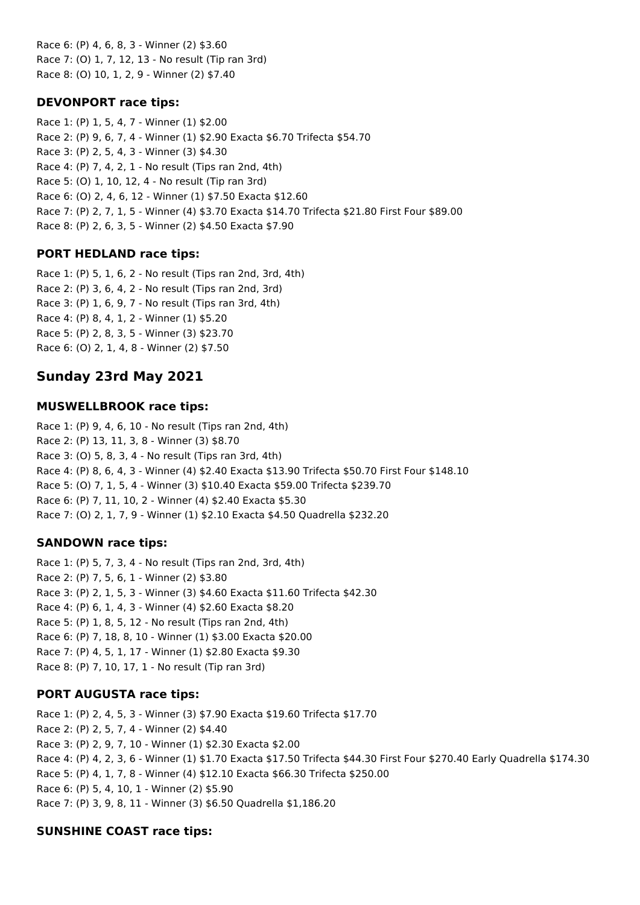Race 6: (P) 4, 6, 8, 3 - Winner (2) \$3.60 Race 7: (O) 1, 7, 12, 13 - No result (Tip ran 3rd) Race 8: (O) 10, 1, 2, 9 - Winner (2) \$7.40

### **DEVONPORT race tips:**

Race 1: (P) 1, 5, 4, 7 - Winner (1) \$2.00 Race 2: (P) 9, 6, 7, 4 - Winner (1) \$2.90 Exacta \$6.70 Trifecta \$54.70 Race 3: (P) 2, 5, 4, 3 - Winner (3) \$4.30 Race 4: (P) 7, 4, 2, 1 - No result (Tips ran 2nd, 4th) Race 5: (O) 1, 10, 12, 4 - No result (Tip ran 3rd) Race 6: (O) 2, 4, 6, 12 - Winner (1) \$7.50 Exacta \$12.60 Race 7: (P) 2, 7, 1, 5 - Winner (4) \$3.70 Exacta \$14.70 Trifecta \$21.80 First Four \$89.00 Race 8: (P) 2, 6, 3, 5 - Winner (2) \$4.50 Exacta \$7.90

## **PORT HEDLAND race tips:**

Race 1: (P) 5, 1, 6, 2 - No result (Tips ran 2nd, 3rd, 4th) Race 2: (P) 3, 6, 4, 2 - No result (Tips ran 2nd, 3rd) Race 3: (P) 1, 6, 9, 7 - No result (Tips ran 3rd, 4th) Race 4: (P) 8, 4, 1, 2 - Winner (1) \$5.20 Race 5: (P) 2, 8, 3, 5 - Winner (3) \$23.70 Race 6: (O) 2, 1, 4, 8 - Winner (2) \$7.50

# **Sunday 23rd May 2021**

## **MUSWELLBROOK race tips:**

Race 1: (P) 9, 4, 6, 10 - No result (Tips ran 2nd, 4th) Race 2: (P) 13, 11, 3, 8 - Winner (3) \$8.70 Race 3: (O) 5, 8, 3, 4 - No result (Tips ran 3rd, 4th) Race 4: (P) 8, 6, 4, 3 - Winner (4) \$2.40 Exacta \$13.90 Trifecta \$50.70 First Four \$148.10 Race 5: (O) 7, 1, 5, 4 - Winner (3) \$10.40 Exacta \$59.00 Trifecta \$239.70 Race 6: (P) 7, 11, 10, 2 - Winner (4) \$2.40 Exacta \$5.30 Race 7: (O) 2, 1, 7, 9 - Winner (1) \$2.10 Exacta \$4.50 Quadrella \$232.20

## **SANDOWN race tips:**

Race 1: (P) 5, 7, 3, 4 - No result (Tips ran 2nd, 3rd, 4th) Race 2: (P) 7, 5, 6, 1 - Winner (2) \$3.80 Race 3: (P) 2, 1, 5, 3 - Winner (3) \$4.60 Exacta \$11.60 Trifecta \$42.30 Race 4: (P) 6, 1, 4, 3 - Winner (4) \$2.60 Exacta \$8.20 Race 5: (P) 1, 8, 5, 12 - No result (Tips ran 2nd, 4th) Race 6: (P) 7, 18, 8, 10 - Winner (1) \$3.00 Exacta \$20.00 Race 7: (P) 4, 5, 1, 17 - Winner (1) \$2.80 Exacta \$9.30 Race 8: (P) 7, 10, 17, 1 - No result (Tip ran 3rd)

## **PORT AUGUSTA race tips:**

Race 1: (P) 2, 4, 5, 3 - Winner (3) \$7.90 Exacta \$19.60 Trifecta \$17.70 Race 2: (P) 2, 5, 7, 4 - Winner (2) \$4.40 Race 3: (P) 2, 9, 7, 10 - Winner (1) \$2.30 Exacta \$2.00 Race 4: (P) 4, 2, 3, 6 - Winner (1) \$1.70 Exacta \$17.50 Trifecta \$44.30 First Four \$270.40 Early Quadrella \$174.30 Race 5: (P) 4, 1, 7, 8 - Winner (4) \$12.10 Exacta \$66.30 Trifecta \$250.00 Race 6: (P) 5, 4, 10, 1 - Winner (2) \$5.90 Race 7: (P) 3, 9, 8, 11 - Winner (3) \$6.50 Quadrella \$1,186.20

## **SUNSHINE COAST race tips:**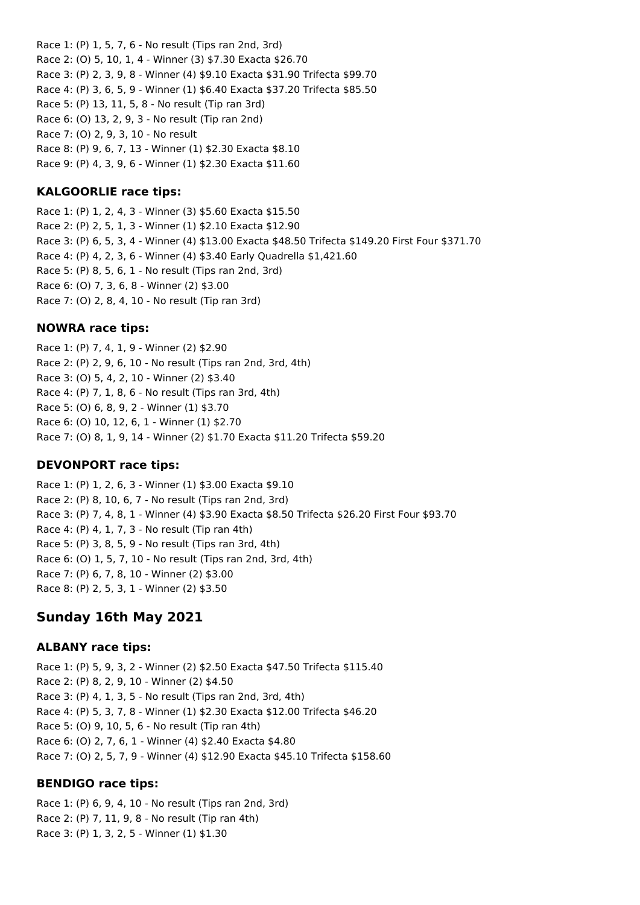Race 1: (P) 1, 5, 7, 6 - No result (Tips ran 2nd, 3rd) Race 2: (O) 5, 10, 1, 4 - Winner (3) \$7.30 Exacta \$26.70 Race 3: (P) 2, 3, 9, 8 - Winner (4) \$9.10 Exacta \$31.90 Trifecta \$99.70 Race 4: (P) 3, 6, 5, 9 - Winner (1) \$6.40 Exacta \$37.20 Trifecta \$85.50 Race 5: (P) 13, 11, 5, 8 - No result (Tip ran 3rd) Race 6: (O) 13, 2, 9, 3 - No result (Tip ran 2nd) Race 7: (O) 2, 9, 3, 10 - No result Race 8: (P) 9, 6, 7, 13 - Winner (1) \$2.30 Exacta \$8.10 Race 9: (P) 4, 3, 9, 6 - Winner (1) \$2.30 Exacta \$11.60

### **KALGOORLIE race tips:**

Race 1: (P) 1, 2, 4, 3 - Winner (3) \$5.60 Exacta \$15.50 Race 2: (P) 2, 5, 1, 3 - Winner (1) \$2.10 Exacta \$12.90 Race 3: (P) 6, 5, 3, 4 - Winner (4) \$13.00 Exacta \$48.50 Trifecta \$149.20 First Four \$371.70 Race 4: (P) 4, 2, 3, 6 - Winner (4) \$3.40 Early Quadrella \$1,421.60 Race 5: (P) 8, 5, 6, 1 - No result (Tips ran 2nd, 3rd) Race 6: (O) 7, 3, 6, 8 - Winner (2) \$3.00 Race 7: (O) 2, 8, 4, 10 - No result (Tip ran 3rd)

### **NOWRA race tips:**

Race 1: (P) 7, 4, 1, 9 - Winner (2) \$2.90 Race 2: (P) 2, 9, 6, 10 - No result (Tips ran 2nd, 3rd, 4th) Race 3: (O) 5, 4, 2, 10 - Winner (2) \$3.40 Race 4: (P) 7, 1, 8, 6 - No result (Tips ran 3rd, 4th) Race 5: (O) 6, 8, 9, 2 - Winner (1) \$3.70 Race 6: (O) 10, 12, 6, 1 - Winner (1) \$2.70 Race 7: (O) 8, 1, 9, 14 - Winner (2) \$1.70 Exacta \$11.20 Trifecta \$59.20

### **DEVONPORT race tips:**

Race 1: (P) 1, 2, 6, 3 - Winner (1) \$3.00 Exacta \$9.10 Race 2: (P) 8, 10, 6, 7 - No result (Tips ran 2nd, 3rd) Race 3: (P) 7, 4, 8, 1 - Winner (4) \$3.90 Exacta \$8.50 Trifecta \$26.20 First Four \$93.70 Race 4: (P) 4, 1, 7, 3 - No result (Tip ran 4th) Race 5: (P) 3, 8, 5, 9 - No result (Tips ran 3rd, 4th) Race 6: (O) 1, 5, 7, 10 - No result (Tips ran 2nd, 3rd, 4th) Race 7: (P) 6, 7, 8, 10 - Winner (2) \$3.00 Race 8: (P) 2, 5, 3, 1 - Winner (2) \$3.50

## **Sunday 16th May 2021**

### **ALBANY race tips:**

Race 1: (P) 5, 9, 3, 2 - Winner (2) \$2.50 Exacta \$47.50 Trifecta \$115.40 Race 2: (P) 8, 2, 9, 10 - Winner (2) \$4.50 Race 3: (P) 4, 1, 3, 5 - No result (Tips ran 2nd, 3rd, 4th) Race 4: (P) 5, 3, 7, 8 - Winner (1) \$2.30 Exacta \$12.00 Trifecta \$46.20 Race 5: (O) 9, 10, 5, 6 - No result (Tip ran 4th) Race 6: (O) 2, 7, 6, 1 - Winner (4) \$2.40 Exacta \$4.80 Race 7: (O) 2, 5, 7, 9 - Winner (4) \$12.90 Exacta \$45.10 Trifecta \$158.60

### **BENDIGO race tips:**

Race 1: (P) 6, 9, 4, 10 - No result (Tips ran 2nd, 3rd) Race 2: (P) 7, 11, 9, 8 - No result (Tip ran 4th) Race 3: (P) 1, 3, 2, 5 - Winner (1) \$1.30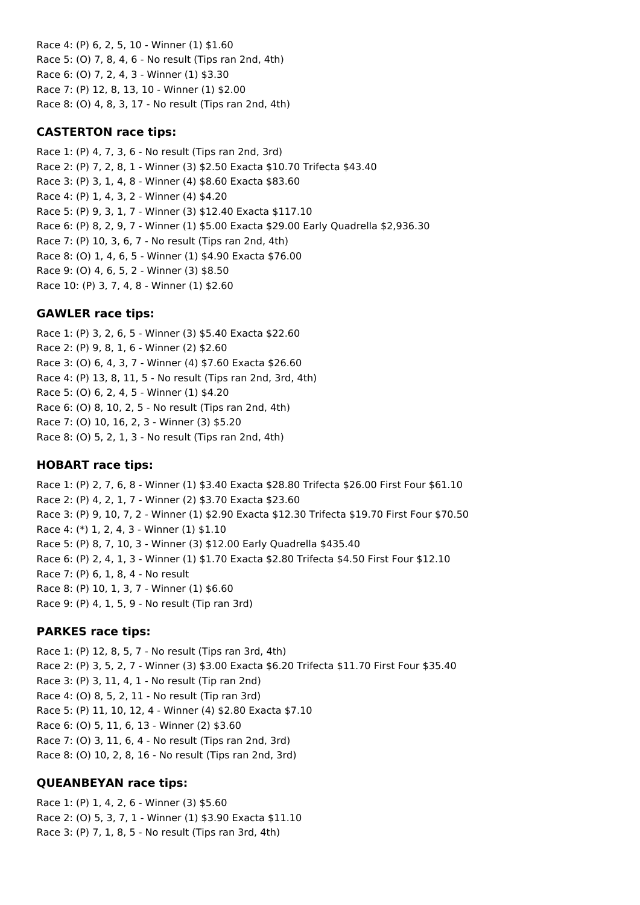Race 4: (P) 6, 2, 5, 10 - Winner (1) \$1.60 Race 5: (O) 7, 8, 4, 6 - No result (Tips ran 2nd, 4th) Race 6: (O) 7, 2, 4, 3 - Winner (1) \$3.30 Race 7: (P) 12, 8, 13, 10 - Winner (1) \$2.00 Race 8: (O) 4, 8, 3, 17 - No result (Tips ran 2nd, 4th)

### **CASTERTON race tips:**

Race 1: (P) 4, 7, 3, 6 - No result (Tips ran 2nd, 3rd) Race 2: (P) 7, 2, 8, 1 - Winner (3) \$2.50 Exacta \$10.70 Trifecta \$43.40 Race 3: (P) 3, 1, 4, 8 - Winner (4) \$8.60 Exacta \$83.60 Race 4: (P) 1, 4, 3, 2 - Winner (4) \$4.20 Race 5: (P) 9, 3, 1, 7 - Winner (3) \$12.40 Exacta \$117.10 Race 6: (P) 8, 2, 9, 7 - Winner (1) \$5.00 Exacta \$29.00 Early Quadrella \$2,936.30 Race 7: (P) 10, 3, 6, 7 - No result (Tips ran 2nd, 4th) Race 8: (O) 1, 4, 6, 5 - Winner (1) \$4.90 Exacta \$76.00 Race 9: (O) 4, 6, 5, 2 - Winner (3) \$8.50 Race 10: (P) 3, 7, 4, 8 - Winner (1) \$2.60

### **GAWLER race tips:**

Race 1: (P) 3, 2, 6, 5 - Winner (3) \$5.40 Exacta \$22.60 Race 2: (P) 9, 8, 1, 6 - Winner (2) \$2.60 Race 3: (O) 6, 4, 3, 7 - Winner (4) \$7.60 Exacta \$26.60 Race 4: (P) 13, 8, 11, 5 - No result (Tips ran 2nd, 3rd, 4th) Race 5: (O) 6, 2, 4, 5 - Winner (1) \$4.20 Race 6: (O) 8, 10, 2, 5 - No result (Tips ran 2nd, 4th) Race 7: (O) 10, 16, 2, 3 - Winner (3) \$5.20 Race 8: (O) 5, 2, 1, 3 - No result (Tips ran 2nd, 4th)

## **HOBART race tips:**

Race 1: (P) 2, 7, 6, 8 - Winner (1) \$3.40 Exacta \$28.80 Trifecta \$26.00 First Four \$61.10 Race 2: (P) 4, 2, 1, 7 - Winner (2) \$3.70 Exacta \$23.60 Race 3: (P) 9, 10, 7, 2 - Winner (1) \$2.90 Exacta \$12.30 Trifecta \$19.70 First Four \$70.50 Race 4: (\*) 1, 2, 4, 3 - Winner (1) \$1.10 Race 5: (P) 8, 7, 10, 3 - Winner (3) \$12.00 Early Quadrella \$435.40 Race 6: (P) 2, 4, 1, 3 - Winner (1) \$1.70 Exacta \$2.80 Trifecta \$4.50 First Four \$12.10 Race 7: (P) 6, 1, 8, 4 - No result Race 8: (P) 10, 1, 3, 7 - Winner (1) \$6.60 Race 9: (P) 4, 1, 5, 9 - No result (Tip ran 3rd)

### **PARKES race tips:**

Race 1: (P) 12, 8, 5, 7 - No result (Tips ran 3rd, 4th) Race 2: (P) 3, 5, 2, 7 - Winner (3) \$3.00 Exacta \$6.20 Trifecta \$11.70 First Four \$35.40 Race 3: (P) 3, 11, 4, 1 - No result (Tip ran 2nd) Race 4: (O) 8, 5, 2, 11 - No result (Tip ran 3rd) Race 5: (P) 11, 10, 12, 4 - Winner (4) \$2.80 Exacta \$7.10 Race 6: (O) 5, 11, 6, 13 - Winner (2) \$3.60 Race 7: (O) 3, 11, 6, 4 - No result (Tips ran 2nd, 3rd) Race 8: (O) 10, 2, 8, 16 - No result (Tips ran 2nd, 3rd)

## **QUEANBEYAN race tips:**

Race 1: (P) 1, 4, 2, 6 - Winner (3) \$5.60 Race 2: (O) 5, 3, 7, 1 - Winner (1) \$3.90 Exacta \$11.10 Race 3: (P) 7, 1, 8, 5 - No result (Tips ran 3rd, 4th)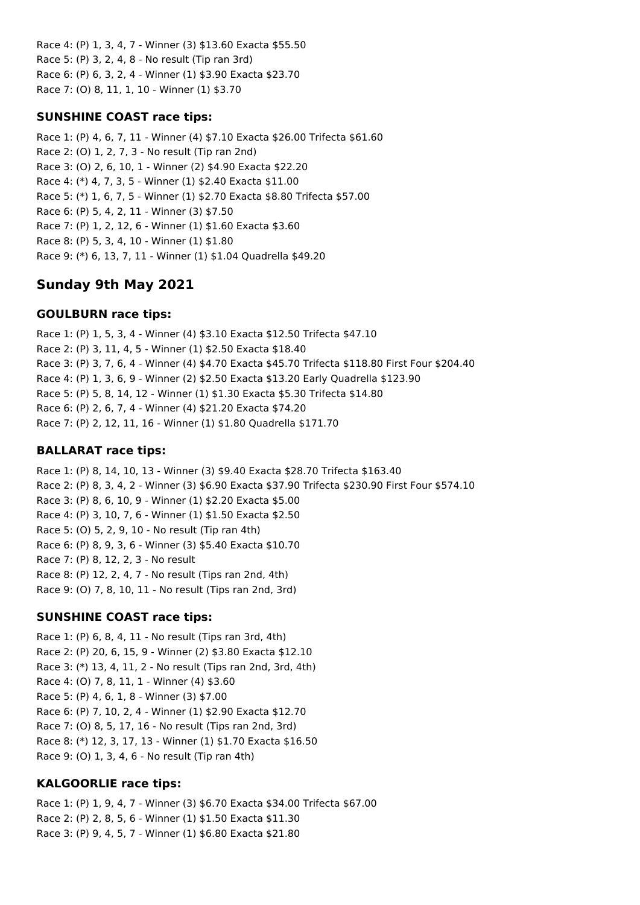Race 4: (P) 1, 3, 4, 7 - Winner (3) \$13.60 Exacta \$55.50 Race 5: (P) 3, 2, 4, 8 - No result (Tip ran 3rd) Race 6: (P) 6, 3, 2, 4 - Winner (1) \$3.90 Exacta \$23.70 Race 7: (O) 8, 11, 1, 10 - Winner (1) \$3.70

## **SUNSHINE COAST race tips:**

Race 1: (P) 4, 6, 7, 11 - Winner (4) \$7.10 Exacta \$26.00 Trifecta \$61.60 Race 2: (O) 1, 2, 7, 3 - No result (Tip ran 2nd) Race 3: (O) 2, 6, 10, 1 - Winner (2) \$4.90 Exacta \$22.20 Race 4: (\*) 4, 7, 3, 5 - Winner (1) \$2.40 Exacta \$11.00 Race 5: (\*) 1, 6, 7, 5 - Winner (1) \$2.70 Exacta \$8.80 Trifecta \$57.00 Race 6: (P) 5, 4, 2, 11 - Winner (3) \$7.50 Race 7: (P) 1, 2, 12, 6 - Winner (1) \$1.60 Exacta \$3.60 Race 8: (P) 5, 3, 4, 10 - Winner (1) \$1.80 Race 9: (\*) 6, 13, 7, 11 - Winner (1) \$1.04 Quadrella \$49.20

# **Sunday 9th May 2021**

## **GOULBURN race tips:**

Race 1: (P) 1, 5, 3, 4 - Winner (4) \$3.10 Exacta \$12.50 Trifecta \$47.10 Race 2: (P) 3, 11, 4, 5 - Winner (1) \$2.50 Exacta \$18.40 Race 3: (P) 3, 7, 6, 4 - Winner (4) \$4.70 Exacta \$45.70 Trifecta \$118.80 First Four \$204.40 Race 4: (P) 1, 3, 6, 9 - Winner (2) \$2.50 Exacta \$13.20 Early Quadrella \$123.90 Race 5: (P) 5, 8, 14, 12 - Winner (1) \$1.30 Exacta \$5.30 Trifecta \$14.80 Race 6: (P) 2, 6, 7, 4 - Winner (4) \$21.20 Exacta \$74.20 Race 7: (P) 2, 12, 11, 16 - Winner (1) \$1.80 Quadrella \$171.70

## **BALLARAT race tips:**

Race 1: (P) 8, 14, 10, 13 - Winner (3) \$9.40 Exacta \$28.70 Trifecta \$163.40 Race 2: (P) 8, 3, 4, 2 - Winner (3) \$6.90 Exacta \$37.90 Trifecta \$230.90 First Four \$574.10 Race 3: (P) 8, 6, 10, 9 - Winner (1) \$2.20 Exacta \$5.00 Race 4: (P) 3, 10, 7, 6 - Winner (1) \$1.50 Exacta \$2.50 Race 5: (O) 5, 2, 9, 10 - No result (Tip ran 4th) Race 6: (P) 8, 9, 3, 6 - Winner (3) \$5.40 Exacta \$10.70 Race 7: (P) 8, 12, 2, 3 - No result Race 8: (P) 12, 2, 4, 7 - No result (Tips ran 2nd, 4th) Race 9: (O) 7, 8, 10, 11 - No result (Tips ran 2nd, 3rd)

## **SUNSHINE COAST race tips:**

Race 1: (P) 6, 8, 4, 11 - No result (Tips ran 3rd, 4th) Race 2: (P) 20, 6, 15, 9 - Winner (2) \$3.80 Exacta \$12.10 Race 3: (\*) 13, 4, 11, 2 - No result (Tips ran 2nd, 3rd, 4th) Race 4: (O) 7, 8, 11, 1 - Winner (4) \$3.60 Race 5: (P) 4, 6, 1, 8 - Winner (3) \$7.00 Race 6: (P) 7, 10, 2, 4 - Winner (1) \$2.90 Exacta \$12.70 Race 7: (O) 8, 5, 17, 16 - No result (Tips ran 2nd, 3rd) Race 8: (\*) 12, 3, 17, 13 - Winner (1) \$1.70 Exacta \$16.50 Race 9: (O) 1, 3, 4, 6 - No result (Tip ran 4th)

## **KALGOORLIE race tips:**

Race 1: (P) 1, 9, 4, 7 - Winner (3) \$6.70 Exacta \$34.00 Trifecta \$67.00 Race 2: (P) 2, 8, 5, 6 - Winner (1) \$1.50 Exacta \$11.30 Race 3: (P) 9, 4, 5, 7 - Winner (1) \$6.80 Exacta \$21.80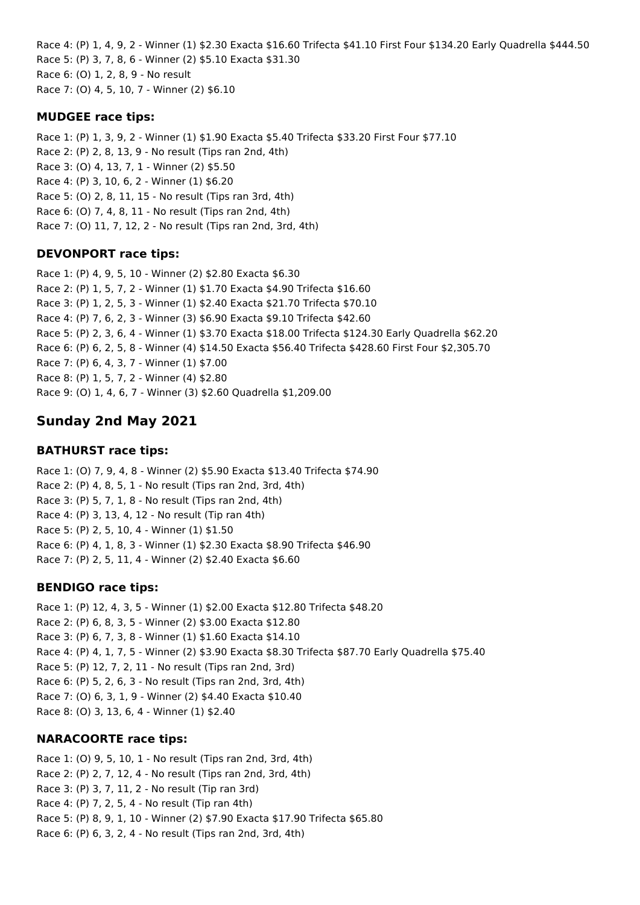Race 4: (P) 1, 4, 9, 2 - Winner (1) \$2.30 Exacta \$16.60 Trifecta \$41.10 First Four \$134.20 Early Quadrella \$444.50 Race 5: (P) 3, 7, 8, 6 - Winner (2) \$5.10 Exacta \$31.30 Race 6: (O) 1, 2, 8, 9 - No result Race 7: (O) 4, 5, 10, 7 - Winner (2) \$6.10

## **MUDGEE race tips:**

Race 1: (P) 1, 3, 9, 2 - Winner (1) \$1.90 Exacta \$5.40 Trifecta \$33.20 First Four \$77.10 Race 2: (P) 2, 8, 13, 9 - No result (Tips ran 2nd, 4th) Race 3: (O) 4, 13, 7, 1 - Winner (2) \$5.50 Race 4: (P) 3, 10, 6, 2 - Winner (1) \$6.20 Race 5: (O) 2, 8, 11, 15 - No result (Tips ran 3rd, 4th) Race 6: (O) 7, 4, 8, 11 - No result (Tips ran 2nd, 4th) Race 7: (O) 11, 7, 12, 2 - No result (Tips ran 2nd, 3rd, 4th)

## **DEVONPORT race tips:**

Race 1: (P) 4, 9, 5, 10 - Winner (2) \$2.80 Exacta \$6.30 Race 2: (P) 1, 5, 7, 2 - Winner (1) \$1.70 Exacta \$4.90 Trifecta \$16.60 Race 3: (P) 1, 2, 5, 3 - Winner (1) \$2.40 Exacta \$21.70 Trifecta \$70.10 Race 4: (P) 7, 6, 2, 3 - Winner (3) \$6.90 Exacta \$9.10 Trifecta \$42.60 Race 5: (P) 2, 3, 6, 4 - Winner (1) \$3.70 Exacta \$18.00 Trifecta \$124.30 Early Quadrella \$62.20 Race 6: (P) 6, 2, 5, 8 - Winner (4) \$14.50 Exacta \$56.40 Trifecta \$428.60 First Four \$2,305.70 Race 7: (P) 6, 4, 3, 7 - Winner (1) \$7.00 Race 8: (P) 1, 5, 7, 2 - Winner (4) \$2.80 Race 9: (O) 1, 4, 6, 7 - Winner (3) \$2.60 Quadrella \$1,209.00

# **Sunday 2nd May 2021**

## **BATHURST race tips:**

Race 1: (O) 7, 9, 4, 8 - Winner (2) \$5.90 Exacta \$13.40 Trifecta \$74.90 Race 2: (P) 4, 8, 5, 1 - No result (Tips ran 2nd, 3rd, 4th) Race 3: (P) 5, 7, 1, 8 - No result (Tips ran 2nd, 4th) Race 4: (P) 3, 13, 4, 12 - No result (Tip ran 4th) Race 5: (P) 2, 5, 10, 4 - Winner (1) \$1.50 Race 6: (P) 4, 1, 8, 3 - Winner (1) \$2.30 Exacta \$8.90 Trifecta \$46.90 Race 7: (P) 2, 5, 11, 4 - Winner (2) \$2.40 Exacta \$6.60

## **BENDIGO race tips:**

Race 1: (P) 12, 4, 3, 5 - Winner (1) \$2.00 Exacta \$12.80 Trifecta \$48.20 Race 2: (P) 6, 8, 3, 5 - Winner (2) \$3.00 Exacta \$12.80 Race 3: (P) 6, 7, 3, 8 - Winner (1) \$1.60 Exacta \$14.10 Race 4: (P) 4, 1, 7, 5 - Winner (2) \$3.90 Exacta \$8.30 Trifecta \$87.70 Early Quadrella \$75.40 Race 5: (P) 12, 7, 2, 11 - No result (Tips ran 2nd, 3rd) Race 6: (P) 5, 2, 6, 3 - No result (Tips ran 2nd, 3rd, 4th) Race 7: (O) 6, 3, 1, 9 - Winner (2) \$4.40 Exacta \$10.40 Race 8: (O) 3, 13, 6, 4 - Winner (1) \$2.40

## **NARACOORTE race tips:**

Race 1: (O) 9, 5, 10, 1 - No result (Tips ran 2nd, 3rd, 4th) Race 2: (P) 2, 7, 12, 4 - No result (Tips ran 2nd, 3rd, 4th) Race 3: (P) 3, 7, 11, 2 - No result (Tip ran 3rd) Race 4: (P) 7, 2, 5, 4 - No result (Tip ran 4th) Race 5: (P) 8, 9, 1, 10 - Winner (2) \$7.90 Exacta \$17.90 Trifecta \$65.80 Race 6: (P) 6, 3, 2, 4 - No result (Tips ran 2nd, 3rd, 4th)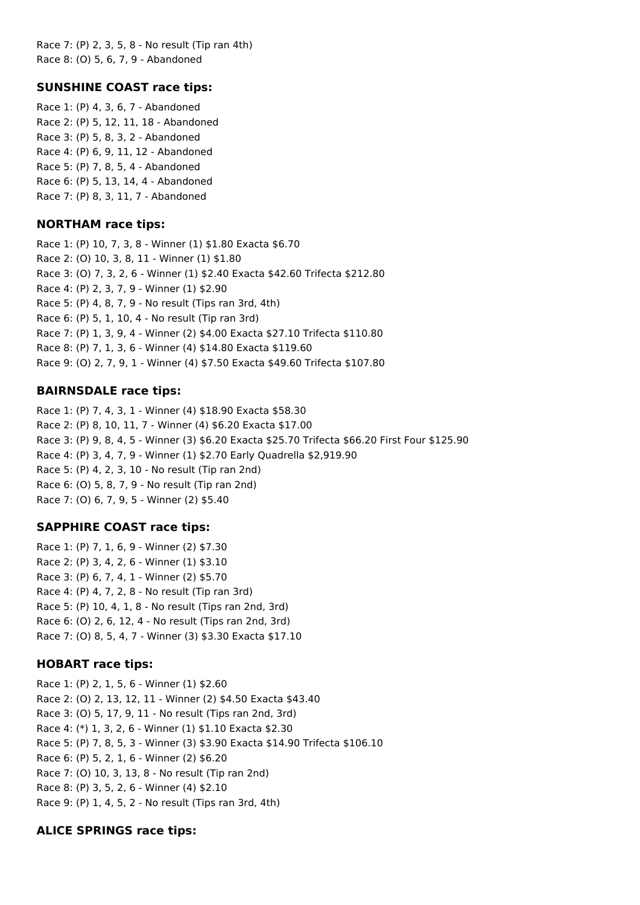Race 7: (P) 2, 3, 5, 8 - No result (Tip ran 4th) Race 8: (O) 5, 6, 7, 9 - Abandoned

### **SUNSHINE COAST race tips:**

Race 1: (P) 4, 3, 6, 7 - Abandoned Race 2: (P) 5, 12, 11, 18 - Abandoned Race 3: (P) 5, 8, 3, 2 - Abandoned Race 4: (P) 6, 9, 11, 12 - Abandoned Race 5: (P) 7, 8, 5, 4 - Abandoned Race 6: (P) 5, 13, 14, 4 - Abandoned Race 7: (P) 8, 3, 11, 7 - Abandoned

### **NORTHAM race tips:**

Race 1: (P) 10, 7, 3, 8 - Winner (1) \$1.80 Exacta \$6.70 Race 2: (O) 10, 3, 8, 11 - Winner (1) \$1.80 Race 3: (O) 7, 3, 2, 6 - Winner (1) \$2.40 Exacta \$42.60 Trifecta \$212.80 Race 4: (P) 2, 3, 7, 9 - Winner (1) \$2.90 Race 5: (P) 4, 8, 7, 9 - No result (Tips ran 3rd, 4th) Race 6: (P) 5, 1, 10, 4 - No result (Tip ran 3rd) Race 7: (P) 1, 3, 9, 4 - Winner (2) \$4.00 Exacta \$27.10 Trifecta \$110.80 Race 8: (P) 7, 1, 3, 6 - Winner (4) \$14.80 Exacta \$119.60 Race 9: (O) 2, 7, 9, 1 - Winner (4) \$7.50 Exacta \$49.60 Trifecta \$107.80

### **BAIRNSDALE race tips:**

Race 1: (P) 7, 4, 3, 1 - Winner (4) \$18.90 Exacta \$58.30 Race 2: (P) 8, 10, 11, 7 - Winner (4) \$6.20 Exacta \$17.00 Race 3: (P) 9, 8, 4, 5 - Winner (3) \$6.20 Exacta \$25.70 Trifecta \$66.20 First Four \$125.90 Race 4: (P) 3, 4, 7, 9 - Winner (1) \$2.70 Early Quadrella \$2,919.90 Race 5: (P) 4, 2, 3, 10 - No result (Tip ran 2nd) Race 6: (O) 5, 8, 7, 9 - No result (Tip ran 2nd) Race 7: (O) 6, 7, 9, 5 - Winner (2) \$5.40

## **SAPPHIRE COAST race tips:**

Race 1: (P) 7, 1, 6, 9 - Winner (2) \$7.30 Race 2: (P) 3, 4, 2, 6 - Winner (1) \$3.10 Race 3: (P) 6, 7, 4, 1 - Winner (2) \$5.70 Race 4: (P) 4, 7, 2, 8 - No result (Tip ran 3rd) Race 5: (P) 10, 4, 1, 8 - No result (Tips ran 2nd, 3rd) Race 6: (O) 2, 6, 12, 4 - No result (Tips ran 2nd, 3rd) Race 7: (O) 8, 5, 4, 7 - Winner (3) \$3.30 Exacta \$17.10

## **HOBART race tips:**

Race 1: (P) 2, 1, 5, 6 - Winner (1) \$2.60 Race 2: (O) 2, 13, 12, 11 - Winner (2) \$4.50 Exacta \$43.40 Race 3: (O) 5, 17, 9, 11 - No result (Tips ran 2nd, 3rd) Race 4: (\*) 1, 3, 2, 6 - Winner (1) \$1.10 Exacta \$2.30 Race 5: (P) 7, 8, 5, 3 - Winner (3) \$3.90 Exacta \$14.90 Trifecta \$106.10 Race 6: (P) 5, 2, 1, 6 - Winner (2) \$6.20 Race 7: (O) 10, 3, 13, 8 - No result (Tip ran 2nd) Race 8: (P) 3, 5, 2, 6 - Winner (4) \$2.10 Race 9: (P) 1, 4, 5, 2 - No result (Tips ran 3rd, 4th)

## **ALICE SPRINGS race tips:**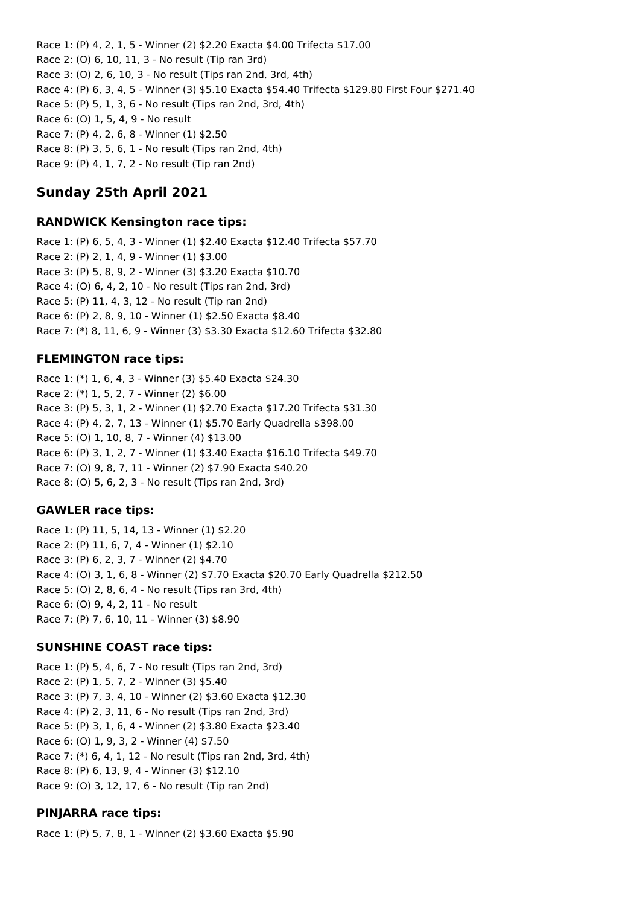Race 1: (P) 4, 2, 1, 5 - Winner (2) \$2.20 Exacta \$4.00 Trifecta \$17.00 Race 2: (O) 6, 10, 11, 3 - No result (Tip ran 3rd) Race 3: (O) 2, 6, 10, 3 - No result (Tips ran 2nd, 3rd, 4th) Race 4: (P) 6, 3, 4, 5 - Winner (3) \$5.10 Exacta \$54.40 Trifecta \$129.80 First Four \$271.40 Race 5: (P) 5, 1, 3, 6 - No result (Tips ran 2nd, 3rd, 4th) Race 6: (O) 1, 5, 4, 9 - No result Race 7: (P) 4, 2, 6, 8 - Winner (1) \$2.50 Race 8: (P) 3, 5, 6, 1 - No result (Tips ran 2nd, 4th)

Race 9: (P) 4, 1, 7, 2 - No result (Tip ran 2nd)

## **Sunday 25th April 2021**

### **RANDWICK Kensington race tips:**

Race 1: (P) 6, 5, 4, 3 - Winner (1) \$2.40 Exacta \$12.40 Trifecta \$57.70 Race 2: (P) 2, 1, 4, 9 - Winner (1) \$3.00 Race 3: (P) 5, 8, 9, 2 - Winner (3) \$3.20 Exacta \$10.70 Race 4: (O) 6, 4, 2, 10 - No result (Tips ran 2nd, 3rd) Race 5: (P) 11, 4, 3, 12 - No result (Tip ran 2nd) Race 6: (P) 2, 8, 9, 10 - Winner (1) \$2.50 Exacta \$8.40 Race 7: (\*) 8, 11, 6, 9 - Winner (3) \$3.30 Exacta \$12.60 Trifecta \$32.80

## **FLEMINGTON race tips:**

Race 1: (\*) 1, 6, 4, 3 - Winner (3) \$5.40 Exacta \$24.30 Race 2: (\*) 1, 5, 2, 7 - Winner (2) \$6.00 Race 3: (P) 5, 3, 1, 2 - Winner (1) \$2.70 Exacta \$17.20 Trifecta \$31.30 Race 4: (P) 4, 2, 7, 13 - Winner (1) \$5.70 Early Quadrella \$398.00 Race 5: (O) 1, 10, 8, 7 - Winner (4) \$13.00 Race 6: (P) 3, 1, 2, 7 - Winner (1) \$3.40 Exacta \$16.10 Trifecta \$49.70 Race 7: (O) 9, 8, 7, 11 - Winner (2) \$7.90 Exacta \$40.20 Race 8: (O) 5, 6, 2, 3 - No result (Tips ran 2nd, 3rd)

## **GAWLER race tips:**

Race 1: (P) 11, 5, 14, 13 - Winner (1) \$2.20 Race 2: (P) 11, 6, 7, 4 - Winner (1) \$2.10 Race 3: (P) 6, 2, 3, 7 - Winner (2) \$4.70 Race 4: (O) 3, 1, 6, 8 - Winner (2) \$7.70 Exacta \$20.70 Early Quadrella \$212.50 Race 5: (O) 2, 8, 6, 4 - No result (Tips ran 3rd, 4th) Race 6: (O) 9, 4, 2, 11 - No result Race 7: (P) 7, 6, 10, 11 - Winner (3) \$8.90

## **SUNSHINE COAST race tips:**

Race 1: (P) 5, 4, 6, 7 - No result (Tips ran 2nd, 3rd) Race 2: (P) 1, 5, 7, 2 - Winner (3) \$5.40 Race 3: (P) 7, 3, 4, 10 - Winner (2) \$3.60 Exacta \$12.30 Race 4: (P) 2, 3, 11, 6 - No result (Tips ran 2nd, 3rd) Race 5: (P) 3, 1, 6, 4 - Winner (2) \$3.80 Exacta \$23.40 Race 6: (O) 1, 9, 3, 2 - Winner (4) \$7.50 Race 7: (\*) 6, 4, 1, 12 - No result (Tips ran 2nd, 3rd, 4th) Race 8: (P) 6, 13, 9, 4 - Winner (3) \$12.10 Race 9: (O) 3, 12, 17, 6 - No result (Tip ran 2nd)

## **PINJARRA race tips:**

Race 1: (P) 5, 7, 8, 1 - Winner (2) \$3.60 Exacta \$5.90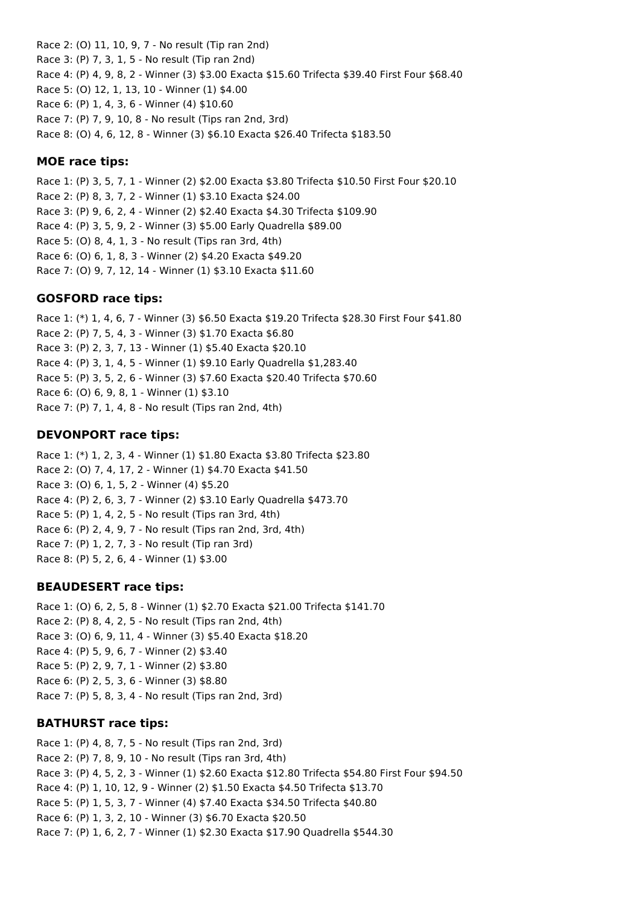Race 2: (O) 11, 10, 9, 7 - No result (Tip ran 2nd) Race 3: (P) 7, 3, 1, 5 - No result (Tip ran 2nd) Race 4: (P) 4, 9, 8, 2 - Winner (3) \$3.00 Exacta \$15.60 Trifecta \$39.40 First Four \$68.40 Race 5: (O) 12, 1, 13, 10 - Winner (1) \$4.00 Race 6: (P) 1, 4, 3, 6 - Winner (4) \$10.60 Race 7: (P) 7, 9, 10, 8 - No result (Tips ran 2nd, 3rd) Race 8: (O) 4, 6, 12, 8 - Winner (3) \$6.10 Exacta \$26.40 Trifecta \$183.50

### **MOE race tips:**

Race 1: (P) 3, 5, 7, 1 - Winner (2) \$2.00 Exacta \$3.80 Trifecta \$10.50 First Four \$20.10 Race 2: (P) 8, 3, 7, 2 - Winner (1) \$3.10 Exacta \$24.00 Race 3: (P) 9, 6, 2, 4 - Winner (2) \$2.40 Exacta \$4.30 Trifecta \$109.90 Race 4: (P) 3, 5, 9, 2 - Winner (3) \$5.00 Early Quadrella \$89.00 Race 5: (O) 8, 4, 1, 3 - No result (Tips ran 3rd, 4th) Race 6: (O) 6, 1, 8, 3 - Winner (2) \$4.20 Exacta \$49.20 Race 7: (O) 9, 7, 12, 14 - Winner (1) \$3.10 Exacta \$11.60

## **GOSFORD race tips:**

Race 1: (\*) 1, 4, 6, 7 - Winner (3) \$6.50 Exacta \$19.20 Trifecta \$28.30 First Four \$41.80 Race 2: (P) 7, 5, 4, 3 - Winner (3) \$1.70 Exacta \$6.80 Race 3: (P) 2, 3, 7, 13 - Winner (1) \$5.40 Exacta \$20.10 Race 4: (P) 3, 1, 4, 5 - Winner (1) \$9.10 Early Quadrella \$1,283.40 Race 5: (P) 3, 5, 2, 6 - Winner (3) \$7.60 Exacta \$20.40 Trifecta \$70.60 Race 6: (O) 6, 9, 8, 1 - Winner (1) \$3.10 Race 7: (P) 7, 1, 4, 8 - No result (Tips ran 2nd, 4th)

## **DEVONPORT race tips:**

Race 1: (\*) 1, 2, 3, 4 - Winner (1) \$1.80 Exacta \$3.80 Trifecta \$23.80 Race 2: (O) 7, 4, 17, 2 - Winner (1) \$4.70 Exacta \$41.50 Race 3: (O) 6, 1, 5, 2 - Winner (4) \$5.20 Race 4: (P) 2, 6, 3, 7 - Winner (2) \$3.10 Early Quadrella \$473.70 Race 5: (P) 1, 4, 2, 5 - No result (Tips ran 3rd, 4th) Race 6: (P) 2, 4, 9, 7 - No result (Tips ran 2nd, 3rd, 4th) Race 7: (P) 1, 2, 7, 3 - No result (Tip ran 3rd) Race 8: (P) 5, 2, 6, 4 - Winner (1) \$3.00

### **BEAUDESERT race tips:**

Race 1: (O) 6, 2, 5, 8 - Winner (1) \$2.70 Exacta \$21.00 Trifecta \$141.70 Race 2: (P) 8, 4, 2, 5 - No result (Tips ran 2nd, 4th) Race 3: (O) 6, 9, 11, 4 - Winner (3) \$5.40 Exacta \$18.20 Race 4: (P) 5, 9, 6, 7 - Winner (2) \$3.40 Race 5: (P) 2, 9, 7, 1 - Winner (2) \$3.80 Race 6: (P) 2, 5, 3, 6 - Winner (3) \$8.80 Race 7: (P) 5, 8, 3, 4 - No result (Tips ran 2nd, 3rd)

## **BATHURST race tips:**

Race 1: (P) 4, 8, 7, 5 - No result (Tips ran 2nd, 3rd) Race 2: (P) 7, 8, 9, 10 - No result (Tips ran 3rd, 4th) Race 3: (P) 4, 5, 2, 3 - Winner (1) \$2.60 Exacta \$12.80 Trifecta \$54.80 First Four \$94.50 Race 4: (P) 1, 10, 12, 9 - Winner (2) \$1.50 Exacta \$4.50 Trifecta \$13.70 Race 5: (P) 1, 5, 3, 7 - Winner (4) \$7.40 Exacta \$34.50 Trifecta \$40.80 Race 6: (P) 1, 3, 2, 10 - Winner (3) \$6.70 Exacta \$20.50 Race 7: (P) 1, 6, 2, 7 - Winner (1) \$2.30 Exacta \$17.90 Quadrella \$544.30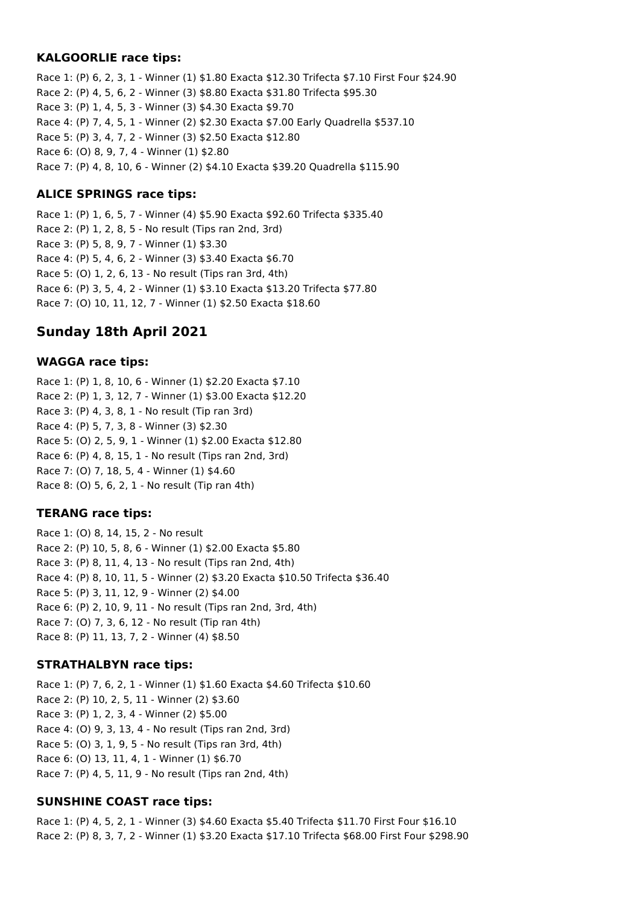### **KALGOORLIE race tips:**

Race 1: (P) 6, 2, 3, 1 - Winner (1) \$1.80 Exacta \$12.30 Trifecta \$7.10 First Four \$24.90 Race 2: (P) 4, 5, 6, 2 - Winner (3) \$8.80 Exacta \$31.80 Trifecta \$95.30 Race 3: (P) 1, 4, 5, 3 - Winner (3) \$4.30 Exacta \$9.70 Race 4: (P) 7, 4, 5, 1 - Winner (2) \$2.30 Exacta \$7.00 Early Quadrella \$537.10 Race 5: (P) 3, 4, 7, 2 - Winner (3) \$2.50 Exacta \$12.80 Race 6: (O) 8, 9, 7, 4 - Winner (1) \$2.80 Race 7: (P) 4, 8, 10, 6 - Winner (2) \$4.10 Exacta \$39.20 Quadrella \$115.90

## **ALICE SPRINGS race tips:**

Race 1: (P) 1, 6, 5, 7 - Winner (4) \$5.90 Exacta \$92.60 Trifecta \$335.40 Race 2: (P) 1, 2, 8, 5 - No result (Tips ran 2nd, 3rd) Race 3: (P) 5, 8, 9, 7 - Winner (1) \$3.30 Race 4: (P) 5, 4, 6, 2 - Winner (3) \$3.40 Exacta \$6.70 Race 5: (O) 1, 2, 6, 13 - No result (Tips ran 3rd, 4th) Race 6: (P) 3, 5, 4, 2 - Winner (1) \$3.10 Exacta \$13.20 Trifecta \$77.80 Race 7: (O) 10, 11, 12, 7 - Winner (1) \$2.50 Exacta \$18.60

# **Sunday 18th April 2021**

## **WAGGA race tips:**

Race 1: (P) 1, 8, 10, 6 - Winner (1) \$2.20 Exacta \$7.10 Race 2: (P) 1, 3, 12, 7 - Winner (1) \$3.00 Exacta \$12.20 Race 3: (P) 4, 3, 8, 1 - No result (Tip ran 3rd) Race 4: (P) 5, 7, 3, 8 - Winner (3) \$2.30 Race 5: (O) 2, 5, 9, 1 - Winner (1) \$2.00 Exacta \$12.80 Race 6: (P) 4, 8, 15, 1 - No result (Tips ran 2nd, 3rd) Race 7: (O) 7, 18, 5, 4 - Winner (1) \$4.60 Race 8: (O) 5, 6, 2, 1 - No result (Tip ran 4th)

## **TERANG race tips:**

Race 1: (O) 8, 14, 15, 2 - No result Race 2: (P) 10, 5, 8, 6 - Winner (1) \$2.00 Exacta \$5.80 Race 3: (P) 8, 11, 4, 13 - No result (Tips ran 2nd, 4th) Race 4: (P) 8, 10, 11, 5 - Winner (2) \$3.20 Exacta \$10.50 Trifecta \$36.40 Race 5: (P) 3, 11, 12, 9 - Winner (2) \$4.00 Race 6: (P) 2, 10, 9, 11 - No result (Tips ran 2nd, 3rd, 4th) Race 7: (O) 7, 3, 6, 12 - No result (Tip ran 4th) Race 8: (P) 11, 13, 7, 2 - Winner (4) \$8.50

## **STRATHALBYN race tips:**

Race 1: (P) 7, 6, 2, 1 - Winner (1) \$1.60 Exacta \$4.60 Trifecta \$10.60 Race 2: (P) 10, 2, 5, 11 - Winner (2) \$3.60 Race 3: (P) 1, 2, 3, 4 - Winner (2) \$5.00 Race 4: (O) 9, 3, 13, 4 - No result (Tips ran 2nd, 3rd) Race 5: (O) 3, 1, 9, 5 - No result (Tips ran 3rd, 4th) Race 6: (O) 13, 11, 4, 1 - Winner (1) \$6.70 Race 7: (P) 4, 5, 11, 9 - No result (Tips ran 2nd, 4th)

## **SUNSHINE COAST race tips:**

Race 1: (P) 4, 5, 2, 1 - Winner (3) \$4.60 Exacta \$5.40 Trifecta \$11.70 First Four \$16.10 Race 2: (P) 8, 3, 7, 2 - Winner (1) \$3.20 Exacta \$17.10 Trifecta \$68.00 First Four \$298.90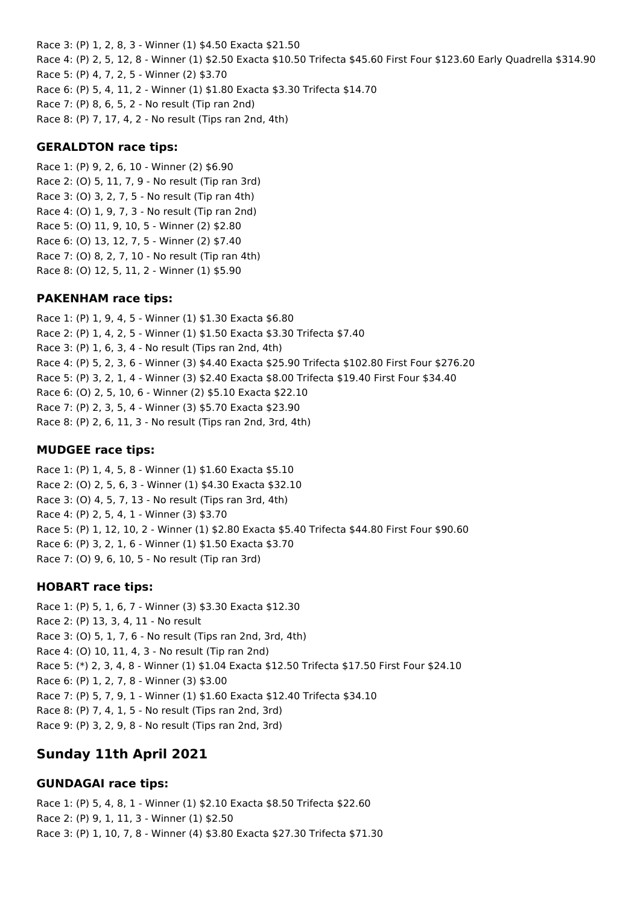Race 3: (P) 1, 2, 8, 3 - Winner (1) \$4.50 Exacta \$21.50 Race 4: (P) 2, 5, 12, 8 - Winner (1) \$2.50 Exacta \$10.50 Trifecta \$45.60 First Four \$123.60 Early Quadrella \$314.90 Race 5: (P) 4, 7, 2, 5 - Winner (2) \$3.70 Race 6: (P) 5, 4, 11, 2 - Winner (1) \$1.80 Exacta \$3.30 Trifecta \$14.70 Race 7: (P) 8, 6, 5, 2 - No result (Tip ran 2nd) Race 8: (P) 7, 17, 4, 2 - No result (Tips ran 2nd, 4th)

## **GERALDTON race tips:**

Race 1: (P) 9, 2, 6, 10 - Winner (2) \$6.90 Race 2: (O) 5, 11, 7, 9 - No result (Tip ran 3rd) Race 3: (O) 3, 2, 7, 5 - No result (Tip ran 4th) Race 4: (O) 1, 9, 7, 3 - No result (Tip ran 2nd) Race 5: (O) 11, 9, 10, 5 - Winner (2) \$2.80 Race 6: (O) 13, 12, 7, 5 - Winner (2) \$7.40 Race 7: (O) 8, 2, 7, 10 - No result (Tip ran 4th) Race 8: (O) 12, 5, 11, 2 - Winner (1) \$5.90

### **PAKENHAM race tips:**

Race 1: (P) 1, 9, 4, 5 - Winner (1) \$1.30 Exacta \$6.80 Race 2: (P) 1, 4, 2, 5 - Winner (1) \$1.50 Exacta \$3.30 Trifecta \$7.40 Race 3: (P) 1, 6, 3, 4 - No result (Tips ran 2nd, 4th) Race 4: (P) 5, 2, 3, 6 - Winner (3) \$4.40 Exacta \$25.90 Trifecta \$102.80 First Four \$276.20 Race 5: (P) 3, 2, 1, 4 - Winner (3) \$2.40 Exacta \$8.00 Trifecta \$19.40 First Four \$34.40 Race 6: (O) 2, 5, 10, 6 - Winner (2) \$5.10 Exacta \$22.10 Race 7: (P) 2, 3, 5, 4 - Winner (3) \$5.70 Exacta \$23.90 Race 8: (P) 2, 6, 11, 3 - No result (Tips ran 2nd, 3rd, 4th)

### **MUDGEE race tips:**

Race 1: (P) 1, 4, 5, 8 - Winner (1) \$1.60 Exacta \$5.10 Race 2: (O) 2, 5, 6, 3 - Winner (1) \$4.30 Exacta \$32.10 Race 3: (O) 4, 5, 7, 13 - No result (Tips ran 3rd, 4th) Race 4: (P) 2, 5, 4, 1 - Winner (3) \$3.70 Race 5: (P) 1, 12, 10, 2 - Winner (1) \$2.80 Exacta \$5.40 Trifecta \$44.80 First Four \$90.60 Race 6: (P) 3, 2, 1, 6 - Winner (1) \$1.50 Exacta \$3.70 Race 7: (O) 9, 6, 10, 5 - No result (Tip ran 3rd)

### **HOBART race tips:**

Race 1: (P) 5, 1, 6, 7 - Winner (3) \$3.30 Exacta \$12.30 Race 2: (P) 13, 3, 4, 11 - No result Race 3: (O) 5, 1, 7, 6 - No result (Tips ran 2nd, 3rd, 4th) Race 4: (O) 10, 11, 4, 3 - No result (Tip ran 2nd) Race 5: (\*) 2, 3, 4, 8 - Winner (1) \$1.04 Exacta \$12.50 Trifecta \$17.50 First Four \$24.10 Race 6: (P) 1, 2, 7, 8 - Winner (3) \$3.00 Race 7: (P) 5, 7, 9, 1 - Winner (1) \$1.60 Exacta \$12.40 Trifecta \$34.10 Race 8: (P) 7, 4, 1, 5 - No result (Tips ran 2nd, 3rd) Race 9: (P) 3, 2, 9, 8 - No result (Tips ran 2nd, 3rd)

# **Sunday 11th April 2021**

## **GUNDAGAI race tips:**

Race 1: (P) 5, 4, 8, 1 - Winner (1) \$2.10 Exacta \$8.50 Trifecta \$22.60 Race 2: (P) 9, 1, 11, 3 - Winner (1) \$2.50 Race 3: (P) 1, 10, 7, 8 - Winner (4) \$3.80 Exacta \$27.30 Trifecta \$71.30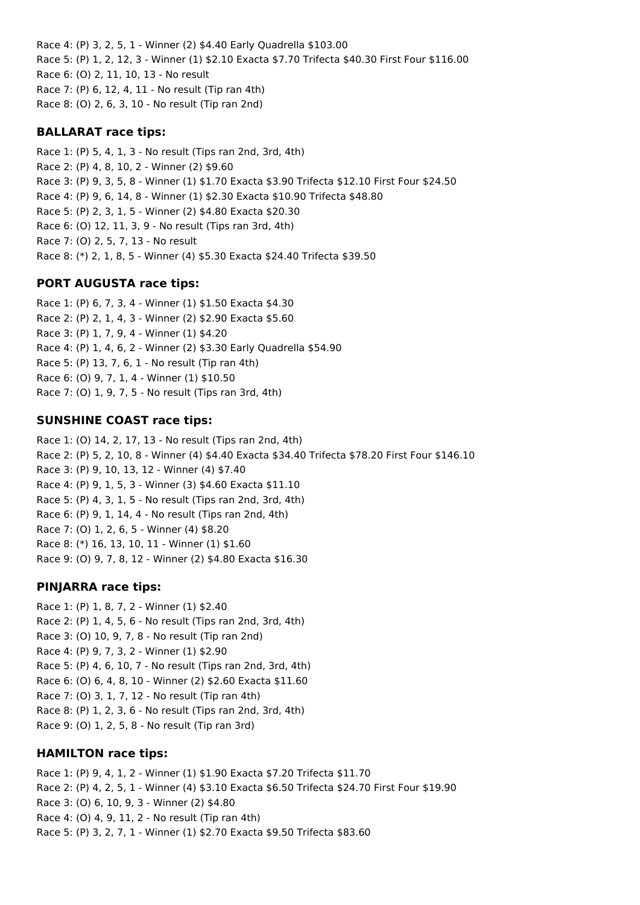Race 4: (P) 3, 2, 5, 1 - Winner (2) \$4.40 Early Quadrella \$103.00 Race 5: (P) 1, 2, 12, 3 - Winner (1) \$2.10 Exacta \$7.70 Trifecta \$40.30 First Four \$116.00 Race 6: (O) 2, 11, 10, 13 - No result Race 7: (P) 6, 12, 4, 11 - No result (Tip ran 4th) Race 8: (O) 2, 6, 3, 10 - No result (Tip ran 2nd)

### **BALLARAT race tips:**

Race 1: (P) 5, 4, 1, 3 - No result (Tips ran 2nd, 3rd, 4th) Race 2: (P) 4, 8, 10, 2 - Winner (2) \$9.60 Race 3: (P) 9, 3, 5, 8 - Winner (1) \$1.70 Exacta \$3.90 Trifecta \$12.10 First Four \$24.50 Race 4: (P) 9, 6, 14, 8 - Winner (1) \$2.30 Exacta \$10.90 Trifecta \$48.80 Race 5: (P) 2, 3, 1, 5 - Winner (2) \$4.80 Exacta \$20.30 Race 6: (O) 12, 11, 3, 9 - No result (Tips ran 3rd, 4th) Race 7: (O) 2, 5, 7, 13 - No result Race 8: (\*) 2, 1, 8, 5 - Winner (4) \$5.30 Exacta \$24.40 Trifecta \$39.50

## **PORT AUGUSTA race tips:**

Race 1: (P) 6, 7, 3, 4 - Winner (1) \$1.50 Exacta \$4.30 Race 2: (P) 2, 1, 4, 3 - Winner (2) \$2.90 Exacta \$5.60 Race 3: (P) 1, 7, 9, 4 - Winner (1) \$4.20 Race 4: (P) 1, 4, 6, 2 - Winner (2) \$3.30 Early Quadrella \$54.90 Race 5: (P) 13, 7, 6, 1 - No result (Tip ran 4th) Race 6: (O) 9, 7, 1, 4 - Winner (1) \$10.50 Race 7: (O) 1, 9, 7, 5 - No result (Tips ran 3rd, 4th)

### **SUNSHINE COAST race tips:**

Race 1: (O) 14, 2, 17, 13 - No result (Tips ran 2nd, 4th) Race 2: (P) 5, 2, 10, 8 - Winner (4) \$4.40 Exacta \$34.40 Trifecta \$78.20 First Four \$146.10 Race 3: (P) 9, 10, 13, 12 - Winner (4) \$7.40 Race 4: (P) 9, 1, 5, 3 - Winner (3) \$4.60 Exacta \$11.10 Race 5: (P) 4, 3, 1, 5 - No result (Tips ran 2nd, 3rd, 4th) Race 6: (P) 9, 1, 14, 4 - No result (Tips ran 2nd, 4th) Race 7: (O) 1, 2, 6, 5 - Winner (4) \$8.20 Race 8: (\*) 16, 13, 10, 11 - Winner (1) \$1.60 Race 9: (O) 9, 7, 8, 12 - Winner (2) \$4.80 Exacta \$16.30

## **PINJARRA race tips:**

Race 1: (P) 1, 8, 7, 2 - Winner (1) \$2.40 Race 2: (P) 1, 4, 5, 6 - No result (Tips ran 2nd, 3rd, 4th) Race 3: (O) 10, 9, 7, 8 - No result (Tip ran 2nd) Race 4: (P) 9, 7, 3, 2 - Winner (1) \$2.90 Race 5: (P) 4, 6, 10, 7 - No result (Tips ran 2nd, 3rd, 4th) Race 6: (O) 6, 4, 8, 10 - Winner (2) \$2.60 Exacta \$11.60 Race 7: (O) 3, 1, 7, 12 - No result (Tip ran 4th) Race 8: (P) 1, 2, 3, 6 - No result (Tips ran 2nd, 3rd, 4th) Race 9: (O) 1, 2, 5, 8 - No result (Tip ran 3rd)

### **HAMILTON race tips:**

Race 1: (P) 9, 4, 1, 2 - Winner (1) \$1.90 Exacta \$7.20 Trifecta \$11.70 Race 2: (P) 4, 2, 5, 1 - Winner (4) \$3.10 Exacta \$6.50 Trifecta \$24.70 First Four \$19.90 Race 3: (O) 6, 10, 9, 3 - Winner (2) \$4.80 Race 4: (O) 4, 9, 11, 2 - No result (Tip ran 4th) Race 5: (P) 3, 2, 7, 1 - Winner (1) \$2.70 Exacta \$9.50 Trifecta \$83.60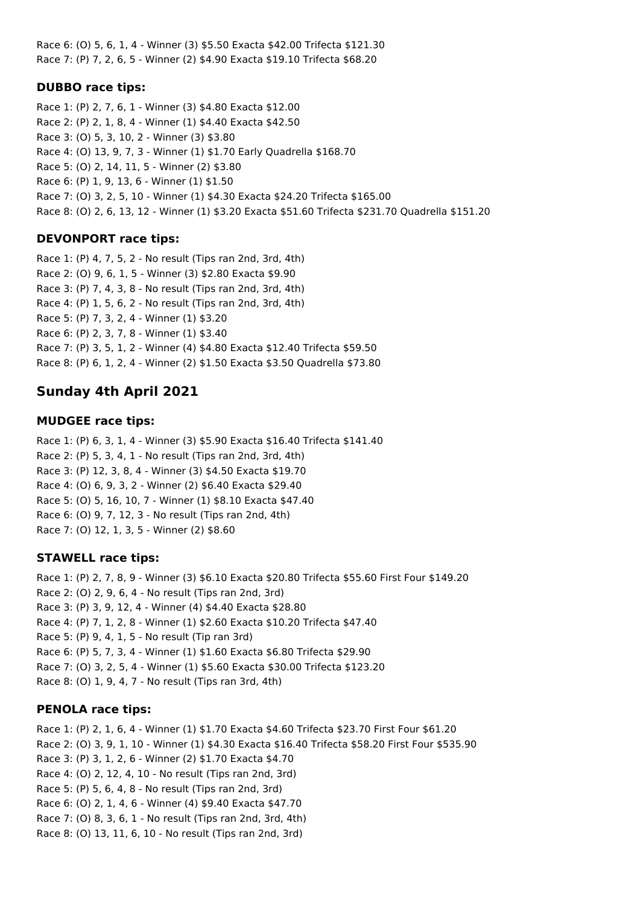Race 6: (O) 5, 6, 1, 4 - Winner (3) \$5.50 Exacta \$42.00 Trifecta \$121.30 Race 7: (P) 7, 2, 6, 5 - Winner (2) \$4.90 Exacta \$19.10 Trifecta \$68.20

## **DUBBO race tips:**

Race 1: (P) 2, 7, 6, 1 - Winner (3) \$4.80 Exacta \$12.00 Race 2: (P) 2, 1, 8, 4 - Winner (1) \$4.40 Exacta \$42.50 Race 3: (O) 5, 3, 10, 2 - Winner (3) \$3.80 Race 4: (O) 13, 9, 7, 3 - Winner (1) \$1.70 Early Quadrella \$168.70 Race 5: (O) 2, 14, 11, 5 - Winner (2) \$3.80 Race 6: (P) 1, 9, 13, 6 - Winner (1) \$1.50 Race 7: (O) 3, 2, 5, 10 - Winner (1) \$4.30 Exacta \$24.20 Trifecta \$165.00 Race 8: (O) 2, 6, 13, 12 - Winner (1) \$3.20 Exacta \$51.60 Trifecta \$231.70 Quadrella \$151.20

## **DEVONPORT race tips:**

Race 1: (P) 4, 7, 5, 2 - No result (Tips ran 2nd, 3rd, 4th) Race 2: (O) 9, 6, 1, 5 - Winner (3) \$2.80 Exacta \$9.90 Race 3: (P) 7, 4, 3, 8 - No result (Tips ran 2nd, 3rd, 4th) Race 4: (P) 1, 5, 6, 2 - No result (Tips ran 2nd, 3rd, 4th) Race 5: (P) 7, 3, 2, 4 - Winner (1) \$3.20 Race 6: (P) 2, 3, 7, 8 - Winner (1) \$3.40 Race 7: (P) 3, 5, 1, 2 - Winner (4) \$4.80 Exacta \$12.40 Trifecta \$59.50 Race 8: (P) 6, 1, 2, 4 - Winner (2) \$1.50 Exacta \$3.50 Quadrella \$73.80

# **Sunday 4th April 2021**

## **MUDGEE race tips:**

Race 1: (P) 6, 3, 1, 4 - Winner (3) \$5.90 Exacta \$16.40 Trifecta \$141.40 Race 2: (P) 5, 3, 4, 1 - No result (Tips ran 2nd, 3rd, 4th) Race 3: (P) 12, 3, 8, 4 - Winner (3) \$4.50 Exacta \$19.70 Race 4: (O) 6, 9, 3, 2 - Winner (2) \$6.40 Exacta \$29.40 Race 5: (O) 5, 16, 10, 7 - Winner (1) \$8.10 Exacta \$47.40 Race 6: (O) 9, 7, 12, 3 - No result (Tips ran 2nd, 4th) Race 7: (O) 12, 1, 3, 5 - Winner (2) \$8.60

## **STAWELL race tips:**

Race 1: (P) 2, 7, 8, 9 - Winner (3) \$6.10 Exacta \$20.80 Trifecta \$55.60 First Four \$149.20 Race 2: (O) 2, 9, 6, 4 - No result (Tips ran 2nd, 3rd) Race 3: (P) 3, 9, 12, 4 - Winner (4) \$4.40 Exacta \$28.80 Race 4: (P) 7, 1, 2, 8 - Winner (1) \$2.60 Exacta \$10.20 Trifecta \$47.40 Race 5: (P) 9, 4, 1, 5 - No result (Tip ran 3rd) Race 6: (P) 5, 7, 3, 4 - Winner (1) \$1.60 Exacta \$6.80 Trifecta \$29.90 Race 7: (O) 3, 2, 5, 4 - Winner (1) \$5.60 Exacta \$30.00 Trifecta \$123.20 Race 8: (O) 1, 9, 4, 7 - No result (Tips ran 3rd, 4th)

## **PENOLA race tips:**

Race 1: (P) 2, 1, 6, 4 - Winner (1) \$1.70 Exacta \$4.60 Trifecta \$23.70 First Four \$61.20 Race 2: (O) 3, 9, 1, 10 - Winner (1) \$4.30 Exacta \$16.40 Trifecta \$58.20 First Four \$535.90 Race 3: (P) 3, 1, 2, 6 - Winner (2) \$1.70 Exacta \$4.70 Race 4: (O) 2, 12, 4, 10 - No result (Tips ran 2nd, 3rd) Race 5: (P) 5, 6, 4, 8 - No result (Tips ran 2nd, 3rd) Race 6: (O) 2, 1, 4, 6 - Winner (4) \$9.40 Exacta \$47.70 Race 7: (O) 8, 3, 6, 1 - No result (Tips ran 2nd, 3rd, 4th) Race 8: (O) 13, 11, 6, 10 - No result (Tips ran 2nd, 3rd)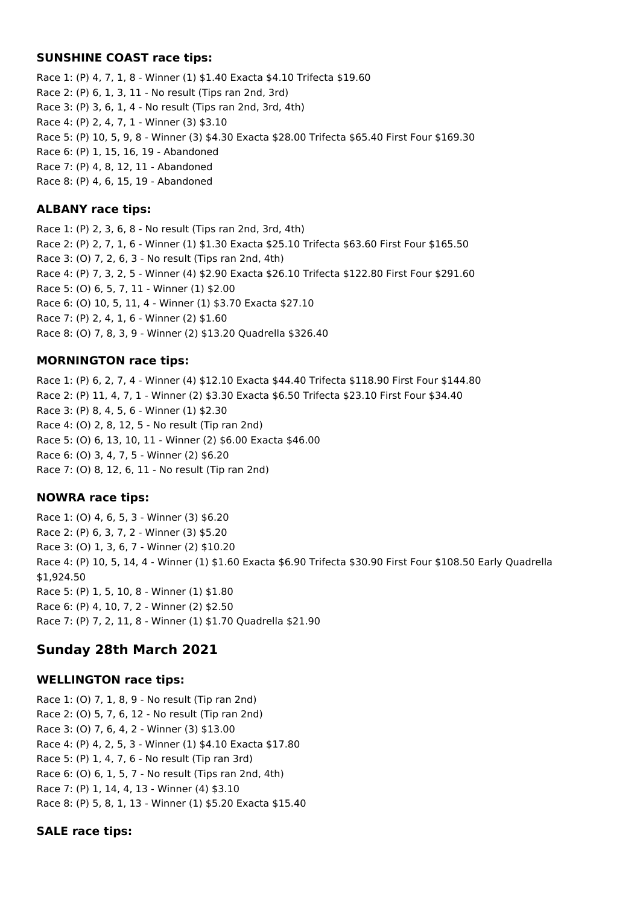### **SUNSHINE COAST race tips:**

Race 1: (P) 4, 7, 1, 8 - Winner (1) \$1.40 Exacta \$4.10 Trifecta \$19.60 Race 2: (P) 6, 1, 3, 11 - No result (Tips ran 2nd, 3rd) Race 3: (P) 3, 6, 1, 4 - No result (Tips ran 2nd, 3rd, 4th) Race 4: (P) 2, 4, 7, 1 - Winner (3) \$3.10 Race 5: (P) 10, 5, 9, 8 - Winner (3) \$4.30 Exacta \$28.00 Trifecta \$65.40 First Four \$169.30 Race 6: (P) 1, 15, 16, 19 - Abandoned Race 7: (P) 4, 8, 12, 11 - Abandoned Race 8: (P) 4, 6, 15, 19 - Abandoned

### **ALBANY race tips:**

Race 1: (P) 2, 3, 6, 8 - No result (Tips ran 2nd, 3rd, 4th) Race 2: (P) 2, 7, 1, 6 - Winner (1) \$1.30 Exacta \$25.10 Trifecta \$63.60 First Four \$165.50 Race 3: (O) 7, 2, 6, 3 - No result (Tips ran 2nd, 4th) Race 4: (P) 7, 3, 2, 5 - Winner (4) \$2.90 Exacta \$26.10 Trifecta \$122.80 First Four \$291.60 Race 5: (O) 6, 5, 7, 11 - Winner (1) \$2.00 Race 6: (O) 10, 5, 11, 4 - Winner (1) \$3.70 Exacta \$27.10 Race 7: (P) 2, 4, 1, 6 - Winner (2) \$1.60 Race 8: (O) 7, 8, 3, 9 - Winner (2) \$13.20 Quadrella \$326.40

## **MORNINGTON race tips:**

Race 1: (P) 6, 2, 7, 4 - Winner (4) \$12.10 Exacta \$44.40 Trifecta \$118.90 First Four \$144.80 Race 2: (P) 11, 4, 7, 1 - Winner (2) \$3.30 Exacta \$6.50 Trifecta \$23.10 First Four \$34.40 Race 3: (P) 8, 4, 5, 6 - Winner (1) \$2.30 Race 4: (O) 2, 8, 12, 5 - No result (Tip ran 2nd) Race 5: (O) 6, 13, 10, 11 - Winner (2) \$6.00 Exacta \$46.00 Race 6: (O) 3, 4, 7, 5 - Winner (2) \$6.20 Race 7: (O) 8, 12, 6, 11 - No result (Tip ran 2nd)

## **NOWRA race tips:**

Race 1: (O) 4, 6, 5, 3 - Winner (3) \$6.20 Race 2: (P) 6, 3, 7, 2 - Winner (3) \$5.20 Race 3: (O) 1, 3, 6, 7 - Winner (2) \$10.20 Race 4: (P) 10, 5, 14, 4 - Winner (1) \$1.60 Exacta \$6.90 Trifecta \$30.90 First Four \$108.50 Early Quadrella \$1,924.50 Race 5: (P) 1, 5, 10, 8 - Winner (1) \$1.80 Race 6: (P) 4, 10, 7, 2 - Winner (2) \$2.50 Race 7: (P) 7, 2, 11, 8 - Winner (1) \$1.70 Quadrella \$21.90

## **Sunday 28th March 2021**

## **WELLINGTON race tips:**

Race 1: (O) 7, 1, 8, 9 - No result (Tip ran 2nd) Race 2: (O) 5, 7, 6, 12 - No result (Tip ran 2nd) Race 3: (O) 7, 6, 4, 2 - Winner (3) \$13.00 Race 4: (P) 4, 2, 5, 3 - Winner (1) \$4.10 Exacta \$17.80 Race 5: (P) 1, 4, 7, 6 - No result (Tip ran 3rd) Race 6: (O) 6, 1, 5, 7 - No result (Tips ran 2nd, 4th) Race 7: (P) 1, 14, 4, 13 - Winner (4) \$3.10 Race 8: (P) 5, 8, 1, 13 - Winner (1) \$5.20 Exacta \$15.40

## **SALE race tips:**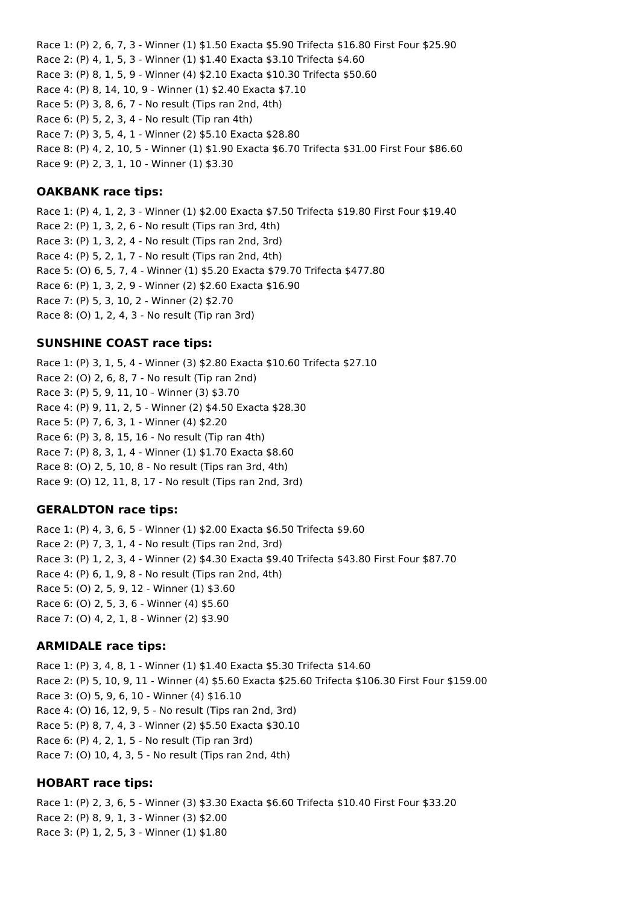Race 1: (P) 2, 6, 7, 3 - Winner (1) \$1.50 Exacta \$5.90 Trifecta \$16.80 First Four \$25.90 Race 2: (P) 4, 1, 5, 3 - Winner (1) \$1.40 Exacta \$3.10 Trifecta \$4.60 Race 3: (P) 8, 1, 5, 9 - Winner (4) \$2.10 Exacta \$10.30 Trifecta \$50.60 Race 4: (P) 8, 14, 10, 9 - Winner (1) \$2.40 Exacta \$7.10 Race 5: (P) 3, 8, 6, 7 - No result (Tips ran 2nd, 4th) Race 6: (P) 5, 2, 3, 4 - No result (Tip ran 4th) Race 7: (P) 3, 5, 4, 1 - Winner (2) \$5.10 Exacta \$28.80 Race 8: (P) 4, 2, 10, 5 - Winner (1) \$1.90 Exacta \$6.70 Trifecta \$31.00 First Four \$86.60 Race 9: (P) 2, 3, 1, 10 - Winner (1) \$3.30

### **OAKBANK race tips:**

Race 1: (P) 4, 1, 2, 3 - Winner (1) \$2.00 Exacta \$7.50 Trifecta \$19.80 First Four \$19.40 Race 2: (P) 1, 3, 2, 6 - No result (Tips ran 3rd, 4th) Race 3: (P) 1, 3, 2, 4 - No result (Tips ran 2nd, 3rd) Race 4: (P) 5, 2, 1, 7 - No result (Tips ran 2nd, 4th) Race 5: (O) 6, 5, 7, 4 - Winner (1) \$5.20 Exacta \$79.70 Trifecta \$477.80 Race 6: (P) 1, 3, 2, 9 - Winner (2) \$2.60 Exacta \$16.90 Race 7: (P) 5, 3, 10, 2 - Winner (2) \$2.70 Race 8: (O) 1, 2, 4, 3 - No result (Tip ran 3rd)

### **SUNSHINE COAST race tips:**

Race 1: (P) 3, 1, 5, 4 - Winner (3) \$2.80 Exacta \$10.60 Trifecta \$27.10 Race 2: (O) 2, 6, 8, 7 - No result (Tip ran 2nd) Race 3: (P) 5, 9, 11, 10 - Winner (3) \$3.70 Race 4: (P) 9, 11, 2, 5 - Winner (2) \$4.50 Exacta \$28.30 Race 5: (P) 7, 6, 3, 1 - Winner (4) \$2.20 Race 6: (P) 3, 8, 15, 16 - No result (Tip ran 4th) Race 7: (P) 8, 3, 1, 4 - Winner (1) \$1.70 Exacta \$8.60 Race 8: (O) 2, 5, 10, 8 - No result (Tips ran 3rd, 4th) Race 9: (O) 12, 11, 8, 17 - No result (Tips ran 2nd, 3rd)

### **GERALDTON race tips:**

Race 1: (P) 4, 3, 6, 5 - Winner (1) \$2.00 Exacta \$6.50 Trifecta \$9.60 Race 2: (P) 7, 3, 1, 4 - No result (Tips ran 2nd, 3rd) Race 3: (P) 1, 2, 3, 4 - Winner (2) \$4.30 Exacta \$9.40 Trifecta \$43.80 First Four \$87.70 Race 4: (P) 6, 1, 9, 8 - No result (Tips ran 2nd, 4th) Race 5: (O) 2, 5, 9, 12 - Winner (1) \$3.60 Race 6: (O) 2, 5, 3, 6 - Winner (4) \$5.60 Race 7: (O) 4, 2, 1, 8 - Winner (2) \$3.90

### **ARMIDALE race tips:**

Race 1: (P) 3, 4, 8, 1 - Winner (1) \$1.40 Exacta \$5.30 Trifecta \$14.60 Race 2: (P) 5, 10, 9, 11 - Winner (4) \$5.60 Exacta \$25.60 Trifecta \$106.30 First Four \$159.00 Race 3: (O) 5, 9, 6, 10 - Winner (4) \$16.10 Race 4: (O) 16, 12, 9, 5 - No result (Tips ran 2nd, 3rd) Race 5: (P) 8, 7, 4, 3 - Winner (2) \$5.50 Exacta \$30.10 Race 6: (P) 4, 2, 1, 5 - No result (Tip ran 3rd) Race 7: (O) 10, 4, 3, 5 - No result (Tips ran 2nd, 4th)

## **HOBART race tips:**

Race 1: (P) 2, 3, 6, 5 - Winner (3) \$3.30 Exacta \$6.60 Trifecta \$10.40 First Four \$33.20 Race 2: (P) 8, 9, 1, 3 - Winner (3) \$2.00 Race 3: (P) 1, 2, 5, 3 - Winner (1) \$1.80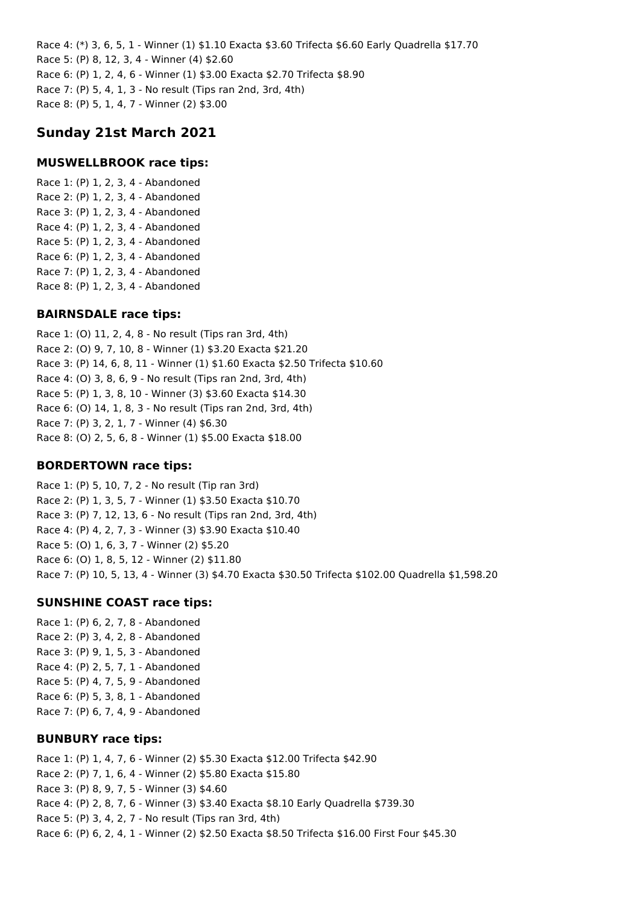Race 4: (\*) 3, 6, 5, 1 - Winner (1) \$1.10 Exacta \$3.60 Trifecta \$6.60 Early Quadrella \$17.70 Race 5: (P) 8, 12, 3, 4 - Winner (4) \$2.60 Race 6: (P) 1, 2, 4, 6 - Winner (1) \$3.00 Exacta \$2.70 Trifecta \$8.90 Race 7: (P) 5, 4, 1, 3 - No result (Tips ran 2nd, 3rd, 4th) Race 8: (P) 5, 1, 4, 7 - Winner (2) \$3.00

## **Sunday 21st March 2021**

### **MUSWELLBROOK race tips:**

Race 1: (P) 1, 2, 3, 4 - Abandoned Race 2: (P) 1, 2, 3, 4 - Abandoned Race 3: (P) 1, 2, 3, 4 - Abandoned Race 4: (P) 1, 2, 3, 4 - Abandoned Race 5: (P) 1, 2, 3, 4 - Abandoned Race 6: (P) 1, 2, 3, 4 - Abandoned Race 7: (P) 1, 2, 3, 4 - Abandoned Race 8: (P) 1, 2, 3, 4 - Abandoned

### **BAIRNSDALE race tips:**

Race 1: (O) 11, 2, 4, 8 - No result (Tips ran 3rd, 4th) Race 2: (O) 9, 7, 10, 8 - Winner (1) \$3.20 Exacta \$21.20 Race 3: (P) 14, 6, 8, 11 - Winner (1) \$1.60 Exacta \$2.50 Trifecta \$10.60 Race 4: (O) 3, 8, 6, 9 - No result (Tips ran 2nd, 3rd, 4th) Race 5: (P) 1, 3, 8, 10 - Winner (3) \$3.60 Exacta \$14.30 Race 6: (O) 14, 1, 8, 3 - No result (Tips ran 2nd, 3rd, 4th) Race 7: (P) 3, 2, 1, 7 - Winner (4) \$6.30 Race 8: (O) 2, 5, 6, 8 - Winner (1) \$5.00 Exacta \$18.00

### **BORDERTOWN race tips:**

Race 1: (P) 5, 10, 7, 2 - No result (Tip ran 3rd) Race 2: (P) 1, 3, 5, 7 - Winner (1) \$3.50 Exacta \$10.70 Race 3: (P) 7, 12, 13, 6 - No result (Tips ran 2nd, 3rd, 4th) Race 4: (P) 4, 2, 7, 3 - Winner (3) \$3.90 Exacta \$10.40 Race 5: (O) 1, 6, 3, 7 - Winner (2) \$5.20 Race 6: (O) 1, 8, 5, 12 - Winner (2) \$11.80 Race 7: (P) 10, 5, 13, 4 - Winner (3) \$4.70 Exacta \$30.50 Trifecta \$102.00 Quadrella \$1,598.20

### **SUNSHINE COAST race tips:**

Race 1: (P) 6, 2, 7, 8 - Abandoned Race 2: (P) 3, 4, 2, 8 - Abandoned Race 3: (P) 9, 1, 5, 3 - Abandoned Race 4: (P) 2, 5, 7, 1 - Abandoned Race 5: (P) 4, 7, 5, 9 - Abandoned Race 6: (P) 5, 3, 8, 1 - Abandoned Race 7: (P) 6, 7, 4, 9 - Abandoned

### **BUNBURY race tips:**

Race 1: (P) 1, 4, 7, 6 - Winner (2) \$5.30 Exacta \$12.00 Trifecta \$42.90 Race 2: (P) 7, 1, 6, 4 - Winner (2) \$5.80 Exacta \$15.80 Race 3: (P) 8, 9, 7, 5 - Winner (3) \$4.60 Race 4: (P) 2, 8, 7, 6 - Winner (3) \$3.40 Exacta \$8.10 Early Quadrella \$739.30 Race 5: (P) 3, 4, 2, 7 - No result (Tips ran 3rd, 4th) Race 6: (P) 6, 2, 4, 1 - Winner (2) \$2.50 Exacta \$8.50 Trifecta \$16.00 First Four \$45.30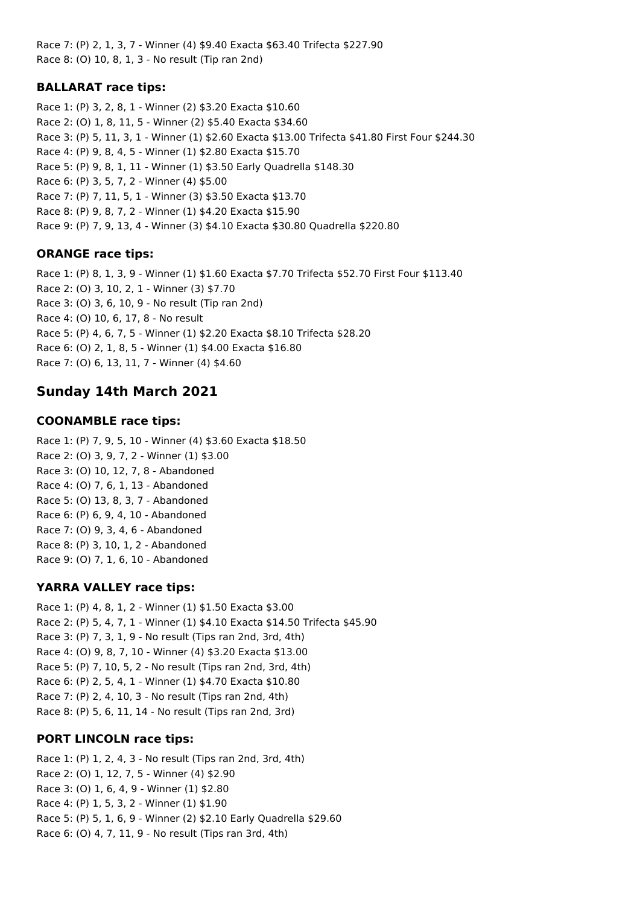Race 7: (P) 2, 1, 3, 7 - Winner (4) \$9.40 Exacta \$63.40 Trifecta \$227.90 Race 8: (O) 10, 8, 1, 3 - No result (Tip ran 2nd)

## **BALLARAT race tips:**

Race 1: (P) 3, 2, 8, 1 - Winner (2) \$3.20 Exacta \$10.60 Race 2: (O) 1, 8, 11, 5 - Winner (2) \$5.40 Exacta \$34.60 Race 3: (P) 5, 11, 3, 1 - Winner (1) \$2.60 Exacta \$13.00 Trifecta \$41.80 First Four \$244.30 Race 4: (P) 9, 8, 4, 5 - Winner (1) \$2.80 Exacta \$15.70 Race 5: (P) 9, 8, 1, 11 - Winner (1) \$3.50 Early Quadrella \$148.30 Race 6: (P) 3, 5, 7, 2 - Winner (4) \$5.00 Race 7: (P) 7, 11, 5, 1 - Winner (3) \$3.50 Exacta \$13.70 Race 8: (P) 9, 8, 7, 2 - Winner (1) \$4.20 Exacta \$15.90 Race 9: (P) 7, 9, 13, 4 - Winner (3) \$4.10 Exacta \$30.80 Quadrella \$220.80

## **ORANGE race tips:**

Race 1: (P) 8, 1, 3, 9 - Winner (1) \$1.60 Exacta \$7.70 Trifecta \$52.70 First Four \$113.40 Race 2: (O) 3, 10, 2, 1 - Winner (3) \$7.70 Race 3: (O) 3, 6, 10, 9 - No result (Tip ran 2nd) Race 4: (O) 10, 6, 17, 8 - No result Race 5: (P) 4, 6, 7, 5 - Winner (1) \$2.20 Exacta \$8.10 Trifecta \$28.20 Race 6: (O) 2, 1, 8, 5 - Winner (1) \$4.00 Exacta \$16.80 Race 7: (O) 6, 13, 11, 7 - Winner (4) \$4.60

# **Sunday 14th March 2021**

## **COONAMBLE race tips:**

Race 1: (P) 7, 9, 5, 10 - Winner (4) \$3.60 Exacta \$18.50 Race 2: (O) 3, 9, 7, 2 - Winner (1) \$3.00 Race 3: (O) 10, 12, 7, 8 - Abandoned Race 4: (O) 7, 6, 1, 13 - Abandoned Race 5: (O) 13, 8, 3, 7 - Abandoned Race 6: (P) 6, 9, 4, 10 - Abandoned Race 7: (O) 9, 3, 4, 6 - Abandoned Race 8: (P) 3, 10, 1, 2 - Abandoned Race 9: (O) 7, 1, 6, 10 - Abandoned

## **YARRA VALLEY race tips:**

Race 1: (P) 4, 8, 1, 2 - Winner (1) \$1.50 Exacta \$3.00 Race 2: (P) 5, 4, 7, 1 - Winner (1) \$4.10 Exacta \$14.50 Trifecta \$45.90 Race 3: (P) 7, 3, 1, 9 - No result (Tips ran 2nd, 3rd, 4th) Race 4: (O) 9, 8, 7, 10 - Winner (4) \$3.20 Exacta \$13.00 Race 5: (P) 7, 10, 5, 2 - No result (Tips ran 2nd, 3rd, 4th) Race 6: (P) 2, 5, 4, 1 - Winner (1) \$4.70 Exacta \$10.80 Race 7: (P) 2, 4, 10, 3 - No result (Tips ran 2nd, 4th) Race 8: (P) 5, 6, 11, 14 - No result (Tips ran 2nd, 3rd)

## **PORT LINCOLN race tips:**

Race 1: (P) 1, 2, 4, 3 - No result (Tips ran 2nd, 3rd, 4th) Race 2: (O) 1, 12, 7, 5 - Winner (4) \$2.90 Race 3: (O) 1, 6, 4, 9 - Winner (1) \$2.80 Race 4: (P) 1, 5, 3, 2 - Winner (1) \$1.90 Race 5: (P) 5, 1, 6, 9 - Winner (2) \$2.10 Early Quadrella \$29.60 Race 6: (O) 4, 7, 11, 9 - No result (Tips ran 3rd, 4th)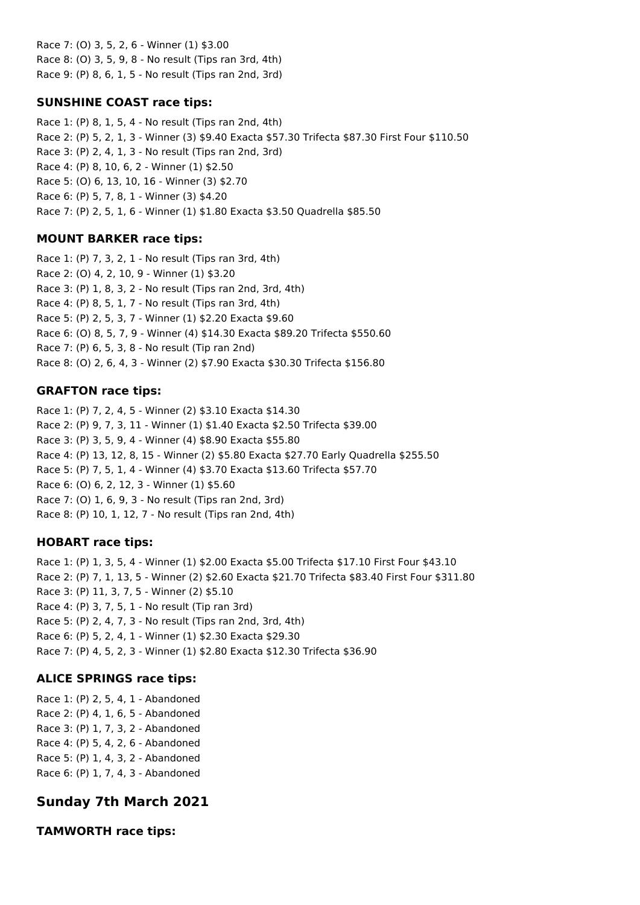Race 7: (O) 3, 5, 2, 6 - Winner (1) \$3.00 Race 8: (O) 3, 5, 9, 8 - No result (Tips ran 3rd, 4th) Race 9: (P) 8, 6, 1, 5 - No result (Tips ran 2nd, 3rd)

## **SUNSHINE COAST race tips:**

Race 1: (P) 8, 1, 5, 4 - No result (Tips ran 2nd, 4th) Race 2: (P) 5, 2, 1, 3 - Winner (3) \$9.40 Exacta \$57.30 Trifecta \$87.30 First Four \$110.50 Race 3: (P) 2, 4, 1, 3 - No result (Tips ran 2nd, 3rd) Race 4: (P) 8, 10, 6, 2 - Winner (1) \$2.50 Race 5: (O) 6, 13, 10, 16 - Winner (3) \$2.70 Race 6: (P) 5, 7, 8, 1 - Winner (3) \$4.20 Race 7: (P) 2, 5, 1, 6 - Winner (1) \$1.80 Exacta \$3.50 Quadrella \$85.50

## **MOUNT BARKER race tips:**

Race 1: (P) 7, 3, 2, 1 - No result (Tips ran 3rd, 4th) Race 2: (O) 4, 2, 10, 9 - Winner (1) \$3.20 Race 3: (P) 1, 8, 3, 2 - No result (Tips ran 2nd, 3rd, 4th) Race 4: (P) 8, 5, 1, 7 - No result (Tips ran 3rd, 4th) Race 5: (P) 2, 5, 3, 7 - Winner (1) \$2.20 Exacta \$9.60 Race 6: (O) 8, 5, 7, 9 - Winner (4) \$14.30 Exacta \$89.20 Trifecta \$550.60 Race 7: (P) 6, 5, 3, 8 - No result (Tip ran 2nd) Race 8: (O) 2, 6, 4, 3 - Winner (2) \$7.90 Exacta \$30.30 Trifecta \$156.80

## **GRAFTON race tips:**

Race 1: (P) 7, 2, 4, 5 - Winner (2) \$3.10 Exacta \$14.30 Race 2: (P) 9, 7, 3, 11 - Winner (1) \$1.40 Exacta \$2.50 Trifecta \$39.00 Race 3: (P) 3, 5, 9, 4 - Winner (4) \$8.90 Exacta \$55.80 Race 4: (P) 13, 12, 8, 15 - Winner (2) \$5.80 Exacta \$27.70 Early Quadrella \$255.50 Race 5: (P) 7, 5, 1, 4 - Winner (4) \$3.70 Exacta \$13.60 Trifecta \$57.70 Race 6: (O) 6, 2, 12, 3 - Winner (1) \$5.60 Race 7: (O) 1, 6, 9, 3 - No result (Tips ran 2nd, 3rd) Race 8: (P) 10, 1, 12, 7 - No result (Tips ran 2nd, 4th)

## **HOBART race tips:**

Race 1: (P) 1, 3, 5, 4 - Winner (1) \$2.00 Exacta \$5.00 Trifecta \$17.10 First Four \$43.10 Race 2: (P) 7, 1, 13, 5 - Winner (2) \$2.60 Exacta \$21.70 Trifecta \$83.40 First Four \$311.80 Race 3: (P) 11, 3, 7, 5 - Winner (2) \$5.10 Race 4: (P) 3, 7, 5, 1 - No result (Tip ran 3rd) Race 5: (P) 2, 4, 7, 3 - No result (Tips ran 2nd, 3rd, 4th) Race 6: (P) 5, 2, 4, 1 - Winner (1) \$2.30 Exacta \$29.30 Race 7: (P) 4, 5, 2, 3 - Winner (1) \$2.80 Exacta \$12.30 Trifecta \$36.90

## **ALICE SPRINGS race tips:**

Race 1: (P) 2, 5, 4, 1 - Abandoned Race 2: (P) 4, 1, 6, 5 - Abandoned Race 3: (P) 1, 7, 3, 2 - Abandoned Race 4: (P) 5, 4, 2, 6 - Abandoned Race 5: (P) 1, 4, 3, 2 - Abandoned Race 6: (P) 1, 7, 4, 3 - Abandoned

# **Sunday 7th March 2021**

**TAMWORTH race tips:**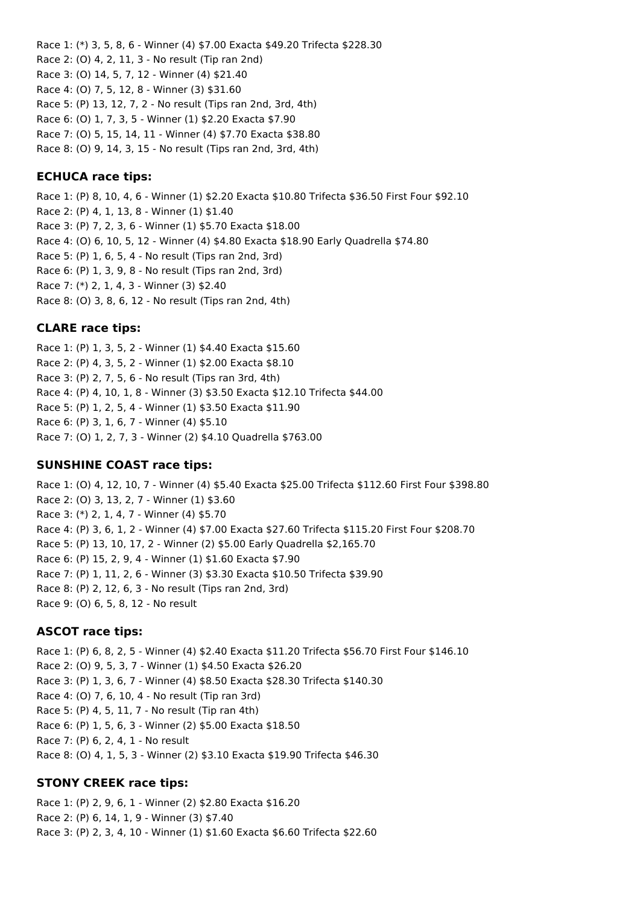Race 1: (\*) 3, 5, 8, 6 - Winner (4) \$7.00 Exacta \$49.20 Trifecta \$228.30 Race 2: (O) 4, 2, 11, 3 - No result (Tip ran 2nd) Race 3: (O) 14, 5, 7, 12 - Winner (4) \$21.40 Race 4: (O) 7, 5, 12, 8 - Winner (3) \$31.60 Race 5: (P) 13, 12, 7, 2 - No result (Tips ran 2nd, 3rd, 4th) Race 6: (O) 1, 7, 3, 5 - Winner (1) \$2.20 Exacta \$7.90 Race 7: (O) 5, 15, 14, 11 - Winner (4) \$7.70 Exacta \$38.80 Race 8: (O) 9, 14, 3, 15 - No result (Tips ran 2nd, 3rd, 4th)

### **ECHUCA race tips:**

Race 1: (P) 8, 10, 4, 6 - Winner (1) \$2.20 Exacta \$10.80 Trifecta \$36.50 First Four \$92.10 Race 2: (P) 4, 1, 13, 8 - Winner (1) \$1.40 Race 3: (P) 7, 2, 3, 6 - Winner (1) \$5.70 Exacta \$18.00 Race 4: (O) 6, 10, 5, 12 - Winner (4) \$4.80 Exacta \$18.90 Early Quadrella \$74.80 Race 5: (P) 1, 6, 5, 4 - No result (Tips ran 2nd, 3rd) Race 6: (P) 1, 3, 9, 8 - No result (Tips ran 2nd, 3rd) Race 7: (\*) 2, 1, 4, 3 - Winner (3) \$2.40 Race 8: (O) 3, 8, 6, 12 - No result (Tips ran 2nd, 4th)

## **CLARE race tips:**

Race 1: (P) 1, 3, 5, 2 - Winner (1) \$4.40 Exacta \$15.60 Race 2: (P) 4, 3, 5, 2 - Winner (1) \$2.00 Exacta \$8.10 Race 3: (P) 2, 7, 5, 6 - No result (Tips ran 3rd, 4th) Race 4: (P) 4, 10, 1, 8 - Winner (3) \$3.50 Exacta \$12.10 Trifecta \$44.00 Race 5: (P) 1, 2, 5, 4 - Winner (1) \$3.50 Exacta \$11.90 Race 6: (P) 3, 1, 6, 7 - Winner (4) \$5.10 Race 7: (O) 1, 2, 7, 3 - Winner (2) \$4.10 Quadrella \$763.00

### **SUNSHINE COAST race tips:**

Race 1: (O) 4, 12, 10, 7 - Winner (4) \$5.40 Exacta \$25.00 Trifecta \$112.60 First Four \$398.80 Race 2: (O) 3, 13, 2, 7 - Winner (1) \$3.60 Race 3: (\*) 2, 1, 4, 7 - Winner (4) \$5.70 Race 4: (P) 3, 6, 1, 2 - Winner (4) \$7.00 Exacta \$27.60 Trifecta \$115.20 First Four \$208.70 Race 5: (P) 13, 10, 17, 2 - Winner (2) \$5.00 Early Quadrella \$2,165.70 Race 6: (P) 15, 2, 9, 4 - Winner (1) \$1.60 Exacta \$7.90 Race 7: (P) 1, 11, 2, 6 - Winner (3) \$3.30 Exacta \$10.50 Trifecta \$39.90 Race 8: (P) 2, 12, 6, 3 - No result (Tips ran 2nd, 3rd) Race 9: (O) 6, 5, 8, 12 - No result

### **ASCOT race tips:**

Race 1: (P) 6, 8, 2, 5 - Winner (4) \$2.40 Exacta \$11.20 Trifecta \$56.70 First Four \$146.10 Race 2: (O) 9, 5, 3, 7 - Winner (1) \$4.50 Exacta \$26.20 Race 3: (P) 1, 3, 6, 7 - Winner (4) \$8.50 Exacta \$28.30 Trifecta \$140.30 Race 4: (O) 7, 6, 10, 4 - No result (Tip ran 3rd) Race 5: (P) 4, 5, 11, 7 - No result (Tip ran 4th) Race 6: (P) 1, 5, 6, 3 - Winner (2) \$5.00 Exacta \$18.50 Race 7: (P) 6, 2, 4, 1 - No result Race 8: (O) 4, 1, 5, 3 - Winner (2) \$3.10 Exacta \$19.90 Trifecta \$46.30

## **STONY CREEK race tips:**

Race 1: (P) 2, 9, 6, 1 - Winner (2) \$2.80 Exacta \$16.20 Race 2: (P) 6, 14, 1, 9 - Winner (3) \$7.40 Race 3: (P) 2, 3, 4, 10 - Winner (1) \$1.60 Exacta \$6.60 Trifecta \$22.60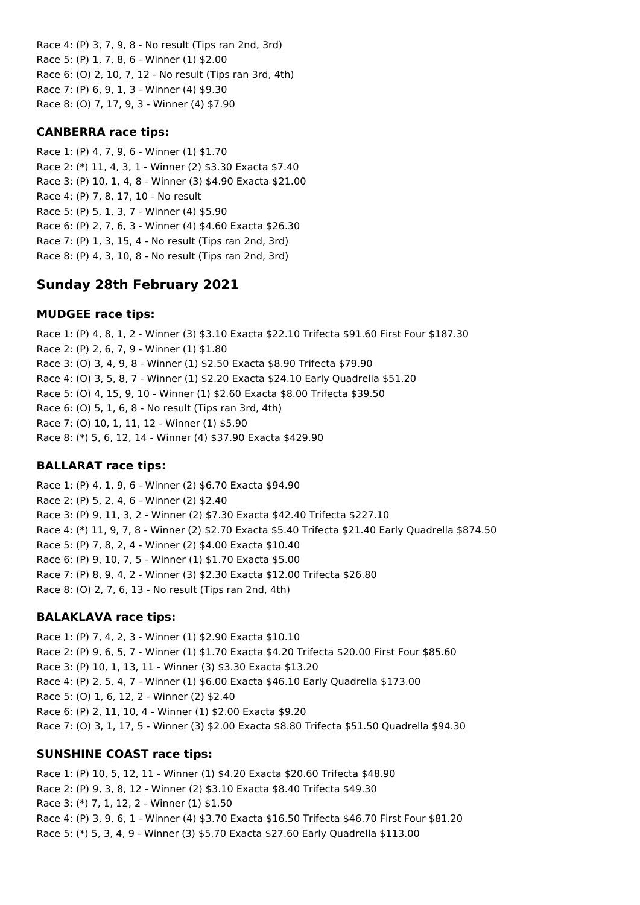Race 4: (P) 3, 7, 9, 8 - No result (Tips ran 2nd, 3rd) Race 5: (P) 1, 7, 8, 6 - Winner (1) \$2.00 Race 6: (O) 2, 10, 7, 12 - No result (Tips ran 3rd, 4th) Race 7: (P) 6, 9, 1, 3 - Winner (4) \$9.30 Race 8: (O) 7, 17, 9, 3 - Winner (4) \$7.90

### **CANBERRA race tips:**

Race 1: (P) 4, 7, 9, 6 - Winner (1) \$1.70 Race 2: (\*) 11, 4, 3, 1 - Winner (2) \$3.30 Exacta \$7.40 Race 3: (P) 10, 1, 4, 8 - Winner (3) \$4.90 Exacta \$21.00 Race 4: (P) 7, 8, 17, 10 - No result Race 5: (P) 5, 1, 3, 7 - Winner (4) \$5.90 Race 6: (P) 2, 7, 6, 3 - Winner (4) \$4.60 Exacta \$26.30 Race 7: (P) 1, 3, 15, 4 - No result (Tips ran 2nd, 3rd) Race 8: (P) 4, 3, 10, 8 - No result (Tips ran 2nd, 3rd)

# **Sunday 28th February 2021**

## **MUDGEE race tips:**

Race 1: (P) 4, 8, 1, 2 - Winner (3) \$3.10 Exacta \$22.10 Trifecta \$91.60 First Four \$187.30 Race 2: (P) 2, 6, 7, 9 - Winner (1) \$1.80 Race 3: (O) 3, 4, 9, 8 - Winner (1) \$2.50 Exacta \$8.90 Trifecta \$79.90 Race 4: (O) 3, 5, 8, 7 - Winner (1) \$2.20 Exacta \$24.10 Early Quadrella \$51.20 Race 5: (O) 4, 15, 9, 10 - Winner (1) \$2.60 Exacta \$8.00 Trifecta \$39.50 Race 6: (O) 5, 1, 6, 8 - No result (Tips ran 3rd, 4th) Race 7: (O) 10, 1, 11, 12 - Winner (1) \$5.90 Race 8: (\*) 5, 6, 12, 14 - Winner (4) \$37.90 Exacta \$429.90

## **BALLARAT race tips:**

Race 1: (P) 4, 1, 9, 6 - Winner (2) \$6.70 Exacta \$94.90 Race 2: (P) 5, 2, 4, 6 - Winner (2) \$2.40 Race 3: (P) 9, 11, 3, 2 - Winner (2) \$7.30 Exacta \$42.40 Trifecta \$227.10 Race 4: (\*) 11, 9, 7, 8 - Winner (2) \$2.70 Exacta \$5.40 Trifecta \$21.40 Early Quadrella \$874.50 Race 5: (P) 7, 8, 2, 4 - Winner (2) \$4.00 Exacta \$10.40 Race 6: (P) 9, 10, 7, 5 - Winner (1) \$1.70 Exacta \$5.00 Race 7: (P) 8, 9, 4, 2 - Winner (3) \$2.30 Exacta \$12.00 Trifecta \$26.80 Race 8: (O) 2, 7, 6, 13 - No result (Tips ran 2nd, 4th)

## **BALAKLAVA race tips:**

Race 1: (P) 7, 4, 2, 3 - Winner (1) \$2.90 Exacta \$10.10 Race 2: (P) 9, 6, 5, 7 - Winner (1) \$1.70 Exacta \$4.20 Trifecta \$20.00 First Four \$85.60 Race 3: (P) 10, 1, 13, 11 - Winner (3) \$3.30 Exacta \$13.20 Race 4: (P) 2, 5, 4, 7 - Winner (1) \$6.00 Exacta \$46.10 Early Quadrella \$173.00 Race 5: (O) 1, 6, 12, 2 - Winner (2) \$2.40 Race 6: (P) 2, 11, 10, 4 - Winner (1) \$2.00 Exacta \$9.20 Race 7: (O) 3, 1, 17, 5 - Winner (3) \$2.00 Exacta \$8.80 Trifecta \$51.50 Quadrella \$94.30

## **SUNSHINE COAST race tips:**

Race 1: (P) 10, 5, 12, 11 - Winner (1) \$4.20 Exacta \$20.60 Trifecta \$48.90 Race 2: (P) 9, 3, 8, 12 - Winner (2) \$3.10 Exacta \$8.40 Trifecta \$49.30 Race 3: (\*) 7, 1, 12, 2 - Winner (1) \$1.50 Race 4: (P) 3, 9, 6, 1 - Winner (4) \$3.70 Exacta \$16.50 Trifecta \$46.70 First Four \$81.20 Race 5: (\*) 5, 3, 4, 9 - Winner (3) \$5.70 Exacta \$27.60 Early Quadrella \$113.00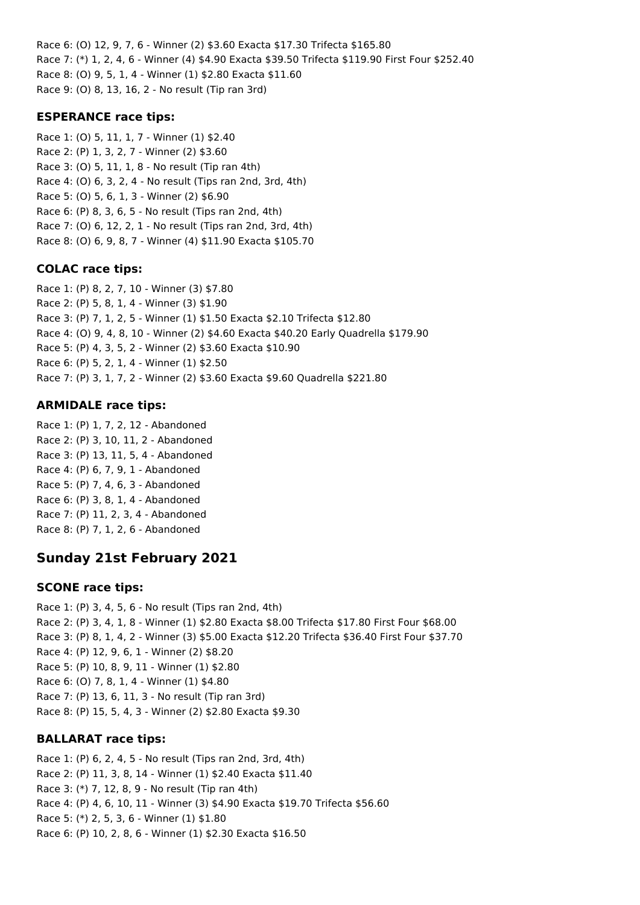Race 6: (O) 12, 9, 7, 6 - Winner (2) \$3.60 Exacta \$17.30 Trifecta \$165.80 Race 7: (\*) 1, 2, 4, 6 - Winner (4) \$4.90 Exacta \$39.50 Trifecta \$119.90 First Four \$252.40 Race 8: (O) 9, 5, 1, 4 - Winner (1) \$2.80 Exacta \$11.60 Race 9: (O) 8, 13, 16, 2 - No result (Tip ran 3rd)

## **ESPERANCE race tips:**

Race 1: (O) 5, 11, 1, 7 - Winner (1) \$2.40 Race 2: (P) 1, 3, 2, 7 - Winner (2) \$3.60 Race 3: (O) 5, 11, 1, 8 - No result (Tip ran 4th) Race 4: (O) 6, 3, 2, 4 - No result (Tips ran 2nd, 3rd, 4th) Race 5: (O) 5, 6, 1, 3 - Winner (2) \$6.90 Race 6: (P) 8, 3, 6, 5 - No result (Tips ran 2nd, 4th) Race 7: (O) 6, 12, 2, 1 - No result (Tips ran 2nd, 3rd, 4th) Race 8: (O) 6, 9, 8, 7 - Winner (4) \$11.90 Exacta \$105.70

### **COLAC race tips:**

Race 1: (P) 8, 2, 7, 10 - Winner (3) \$7.80 Race 2: (P) 5, 8, 1, 4 - Winner (3) \$1.90 Race 3: (P) 7, 1, 2, 5 - Winner (1) \$1.50 Exacta \$2.10 Trifecta \$12.80 Race 4: (O) 9, 4, 8, 10 - Winner (2) \$4.60 Exacta \$40.20 Early Quadrella \$179.90 Race 5: (P) 4, 3, 5, 2 - Winner (2) \$3.60 Exacta \$10.90 Race 6: (P) 5, 2, 1, 4 - Winner (1) \$2.50 Race 7: (P) 3, 1, 7, 2 - Winner (2) \$3.60 Exacta \$9.60 Quadrella \$221.80

### **ARMIDALE race tips:**

Race 1: (P) 1, 7, 2, 12 - Abandoned Race 2: (P) 3, 10, 11, 2 - Abandoned Race 3: (P) 13, 11, 5, 4 - Abandoned Race 4: (P) 6, 7, 9, 1 - Abandoned Race 5: (P) 7, 4, 6, 3 - Abandoned Race 6: (P) 3, 8, 1, 4 - Abandoned Race 7: (P) 11, 2, 3, 4 - Abandoned Race 8: (P) 7, 1, 2, 6 - Abandoned

# **Sunday 21st February 2021**

### **SCONE race tips:**

Race 1: (P) 3, 4, 5, 6 - No result (Tips ran 2nd, 4th) Race 2: (P) 3, 4, 1, 8 - Winner (1) \$2.80 Exacta \$8.00 Trifecta \$17.80 First Four \$68.00 Race 3: (P) 8, 1, 4, 2 - Winner (3) \$5.00 Exacta \$12.20 Trifecta \$36.40 First Four \$37.70 Race 4: (P) 12, 9, 6, 1 - Winner (2) \$8.20 Race 5: (P) 10, 8, 9, 11 - Winner (1) \$2.80 Race 6: (O) 7, 8, 1, 4 - Winner (1) \$4.80 Race 7: (P) 13, 6, 11, 3 - No result (Tip ran 3rd) Race 8: (P) 15, 5, 4, 3 - Winner (2) \$2.80 Exacta \$9.30

## **BALLARAT race tips:**

Race 1: (P) 6, 2, 4, 5 - No result (Tips ran 2nd, 3rd, 4th) Race 2: (P) 11, 3, 8, 14 - Winner (1) \$2.40 Exacta \$11.40 Race 3: (\*) 7, 12, 8, 9 - No result (Tip ran 4th) Race 4: (P) 4, 6, 10, 11 - Winner (3) \$4.90 Exacta \$19.70 Trifecta \$56.60 Race 5: (\*) 2, 5, 3, 6 - Winner (1) \$1.80 Race 6: (P) 10, 2, 8, 6 - Winner (1) \$2.30 Exacta \$16.50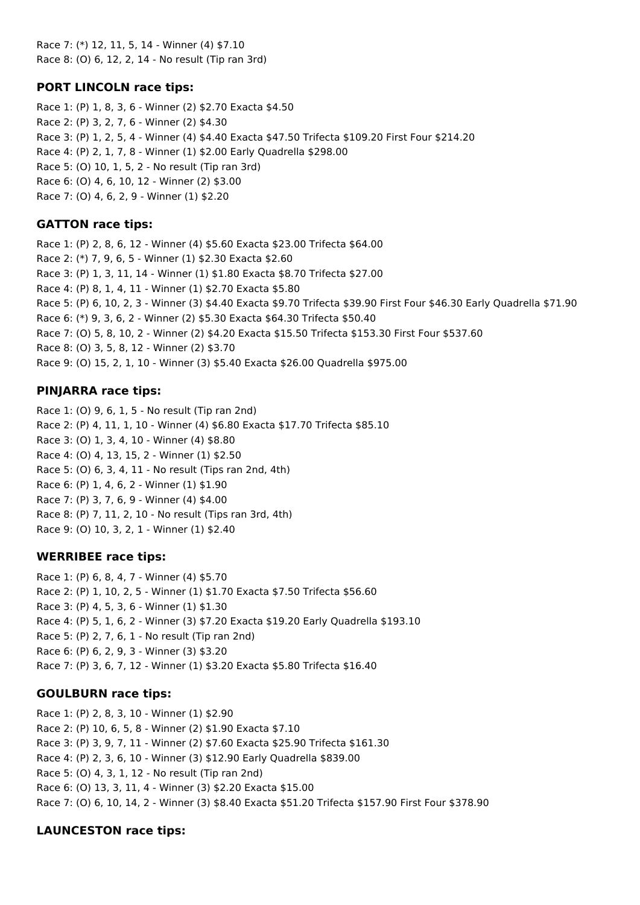Race 7: (\*) 12, 11, 5, 14 - Winner (4) \$7.10 Race 8: (O) 6, 12, 2, 14 - No result (Tip ran 3rd)

## **PORT LINCOLN race tips:**

Race 1: (P) 1, 8, 3, 6 - Winner (2) \$2.70 Exacta \$4.50 Race 2: (P) 3, 2, 7, 6 - Winner (2) \$4.30 Race 3: (P) 1, 2, 5, 4 - Winner (4) \$4.40 Exacta \$47.50 Trifecta \$109.20 First Four \$214.20 Race 4: (P) 2, 1, 7, 8 - Winner (1) \$2.00 Early Quadrella \$298.00 Race 5: (O) 10, 1, 5, 2 - No result (Tip ran 3rd) Race 6: (O) 4, 6, 10, 12 - Winner (2) \$3.00 Race 7: (O) 4, 6, 2, 9 - Winner (1) \$2.20

## **GATTON race tips:**

Race 1: (P) 2, 8, 6, 12 - Winner (4) \$5.60 Exacta \$23.00 Trifecta \$64.00 Race 2: (\*) 7, 9, 6, 5 - Winner (1) \$2.30 Exacta \$2.60 Race 3: (P) 1, 3, 11, 14 - Winner (1) \$1.80 Exacta \$8.70 Trifecta \$27.00 Race 4: (P) 8, 1, 4, 11 - Winner (1) \$2.70 Exacta \$5.80 Race 5: (P) 6, 10, 2, 3 - Winner (3) \$4.40 Exacta \$9.70 Trifecta \$39.90 First Four \$46.30 Early Quadrella \$71.90 Race 6: (\*) 9, 3, 6, 2 - Winner (2) \$5.30 Exacta \$64.30 Trifecta \$50.40 Race 7: (O) 5, 8, 10, 2 - Winner (2) \$4.20 Exacta \$15.50 Trifecta \$153.30 First Four \$537.60 Race 8: (O) 3, 5, 8, 12 - Winner (2) \$3.70 Race 9: (O) 15, 2, 1, 10 - Winner (3) \$5.40 Exacta \$26.00 Quadrella \$975.00

## **PINJARRA race tips:**

Race 1: (O) 9, 6, 1, 5 - No result (Tip ran 2nd) Race 2: (P) 4, 11, 1, 10 - Winner (4) \$6.80 Exacta \$17.70 Trifecta \$85.10 Race 3: (O) 1, 3, 4, 10 - Winner (4) \$8.80 Race 4: (O) 4, 13, 15, 2 - Winner (1) \$2.50 Race 5: (O) 6, 3, 4, 11 - No result (Tips ran 2nd, 4th) Race 6: (P) 1, 4, 6, 2 - Winner (1) \$1.90 Race 7: (P) 3, 7, 6, 9 - Winner (4) \$4.00 Race 8: (P) 7, 11, 2, 10 - No result (Tips ran 3rd, 4th) Race 9: (O) 10, 3, 2, 1 - Winner (1) \$2.40

## **WERRIBEE race tips:**

Race 1: (P) 6, 8, 4, 7 - Winner (4) \$5.70 Race 2: (P) 1, 10, 2, 5 - Winner (1) \$1.70 Exacta \$7.50 Trifecta \$56.60 Race 3: (P) 4, 5, 3, 6 - Winner (1) \$1.30 Race 4: (P) 5, 1, 6, 2 - Winner (3) \$7.20 Exacta \$19.20 Early Quadrella \$193.10 Race 5: (P) 2, 7, 6, 1 - No result (Tip ran 2nd) Race 6: (P) 6, 2, 9, 3 - Winner (3) \$3.20 Race 7: (P) 3, 6, 7, 12 - Winner (1) \$3.20 Exacta \$5.80 Trifecta \$16.40

## **GOULBURN race tips:**

Race 1: (P) 2, 8, 3, 10 - Winner (1) \$2.90 Race 2: (P) 10, 6, 5, 8 - Winner (2) \$1.90 Exacta \$7.10 Race 3: (P) 3, 9, 7, 11 - Winner (2) \$7.60 Exacta \$25.90 Trifecta \$161.30 Race 4: (P) 2, 3, 6, 10 - Winner (3) \$12.90 Early Quadrella \$839.00 Race 5: (O) 4, 3, 1, 12 - No result (Tip ran 2nd) Race 6: (O) 13, 3, 11, 4 - Winner (3) \$2.20 Exacta \$15.00 Race 7: (O) 6, 10, 14, 2 - Winner (3) \$8.40 Exacta \$51.20 Trifecta \$157.90 First Four \$378.90

## **LAUNCESTON race tips:**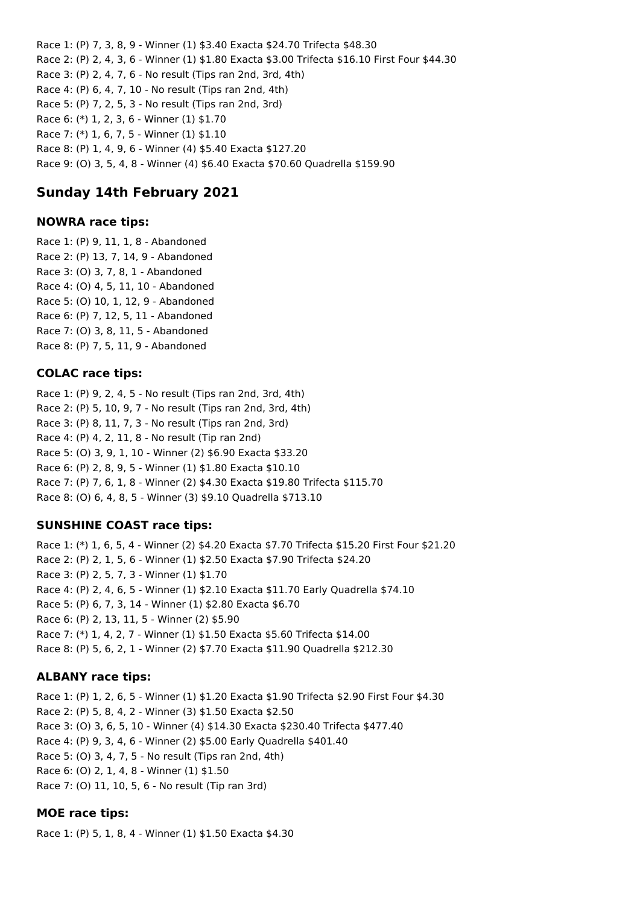Race 1: (P) 7, 3, 8, 9 - Winner (1) \$3.40 Exacta \$24.70 Trifecta \$48.30 Race 2: (P) 2, 4, 3, 6 - Winner (1) \$1.80 Exacta \$3.00 Trifecta \$16.10 First Four \$44.30 Race 3: (P) 2, 4, 7, 6 - No result (Tips ran 2nd, 3rd, 4th) Race 4: (P) 6, 4, 7, 10 - No result (Tips ran 2nd, 4th) Race 5: (P) 7, 2, 5, 3 - No result (Tips ran 2nd, 3rd) Race 6: (\*) 1, 2, 3, 6 - Winner (1) \$1.70 Race 7: (\*) 1, 6, 7, 5 - Winner (1) \$1.10 Race 8: (P) 1, 4, 9, 6 - Winner (4) \$5.40 Exacta \$127.20 Race 9: (O) 3, 5, 4, 8 - Winner (4) \$6.40 Exacta \$70.60 Quadrella \$159.90

# **Sunday 14th February 2021**

## **NOWRA race tips:**

Race 1: (P) 9, 11, 1, 8 - Abandoned Race 2: (P) 13, 7, 14, 9 - Abandoned Race 3: (O) 3, 7, 8, 1 - Abandoned Race 4: (O) 4, 5, 11, 10 - Abandoned Race 5: (O) 10, 1, 12, 9 - Abandoned Race 6: (P) 7, 12, 5, 11 - Abandoned Race 7: (O) 3, 8, 11, 5 - Abandoned Race 8: (P) 7, 5, 11, 9 - Abandoned

## **COLAC race tips:**

Race 1: (P) 9, 2, 4, 5 - No result (Tips ran 2nd, 3rd, 4th) Race 2: (P) 5, 10, 9, 7 - No result (Tips ran 2nd, 3rd, 4th) Race 3: (P) 8, 11, 7, 3 - No result (Tips ran 2nd, 3rd) Race 4: (P) 4, 2, 11, 8 - No result (Tip ran 2nd) Race 5: (O) 3, 9, 1, 10 - Winner (2) \$6.90 Exacta \$33.20 Race 6: (P) 2, 8, 9, 5 - Winner (1) \$1.80 Exacta \$10.10 Race 7: (P) 7, 6, 1, 8 - Winner (2) \$4.30 Exacta \$19.80 Trifecta \$115.70 Race 8: (O) 6, 4, 8, 5 - Winner (3) \$9.10 Quadrella \$713.10

## **SUNSHINE COAST race tips:**

Race 1: (\*) 1, 6, 5, 4 - Winner (2) \$4.20 Exacta \$7.70 Trifecta \$15.20 First Four \$21.20 Race 2: (P) 2, 1, 5, 6 - Winner (1) \$2.50 Exacta \$7.90 Trifecta \$24.20 Race 3: (P) 2, 5, 7, 3 - Winner (1) \$1.70 Race 4: (P) 2, 4, 6, 5 - Winner (1) \$2.10 Exacta \$11.70 Early Quadrella \$74.10 Race 5: (P) 6, 7, 3, 14 - Winner (1) \$2.80 Exacta \$6.70 Race 6: (P) 2, 13, 11, 5 - Winner (2) \$5.90 Race 7: (\*) 1, 4, 2, 7 - Winner (1) \$1.50 Exacta \$5.60 Trifecta \$14.00 Race 8: (P) 5, 6, 2, 1 - Winner (2) \$7.70 Exacta \$11.90 Quadrella \$212.30

## **ALBANY race tips:**

Race 1: (P) 1, 2, 6, 5 - Winner (1) \$1.20 Exacta \$1.90 Trifecta \$2.90 First Four \$4.30 Race 2: (P) 5, 8, 4, 2 - Winner (3) \$1.50 Exacta \$2.50 Race 3: (O) 3, 6, 5, 10 - Winner (4) \$14.30 Exacta \$230.40 Trifecta \$477.40 Race 4: (P) 9, 3, 4, 6 - Winner (2) \$5.00 Early Quadrella \$401.40 Race 5: (O) 3, 4, 7, 5 - No result (Tips ran 2nd, 4th) Race 6: (O) 2, 1, 4, 8 - Winner (1) \$1.50 Race 7: (O) 11, 10, 5, 6 - No result (Tip ran 3rd)

## **MOE race tips:**

Race 1: (P) 5, 1, 8, 4 - Winner (1) \$1.50 Exacta \$4.30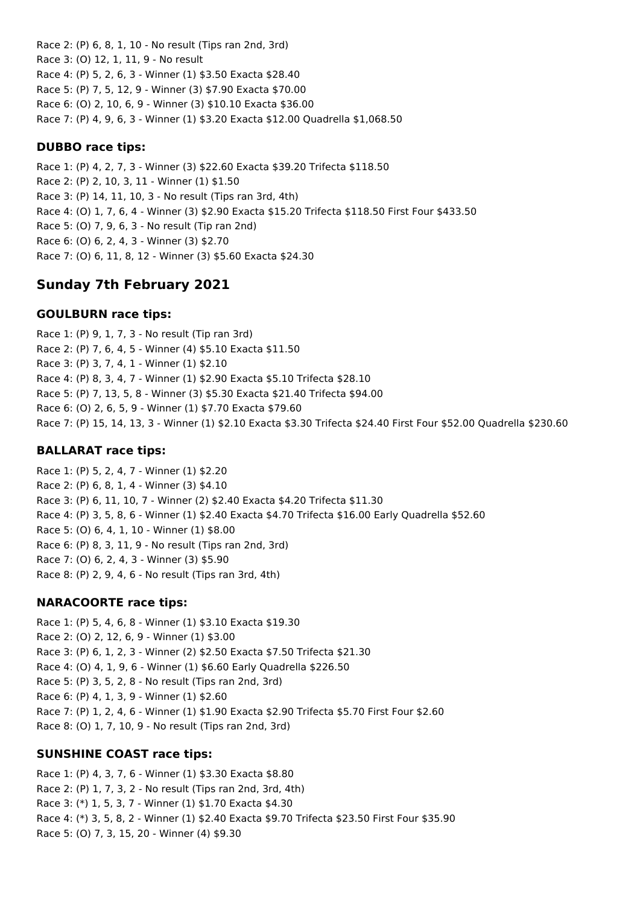Race 2: (P) 6, 8, 1, 10 - No result (Tips ran 2nd, 3rd) Race 3: (O) 12, 1, 11, 9 - No result Race 4: (P) 5, 2, 6, 3 - Winner (1) \$3.50 Exacta \$28.40 Race 5: (P) 7, 5, 12, 9 - Winner (3) \$7.90 Exacta \$70.00 Race 6: (O) 2, 10, 6, 9 - Winner (3) \$10.10 Exacta \$36.00 Race 7: (P) 4, 9, 6, 3 - Winner (1) \$3.20 Exacta \$12.00 Quadrella \$1,068.50

## **DUBBO race tips:**

Race 1: (P) 4, 2, 7, 3 - Winner (3) \$22.60 Exacta \$39.20 Trifecta \$118.50 Race 2: (P) 2, 10, 3, 11 - Winner (1) \$1.50 Race 3: (P) 14, 11, 10, 3 - No result (Tips ran 3rd, 4th) Race 4: (O) 1, 7, 6, 4 - Winner (3) \$2.90 Exacta \$15.20 Trifecta \$118.50 First Four \$433.50 Race 5: (O) 7, 9, 6, 3 - No result (Tip ran 2nd) Race 6: (O) 6, 2, 4, 3 - Winner (3) \$2.70 Race 7: (O) 6, 11, 8, 12 - Winner (3) \$5.60 Exacta \$24.30

# **Sunday 7th February 2021**

## **GOULBURN race tips:**

Race 1: (P) 9, 1, 7, 3 - No result (Tip ran 3rd) Race 2: (P) 7, 6, 4, 5 - Winner (4) \$5.10 Exacta \$11.50 Race 3: (P) 3, 7, 4, 1 - Winner (1) \$2.10 Race 4: (P) 8, 3, 4, 7 - Winner (1) \$2.90 Exacta \$5.10 Trifecta \$28.10 Race 5: (P) 7, 13, 5, 8 - Winner (3) \$5.30 Exacta \$21.40 Trifecta \$94.00 Race 6: (O) 2, 6, 5, 9 - Winner (1) \$7.70 Exacta \$79.60 Race 7: (P) 15, 14, 13, 3 - Winner (1) \$2.10 Exacta \$3.30 Trifecta \$24.40 First Four \$52.00 Quadrella \$230.60

### **BALLARAT race tips:**

Race 1: (P) 5, 2, 4, 7 - Winner (1) \$2.20 Race 2: (P) 6, 8, 1, 4 - Winner (3) \$4.10 Race 3: (P) 6, 11, 10, 7 - Winner (2) \$2.40 Exacta \$4.20 Trifecta \$11.30 Race 4: (P) 3, 5, 8, 6 - Winner (1) \$2.40 Exacta \$4.70 Trifecta \$16.00 Early Quadrella \$52.60 Race 5: (O) 6, 4, 1, 10 - Winner (1) \$8.00 Race 6: (P) 8, 3, 11, 9 - No result (Tips ran 2nd, 3rd) Race 7: (O) 6, 2, 4, 3 - Winner (3) \$5.90 Race 8: (P) 2, 9, 4, 6 - No result (Tips ran 3rd, 4th)

### **NARACOORTE race tips:**

Race 1: (P) 5, 4, 6, 8 - Winner (1) \$3.10 Exacta \$19.30 Race 2: (O) 2, 12, 6, 9 - Winner (1) \$3.00 Race 3: (P) 6, 1, 2, 3 - Winner (2) \$2.50 Exacta \$7.50 Trifecta \$21.30 Race 4: (O) 4, 1, 9, 6 - Winner (1) \$6.60 Early Quadrella \$226.50 Race 5: (P) 3, 5, 2, 8 - No result (Tips ran 2nd, 3rd) Race 6: (P) 4, 1, 3, 9 - Winner (1) \$2.60 Race 7: (P) 1, 2, 4, 6 - Winner (1) \$1.90 Exacta \$2.90 Trifecta \$5.70 First Four \$2.60 Race 8: (O) 1, 7, 10, 9 - No result (Tips ran 2nd, 3rd)

## **SUNSHINE COAST race tips:**

Race 1: (P) 4, 3, 7, 6 - Winner (1) \$3.30 Exacta \$8.80 Race 2: (P) 1, 7, 3, 2 - No result (Tips ran 2nd, 3rd, 4th) Race 3: (\*) 1, 5, 3, 7 - Winner (1) \$1.70 Exacta \$4.30 Race 4: (\*) 3, 5, 8, 2 - Winner (1) \$2.40 Exacta \$9.70 Trifecta \$23.50 First Four \$35.90 Race 5: (O) 7, 3, 15, 20 - Winner (4) \$9.30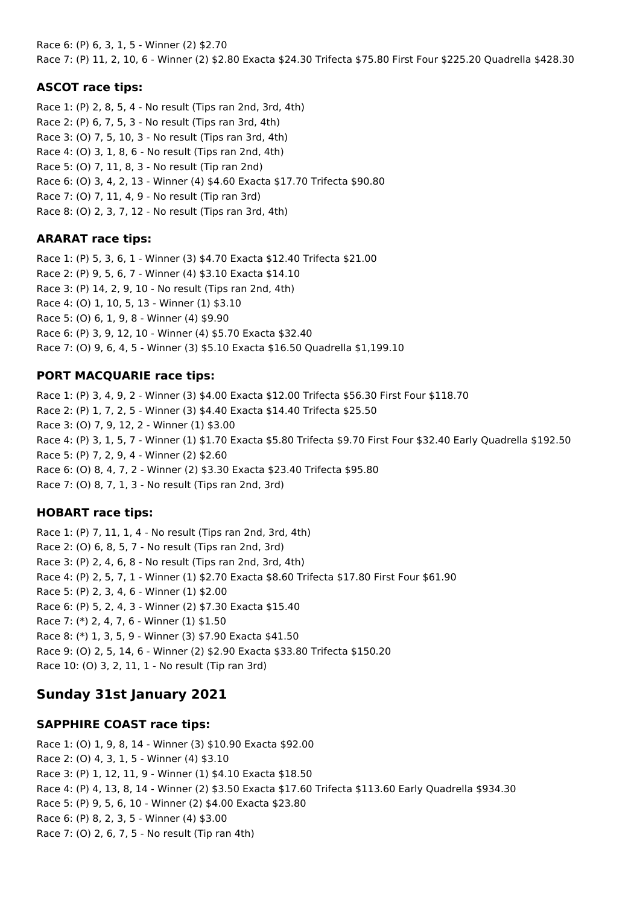Race 6: (P) 6, 3, 1, 5 - Winner (2) \$2.70 Race 7: (P) 11, 2, 10, 6 - Winner (2) \$2.80 Exacta \$24.30 Trifecta \$75.80 First Four \$225.20 Quadrella \$428.30

## **ASCOT race tips:**

Race 1: (P) 2, 8, 5, 4 - No result (Tips ran 2nd, 3rd, 4th) Race 2: (P) 6, 7, 5, 3 - No result (Tips ran 3rd, 4th) Race 3: (O) 7, 5, 10, 3 - No result (Tips ran 3rd, 4th) Race 4: (O) 3, 1, 8, 6 - No result (Tips ran 2nd, 4th) Race 5: (O) 7, 11, 8, 3 - No result (Tip ran 2nd) Race 6: (O) 3, 4, 2, 13 - Winner (4) \$4.60 Exacta \$17.70 Trifecta \$90.80 Race 7: (O) 7, 11, 4, 9 - No result (Tip ran 3rd) Race 8: (O) 2, 3, 7, 12 - No result (Tips ran 3rd, 4th)

## **ARARAT race tips:**

Race 1: (P) 5, 3, 6, 1 - Winner (3) \$4.70 Exacta \$12.40 Trifecta \$21.00 Race 2: (P) 9, 5, 6, 7 - Winner (4) \$3.10 Exacta \$14.10 Race 3: (P) 14, 2, 9, 10 - No result (Tips ran 2nd, 4th) Race 4: (O) 1, 10, 5, 13 - Winner (1) \$3.10 Race 5: (O) 6, 1, 9, 8 - Winner (4) \$9.90 Race 6: (P) 3, 9, 12, 10 - Winner (4) \$5.70 Exacta \$32.40 Race 7: (O) 9, 6, 4, 5 - Winner (3) \$5.10 Exacta \$16.50 Quadrella \$1,199.10

## **PORT MACQUARIE race tips:**

Race 1: (P) 3, 4, 9, 2 - Winner (3) \$4.00 Exacta \$12.00 Trifecta \$56.30 First Four \$118.70 Race 2: (P) 1, 7, 2, 5 - Winner (3) \$4.40 Exacta \$14.40 Trifecta \$25.50 Race 3: (O) 7, 9, 12, 2 - Winner (1) \$3.00 Race 4: (P) 3, 1, 5, 7 - Winner (1) \$1.70 Exacta \$5.80 Trifecta \$9.70 First Four \$32.40 Early Quadrella \$192.50 Race 5: (P) 7, 2, 9, 4 - Winner (2) \$2.60 Race 6: (O) 8, 4, 7, 2 - Winner (2) \$3.30 Exacta \$23.40 Trifecta \$95.80 Race 7: (O) 8, 7, 1, 3 - No result (Tips ran 2nd, 3rd)

## **HOBART race tips:**

Race 1: (P) 7, 11, 1, 4 - No result (Tips ran 2nd, 3rd, 4th) Race 2: (O) 6, 8, 5, 7 - No result (Tips ran 2nd, 3rd) Race 3: (P) 2, 4, 6, 8 - No result (Tips ran 2nd, 3rd, 4th) Race 4: (P) 2, 5, 7, 1 - Winner (1) \$2.70 Exacta \$8.60 Trifecta \$17.80 First Four \$61.90 Race 5: (P) 2, 3, 4, 6 - Winner (1) \$2.00 Race 6: (P) 5, 2, 4, 3 - Winner (2) \$7.30 Exacta \$15.40 Race 7: (\*) 2, 4, 7, 6 - Winner (1) \$1.50 Race 8: (\*) 1, 3, 5, 9 - Winner (3) \$7.90 Exacta \$41.50 Race 9: (O) 2, 5, 14, 6 - Winner (2) \$2.90 Exacta \$33.80 Trifecta \$150.20 Race 10: (O) 3, 2, 11, 1 - No result (Tip ran 3rd)

# **Sunday 31st January 2021**

## **SAPPHIRE COAST race tips:**

Race 1: (O) 1, 9, 8, 14 - Winner (3) \$10.90 Exacta \$92.00 Race 2: (O) 4, 3, 1, 5 - Winner (4) \$3.10 Race 3: (P) 1, 12, 11, 9 - Winner (1) \$4.10 Exacta \$18.50 Race 4: (P) 4, 13, 8, 14 - Winner (2) \$3.50 Exacta \$17.60 Trifecta \$113.60 Early Quadrella \$934.30 Race 5: (P) 9, 5, 6, 10 - Winner (2) \$4.00 Exacta \$23.80 Race 6: (P) 8, 2, 3, 5 - Winner (4) \$3.00 Race 7: (O) 2, 6, 7, 5 - No result (Tip ran 4th)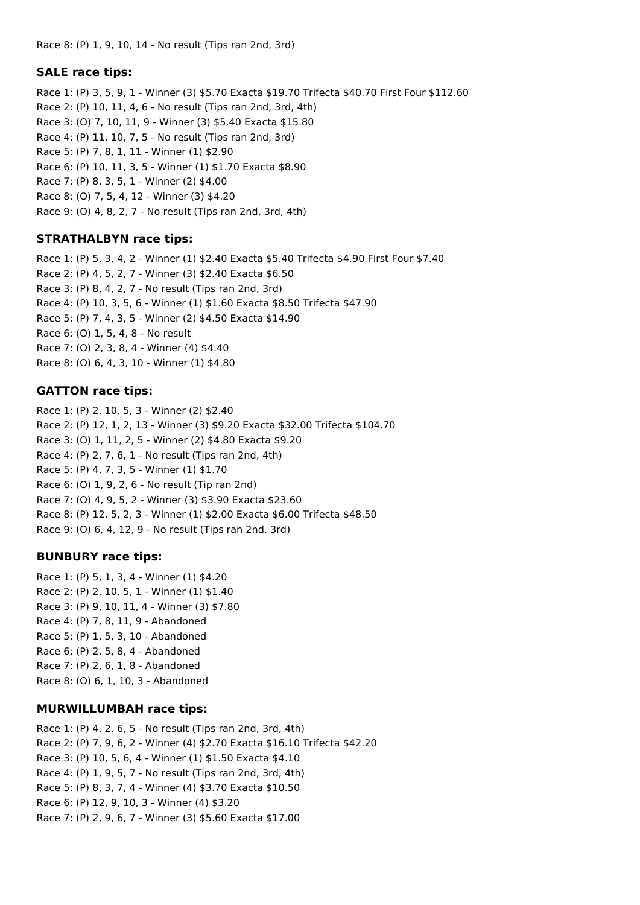Race 8: (P) 1, 9, 10, 14 - No result (Tips ran 2nd, 3rd)

## **SALE race tips:**

Race 1: (P) 3, 5, 9, 1 - Winner (3) \$5.70 Exacta \$19.70 Trifecta \$40.70 First Four \$112.60 Race 2: (P) 10, 11, 4, 6 - No result (Tips ran 2nd, 3rd, 4th) Race 3: (O) 7, 10, 11, 9 - Winner (3) \$5.40 Exacta \$15.80 Race 4: (P) 11, 10, 7, 5 - No result (Tips ran 2nd, 3rd) Race 5: (P) 7, 8, 1, 11 - Winner (1) \$2.90 Race 6: (P) 10, 11, 3, 5 - Winner (1) \$1.70 Exacta \$8.90 Race 7: (P) 8, 3, 5, 1 - Winner (2) \$4.00 Race 8: (O) 7, 5, 4, 12 - Winner (3) \$4.20 Race 9: (O) 4, 8, 2, 7 - No result (Tips ran 2nd, 3rd, 4th)

## **STRATHALBYN race tips:**

Race 1: (P) 5, 3, 4, 2 - Winner (1) \$2.40 Exacta \$5.40 Trifecta \$4.90 First Four \$7.40 Race 2: (P) 4, 5, 2, 7 - Winner (3) \$2.40 Exacta \$6.50 Race 3: (P) 8, 4, 2, 7 - No result (Tips ran 2nd, 3rd) Race 4: (P) 10, 3, 5, 6 - Winner (1) \$1.60 Exacta \$8.50 Trifecta \$47.90 Race 5: (P) 7, 4, 3, 5 - Winner (2) \$4.50 Exacta \$14.90 Race 6: (O) 1, 5, 4, 8 - No result Race 7: (O) 2, 3, 8, 4 - Winner (4) \$4.40 Race 8: (O) 6, 4, 3, 10 - Winner (1) \$4.80

## **GATTON race tips:**

Race 1: (P) 2, 10, 5, 3 - Winner (2) \$2.40 Race 2: (P) 12, 1, 2, 13 - Winner (3) \$9.20 Exacta \$32.00 Trifecta \$104.70 Race 3: (O) 1, 11, 2, 5 - Winner (2) \$4.80 Exacta \$9.20 Race 4: (P) 2, 7, 6, 1 - No result (Tips ran 2nd, 4th) Race 5: (P) 4, 7, 3, 5 - Winner (1) \$1.70 Race 6: (O) 1, 9, 2, 6 - No result (Tip ran 2nd) Race 7: (O) 4, 9, 5, 2 - Winner (3) \$3.90 Exacta \$23.60 Race 8: (P) 12, 5, 2, 3 - Winner (1) \$2.00 Exacta \$6.00 Trifecta \$48.50 Race 9: (O) 6, 4, 12, 9 - No result (Tips ran 2nd, 3rd)

## **BUNBURY race tips:**

Race 1: (P) 5, 1, 3, 4 - Winner (1) \$4.20 Race 2: (P) 2, 10, 5, 1 - Winner (1) \$1.40 Race 3: (P) 9, 10, 11, 4 - Winner (3) \$7.80 Race 4: (P) 7, 8, 11, 9 - Abandoned Race 5: (P) 1, 5, 3, 10 - Abandoned Race 6: (P) 2, 5, 8, 4 - Abandoned Race 7: (P) 2, 6, 1, 8 - Abandoned Race 8: (O) 6, 1, 10, 3 - Abandoned

## **MURWILLUMBAH race tips:**

Race 1: (P) 4, 2, 6, 5 - No result (Tips ran 2nd, 3rd, 4th) Race 2: (P) 7, 9, 6, 2 - Winner (4) \$2.70 Exacta \$16.10 Trifecta \$42.20 Race 3: (P) 10, 5, 6, 4 - Winner (1) \$1.50 Exacta \$4.10 Race 4: (P) 1, 9, 5, 7 - No result (Tips ran 2nd, 3rd, 4th) Race 5: (P) 8, 3, 7, 4 - Winner (4) \$3.70 Exacta \$10.50 Race 6: (P) 12, 9, 10, 3 - Winner (4) \$3.20 Race 7: (P) 2, 9, 6, 7 - Winner (3) \$5.60 Exacta \$17.00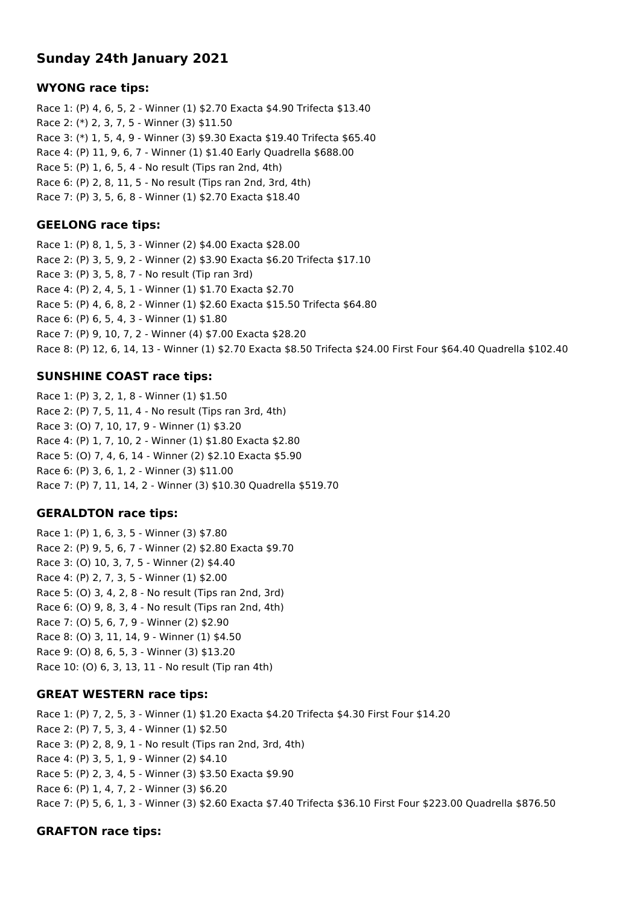# **Sunday 24th January 2021**

#### **WYONG race tips:**

Race 1: (P) 4, 6, 5, 2 - Winner (1) \$2.70 Exacta \$4.90 Trifecta \$13.40 Race 2: (\*) 2, 3, 7, 5 - Winner (3) \$11.50 Race 3: (\*) 1, 5, 4, 9 - Winner (3) \$9.30 Exacta \$19.40 Trifecta \$65.40 Race 4: (P) 11, 9, 6, 7 - Winner (1) \$1.40 Early Quadrella \$688.00 Race 5: (P) 1, 6, 5, 4 - No result (Tips ran 2nd, 4th) Race 6: (P) 2, 8, 11, 5 - No result (Tips ran 2nd, 3rd, 4th) Race 7: (P) 3, 5, 6, 8 - Winner (1) \$2.70 Exacta \$18.40

## **GEELONG race tips:**

Race 1: (P) 8, 1, 5, 3 - Winner (2) \$4.00 Exacta \$28.00 Race 2: (P) 3, 5, 9, 2 - Winner (2) \$3.90 Exacta \$6.20 Trifecta \$17.10 Race 3: (P) 3, 5, 8, 7 - No result (Tip ran 3rd) Race 4: (P) 2, 4, 5, 1 - Winner (1) \$1.70 Exacta \$2.70 Race 5: (P) 4, 6, 8, 2 - Winner (1) \$2.60 Exacta \$15.50 Trifecta \$64.80 Race 6: (P) 6, 5, 4, 3 - Winner (1) \$1.80 Race 7: (P) 9, 10, 7, 2 - Winner (4) \$7.00 Exacta \$28.20 Race 8: (P) 12, 6, 14, 13 - Winner (1) \$2.70 Exacta \$8.50 Trifecta \$24.00 First Four \$64.40 Quadrella \$102.40

# **SUNSHINE COAST race tips:**

Race 1: (P) 3, 2, 1, 8 - Winner (1) \$1.50 Race 2: (P) 7, 5, 11, 4 - No result (Tips ran 3rd, 4th) Race 3: (O) 7, 10, 17, 9 - Winner (1) \$3.20 Race 4: (P) 1, 7, 10, 2 - Winner (1) \$1.80 Exacta \$2.80 Race 5: (O) 7, 4, 6, 14 - Winner (2) \$2.10 Exacta \$5.90 Race 6: (P) 3, 6, 1, 2 - Winner (3) \$11.00 Race 7: (P) 7, 11, 14, 2 - Winner (3) \$10.30 Quadrella \$519.70

## **GERALDTON race tips:**

Race 1: (P) 1, 6, 3, 5 - Winner (3) \$7.80 Race 2: (P) 9, 5, 6, 7 - Winner (2) \$2.80 Exacta \$9.70 Race 3: (O) 10, 3, 7, 5 - Winner (2) \$4.40 Race 4: (P) 2, 7, 3, 5 - Winner (1) \$2.00 Race 5: (O) 3, 4, 2, 8 - No result (Tips ran 2nd, 3rd) Race 6: (O) 9, 8, 3, 4 - No result (Tips ran 2nd, 4th) Race 7: (O) 5, 6, 7, 9 - Winner (2) \$2.90 Race 8: (O) 3, 11, 14, 9 - Winner (1) \$4.50 Race 9: (O) 8, 6, 5, 3 - Winner (3) \$13.20 Race 10: (O) 6, 3, 13, 11 - No result (Tip ran 4th)

## **GREAT WESTERN race tips:**

Race 1: (P) 7, 2, 5, 3 - Winner (1) \$1.20 Exacta \$4.20 Trifecta \$4.30 First Four \$14.20 Race 2: (P) 7, 5, 3, 4 - Winner (1) \$2.50 Race 3: (P) 2, 8, 9, 1 - No result (Tips ran 2nd, 3rd, 4th) Race 4: (P) 3, 5, 1, 9 - Winner (2) \$4.10 Race 5: (P) 2, 3, 4, 5 - Winner (3) \$3.50 Exacta \$9.90 Race 6: (P) 1, 4, 7, 2 - Winner (3) \$6.20 Race 7: (P) 5, 6, 1, 3 - Winner (3) \$2.60 Exacta \$7.40 Trifecta \$36.10 First Four \$223.00 Quadrella \$876.50

## **GRAFTON race tips:**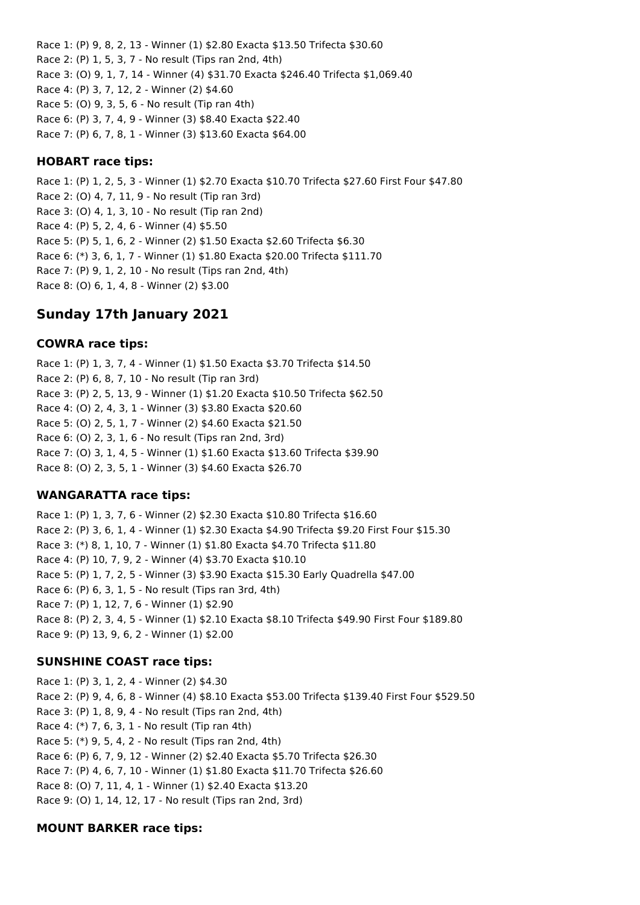Race 1: (P) 9, 8, 2, 13 - Winner (1) \$2.80 Exacta \$13.50 Trifecta \$30.60 Race 2: (P) 1, 5, 3, 7 - No result (Tips ran 2nd, 4th) Race 3: (O) 9, 1, 7, 14 - Winner (4) \$31.70 Exacta \$246.40 Trifecta \$1,069.40 Race 4: (P) 3, 7, 12, 2 - Winner (2) \$4.60 Race 5: (O) 9, 3, 5, 6 - No result (Tip ran 4th) Race 6: (P) 3, 7, 4, 9 - Winner (3) \$8.40 Exacta \$22.40 Race 7: (P) 6, 7, 8, 1 - Winner (3) \$13.60 Exacta \$64.00

### **HOBART race tips:**

Race 1: (P) 1, 2, 5, 3 - Winner (1) \$2.70 Exacta \$10.70 Trifecta \$27.60 First Four \$47.80 Race 2: (O) 4, 7, 11, 9 - No result (Tip ran 3rd) Race 3: (O) 4, 1, 3, 10 - No result (Tip ran 2nd) Race 4: (P) 5, 2, 4, 6 - Winner (4) \$5.50 Race 5: (P) 5, 1, 6, 2 - Winner (2) \$1.50 Exacta \$2.60 Trifecta \$6.30 Race 6: (\*) 3, 6, 1, 7 - Winner (1) \$1.80 Exacta \$20.00 Trifecta \$111.70 Race 7: (P) 9, 1, 2, 10 - No result (Tips ran 2nd, 4th) Race 8: (O) 6, 1, 4, 8 - Winner (2) \$3.00

# **Sunday 17th January 2021**

### **COWRA race tips:**

Race 1: (P) 1, 3, 7, 4 - Winner (1) \$1.50 Exacta \$3.70 Trifecta \$14.50 Race 2: (P) 6, 8, 7, 10 - No result (Tip ran 3rd) Race 3: (P) 2, 5, 13, 9 - Winner (1) \$1.20 Exacta \$10.50 Trifecta \$62.50 Race 4: (O) 2, 4, 3, 1 - Winner (3) \$3.80 Exacta \$20.60 Race 5: (O) 2, 5, 1, 7 - Winner (2) \$4.60 Exacta \$21.50 Race 6: (O) 2, 3, 1, 6 - No result (Tips ran 2nd, 3rd) Race 7: (O) 3, 1, 4, 5 - Winner (1) \$1.60 Exacta \$13.60 Trifecta \$39.90 Race 8: (O) 2, 3, 5, 1 - Winner (3) \$4.60 Exacta \$26.70

## **WANGARATTA race tips:**

Race 1: (P) 1, 3, 7, 6 - Winner (2) \$2.30 Exacta \$10.80 Trifecta \$16.60 Race 2: (P) 3, 6, 1, 4 - Winner (1) \$2.30 Exacta \$4.90 Trifecta \$9.20 First Four \$15.30 Race 3: (\*) 8, 1, 10, 7 - Winner (1) \$1.80 Exacta \$4.70 Trifecta \$11.80 Race 4: (P) 10, 7, 9, 2 - Winner (4) \$3.70 Exacta \$10.10 Race 5: (P) 1, 7, 2, 5 - Winner (3) \$3.90 Exacta \$15.30 Early Quadrella \$47.00 Race 6: (P) 6, 3, 1, 5 - No result (Tips ran 3rd, 4th) Race 7: (P) 1, 12, 7, 6 - Winner (1) \$2.90 Race 8: (P) 2, 3, 4, 5 - Winner (1) \$2.10 Exacta \$8.10 Trifecta \$49.90 First Four \$189.80 Race 9: (P) 13, 9, 6, 2 - Winner (1) \$2.00

## **SUNSHINE COAST race tips:**

Race 1: (P) 3, 1, 2, 4 - Winner (2) \$4.30 Race 2: (P) 9, 4, 6, 8 - Winner (4) \$8.10 Exacta \$53.00 Trifecta \$139.40 First Four \$529.50 Race 3: (P) 1, 8, 9, 4 - No result (Tips ran 2nd, 4th) Race 4: (\*) 7, 6, 3, 1 - No result (Tip ran 4th) Race 5: (\*) 9, 5, 4, 2 - No result (Tips ran 2nd, 4th) Race 6: (P) 6, 7, 9, 12 - Winner (2) \$2.40 Exacta \$5.70 Trifecta \$26.30 Race 7: (P) 4, 6, 7, 10 - Winner (1) \$1.80 Exacta \$11.70 Trifecta \$26.60 Race 8: (O) 7, 11, 4, 1 - Winner (1) \$2.40 Exacta \$13.20 Race 9: (O) 1, 14, 12, 17 - No result (Tips ran 2nd, 3rd)

#### **MOUNT BARKER race tips:**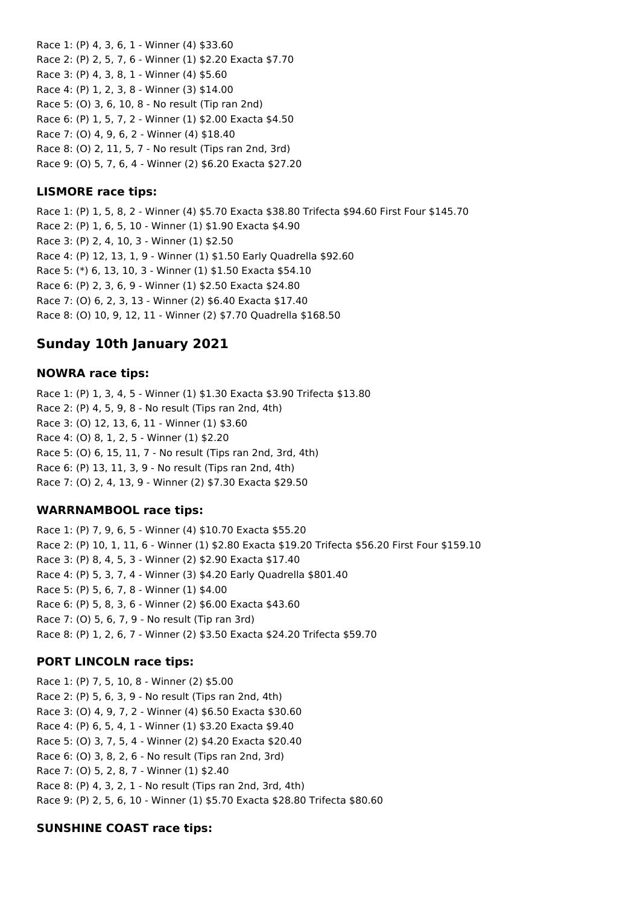Race 1: (P) 4, 3, 6, 1 - Winner (4) \$33.60 Race 2: (P) 2, 5, 7, 6 - Winner (1) \$2.20 Exacta \$7.70 Race 3: (P) 4, 3, 8, 1 - Winner (4) \$5.60 Race 4: (P) 1, 2, 3, 8 - Winner (3) \$14.00 Race 5: (O) 3, 6, 10, 8 - No result (Tip ran 2nd) Race 6: (P) 1, 5, 7, 2 - Winner (1) \$2.00 Exacta \$4.50 Race 7: (O) 4, 9, 6, 2 - Winner (4) \$18.40 Race 8: (O) 2, 11, 5, 7 - No result (Tips ran 2nd, 3rd) Race 9: (O) 5, 7, 6, 4 - Winner (2) \$6.20 Exacta \$27.20

### **LISMORE race tips:**

Race 1: (P) 1, 5, 8, 2 - Winner (4) \$5.70 Exacta \$38.80 Trifecta \$94.60 First Four \$145.70 Race 2: (P) 1, 6, 5, 10 - Winner (1) \$1.90 Exacta \$4.90 Race 3: (P) 2, 4, 10, 3 - Winner (1) \$2.50 Race 4: (P) 12, 13, 1, 9 - Winner (1) \$1.50 Early Quadrella \$92.60 Race 5: (\*) 6, 13, 10, 3 - Winner (1) \$1.50 Exacta \$54.10 Race 6: (P) 2, 3, 6, 9 - Winner (1) \$2.50 Exacta \$24.80 Race 7: (O) 6, 2, 3, 13 - Winner (2) \$6.40 Exacta \$17.40 Race 8: (O) 10, 9, 12, 11 - Winner (2) \$7.70 Quadrella \$168.50

# **Sunday 10th January 2021**

### **NOWRA race tips:**

Race 1: (P) 1, 3, 4, 5 - Winner (1) \$1.30 Exacta \$3.90 Trifecta \$13.80 Race 2: (P) 4, 5, 9, 8 - No result (Tips ran 2nd, 4th) Race 3: (O) 12, 13, 6, 11 - Winner (1) \$3.60 Race 4: (O) 8, 1, 2, 5 - Winner (1) \$2.20 Race 5: (O) 6, 15, 11, 7 - No result (Tips ran 2nd, 3rd, 4th) Race 6: (P) 13, 11, 3, 9 - No result (Tips ran 2nd, 4th) Race 7: (O) 2, 4, 13, 9 - Winner (2) \$7.30 Exacta \$29.50

#### **WARRNAMBOOL race tips:**

Race 1: (P) 7, 9, 6, 5 - Winner (4) \$10.70 Exacta \$55.20 Race 2: (P) 10, 1, 11, 6 - Winner (1) \$2.80 Exacta \$19.20 Trifecta \$56.20 First Four \$159.10 Race 3: (P) 8, 4, 5, 3 - Winner (2) \$2.90 Exacta \$17.40 Race 4: (P) 5, 3, 7, 4 - Winner (3) \$4.20 Early Quadrella \$801.40 Race 5: (P) 5, 6, 7, 8 - Winner (1) \$4.00 Race 6: (P) 5, 8, 3, 6 - Winner (2) \$6.00 Exacta \$43.60 Race 7: (O) 5, 6, 7, 9 - No result (Tip ran 3rd) Race 8: (P) 1, 2, 6, 7 - Winner (2) \$3.50 Exacta \$24.20 Trifecta \$59.70

#### **PORT LINCOLN race tips:**

Race 1: (P) 7, 5, 10, 8 - Winner (2) \$5.00 Race 2: (P) 5, 6, 3, 9 - No result (Tips ran 2nd, 4th) Race 3: (O) 4, 9, 7, 2 - Winner (4) \$6.50 Exacta \$30.60 Race 4: (P) 6, 5, 4, 1 - Winner (1) \$3.20 Exacta \$9.40 Race 5: (O) 3, 7, 5, 4 - Winner (2) \$4.20 Exacta \$20.40 Race 6: (O) 3, 8, 2, 6 - No result (Tips ran 2nd, 3rd) Race 7: (O) 5, 2, 8, 7 - Winner (1) \$2.40 Race 8: (P) 4, 3, 2, 1 - No result (Tips ran 2nd, 3rd, 4th) Race 9: (P) 2, 5, 6, 10 - Winner (1) \$5.70 Exacta \$28.80 Trifecta \$80.60

## **SUNSHINE COAST race tips:**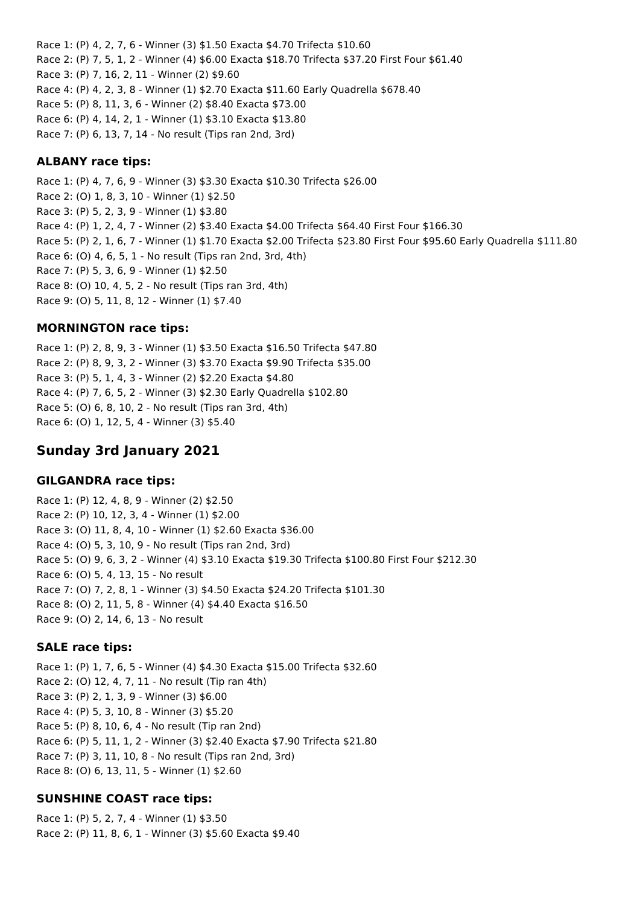Race 1: (P) 4, 2, 7, 6 - Winner (3) \$1.50 Exacta \$4.70 Trifecta \$10.60 Race 2: (P) 7, 5, 1, 2 - Winner (4) \$6.00 Exacta \$18.70 Trifecta \$37.20 First Four \$61.40 Race 3: (P) 7, 16, 2, 11 - Winner (2) \$9.60 Race 4: (P) 4, 2, 3, 8 - Winner (1) \$2.70 Exacta \$11.60 Early Quadrella \$678.40 Race 5: (P) 8, 11, 3, 6 - Winner (2) \$8.40 Exacta \$73.00 Race 6: (P) 4, 14, 2, 1 - Winner (1) \$3.10 Exacta \$13.80 Race 7: (P) 6, 13, 7, 14 - No result (Tips ran 2nd, 3rd)

### **ALBANY race tips:**

Race 1: (P) 4, 7, 6, 9 - Winner (3) \$3.30 Exacta \$10.30 Trifecta \$26.00 Race 2: (O) 1, 8, 3, 10 - Winner (1) \$2.50 Race 3: (P) 5, 2, 3, 9 - Winner (1) \$3.80 Race 4: (P) 1, 2, 4, 7 - Winner (2) \$3.40 Exacta \$4.00 Trifecta \$64.40 First Four \$166.30 Race 5: (P) 2, 1, 6, 7 - Winner (1) \$1.70 Exacta \$2.00 Trifecta \$23.80 First Four \$95.60 Early Quadrella \$111.80 Race 6: (O) 4, 6, 5, 1 - No result (Tips ran 2nd, 3rd, 4th) Race 7: (P) 5, 3, 6, 9 - Winner (1) \$2.50 Race 8: (O) 10, 4, 5, 2 - No result (Tips ran 3rd, 4th) Race 9: (O) 5, 11, 8, 12 - Winner (1) \$7.40

### **MORNINGTON race tips:**

Race 1: (P) 2, 8, 9, 3 - Winner (1) \$3.50 Exacta \$16.50 Trifecta \$47.80 Race 2: (P) 8, 9, 3, 2 - Winner (3) \$3.70 Exacta \$9.90 Trifecta \$35.00 Race 3: (P) 5, 1, 4, 3 - Winner (2) \$2.20 Exacta \$4.80 Race 4: (P) 7, 6, 5, 2 - Winner (3) \$2.30 Early Quadrella \$102.80 Race 5: (O) 6, 8, 10, 2 - No result (Tips ran 3rd, 4th) Race 6: (O) 1, 12, 5, 4 - Winner (3) \$5.40

# **Sunday 3rd January 2021**

#### **GILGANDRA race tips:**

Race 1: (P) 12, 4, 8, 9 - Winner (2) \$2.50 Race 2: (P) 10, 12, 3, 4 - Winner (1) \$2.00 Race 3: (O) 11, 8, 4, 10 - Winner (1) \$2.60 Exacta \$36.00 Race 4: (O) 5, 3, 10, 9 - No result (Tips ran 2nd, 3rd) Race 5: (O) 9, 6, 3, 2 - Winner (4) \$3.10 Exacta \$19.30 Trifecta \$100.80 First Four \$212.30 Race 6: (O) 5, 4, 13, 15 - No result Race 7: (O) 7, 2, 8, 1 - Winner (3) \$4.50 Exacta \$24.20 Trifecta \$101.30 Race 8: (O) 2, 11, 5, 8 - Winner (4) \$4.40 Exacta \$16.50 Race 9: (O) 2, 14, 6, 13 - No result

## **SALE race tips:**

Race 1: (P) 1, 7, 6, 5 - Winner (4) \$4.30 Exacta \$15.00 Trifecta \$32.60 Race 2: (O) 12, 4, 7, 11 - No result (Tip ran 4th) Race 3: (P) 2, 1, 3, 9 - Winner (3) \$6.00 Race 4: (P) 5, 3, 10, 8 - Winner (3) \$5.20 Race 5: (P) 8, 10, 6, 4 - No result (Tip ran 2nd) Race 6: (P) 5, 11, 1, 2 - Winner (3) \$2.40 Exacta \$7.90 Trifecta \$21.80 Race 7: (P) 3, 11, 10, 8 - No result (Tips ran 2nd, 3rd) Race 8: (O) 6, 13, 11, 5 - Winner (1) \$2.60

## **SUNSHINE COAST race tips:**

Race 1: (P) 5, 2, 7, 4 - Winner (1) \$3.50 Race 2: (P) 11, 8, 6, 1 - Winner (3) \$5.60 Exacta \$9.40